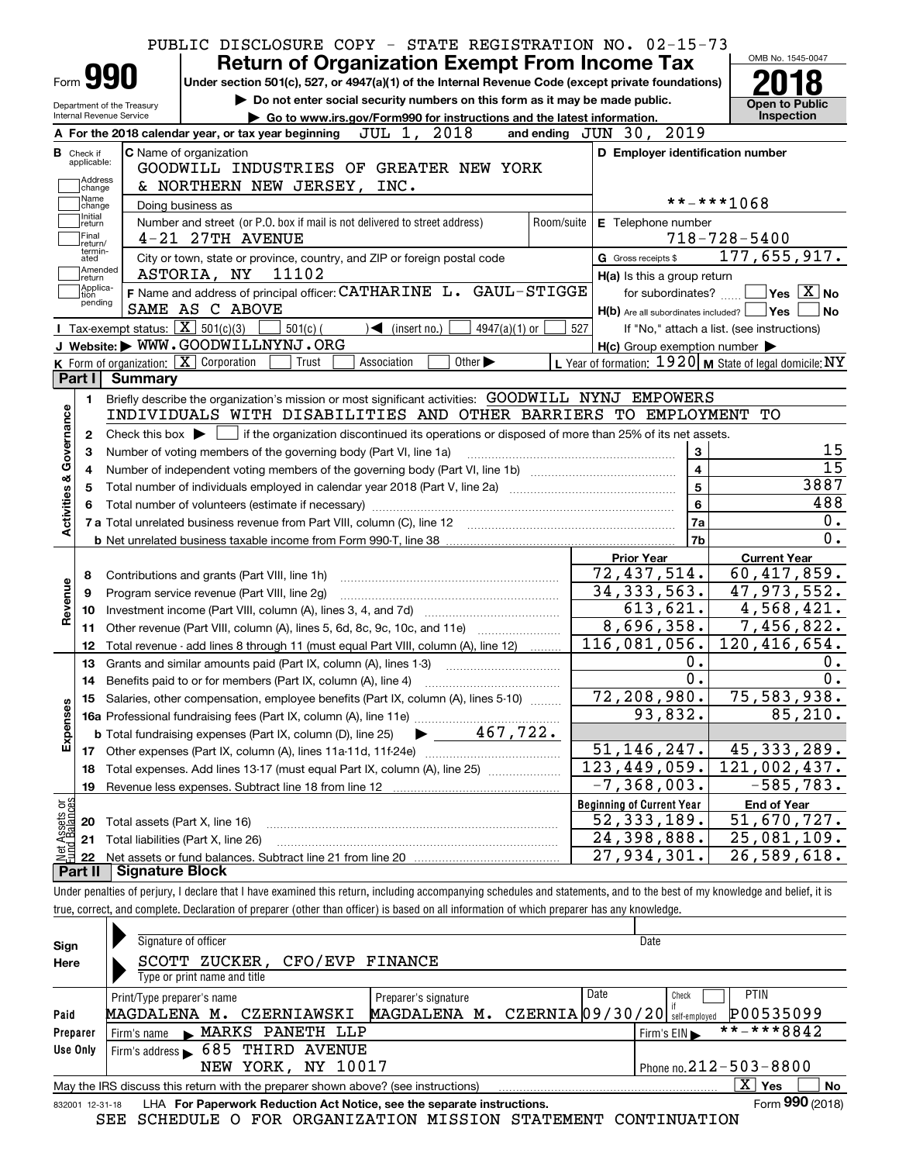|                            |                                                                                                                      |                                                                                                                                                                            | PUBLIC DISCLOSURE COPY - STATE REGISTRATION NO. 02-15-73                                           |                 |                                                     |                                                           |  |  |  |  |  |
|----------------------------|----------------------------------------------------------------------------------------------------------------------|----------------------------------------------------------------------------------------------------------------------------------------------------------------------------|----------------------------------------------------------------------------------------------------|-----------------|-----------------------------------------------------|-----------------------------------------------------------|--|--|--|--|--|
|                            |                                                                                                                      |                                                                                                                                                                            | <b>Return of Organization Exempt From Income Tax</b>                                               |                 |                                                     | OMB No. 1545-0047                                         |  |  |  |  |  |
|                            | <b>Form 990</b>                                                                                                      |                                                                                                                                                                            | Under section 501(c), 527, or 4947(a)(1) of the Internal Revenue Code (except private foundations) |                 |                                                     |                                                           |  |  |  |  |  |
|                            | Department of the Treasury                                                                                           |                                                                                                                                                                            | Do not enter social security numbers on this form as it may be made public.                        |                 |                                                     | <b>Open to Public</b>                                     |  |  |  |  |  |
|                            | Internal Revenue Service                                                                                             |                                                                                                                                                                            | Go to www.irs.gov/Form990 for instructions and the latest information.                             |                 |                                                     | Inspection                                                |  |  |  |  |  |
|                            |                                                                                                                      | A For the 2018 calendar year, or tax year beginning $JUL$ 1, $2018$                                                                                                        |                                                                                                    |                 | 2019<br>and ending JUN 30,                          |                                                           |  |  |  |  |  |
|                            | <b>B</b> Check if<br>applicable:                                                                                     | C Name of organization                                                                                                                                                     |                                                                                                    |                 | D Employer identification number                    |                                                           |  |  |  |  |  |
|                            | Address                                                                                                              | GOODWILL INDUSTRIES OF GREATER NEW YORK                                                                                                                                    |                                                                                                    |                 |                                                     |                                                           |  |  |  |  |  |
|                            | change<br>Name                                                                                                       | & NORTHERN NEW JERSEY,                                                                                                                                                     | INC.                                                                                               |                 |                                                     | **-***1068                                                |  |  |  |  |  |
|                            | Doing business as<br>change<br>Initial<br>Number and street (or P.O. box if mail is not delivered to street address) |                                                                                                                                                                            |                                                                                                    |                 |                                                     |                                                           |  |  |  |  |  |
|                            | return<br>Final                                                                                                      | 4-21 27TH AVENUE                                                                                                                                                           |                                                                                                    | Room/suite      | E Telephone number                                  | $718 - 728 - 5400$                                        |  |  |  |  |  |
|                            | return/<br>termin-<br>ated                                                                                           | City or town, state or province, country, and ZIP or foreign postal code                                                                                                   |                                                                                                    |                 | G Gross receipts \$                                 | 177,655,917.                                              |  |  |  |  |  |
|                            | Amended                                                                                                              | ASTORIA, NY<br>11102                                                                                                                                                       |                                                                                                    |                 | H(a) Is this a group return                         |                                                           |  |  |  |  |  |
|                            | return<br> Applica-<br>tion                                                                                          | F Name and address of principal officer: CATHARINE L. GAUL-STIGGE                                                                                                          |                                                                                                    |                 | for subordinates?                                   | $\sqrt{}$ Yes $\sqrt{}$ X $\sqrt{}$ No                    |  |  |  |  |  |
|                            | pending                                                                                                              | SAME AS C ABOVE                                                                                                                                                            |                                                                                                    |                 | $H(b)$ Are all subordinates included?               | <b>Yes</b><br>No                                          |  |  |  |  |  |
|                            |                                                                                                                      | Tax-exempt status: $\boxed{\mathbf{X}}$ 501(c)(3)<br>$501(c)$ (                                                                                                            | $\sqrt{\frac{1}{1}}$ (insert no.)<br>4947(a)(1) or                                                 | 527             |                                                     | If "No," attach a list. (see instructions)                |  |  |  |  |  |
|                            |                                                                                                                      | J Website: WWW.GOODWILLNYNJ.ORG                                                                                                                                            |                                                                                                    |                 | $H(c)$ Group exemption number $\blacktriangleright$ |                                                           |  |  |  |  |  |
|                            |                                                                                                                      | K Form of organization: X Corporation<br>Trust                                                                                                                             | Association<br>Other $\blacktriangleright$                                                         |                 |                                                     | L Year of formation: $1920$ M State of legal domicile: NY |  |  |  |  |  |
|                            | Part I                                                                                                               | <b>Summary</b>                                                                                                                                                             |                                                                                                    |                 |                                                     |                                                           |  |  |  |  |  |
|                            | 1.                                                                                                                   | Briefly describe the organization's mission or most significant activities: GOODWILL NYNJ EMPOWERS                                                                         |                                                                                                    |                 |                                                     |                                                           |  |  |  |  |  |
| Governance                 |                                                                                                                      | INDIVIDUALS WITH DISABILITIES AND OTHER BARRIERS TO EMPLOYMENT                                                                                                             |                                                                                                    |                 |                                                     | TО                                                        |  |  |  |  |  |
|                            | 2                                                                                                                    | Check this box $\blacktriangleright$ $\Box$ if the organization discontinued its operations or disposed of more than 25% of its net assets.                                |                                                                                                    |                 |                                                     |                                                           |  |  |  |  |  |
|                            | З                                                                                                                    | 3<br>Number of voting members of the governing body (Part VI, line 1a)                                                                                                     |                                                                                                    |                 |                                                     |                                                           |  |  |  |  |  |
|                            | 4                                                                                                                    |                                                                                                                                                                            | $\overline{\mathbf{4}}$                                                                            | $\overline{15}$ |                                                     |                                                           |  |  |  |  |  |
| <b>Activities &amp;</b>    | 5                                                                                                                    |                                                                                                                                                                            |                                                                                                    | 5               | 3887                                                |                                                           |  |  |  |  |  |
|                            |                                                                                                                      |                                                                                                                                                                            |                                                                                                    |                 | 6                                                   | 488                                                       |  |  |  |  |  |
|                            |                                                                                                                      | 7 a Total unrelated business revenue from Part VIII, column (C), line 12 [11] [12] [11] [12] [11] [11] [12] [1                                                             |                                                                                                    |                 | 7a                                                  | 0.                                                        |  |  |  |  |  |
|                            |                                                                                                                      |                                                                                                                                                                            |                                                                                                    |                 | 7b                                                  | 0.                                                        |  |  |  |  |  |
|                            |                                                                                                                      |                                                                                                                                                                            |                                                                                                    |                 | Prior Year                                          | <b>Current Year</b>                                       |  |  |  |  |  |
|                            | 8                                                                                                                    | Contributions and grants (Part VIII, line 1h)                                                                                                                              |                                                                                                    |                 | 72,437,514.                                         | 60,417,859.                                               |  |  |  |  |  |
|                            | 9                                                                                                                    | Program service revenue (Part VIII, line 2g)                                                                                                                               |                                                                                                    |                 | 34, 333, 563.                                       | 47,973,552.                                               |  |  |  |  |  |
| Revenue                    | 10                                                                                                                   |                                                                                                                                                                            |                                                                                                    |                 | 613,621.                                            | 4,568,421.                                                |  |  |  |  |  |
|                            | 11                                                                                                                   | Other revenue (Part VIII, column (A), lines 5, 6d, 8c, 9c, 10c, and 11e)                                                                                                   |                                                                                                    |                 | 8,696,358.                                          | 7,456,822.                                                |  |  |  |  |  |
|                            | 12                                                                                                                   | Total revenue - add lines 8 through 11 (must equal Part VIII, column (A), line 12)                                                                                         |                                                                                                    |                 | 116,081,056.                                        | 120,416,654.                                              |  |  |  |  |  |
|                            | 13                                                                                                                   | Grants and similar amounts paid (Part IX, column (A), lines 1-3)                                                                                                           |                                                                                                    |                 | $0$ .                                               | Ο.                                                        |  |  |  |  |  |
|                            | 14                                                                                                                   | Benefits paid to or for members (Part IX, column (A), line 4)                                                                                                              |                                                                                                    |                 | $\overline{0}$ .                                    | 0.                                                        |  |  |  |  |  |
|                            | 15                                                                                                                   | Salaries, other compensation, employee benefits (Part IX, column (A), lines 5-10)                                                                                          |                                                                                                    |                 | $\overline{72,208,980}$ .                           | 75,583,938.                                               |  |  |  |  |  |
|                            |                                                                                                                      |                                                                                                                                                                            |                                                                                                    |                 | 93,832.                                             | 85, 210.                                                  |  |  |  |  |  |
| Expenses                   |                                                                                                                      |                                                                                                                                                                            |                                                                                                    |                 |                                                     |                                                           |  |  |  |  |  |
|                            | 17                                                                                                                   |                                                                                                                                                                            |                                                                                                    |                 | 51,146,247.                                         | 45, 333, 289.                                             |  |  |  |  |  |
|                            | 18                                                                                                                   | Total expenses. Add lines 13-17 (must equal Part IX, column (A), line 25) [                                                                                                |                                                                                                    |                 | 123,449,059.                                        | $\overline{121}$ , 002, 437.                              |  |  |  |  |  |
|                            | 19                                                                                                                   | Revenue less expenses. Subtract line 18 from line 12                                                                                                                       |                                                                                                    |                 | $\overline{-7}$ , 368, 003.                         | $-585,783.$                                               |  |  |  |  |  |
|                            |                                                                                                                      |                                                                                                                                                                            |                                                                                                    |                 | <b>Beginning of Current Year</b>                    | <b>End of Year</b>                                        |  |  |  |  |  |
| t Assets or<br>id Balances | 20                                                                                                                   | Total assets (Part X, line 16)                                                                                                                                             |                                                                                                    |                 | 52, 333, 189.                                       | 51,670,727.                                               |  |  |  |  |  |
|                            | 21                                                                                                                   | Total liabilities (Part X, line 26)                                                                                                                                        |                                                                                                    |                 | 24,398,888.                                         | 25,081,109.                                               |  |  |  |  |  |
|                            | 22                                                                                                                   |                                                                                                                                                                            |                                                                                                    |                 | 27,934,301.                                         | 26,589,618.                                               |  |  |  |  |  |
|                            | Part II                                                                                                              | <b>Signature Block</b>                                                                                                                                                     |                                                                                                    |                 |                                                     |                                                           |  |  |  |  |  |
|                            |                                                                                                                      | Under penalties of perjury, I declare that I have examined this return, including accompanying schedules and statements, and to the best of my knowledge and belief, it is |                                                                                                    |                 |                                                     |                                                           |  |  |  |  |  |
|                            |                                                                                                                      | true, correct, and complete. Declaration of preparer (other than officer) is based on all information of which preparer has any knowledge.                                 |                                                                                                    |                 |                                                     |                                                           |  |  |  |  |  |

| Sign            | Signature of officer                                                              | Date                         |                    |               |                                           |  |  |  |  |  |  |
|-----------------|-----------------------------------------------------------------------------------|------------------------------|--------------------|---------------|-------------------------------------------|--|--|--|--|--|--|
| Here            | ZUCKER,<br>CFO/EVP<br>SCOTT                                                       | FINANCE                      |                    |               |                                           |  |  |  |  |  |  |
|                 | Type or print name and title                                                      |                              |                    |               |                                           |  |  |  |  |  |  |
|                 | Print/Type preparer's name                                                        | Preparer's signature         | Date               | Check         | <b>PTIN</b>                               |  |  |  |  |  |  |
| Paid            | MAGDALENA<br>CZERNIAWSKI<br>м.                                                    | MAGDALENA M.                 | $CZERNIA$ 09/30/20 | self-emploved | P00535099                                 |  |  |  |  |  |  |
| Preparer        | MARKS PANETH LLP<br>Firm's name $\blacktriangleright$                             |                              |                    | Firm's EIN    | $\overline{\phantom{1}}$ * * - * * * 8842 |  |  |  |  |  |  |
| Use Only        | 685 THIRD AVENUE<br>Firm's address                                                |                              |                    |               |                                           |  |  |  |  |  |  |
|                 | NEW YORK, NY 10017                                                                | Phone no. $212 - 503 - 8800$ |                    |               |                                           |  |  |  |  |  |  |
|                 | May the IRS discuss this return with the preparer shown above? (see instructions) |                              |                    |               | X.<br>No<br>Yes                           |  |  |  |  |  |  |
| 832001 12-31-18 | LHA For Paperwork Reduction Act Notice, see the separate instructions.            |                              |                    |               | Form 990 (2018)                           |  |  |  |  |  |  |

SEE SCHEDULE O FOR ORGANIZATION MISSION STATEMENT CONTINUATION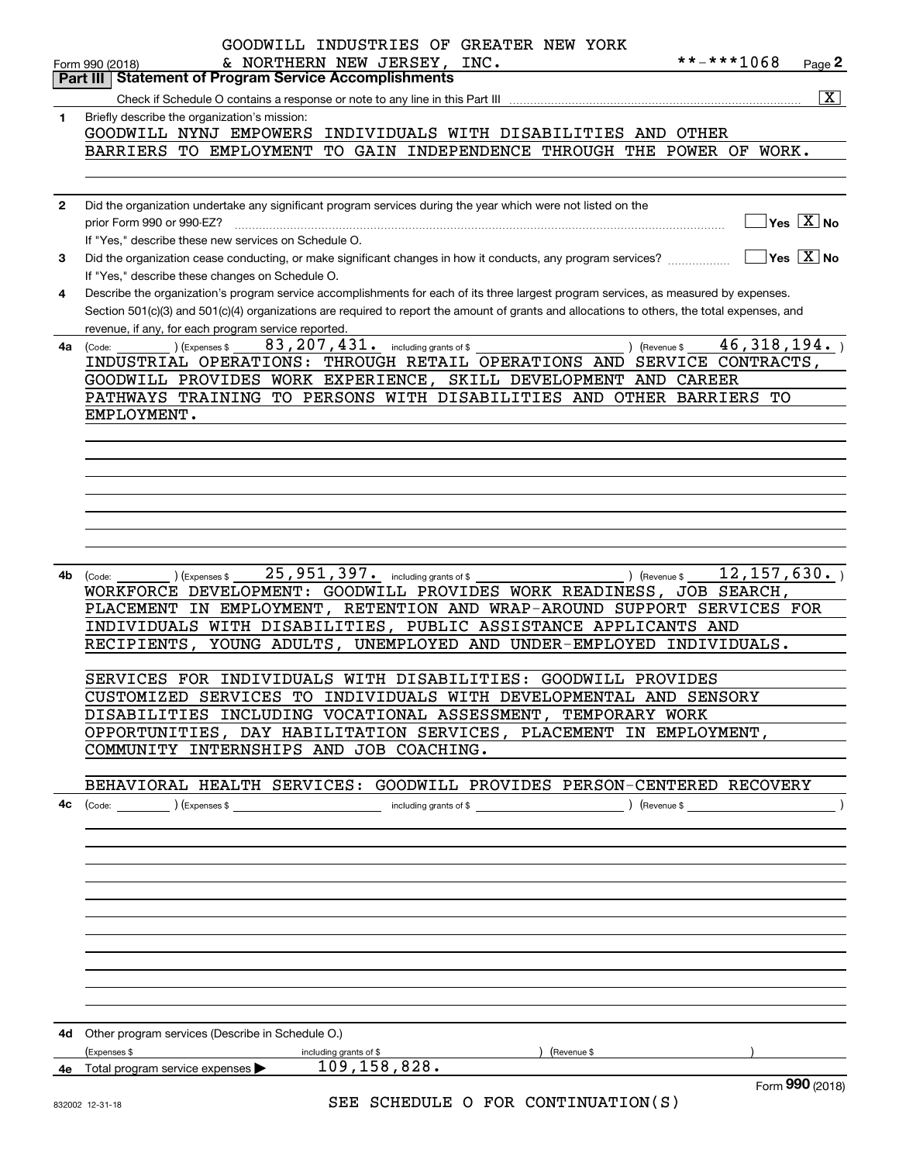|              | GOODWILL INDUSTRIES OF GREATER NEW YORK<br>**-***1068<br>& NORTHERN NEW JERSEY, INC.<br>Page 2<br>Form 990 (2018)                                         |
|--------------|-----------------------------------------------------------------------------------------------------------------------------------------------------------|
|              | <b>Statement of Program Service Accomplishments</b><br>Part III                                                                                           |
|              | $\boxed{\text{X}}$                                                                                                                                        |
| 1            | Briefly describe the organization's mission:<br>GOODWILL NYNJ EMPOWERS<br>INDIVIDUALS WITH DISABILITIES AND OTHER                                         |
|              | BARRIERS TO EMPLOYMENT TO GAIN INDEPENDENCE THROUGH THE POWER OF WORK.                                                                                    |
|              |                                                                                                                                                           |
|              |                                                                                                                                                           |
| $\mathbf{2}$ | Did the organization undertake any significant program services during the year which were not listed on the                                              |
|              | $Yes \ \boxed{X}$ No<br>prior Form 990 or 990-EZ?                                                                                                         |
|              | If "Yes," describe these new services on Schedule O.                                                                                                      |
| 3            | $\overline{\ }$ Yes $\overline{\ \ X}$ No<br>Did the organization cease conducting, or make significant changes in how it conducts, any program services? |
|              | If "Yes," describe these changes on Schedule O.                                                                                                           |
| 4            | Describe the organization's program service accomplishments for each of its three largest program services, as measured by expenses.                      |
|              | Section 501(c)(3) and 501(c)(4) organizations are required to report the amount of grants and allocations to others, the total expenses, and              |
|              | revenue, if any, for each program service reported.                                                                                                       |
| 4а           | 46, 318, 194.<br>83, 207, 431. including grants of \$<br>) (Expenses \$<br>) (Revenue \$<br>(Code:                                                        |
|              | INDUSTRIAL OPERATIONS: THROUGH RETAIL OPERATIONS AND SERVICE CONTRACTS,                                                                                   |
|              | GOODWILL PROVIDES WORK EXPERIENCE, SKILL DEVELOPMENT AND CAREER                                                                                           |
|              | PATHWAYS TRAINING TO PERSONS WITH DISABILITIES AND OTHER BARRIERS<br>TО                                                                                   |
|              | EMPLOYMENT.                                                                                                                                               |
|              |                                                                                                                                                           |
|              |                                                                                                                                                           |
|              |                                                                                                                                                           |
|              |                                                                                                                                                           |
|              |                                                                                                                                                           |
|              |                                                                                                                                                           |
|              |                                                                                                                                                           |
| 4b           | 25,951,397. including grants of \$<br>12, 157, 630.<br>) (Revenue \$<br>(Expenses \$<br>(Code:                                                            |
|              | WORKFORCE DEVELOPMENT: GOODWILL PROVIDES WORK READINESS, JOB SEARCH,                                                                                      |
|              | PLACEMENT IN EMPLOYMENT, RETENTION AND WRAP-AROUND SUPPORT SERVICES FOR                                                                                   |
|              | INDIVIDUALS WITH DISABILITIES, PUBLIC ASSISTANCE APPLICANTS AND                                                                                           |
|              | RECIPIENTS, YOUNG ADULTS, UNEMPLOYED AND UNDER-EMPLOYED INDIVIDUALS.                                                                                      |
|              |                                                                                                                                                           |
|              | SERVICES FOR INDIVIDUALS WITH DISABILITIES: GOODWILL PROVIDES                                                                                             |
|              | CUSTOMIZED SERVICES TO INDIVIDUALS WITH DEVELOPMENTAL AND SENSORY                                                                                         |
|              | DISABILITIES INCLUDING VOCATIONAL ASSESSMENT, TEMPORARY WORK                                                                                              |
|              | OPPORTUNITIES, DAY HABILITATION SERVICES, PLACEMENT IN EMPLOYMENT,                                                                                        |
|              | COMMUNITY INTERNSHIPS AND JOB COACHING.                                                                                                                   |
|              | BEHAVIORAL HEALTH SERVICES: GOODWILL PROVIDES PERSON-CENTERED RECOVERY                                                                                    |
|              |                                                                                                                                                           |
|              |                                                                                                                                                           |
|              |                                                                                                                                                           |
|              |                                                                                                                                                           |
|              |                                                                                                                                                           |
|              |                                                                                                                                                           |
|              |                                                                                                                                                           |
|              |                                                                                                                                                           |
|              |                                                                                                                                                           |
|              |                                                                                                                                                           |
|              |                                                                                                                                                           |
|              |                                                                                                                                                           |
|              |                                                                                                                                                           |
|              | 4d Other program services (Describe in Schedule O.)                                                                                                       |
|              | (Expenses \$<br>) (Revenue \$<br>including grants of \$                                                                                                   |
|              | $109, 158, 828$ .<br>4e Total program service expenses                                                                                                    |
|              | Form 990 (2018)<br>$CFT$ $CUTE$ $D$ $DCD$ $COMATMITATONI$ $C$                                                                                             |

SEE SCHEDULE O FOR CONTINUATION(S)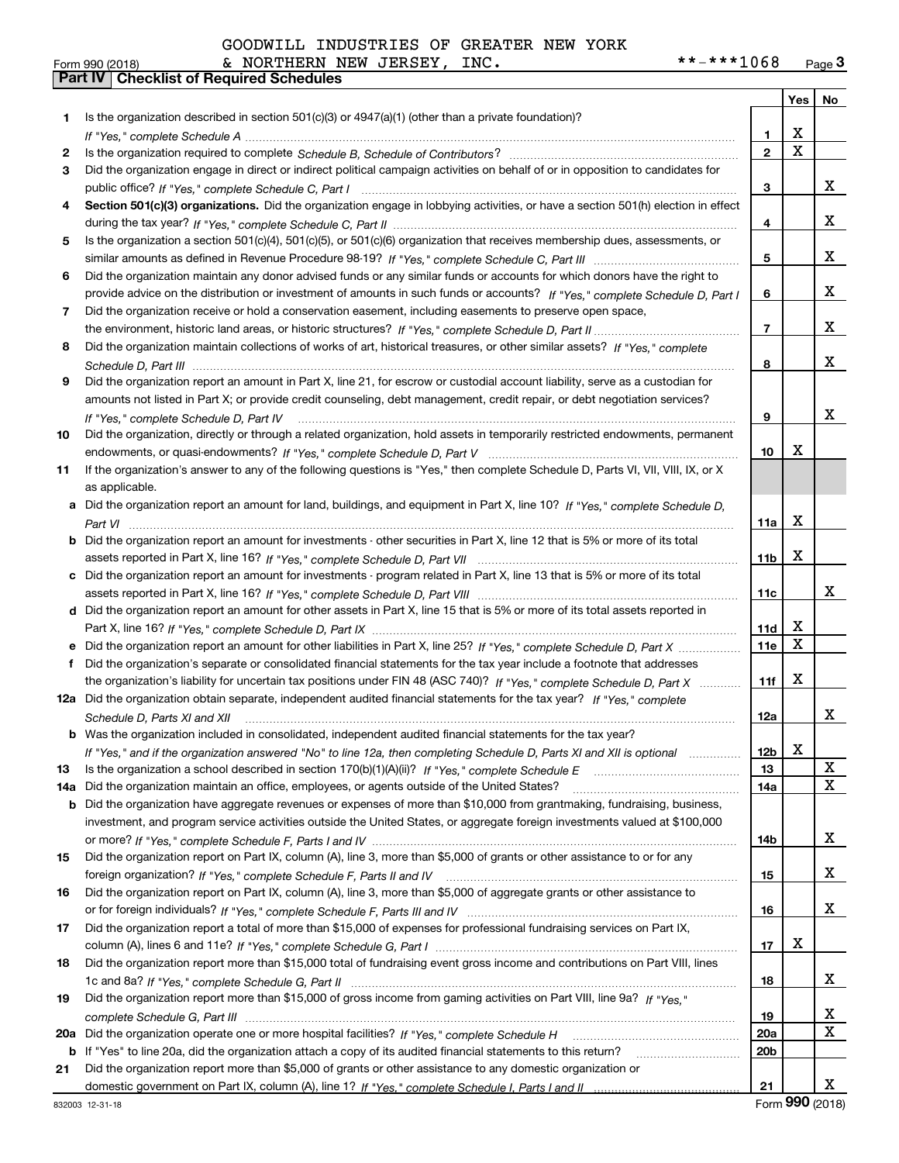| GOODWILL INDUSTRIES OF GREATER NEW YORK |
|-----------------------------------------|
|                                         |

|     |                                                                                                                                                                                                                        |                 | Yes                          | No                      |
|-----|------------------------------------------------------------------------------------------------------------------------------------------------------------------------------------------------------------------------|-----------------|------------------------------|-------------------------|
| 1   | Is the organization described in section $501(c)(3)$ or $4947(a)(1)$ (other than a private foundation)?                                                                                                                |                 |                              |                         |
|     |                                                                                                                                                                                                                        | 1.              | х                            |                         |
| 2   |                                                                                                                                                                                                                        | $\overline{2}$  | $\overline{\text{x}}$        |                         |
| 3   | Did the organization engage in direct or indirect political campaign activities on behalf of or in opposition to candidates for                                                                                        |                 |                              |                         |
|     |                                                                                                                                                                                                                        | 3               |                              | x                       |
| 4   | Section 501(c)(3) organizations. Did the organization engage in lobbying activities, or have a section 501(h) election in effect                                                                                       |                 |                              |                         |
|     |                                                                                                                                                                                                                        | 4               |                              | x                       |
| 5   | Is the organization a section 501(c)(4), 501(c)(5), or 501(c)(6) organization that receives membership dues, assessments, or                                                                                           |                 |                              |                         |
|     |                                                                                                                                                                                                                        | 5               |                              | x                       |
| 6   | Did the organization maintain any donor advised funds or any similar funds or accounts for which donors have the right to                                                                                              |                 |                              |                         |
|     | provide advice on the distribution or investment of amounts in such funds or accounts? If "Yes," complete Schedule D, Part I                                                                                           | 6               |                              | x                       |
| 7   | Did the organization receive or hold a conservation easement, including easements to preserve open space,                                                                                                              |                 |                              |                         |
|     |                                                                                                                                                                                                                        | $\overline{7}$  |                              | x                       |
| 8   | Did the organization maintain collections of works of art, historical treasures, or other similar assets? If "Yes," complete                                                                                           |                 |                              |                         |
|     |                                                                                                                                                                                                                        | 8               |                              | x                       |
| 9   | Did the organization report an amount in Part X, line 21, for escrow or custodial account liability, serve as a custodian for                                                                                          |                 |                              |                         |
|     | amounts not listed in Part X; or provide credit counseling, debt management, credit repair, or debt negotiation services?                                                                                              |                 |                              |                         |
|     | If "Yes," complete Schedule D, Part IV                                                                                                                                                                                 | 9               |                              | x                       |
| 10  | Did the organization, directly or through a related organization, hold assets in temporarily restricted endowments, permanent                                                                                          |                 |                              |                         |
|     |                                                                                                                                                                                                                        | 10              | x                            |                         |
| 11  | If the organization's answer to any of the following questions is "Yes," then complete Schedule D, Parts VI, VIII, VIII, IX, or X                                                                                      |                 |                              |                         |
|     | as applicable.                                                                                                                                                                                                         |                 |                              |                         |
|     | a Did the organization report an amount for land, buildings, and equipment in Part X, line 10? If "Yes," complete Schedule D,                                                                                          |                 |                              |                         |
|     |                                                                                                                                                                                                                        | 11a             | X                            |                         |
| b   | Did the organization report an amount for investments - other securities in Part X, line 12 that is 5% or more of its total                                                                                            |                 |                              |                         |
|     |                                                                                                                                                                                                                        | 11 <sub>b</sub> | X                            |                         |
| c   | Did the organization report an amount for investments - program related in Part X, line 13 that is 5% or more of its total                                                                                             |                 |                              |                         |
|     |                                                                                                                                                                                                                        | 11c             |                              | x                       |
| d   | Did the organization report an amount for other assets in Part X, line 15 that is 5% or more of its total assets reported in                                                                                           |                 |                              |                         |
|     |                                                                                                                                                                                                                        | 11d             | х<br>$\overline{\mathbf{x}}$ |                         |
|     | e Did the organization report an amount for other liabilities in Part X, line 25? If "Yes," complete Schedule D, Part X                                                                                                | 11e             |                              |                         |
| f   | Did the organization's separate or consolidated financial statements for the tax year include a footnote that addresses                                                                                                |                 |                              |                         |
|     | the organization's liability for uncertain tax positions under FIN 48 (ASC 740)? If "Yes," complete Schedule D, Part X                                                                                                 | 11f             | X                            |                         |
|     | 12a Did the organization obtain separate, independent audited financial statements for the tax year? If "Yes," complete                                                                                                |                 |                              | x                       |
|     | Schedule D, Parts XI and XII                                                                                                                                                                                           | 12a             |                              |                         |
|     | <b>b</b> Was the organization included in consolidated, independent audited financial statements for the tax year?                                                                                                     |                 | X                            |                         |
|     | If "Yes," and if the organization answered "No" to line 12a, then completing Schedule D, Parts XI and XII is optional                                                                                                  | 12b             |                              | X                       |
| 13  |                                                                                                                                                                                                                        | 13              |                              | $\overline{\mathbf{x}}$ |
| 14a | Did the organization maintain an office, employees, or agents outside of the United States?<br>Did the organization have aggregate revenues or expenses of more than \$10,000 from grantmaking, fundraising, business, | 14a             |                              |                         |
| b   | investment, and program service activities outside the United States, or aggregate foreign investments valued at \$100,000                                                                                             |                 |                              |                         |
|     |                                                                                                                                                                                                                        | 14b             |                              | x                       |
| 15  | Did the organization report on Part IX, column (A), line 3, more than \$5,000 of grants or other assistance to or for any                                                                                              |                 |                              |                         |
|     |                                                                                                                                                                                                                        | 15              |                              | x                       |
| 16  | Did the organization report on Part IX, column (A), line 3, more than \$5,000 of aggregate grants or other assistance to                                                                                               |                 |                              |                         |
|     |                                                                                                                                                                                                                        | 16              |                              | x                       |
| 17  | Did the organization report a total of more than \$15,000 of expenses for professional fundraising services on Part IX,                                                                                                |                 |                              |                         |
|     |                                                                                                                                                                                                                        | 17              | х                            |                         |
| 18  | Did the organization report more than \$15,000 total of fundraising event gross income and contributions on Part VIII, lines                                                                                           |                 |                              |                         |
|     |                                                                                                                                                                                                                        | 18              |                              | x                       |
| 19  | Did the organization report more than \$15,000 of gross income from gaming activities on Part VIII, line 9a? If "Yes."                                                                                                 |                 |                              |                         |
|     |                                                                                                                                                                                                                        | 19              |                              | X                       |
| 20a |                                                                                                                                                                                                                        | 20a             |                              | $\mathbf X$             |
| b   | If "Yes" to line 20a, did the organization attach a copy of its audited financial statements to this return?                                                                                                           | 20b             |                              |                         |
| 21  | Did the organization report more than \$5,000 of grants or other assistance to any domestic organization or                                                                                                            |                 |                              |                         |
|     |                                                                                                                                                                                                                        | 21              |                              | x                       |

Form (2018) **990**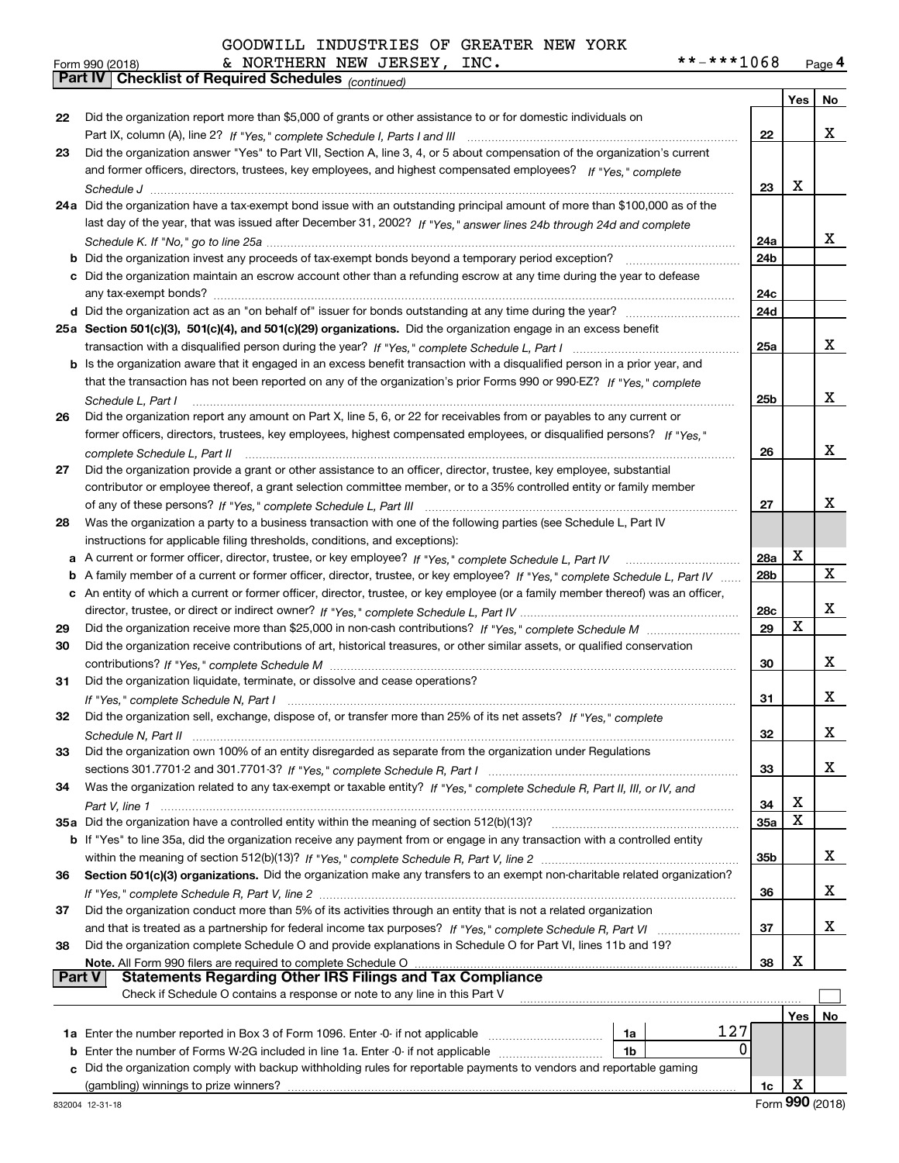|               | **-***1068<br>& NORTHERN NEW JERSEY, INC.<br>Form 990 (2018)                                                                                         |            |     | Page 4 |
|---------------|------------------------------------------------------------------------------------------------------------------------------------------------------|------------|-----|--------|
|               | Part IV   Checklist of Required Schedules (continued)                                                                                                |            |     |        |
|               |                                                                                                                                                      |            | Yes | No     |
| 22            | Did the organization report more than \$5,000 of grants or other assistance to or for domestic individuals on                                        |            |     |        |
|               |                                                                                                                                                      | 22         |     | x      |
| 23            | Did the organization answer "Yes" to Part VII, Section A, line 3, 4, or 5 about compensation of the organization's current                           |            |     |        |
|               | and former officers, directors, trustees, key employees, and highest compensated employees? If "Yes," complete                                       |            |     |        |
|               |                                                                                                                                                      | 23         | х   |        |
|               | 24a Did the organization have a tax-exempt bond issue with an outstanding principal amount of more than \$100,000 as of the                          |            |     |        |
|               | last day of the year, that was issued after December 31, 2002? If "Yes," answer lines 24b through 24d and complete                                   |            |     |        |
|               |                                                                                                                                                      | 24a        |     | x      |
|               | <b>b</b> Did the organization invest any proceeds of tax-exempt bonds beyond a temporary period exception?                                           | 24b        |     |        |
|               | c Did the organization maintain an escrow account other than a refunding escrow at any time during the year to defease                               |            |     |        |
|               | any tax-exempt bonds?                                                                                                                                | 24c        |     |        |
|               |                                                                                                                                                      | 24d        |     |        |
|               | 25a Section 501(c)(3), 501(c)(4), and 501(c)(29) organizations. Did the organization engage in an excess benefit                                     |            |     |        |
|               | transaction with a disqualified person during the year? If "Yes," complete Schedule L. Part I mummumumumumum                                         | 25a        |     | x      |
|               | b Is the organization aware that it engaged in an excess benefit transaction with a disqualified person in a prior year, and                         |            |     |        |
|               | that the transaction has not been reported on any of the organization's prior Forms 990 or 990-EZ? If "Yes," complete                                |            |     |        |
|               | Schedule L, Part I                                                                                                                                   | 25b        |     | x      |
| 26            | Did the organization report any amount on Part X, line 5, 6, or 22 for receivables from or payables to any current or                                |            |     |        |
|               | former officers, directors, trustees, key employees, highest compensated employees, or disqualified persons? If "Yes."                               |            |     |        |
|               |                                                                                                                                                      | 26         |     | x      |
| 27            | complete Schedule L, Part II<br>Did the organization provide a grant or other assistance to an officer, director, trustee, key employee, substantial |            |     |        |
|               | contributor or employee thereof, a grant selection committee member, or to a 35% controlled entity or family member                                  |            |     |        |
|               |                                                                                                                                                      | 27         |     | x      |
|               |                                                                                                                                                      |            |     |        |
| 28            | Was the organization a party to a business transaction with one of the following parties (see Schedule L, Part IV                                    |            |     |        |
|               | instructions for applicable filing thresholds, conditions, and exceptions):                                                                          |            | X   |        |
| а             | A current or former officer, director, trustee, or key employee? If "Yes," complete Schedule L, Part IV                                              | 28a        |     | X      |
| b             | A family member of a current or former officer, director, trustee, or key employee? If "Yes," complete Schedule L, Part IV                           | 28b        |     |        |
|               | c An entity of which a current or former officer, director, trustee, or key employee (or a family member thereof) was an officer,                    |            |     |        |
|               |                                                                                                                                                      | 28c        | X   | х      |
| 29            |                                                                                                                                                      | 29         |     |        |
| 30            | Did the organization receive contributions of art, historical treasures, or other similar assets, or qualified conservation                          |            |     |        |
|               |                                                                                                                                                      | 30         |     | x      |
| 31            | Did the organization liquidate, terminate, or dissolve and cease operations?                                                                         |            |     |        |
|               |                                                                                                                                                      | 31         |     | x      |
| 32            | Did the organization sell, exchange, dispose of, or transfer more than 25% of its net assets? If "Yes," complete                                     |            |     |        |
|               |                                                                                                                                                      | 32         |     | x      |
| 33            | Did the organization own 100% of an entity disregarded as separate from the organization under Regulations                                           |            |     |        |
|               |                                                                                                                                                      | 33         |     | х      |
| 34            | Was the organization related to any tax-exempt or taxable entity? If "Yes," complete Schedule R, Part II, III, or IV, and                            |            |     |        |
|               |                                                                                                                                                      | 34         | х   |        |
|               | 35a Did the organization have a controlled entity within the meaning of section 512(b)(13)?                                                          | <b>35a</b> | X   |        |
|               | b If "Yes" to line 35a, did the organization receive any payment from or engage in any transaction with a controlled entity                          |            |     |        |
|               |                                                                                                                                                      | 35b        |     | x      |
| 36            | Section 501(c)(3) organizations. Did the organization make any transfers to an exempt non-charitable related organization?                           |            |     |        |
|               |                                                                                                                                                      | 36         |     | х      |
| 37            | Did the organization conduct more than 5% of its activities through an entity that is not a related organization                                     |            |     |        |
|               |                                                                                                                                                      | 37         |     | х      |
| 38            | Did the organization complete Schedule O and provide explanations in Schedule O for Part VI, lines 11b and 19?                                       |            |     |        |
|               | Note. All Form 990 filers are required to complete Schedule O                                                                                        | 38         | Х   |        |
| <b>Part V</b> | <b>Statements Regarding Other IRS Filings and Tax Compliance</b>                                                                                     |            |     |        |
|               | Check if Schedule O contains a response or note to any line in this Part V                                                                           |            |     |        |
|               |                                                                                                                                                      |            | Yes | No     |
|               | 127<br>1a                                                                                                                                            |            |     |        |
|               | 0<br><b>b</b> Enter the number of Forms W-2G included in line 1a. Enter -0- if not applicable <i>manumumumum</i><br>1b                               |            |     |        |
|               | c Did the organization comply with backup withholding rules for reportable payments to vendors and reportable gaming                                 |            |     |        |
|               |                                                                                                                                                      | 1c         | х   |        |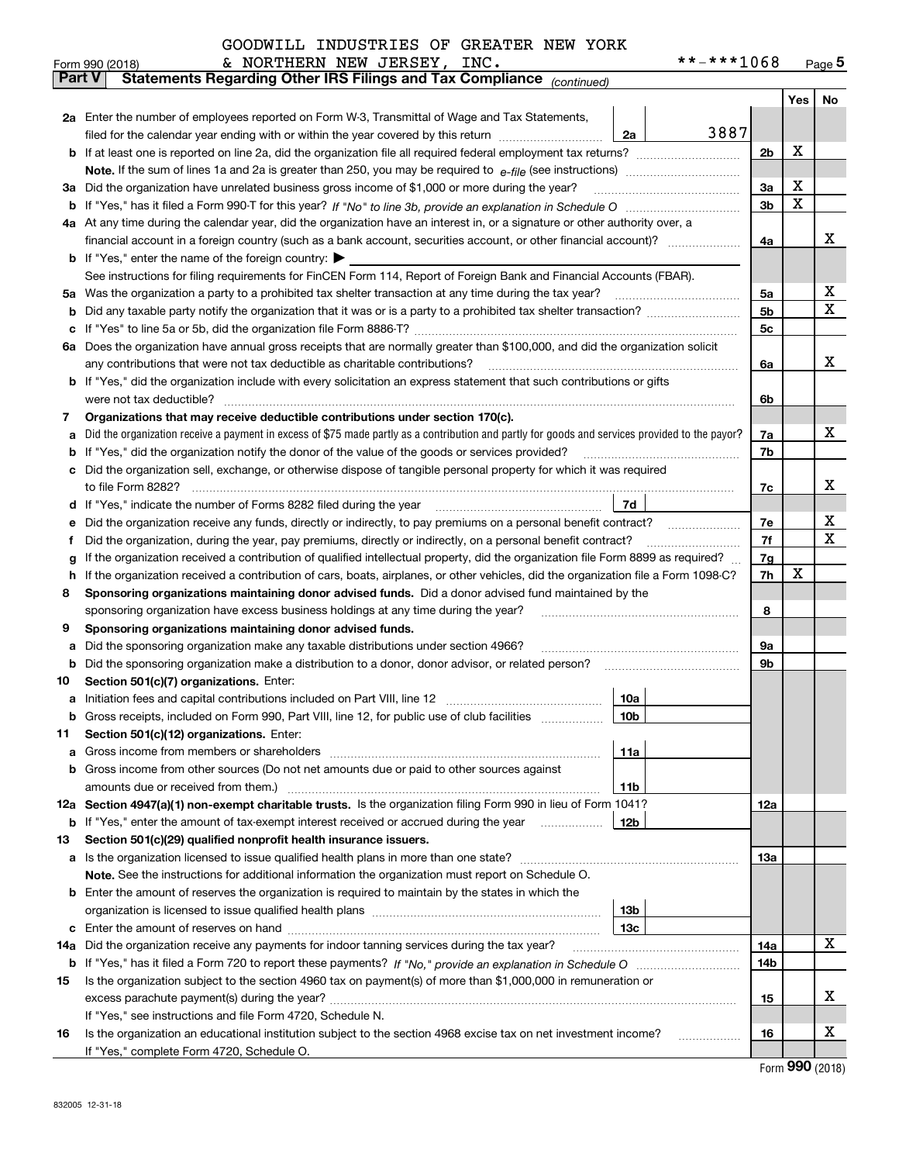|               | & NORTHERN NEW JERSEY, INC.<br>**-***1068<br>Form 990 (2018)                                                                                                                                                                           |     |     | Page $5$ |  |  |  |  |  |  |  |
|---------------|----------------------------------------------------------------------------------------------------------------------------------------------------------------------------------------------------------------------------------------|-----|-----|----------|--|--|--|--|--|--|--|
| <b>Part V</b> | Statements Regarding Other IRS Filings and Tax Compliance (continued)                                                                                                                                                                  |     |     |          |  |  |  |  |  |  |  |
|               |                                                                                                                                                                                                                                        |     | Yes | No       |  |  |  |  |  |  |  |
|               | 2a Enter the number of employees reported on Form W-3, Transmittal of Wage and Tax Statements,                                                                                                                                         |     |     |          |  |  |  |  |  |  |  |
|               | 3887<br>filed for the calendar year ending with or within the year covered by this return<br>2a                                                                                                                                        |     |     |          |  |  |  |  |  |  |  |
|               |                                                                                                                                                                                                                                        |     |     |          |  |  |  |  |  |  |  |
|               |                                                                                                                                                                                                                                        |     |     |          |  |  |  |  |  |  |  |
|               | 3a Did the organization have unrelated business gross income of \$1,000 or more during the year?                                                                                                                                       |     |     |          |  |  |  |  |  |  |  |
|               |                                                                                                                                                                                                                                        |     |     |          |  |  |  |  |  |  |  |
|               | 4a At any time during the calendar year, did the organization have an interest in, or a signature or other authority over, a                                                                                                           | 3b  | X   |          |  |  |  |  |  |  |  |
|               |                                                                                                                                                                                                                                        |     |     |          |  |  |  |  |  |  |  |
|               | <b>b</b> If "Yes," enter the name of the foreign country: $\blacktriangleright$                                                                                                                                                        | 4a  |     | x        |  |  |  |  |  |  |  |
|               | See instructions for filing requirements for FinCEN Form 114, Report of Foreign Bank and Financial Accounts (FBAR).                                                                                                                    |     |     |          |  |  |  |  |  |  |  |
|               | 5a Was the organization a party to a prohibited tax shelter transaction at any time during the tax year?                                                                                                                               | 5a  |     | х        |  |  |  |  |  |  |  |
|               |                                                                                                                                                                                                                                        | 5b  |     | X        |  |  |  |  |  |  |  |
| b             |                                                                                                                                                                                                                                        |     |     |          |  |  |  |  |  |  |  |
| c             |                                                                                                                                                                                                                                        | 5c  |     |          |  |  |  |  |  |  |  |
|               | 6a Does the organization have annual gross receipts that are normally greater than \$100,000, and did the organization solicit                                                                                                         |     |     |          |  |  |  |  |  |  |  |
|               |                                                                                                                                                                                                                                        | 6a  |     | х        |  |  |  |  |  |  |  |
|               | <b>b</b> If "Yes," did the organization include with every solicitation an express statement that such contributions or gifts                                                                                                          |     |     |          |  |  |  |  |  |  |  |
|               | were not tax deductible?                                                                                                                                                                                                               | 6b  |     |          |  |  |  |  |  |  |  |
| 7             | Organizations that may receive deductible contributions under section 170(c).                                                                                                                                                          |     |     |          |  |  |  |  |  |  |  |
| а             | Did the organization receive a payment in excess of \$75 made partly as a contribution and partly for goods and services provided to the payor?                                                                                        | 7a  |     | x        |  |  |  |  |  |  |  |
| b             | If "Yes," did the organization notify the donor of the value of the goods or services provided?                                                                                                                                        | 7b  |     |          |  |  |  |  |  |  |  |
|               | c Did the organization sell, exchange, or otherwise dispose of tangible personal property for which it was required                                                                                                                    |     |     |          |  |  |  |  |  |  |  |
|               |                                                                                                                                                                                                                                        | 7c  |     | х        |  |  |  |  |  |  |  |
|               | 7d  <br>d If "Yes," indicate the number of Forms 8282 filed during the year [11] [11] No. 2010 [12] Henry Marian Marian Marian Marian Marian Marian Marian Marian Marian Marian Marian Marian Marian Marian Marian Marian Marian Maria |     |     |          |  |  |  |  |  |  |  |
| е             | Did the organization receive any funds, directly or indirectly, to pay premiums on a personal benefit contract?                                                                                                                        | 7e  |     | х        |  |  |  |  |  |  |  |
| f             | Did the organization, during the year, pay premiums, directly or indirectly, on a personal benefit contract?                                                                                                                           | 7f  |     | X        |  |  |  |  |  |  |  |
| g             | If the organization received a contribution of qualified intellectual property, did the organization file Form 8899 as required?                                                                                                       | 7g  |     |          |  |  |  |  |  |  |  |
| h.            | If the organization received a contribution of cars, boats, airplanes, or other vehicles, did the organization file a Form 1098-C?                                                                                                     | 7h  | х   |          |  |  |  |  |  |  |  |
| 8             | Sponsoring organizations maintaining donor advised funds. Did a donor advised fund maintained by the                                                                                                                                   |     |     |          |  |  |  |  |  |  |  |
|               | sponsoring organization have excess business holdings at any time during the year?                                                                                                                                                     | 8   |     |          |  |  |  |  |  |  |  |
| 9             | Sponsoring organizations maintaining donor advised funds.                                                                                                                                                                              |     |     |          |  |  |  |  |  |  |  |
| а             | Did the sponsoring organization make any taxable distributions under section 4966?                                                                                                                                                     | 9а  |     |          |  |  |  |  |  |  |  |
| b             | Did the sponsoring organization make a distribution to a donor, donor advisor, or related person?                                                                                                                                      | 9b  |     |          |  |  |  |  |  |  |  |
| 10            | Section 501(c)(7) organizations. Enter:                                                                                                                                                                                                |     |     |          |  |  |  |  |  |  |  |
|               | 10a<br>a Initiation fees and capital contributions included on Part VIII, line 12 [111] [11] [11] Initiation fees and capital contributions included on Part VIII, line 12                                                             |     |     |          |  |  |  |  |  |  |  |
|               | 10 <sub>b</sub>  <br>Gross receipts, included on Form 990, Part VIII, line 12, for public use of club facilities                                                                                                                       |     |     |          |  |  |  |  |  |  |  |
| 11            | Section 501(c)(12) organizations. Enter:                                                                                                                                                                                               |     |     |          |  |  |  |  |  |  |  |
| a             | 11a                                                                                                                                                                                                                                    |     |     |          |  |  |  |  |  |  |  |
|               | b Gross income from other sources (Do not net amounts due or paid to other sources against                                                                                                                                             |     |     |          |  |  |  |  |  |  |  |
|               | <b>11b</b>                                                                                                                                                                                                                             |     |     |          |  |  |  |  |  |  |  |
|               | 12a Section 4947(a)(1) non-exempt charitable trusts. Is the organization filing Form 990 in lieu of Form 1041?                                                                                                                         | 12a |     |          |  |  |  |  |  |  |  |
|               | 12b<br><b>b</b> If "Yes," enter the amount of tax-exempt interest received or accrued during the year <i>manument</i>                                                                                                                  |     |     |          |  |  |  |  |  |  |  |
| 13            | Section 501(c)(29) qualified nonprofit health insurance issuers.                                                                                                                                                                       |     |     |          |  |  |  |  |  |  |  |
|               | a Is the organization licensed to issue qualified health plans in more than one state?                                                                                                                                                 | 13a |     |          |  |  |  |  |  |  |  |
|               |                                                                                                                                                                                                                                        |     |     |          |  |  |  |  |  |  |  |
|               | Note. See the instructions for additional information the organization must report on Schedule O.                                                                                                                                      |     |     |          |  |  |  |  |  |  |  |
|               | <b>b</b> Enter the amount of reserves the organization is required to maintain by the states in which the                                                                                                                              |     |     |          |  |  |  |  |  |  |  |
|               | 13b                                                                                                                                                                                                                                    |     |     |          |  |  |  |  |  |  |  |
|               | 13 <sub>c</sub>                                                                                                                                                                                                                        |     |     | х        |  |  |  |  |  |  |  |
| 14a           | Did the organization receive any payments for indoor tanning services during the tax year?                                                                                                                                             | 14a |     |          |  |  |  |  |  |  |  |
|               |                                                                                                                                                                                                                                        | 14b |     |          |  |  |  |  |  |  |  |
| 15            | Is the organization subject to the section 4960 tax on payment(s) of more than \$1,000,000 in remuneration or                                                                                                                          |     |     |          |  |  |  |  |  |  |  |
|               |                                                                                                                                                                                                                                        | 15  |     | x        |  |  |  |  |  |  |  |
|               | If "Yes," see instructions and file Form 4720, Schedule N.                                                                                                                                                                             |     |     |          |  |  |  |  |  |  |  |
| 16            | Is the organization an educational institution subject to the section 4968 excise tax on net investment income?                                                                                                                        | 16  |     | х        |  |  |  |  |  |  |  |
|               | If "Yes," complete Form 4720, Schedule O.                                                                                                                                                                                              |     |     |          |  |  |  |  |  |  |  |

Form (2018) **990**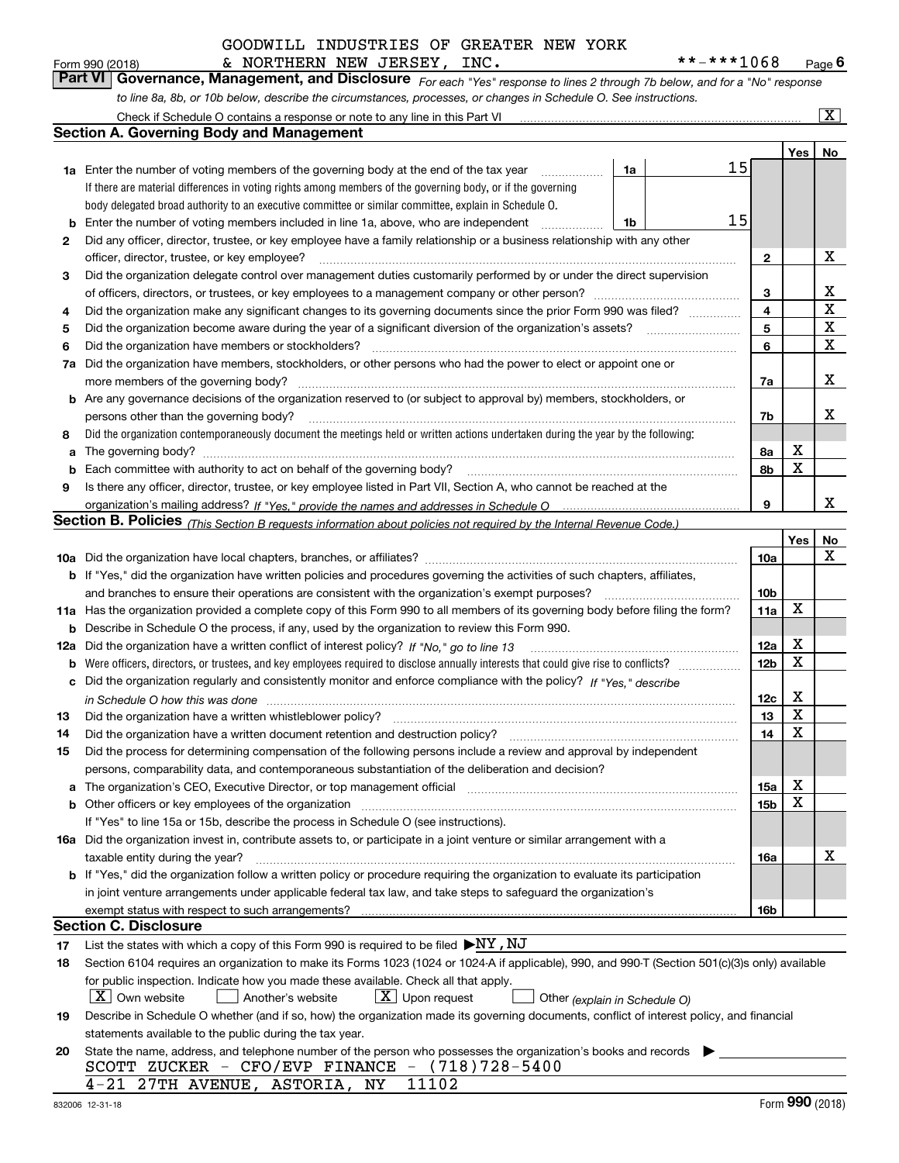Check if Schedule O contains a response or note to any line in this Part VI

*For each "Yes" response to lines 2 through 7b below, and for a "No" response to line 8a, 8b, or 10b below, describe the circumstances, processes, or changes in Schedule O. See instructions.* Form 990 (2018) **6 Convert Convert Convert Convert Convert Convert Convert Convert Convert Convert Convert Conve<br><b>Part VI Governance, Management, and Disclosure** For each "Yes" response to lines 2 through 7b below, and f & NORTHERN NEW JERSEY, INC. \*\*-\*\*\*1068

|    | <b>Section A. Governing Body and Management</b>                                                                                                                                                |    |                 |             |             |  |  |  |  |  |  |  |
|----|------------------------------------------------------------------------------------------------------------------------------------------------------------------------------------------------|----|-----------------|-------------|-------------|--|--|--|--|--|--|--|
|    |                                                                                                                                                                                                |    |                 | Yes         | No          |  |  |  |  |  |  |  |
|    | <b>1a</b> Enter the number of voting members of the governing body at the end of the tax year<br>1a                                                                                            | 15 |                 |             |             |  |  |  |  |  |  |  |
|    | If there are material differences in voting rights among members of the governing body, or if the governing                                                                                    |    |                 |             |             |  |  |  |  |  |  |  |
|    | body delegated broad authority to an executive committee or similar committee, explain in Schedule O.                                                                                          |    |                 |             |             |  |  |  |  |  |  |  |
| b  | Enter the number of voting members included in line 1a, above, who are independent<br>1b                                                                                                       | 15 |                 |             |             |  |  |  |  |  |  |  |
| 2  | Did any officer, director, trustee, or key employee have a family relationship or a business relationship with any other                                                                       |    |                 |             |             |  |  |  |  |  |  |  |
|    | officer, director, trustee, or key employee?<br>.                                                                                                                                              |    |                 |             |             |  |  |  |  |  |  |  |
| 3  | Did the organization delegate control over management duties customarily performed by or under the direct supervision                                                                          |    |                 |             |             |  |  |  |  |  |  |  |
|    |                                                                                                                                                                                                |    | 3               |             | Х           |  |  |  |  |  |  |  |
| 4  | Did the organization make any significant changes to its governing documents since the prior Form 990 was filed?                                                                               |    | 4               |             | $\mathbf X$ |  |  |  |  |  |  |  |
| 5  |                                                                                                                                                                                                |    | 5               |             | х           |  |  |  |  |  |  |  |
| 6  | Did the organization have members or stockholders?                                                                                                                                             |    | 6               |             | X           |  |  |  |  |  |  |  |
| 7a | Did the organization have members, stockholders, or other persons who had the power to elect or appoint one or                                                                                 |    |                 |             |             |  |  |  |  |  |  |  |
|    | more members of the governing body?                                                                                                                                                            |    | 7a              |             | X           |  |  |  |  |  |  |  |
|    | <b>b</b> Are any governance decisions of the organization reserved to (or subject to approval by) members, stockholders, or                                                                    |    |                 |             |             |  |  |  |  |  |  |  |
|    | persons other than the governing body?                                                                                                                                                         |    | 7b              |             | x           |  |  |  |  |  |  |  |
| 8  | Did the organization contemporaneously document the meetings held or written actions undertaken during the year by the following:                                                              |    |                 |             |             |  |  |  |  |  |  |  |
| a  |                                                                                                                                                                                                |    | 8а              | х           |             |  |  |  |  |  |  |  |
| b  | Each committee with authority to act on behalf of the governing body?                                                                                                                          |    | 8b              | X           |             |  |  |  |  |  |  |  |
| 9  | Is there any officer, director, trustee, or key employee listed in Part VII, Section A, who cannot be reached at the                                                                           |    |                 |             |             |  |  |  |  |  |  |  |
|    |                                                                                                                                                                                                |    | 9               |             | x           |  |  |  |  |  |  |  |
|    | <b>Section B. Policies</b> (This Section B requests information about policies not required by the Internal Revenue Code.)                                                                     |    |                 |             |             |  |  |  |  |  |  |  |
|    |                                                                                                                                                                                                |    |                 | Yes         | No<br>x     |  |  |  |  |  |  |  |
|    | <b>b</b> If "Yes," did the organization have written policies and procedures governing the activities of such chapters, affiliates,                                                            |    | 10a             |             |             |  |  |  |  |  |  |  |
|    | and branches to ensure their operations are consistent with the organization's exempt purposes?                                                                                                |    | 10 <sub>b</sub> |             |             |  |  |  |  |  |  |  |
|    | 11a Has the organization provided a complete copy of this Form 990 to all members of its governing body before filing the form?                                                                |    | 11a             | X           |             |  |  |  |  |  |  |  |
| b  | Describe in Schedule O the process, if any, used by the organization to review this Form 990.                                                                                                  |    |                 |             |             |  |  |  |  |  |  |  |
|    | 12a Did the organization have a written conflict of interest policy? If "No," go to line 13                                                                                                    |    | 12a             | х           |             |  |  |  |  |  |  |  |
| b  |                                                                                                                                                                                                |    | 12 <sub>b</sub> | X           |             |  |  |  |  |  |  |  |
| c  | Did the organization regularly and consistently monitor and enforce compliance with the policy? If "Yes." describe                                                                             |    |                 |             |             |  |  |  |  |  |  |  |
|    | in Schedule O how this was done www.communication.com/www.communications.com/www.communications.com/                                                                                           |    | 12c             | X           |             |  |  |  |  |  |  |  |
| 13 | Did the organization have a written whistleblower policy?                                                                                                                                      |    | 13              | X           |             |  |  |  |  |  |  |  |
| 14 | Did the organization have a written document retention and destruction policy?                                                                                                                 |    | 14              | X           |             |  |  |  |  |  |  |  |
| 15 | Did the process for determining compensation of the following persons include a review and approval by independent                                                                             |    |                 |             |             |  |  |  |  |  |  |  |
|    | persons, comparability data, and contemporaneous substantiation of the deliberation and decision?                                                                                              |    |                 |             |             |  |  |  |  |  |  |  |
|    | The organization's CEO, Executive Director, or top management official [111] [11] The organization's CEO, Executive Director, or top management official [11] [11] [11] [11] The organization: |    | 15a             | $\mathbf X$ |             |  |  |  |  |  |  |  |
|    | <b>b</b> Other officers or key employees of the organization                                                                                                                                   |    | 15b             | х           |             |  |  |  |  |  |  |  |
|    | If "Yes" to line 15a or 15b, describe the process in Schedule O (see instructions).                                                                                                            |    |                 |             |             |  |  |  |  |  |  |  |
|    | 16a Did the organization invest in, contribute assets to, or participate in a joint venture or similar arrangement with a                                                                      |    |                 |             |             |  |  |  |  |  |  |  |
|    | taxable entity during the year?                                                                                                                                                                |    | 16a             |             | х           |  |  |  |  |  |  |  |
|    | b If "Yes," did the organization follow a written policy or procedure requiring the organization to evaluate its participation                                                                 |    |                 |             |             |  |  |  |  |  |  |  |
|    | in joint venture arrangements under applicable federal tax law, and take steps to safeguard the organization's                                                                                 |    |                 |             |             |  |  |  |  |  |  |  |
|    | exempt status with respect to such arrangements?                                                                                                                                               |    | 16b             |             |             |  |  |  |  |  |  |  |
|    | Section C. Disclosure                                                                                                                                                                          |    |                 |             |             |  |  |  |  |  |  |  |
| 17 | List the states with which a copy of this Form 990 is required to be filed $\blacktriangleright$ NY, NJ                                                                                        |    |                 |             |             |  |  |  |  |  |  |  |
| 18 | Section 6104 requires an organization to make its Forms 1023 (1024 or 1024-A if applicable), 990, and 990-T (Section 501(c)(3)s only) available                                                |    |                 |             |             |  |  |  |  |  |  |  |
|    | for public inspection. Indicate how you made these available. Check all that apply.                                                                                                            |    |                 |             |             |  |  |  |  |  |  |  |
|    | $X$ Own website<br>$\lfloor x \rfloor$ Upon request<br>Another's website<br>Other (explain in Schedule O)                                                                                      |    |                 |             |             |  |  |  |  |  |  |  |
| 19 | Describe in Schedule O whether (and if so, how) the organization made its governing documents, conflict of interest policy, and financial                                                      |    |                 |             |             |  |  |  |  |  |  |  |
|    | statements available to the public during the tax year.                                                                                                                                        |    |                 |             |             |  |  |  |  |  |  |  |
| 20 | State the name, address, and telephone number of the person who possesses the organization's books and records                                                                                 |    |                 |             |             |  |  |  |  |  |  |  |
|    | SCOTT ZUCKER - CFO/EVP FINANCE - $(718)728-5400$                                                                                                                                               |    |                 |             |             |  |  |  |  |  |  |  |
|    | 11102<br>4-21 27TH AVENUE, ASTORIA, NY                                                                                                                                                         |    |                 | nnn         |             |  |  |  |  |  |  |  |

 $\boxed{\text{X}}$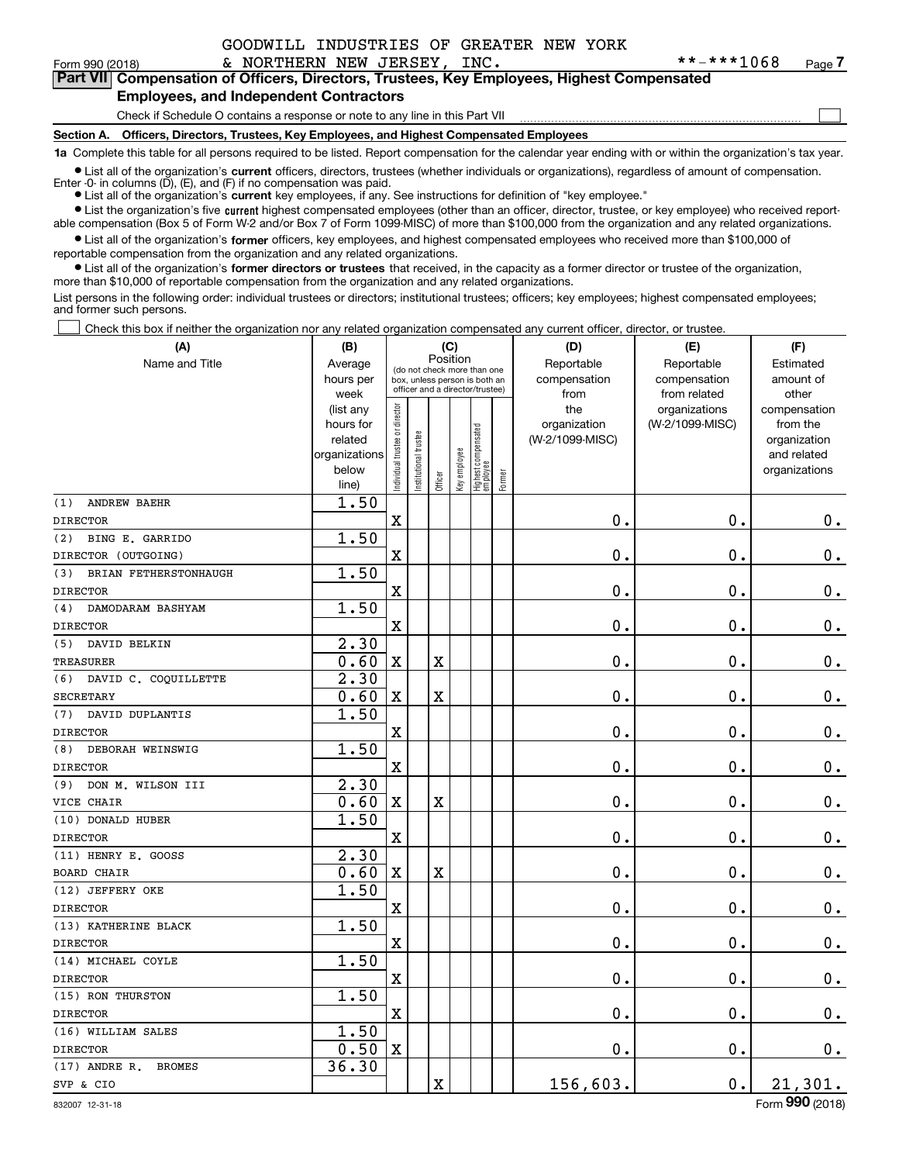$\mathcal{L}^{\text{max}}$ 

| Form 990 (2018) |                                               | & NORTHERN NEW JERSEY, INC. |  | **-***1068                                                                                 | Page 7 |
|-----------------|-----------------------------------------------|-----------------------------|--|--------------------------------------------------------------------------------------------|--------|
|                 |                                               |                             |  | Part VII Compensation of Officers, Directors, Trustees, Key Employees, Highest Compensated |        |
|                 | <b>Employees, and Independent Contractors</b> |                             |  |                                                                                            |        |

Check if Schedule O contains a response or note to any line in this Part VII

**Section A. Officers, Directors, Trustees, Key Employees, and Highest Compensated Employees**

**1a**  Complete this table for all persons required to be listed. Report compensation for the calendar year ending with or within the organization's tax year.

**•** List all of the organization's current officers, directors, trustees (whether individuals or organizations), regardless of amount of compensation.

● List all of the organization's **current** key employees, if any. See instructions for definition of "key employee." Enter -0- in columns  $(D)$ ,  $(E)$ , and  $(F)$  if no compensation was paid.

**•** List the organization's five current highest compensated employees (other than an officer, director, trustee, or key employee) who received report-

able compensation (Box 5 of Form W-2 and/or Box 7 of Form 1099-MISC) of more than \$100,000 from the organization and any related organizations.

 $\bullet$  List all of the organization's **former** officers, key employees, and highest compensated employees who received more than \$100,000 of reportable compensation from the organization and any related organizations.

**•** List all of the organization's former directors or trustees that received, in the capacity as a former director or trustee of the organization, more than \$10,000 of reportable compensation from the organization and any related organizations.

List persons in the following order: individual trustees or directors; institutional trustees; officers; key employees; highest compensated employees; and former such persons.

Check this box if neither the organization nor any related organization compensated any current officer, director, or trustee.  $\mathcal{L}^{\text{max}}$ 

| (A)                              | (B)               |                                |                                                                  | (C)                     |              |                                   |        | (D)             | (E)                           | (F)                   |
|----------------------------------|-------------------|--------------------------------|------------------------------------------------------------------|-------------------------|--------------|-----------------------------------|--------|-----------------|-------------------------------|-----------------------|
| Name and Title                   | Average           |                                | (do not check more than one                                      | Position                |              |                                   |        | Reportable      | Reportable                    | Estimated             |
|                                  | hours per         |                                | box, unless person is both an<br>officer and a director/trustee) |                         |              |                                   |        | compensation    | compensation                  | amount of             |
|                                  | week<br>(list any |                                |                                                                  |                         |              |                                   |        | from<br>the     | from related<br>organizations | other<br>compensation |
|                                  | hours for         |                                |                                                                  |                         |              |                                   |        | organization    | (W-2/1099-MISC)               | from the              |
|                                  | related           |                                |                                                                  |                         |              |                                   |        | (W-2/1099-MISC) |                               | organization          |
|                                  | organizations     |                                |                                                                  |                         |              |                                   |        |                 |                               | and related           |
|                                  | below             | Individual trustee or director | nstitutional trustee                                             | Officer                 | Key employee | Highest compensated<br>  employee | Former |                 |                               | organizations         |
|                                  | line)             |                                |                                                                  |                         |              |                                   |        |                 |                               |                       |
| (1)<br><b>ANDREW BAEHR</b>       | 1.50              |                                |                                                                  |                         |              |                                   |        |                 |                               |                       |
| <b>DIRECTOR</b>                  |                   | $\mathbf X$                    |                                                                  |                         |              |                                   |        | $0$ .           | $\mathbf 0$ .                 | $0_{.}$               |
| BING E. GARRIDO<br>(2)           | 1.50              |                                |                                                                  |                         |              |                                   |        |                 |                               |                       |
| DIRECTOR (OUTGOING)              |                   | $\overline{\textbf{X}}$        |                                                                  |                         |              |                                   |        | $\mathbf 0$ .   | $\mathbf 0$ .                 | $\mathbf 0$ .         |
| BRIAN FETHERSTONHAUGH<br>(3)     | 1.50              |                                |                                                                  |                         |              |                                   |        |                 |                               |                       |
| <b>DIRECTOR</b>                  |                   | $\mathbf X$                    |                                                                  |                         |              |                                   |        | 0.              | $\mathbf 0$ .                 | $\mathbf 0$ .         |
| DAMODARAM BASHYAM<br>(4)         | 1.50              |                                |                                                                  |                         |              |                                   |        |                 |                               |                       |
| <b>DIRECTOR</b>                  |                   | $\mathbf X$                    |                                                                  |                         |              |                                   |        | $\mathbf 0$ .   | 0.                            | $\mathbf 0$ .         |
| (5)<br>DAVID BELKIN              | 2.30              |                                |                                                                  |                         |              |                                   |        |                 |                               |                       |
| <b>TREASURER</b>                 | 0.60              | $\mathbf X$                    |                                                                  | X                       |              |                                   |        | $\mathbf 0$ .   | 0.                            | $0_{.}$               |
| (6)<br>DAVID C. COQUILLETTE      | 2.30              |                                |                                                                  |                         |              |                                   |        |                 |                               |                       |
| <b>SECRETARY</b>                 | 0.60              | $\mathbf X$                    |                                                                  | $\overline{\textbf{X}}$ |              |                                   |        | 0.              | $\mathbf 0$ .                 | $\mathbf 0$ .         |
| DAVID DUPLANTIS<br>(7)           | 1.50              |                                |                                                                  |                         |              |                                   |        |                 |                               |                       |
| <b>DIRECTOR</b>                  |                   | $\mathbf X$                    |                                                                  |                         |              |                                   |        | $\mathbf 0$ .   | $\mathbf 0$ .                 | $0_{.}$               |
| DEBORAH WEINSWIG<br>(8)          | 1.50              |                                |                                                                  |                         |              |                                   |        |                 |                               |                       |
| <b>DIRECTOR</b>                  |                   | $\mathbf x$                    |                                                                  |                         |              |                                   |        | $\mathbf 0$ .   | $\mathbf 0$ .                 | $\mathbf 0$ .         |
| DON M. WILSON III<br>(9)         | 2.30              |                                |                                                                  |                         |              |                                   |        |                 |                               |                       |
| VICE CHAIR                       | 0.60              | $\mathbf X$                    |                                                                  | X                       |              |                                   |        | 0.              | $\mathbf 0$ .                 | 0.                    |
| (10) DONALD HUBER                | 1.50              |                                |                                                                  |                         |              |                                   |        |                 |                               |                       |
| <b>DIRECTOR</b>                  |                   | $\mathbf X$                    |                                                                  |                         |              |                                   |        | $\mathbf{0}$ .  | $\mathbf 0$ .                 | $\mathbf 0$ .         |
| (11) HENRY E. GOOSS              | 2.30              |                                |                                                                  |                         |              |                                   |        |                 |                               |                       |
| <b>BOARD CHAIR</b>               | 0.60              | $\mathbf X$                    |                                                                  | $\overline{\textbf{X}}$ |              |                                   |        | 0.              | $\mathbf 0$ .                 | 0.                    |
| (12) JEFFERY OKE                 | 1.50              |                                |                                                                  |                         |              |                                   |        |                 |                               |                       |
| <b>DIRECTOR</b>                  |                   | $\mathbf x$                    |                                                                  |                         |              |                                   |        | 0.              | $\mathbf 0$ .                 | $0_{.}$               |
| (13) KATHERINE BLACK             | 1.50              |                                |                                                                  |                         |              |                                   |        |                 |                               |                       |
| <b>DIRECTOR</b>                  |                   | $\mathbf x$                    |                                                                  |                         |              |                                   |        | $\mathbf 0$ .   | $\mathbf 0$ .                 | 0.                    |
| (14) MICHAEL COYLE               | 1.50              |                                |                                                                  |                         |              |                                   |        |                 |                               |                       |
| <b>DIRECTOR</b>                  |                   | $\mathbf x$                    |                                                                  |                         |              |                                   |        | $\mathbf 0$ .   | $\mathbf 0$ .                 | $\mathbf 0$ .         |
| (15) RON THURSTON                | 1.50              |                                |                                                                  |                         |              |                                   |        |                 |                               |                       |
| <b>DIRECTOR</b>                  |                   | $\mathbf X$                    |                                                                  |                         |              |                                   |        | 0.              | $\mathbf 0$ .                 | $0_{.}$               |
| (16) WILLIAM SALES               | 1.50              |                                |                                                                  |                         |              |                                   |        |                 |                               |                       |
| <b>DIRECTOR</b>                  | 0.50              | $\mathbf X$                    |                                                                  |                         |              |                                   |        | 0.              | $\mathbf 0$ .                 | $\mathbf 0$ .         |
| $(17)$ ANDRE R.<br><b>BROMES</b> | 36.30             |                                |                                                                  |                         |              |                                   |        |                 |                               |                       |
| SVP & CIO                        |                   |                                |                                                                  | X                       |              |                                   |        | 156,603.        | 0.                            | 21,301.               |
|                                  |                   |                                |                                                                  |                         |              |                                   |        |                 |                               |                       |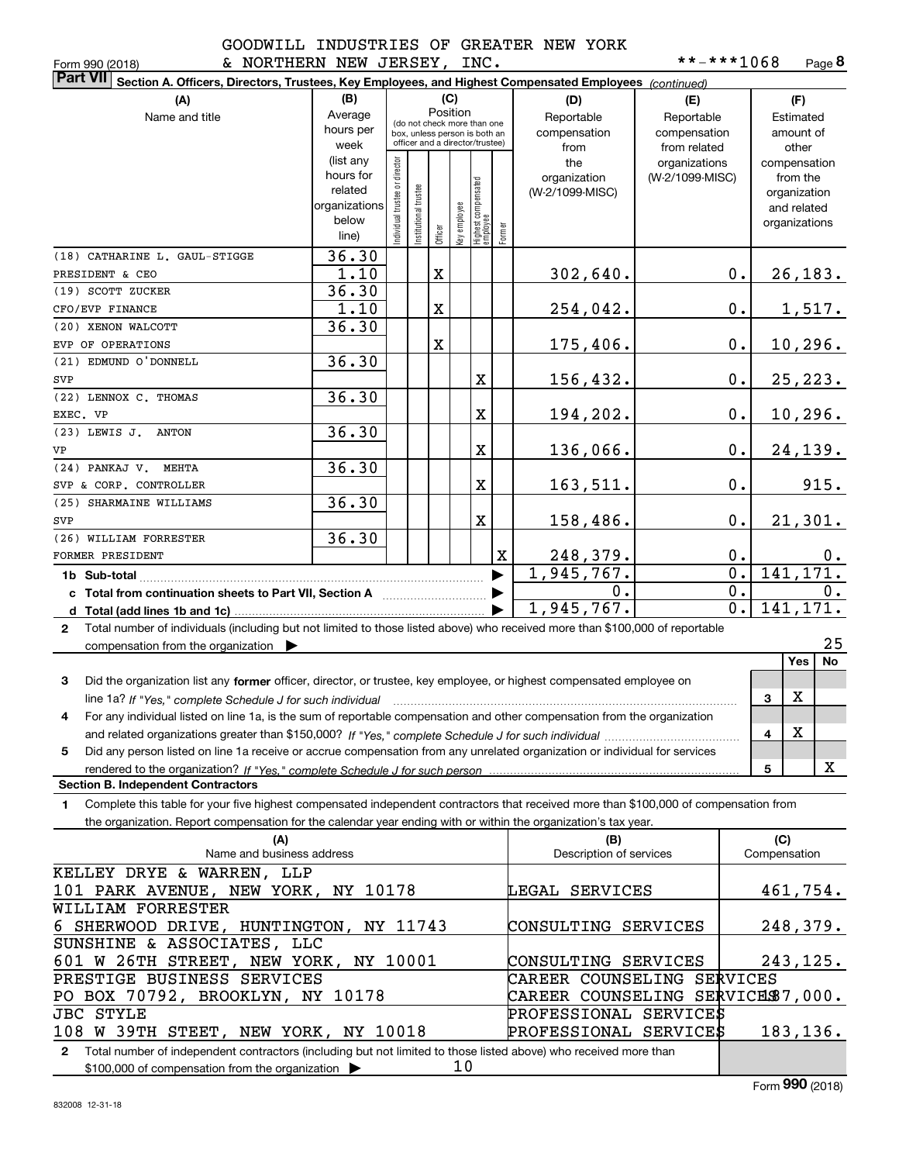**8**\*\*-\*\*\*1068

| & NORTHERN NEW JERSEY, INC.<br>Form 990 (2018)                                                                                                       |               |                               |                                                              |             |              |                                  |             |                                  | **-***1068      |                  |              | Page 8         |
|------------------------------------------------------------------------------------------------------------------------------------------------------|---------------|-------------------------------|--------------------------------------------------------------|-------------|--------------|----------------------------------|-------------|----------------------------------|-----------------|------------------|--------------|----------------|
| <b>Part VII</b><br>Section A. Officers, Directors, Trustees, Key Employees, and Highest Compensated Employees (continued)                            |               |                               |                                                              |             |              |                                  |             |                                  |                 |                  |              |                |
| (A)                                                                                                                                                  | (B)           |                               |                                                              | (C)         |              |                                  |             | (D)                              | (E)             |                  |              | (F)            |
| Name and title                                                                                                                                       | Average       |                               |                                                              |             | Position     |                                  |             | Reportable                       | Reportable      |                  |              | Estimated      |
|                                                                                                                                                      | hours per     |                               | (do not check more than one<br>box, unless person is both an |             |              |                                  |             | compensation                     | compensation    |                  |              | amount of      |
|                                                                                                                                                      | week          |                               | officer and a director/trustee)                              |             |              |                                  |             | from                             | from related    |                  |              | other          |
|                                                                                                                                                      | (list any     |                               |                                                              |             |              |                                  |             | the                              | organizations   |                  |              | compensation   |
|                                                                                                                                                      | hours for     |                               |                                                              |             |              |                                  |             | organization                     | (W-2/1099-MISC) |                  |              | from the       |
|                                                                                                                                                      | related       |                               |                                                              |             |              |                                  |             | (W-2/1099-MISC)                  |                 |                  |              | organization   |
|                                                                                                                                                      | organizations |                               |                                                              |             |              |                                  |             |                                  |                 |                  |              | and related    |
|                                                                                                                                                      | below         | ndividual trustee or director | nstitutional trustee                                         |             |              |                                  |             |                                  |                 |                  |              | organizations  |
|                                                                                                                                                      | line)         |                               |                                                              | Officer     | Key employee | Highest compensated<br> employee | Former      |                                  |                 |                  |              |                |
| (18) CATHARINE L. GAUL-STIGGE                                                                                                                        | 36.30         |                               |                                                              |             |              |                                  |             |                                  |                 |                  |              |                |
| PRESIDENT & CEO                                                                                                                                      | 1.10          |                               |                                                              | $\mathbf X$ |              |                                  |             | 302,640.                         |                 | 0.               |              | <u>26,183.</u> |
| (19) SCOTT ZUCKER                                                                                                                                    | 36.30         |                               |                                                              |             |              |                                  |             |                                  |                 |                  |              |                |
| CFO/EVP FINANCE                                                                                                                                      | 1.10          |                               |                                                              | X           |              |                                  |             | 254,042.                         |                 | 0.               |              | <u>1,517.</u>  |
| (20) XENON WALCOTT                                                                                                                                   | 36.30         |                               |                                                              |             |              |                                  |             |                                  |                 |                  |              |                |
| EVP OF OPERATIONS                                                                                                                                    |               |                               |                                                              | X           |              |                                  |             | 175,406.                         |                 | 0.               |              | <u>10,296.</u> |
| (21) EDMUND O'DONNELL                                                                                                                                | 36.30         |                               |                                                              |             |              |                                  |             |                                  |                 |                  |              |                |
| SVP                                                                                                                                                  |               |                               |                                                              |             |              | X                                |             | 156,432.                         |                 | 0.               |              | 25, 223.       |
| (22) LENNOX C. THOMAS                                                                                                                                | 36.30         |                               |                                                              |             |              |                                  |             |                                  |                 |                  |              |                |
|                                                                                                                                                      |               |                               |                                                              |             |              |                                  |             |                                  |                 |                  |              |                |
| EXEC. VP                                                                                                                                             |               |                               |                                                              |             |              | $\mathbf X$                      |             | 194,202.                         |                 | 0.               |              | 10,296.        |
| (23) LEWIS J. ANTON                                                                                                                                  | 36.30         |                               |                                                              |             |              |                                  |             |                                  |                 |                  |              |                |
| VP                                                                                                                                                   |               |                               |                                                              |             |              | $\mathbf X$                      |             | 136,066.                         |                 | 0.               |              | 24,139.        |
| (24) PANKAJ V. MEHTA                                                                                                                                 | 36.30         |                               |                                                              |             |              |                                  |             |                                  |                 |                  |              |                |
| SVP & CORP. CONTROLLER                                                                                                                               |               |                               |                                                              |             |              | $\mathbf X$                      |             | 163,511.                         |                 | 0.               |              | 915.           |
| (25) SHARMAINE WILLIAMS                                                                                                                              | 36.30         |                               |                                                              |             |              |                                  |             |                                  |                 |                  |              |                |
| SVP                                                                                                                                                  |               |                               |                                                              |             |              | $\mathbf X$                      |             | 158,486.                         |                 | 0.               |              | 21,301.        |
| (26) WILLIAM FORRESTER                                                                                                                               | 36.30         |                               |                                                              |             |              |                                  |             |                                  |                 |                  |              |                |
| FORMER PRESIDENT                                                                                                                                     |               |                               |                                                              |             |              |                                  | $\mathbf X$ | 248,379.                         |                 | 0.               |              | $0$ .          |
| 1b Sub-total                                                                                                                                         |               |                               |                                                              |             |              |                                  | ▶           | 1,945,767.                       |                 | $\overline{0}$ . |              | 141, 171.      |
| c Total from continuation sheets to Part VII, Section A <b>Constanting to Part VII</b> , Section A                                                   |               |                               |                                                              |             |              |                                  |             | 0.                               |                 | 0.               |              | 0.             |
|                                                                                                                                                      |               |                               |                                                              |             |              |                                  |             | 1,945,767.                       |                 | 0.1              |              | 141, 171.      |
| 2 Total number of individuals (including but not limited to those listed above) who received more than \$100,000 of reportable                       |               |                               |                                                              |             |              |                                  |             |                                  |                 |                  |              |                |
| compensation from the organization $\blacktriangleright$                                                                                             |               |                               |                                                              |             |              |                                  |             |                                  |                 |                  |              | 25             |
|                                                                                                                                                      |               |                               |                                                              |             |              |                                  |             |                                  |                 |                  |              | No<br>Yes      |
|                                                                                                                                                      |               |                               |                                                              |             |              |                                  |             |                                  |                 |                  |              |                |
| Did the organization list any former officer, director, or trustee, key employee, or highest compensated employee on<br>3                            |               |                               |                                                              |             |              |                                  |             |                                  |                 |                  |              |                |
| line 1a? If "Yes," complete Schedule J for such individual manufactured contained and the line 1a? If "Yes," complete Schedule J for such individual |               |                               |                                                              |             |              |                                  |             |                                  |                 |                  | 3            | Χ              |
| For any individual listed on line 1a, is the sum of reportable compensation and other compensation from the organization                             |               |                               |                                                              |             |              |                                  |             |                                  |                 |                  |              |                |
|                                                                                                                                                      |               |                               |                                                              |             |              |                                  |             |                                  |                 |                  | 4            | х              |
| Did any person listed on line 1a receive or accrue compensation from any unrelated organization or individual for services<br>5                      |               |                               |                                                              |             |              |                                  |             |                                  |                 |                  |              |                |
| rendered to the organization? If "Yes." complete Schedule J for such person                                                                          |               |                               |                                                              |             |              |                                  |             |                                  |                 |                  | 5            | X              |
| <b>Section B. Independent Contractors</b>                                                                                                            |               |                               |                                                              |             |              |                                  |             |                                  |                 |                  |              |                |
| Complete this table for your five highest compensated independent contractors that received more than \$100,000 of compensation from<br>1.           |               |                               |                                                              |             |              |                                  |             |                                  |                 |                  |              |                |
| the organization. Report compensation for the calendar year ending with or within the organization's tax year.                                       |               |                               |                                                              |             |              |                                  |             |                                  |                 |                  |              |                |
| (A)                                                                                                                                                  |               |                               |                                                              |             |              |                                  |             | (B)                              |                 |                  | (C)          |                |
| Name and business address                                                                                                                            |               |                               |                                                              |             |              |                                  |             | Description of services          |                 |                  | Compensation |                |
| KELLEY DRYE & WARREN, LLP                                                                                                                            |               |                               |                                                              |             |              |                                  |             |                                  |                 |                  |              |                |
| 101 PARK AVENUE, NEW YORK, NY 10178                                                                                                                  |               |                               |                                                              |             |              |                                  |             | LEGAL SERVICES                   |                 |                  |              | 461,754.       |
| WILLIAM FORRESTER                                                                                                                                    |               |                               |                                                              |             |              |                                  |             |                                  |                 |                  |              |                |
| 6 SHERWOOD DRIVE, HUNTINGTON, NY 11743                                                                                                               |               |                               |                                                              |             |              |                                  |             | CONSULTING SERVICES              |                 |                  |              | 248,379.       |
| SUNSHINE & ASSOCIATES, LLC                                                                                                                           |               |                               |                                                              |             |              |                                  |             |                                  |                 |                  |              |                |
|                                                                                                                                                      |               |                               |                                                              |             |              |                                  |             |                                  |                 |                  |              |                |
| 601 W 26TH STREET, NEW YORK, NY 10001                                                                                                                |               |                               |                                                              |             |              |                                  |             | CONSULTING SERVICES              |                 |                  |              | 243,125.       |
| PRESTIGE BUSINESS SERVICES                                                                                                                           |               |                               |                                                              |             |              |                                  |             | CAREER COUNSELING SERVICES       |                 |                  |              |                |
| PO BOX 70792, BROOKLYN, NY 10178                                                                                                                     |               |                               |                                                              |             |              |                                  |             | CAREER COUNSELING SERVICES7,000. |                 |                  |              |                |
| <b>JBC STYLE</b>                                                                                                                                     |               |                               |                                                              |             |              |                                  |             | PROFESSIONAL SERVICE\$           |                 |                  |              |                |
| 108 W 39TH STEET, NEW YORK, NY 10018                                                                                                                 |               |                               |                                                              |             |              |                                  |             | PROFESSIONAL SERVICE\$           |                 |                  |              | 183, 136.      |

**2**Total number of independent contractors (including but not limited to those listed above) who received more than \$100,000 of compensation from the organization 10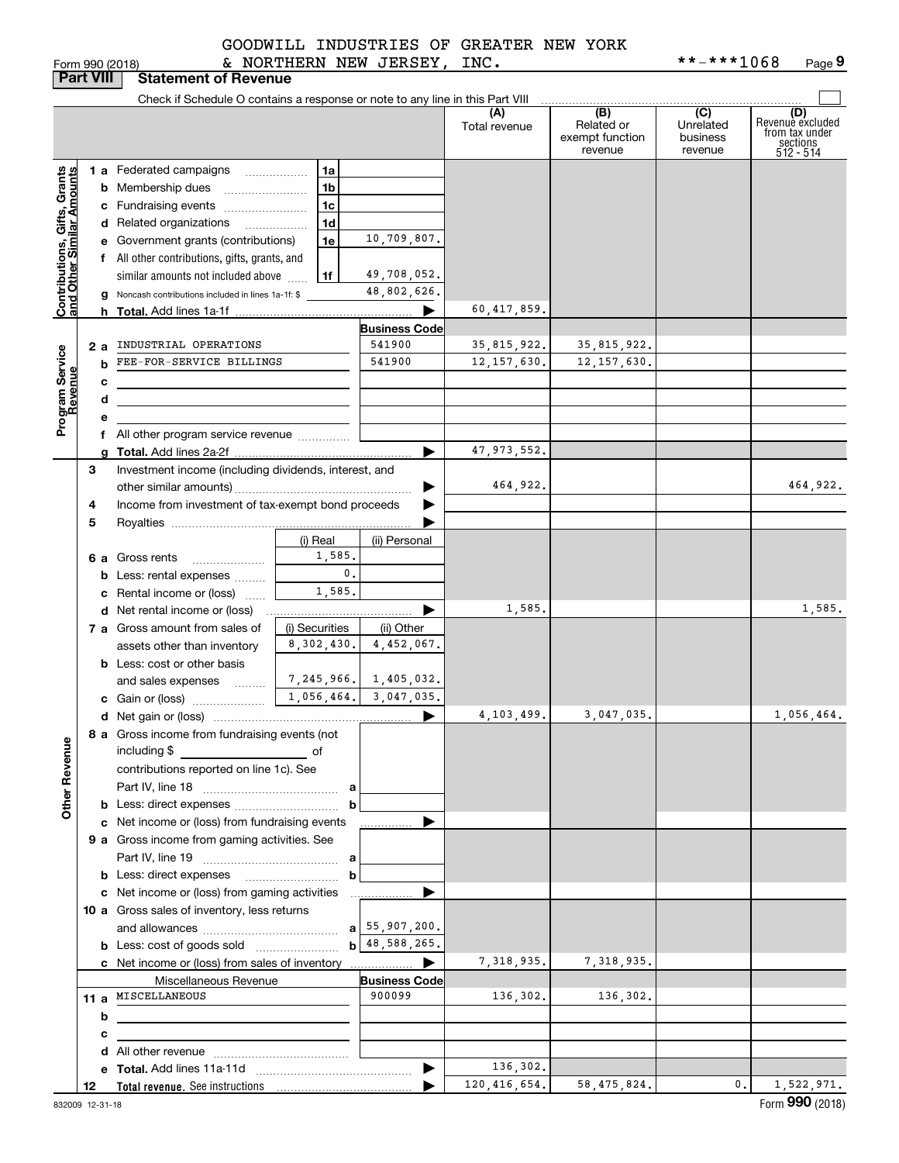|  | )rm 990 (2018) |  |
|--|----------------|--|

| Form 990 (2018) | NORTHERN<br>NEW JERSEY,<br>INC. | **-***1068<br>Page 9 |
|-----------------|---------------------------------|----------------------|
|-----------------|---------------------------------|----------------------|

|                                                           | <b>Part VIII</b> | <b>Statement of Revenue</b>                                                   |                          |                         |                      |                            |                     |                                           |
|-----------------------------------------------------------|------------------|-------------------------------------------------------------------------------|--------------------------|-------------------------|----------------------|----------------------------|---------------------|-------------------------------------------|
|                                                           |                  | Check if Schedule O contains a response or note to any line in this Part VIII |                          |                         |                      |                            |                     |                                           |
|                                                           |                  |                                                                               |                          |                         | (A)<br>Total revenue | (B)<br>Related or          | (C)<br>Unrelated    | (D)<br>Revenuè excluded<br>from tax under |
|                                                           |                  |                                                                               |                          |                         |                      | exempt function<br>revenue | business<br>revenue | sections<br>512 - 514                     |
|                                                           |                  | 1 a Federated campaigns                                                       | 1a                       |                         |                      |                            |                     |                                           |
|                                                           |                  | <b>b</b> Membership dues                                                      | 1 <sub>b</sub>           |                         |                      |                            |                     |                                           |
|                                                           |                  | c Fundraising events                                                          | 1 <sub>c</sub>           |                         |                      |                            |                     |                                           |
|                                                           |                  | d Related organizations<br>$\overline{\phantom{a}}$                           | 1 <sub>d</sub>           |                         |                      |                            |                     |                                           |
|                                                           |                  | e Government grants (contributions)                                           | 1e                       | 10,709,807.             |                      |                            |                     |                                           |
|                                                           |                  | f All other contributions, gifts, grants, and                                 |                          |                         |                      |                            |                     |                                           |
|                                                           |                  | similar amounts not included above                                            | 1f                       | 49,708,052.             |                      |                            |                     |                                           |
| Contributions, Gifts, Grants<br>and Other Similar Amounts |                  | <b>g</b> Noncash contributions included in lines 1a-1f: \$                    |                          | 48,802,626.             |                      |                            |                     |                                           |
|                                                           |                  |                                                                               |                          | ▶                       | 60,417,859.          |                            |                     |                                           |
|                                                           |                  |                                                                               |                          | <b>Business Code</b>    |                      |                            |                     |                                           |
|                                                           | 2а               | INDUSTRIAL OPERATIONS                                                         |                          | 541900                  | 35,815,922.          | 35,815,922.                |                     |                                           |
|                                                           | b                | FEE-FOR-SERVICE BILLINGS                                                      |                          | 541900                  | 12, 157, 630.        | 12, 157, 630.              |                     |                                           |
| Program Service<br>Revenue                                | с                |                                                                               |                          |                         |                      |                            |                     |                                           |
|                                                           | d                |                                                                               |                          |                         |                      |                            |                     |                                           |
|                                                           | е                |                                                                               |                          |                         |                      |                            |                     |                                           |
|                                                           |                  | f All other program service revenue                                           |                          |                         |                      |                            |                     |                                           |
|                                                           |                  |                                                                               |                          | ▶                       | 47, 973, 552.        |                            |                     |                                           |
|                                                           | 3                | Investment income (including dividends, interest, and                         |                          |                         |                      |                            |                     |                                           |
|                                                           |                  |                                                                               |                          |                         | 464,922.             |                            |                     | 464,922.                                  |
|                                                           | 4                | Income from investment of tax-exempt bond proceeds                            |                          |                         |                      |                            |                     |                                           |
|                                                           | 5                |                                                                               |                          |                         |                      |                            |                     |                                           |
|                                                           |                  |                                                                               | (i) Real                 | (ii) Personal           |                      |                            |                     |                                           |
|                                                           |                  | 6 a Gross rents                                                               | 1,585.<br>$\mathbf{0}$ . |                         |                      |                            |                     |                                           |
|                                                           |                  | <b>b</b> Less: rental expenses                                                | 1,585.                   |                         |                      |                            |                     |                                           |
|                                                           |                  | c Rental income or (loss)<br><b>d</b> Net rental income or (loss)             |                          | ▶                       | 1,585.               |                            |                     | 1,585.                                    |
|                                                           |                  | 7 a Gross amount from sales of                                                | (i) Securities           | (ii) Other              |                      |                            |                     |                                           |
|                                                           |                  | assets other than inventory                                                   | 8,302,430.               | 4,452,067.              |                      |                            |                     |                                           |
|                                                           |                  | <b>b</b> Less: cost or other basis                                            |                          |                         |                      |                            |                     |                                           |
|                                                           |                  | and sales expenses                                                            |                          | 7,245,966. 1,405,032.   |                      |                            |                     |                                           |
|                                                           |                  |                                                                               |                          | $1,056,464.$ 3,047,035. |                      |                            |                     |                                           |
|                                                           |                  |                                                                               |                          | ▶                       | 4,103,499.           | 3,047,035.                 |                     | 1,056,464.                                |
|                                                           |                  | 8 a Gross income from fundraising events (not                                 |                          |                         |                      |                            |                     |                                           |
| <b>Other Revenue</b>                                      |                  | including \$                                                                  |                          |                         |                      |                            |                     |                                           |
|                                                           |                  | contributions reported on line 1c). See                                       |                          |                         |                      |                            |                     |                                           |
|                                                           |                  |                                                                               |                          |                         |                      |                            |                     |                                           |
|                                                           |                  | <b>b</b> Less: direct expenses                                                | b                        |                         |                      |                            |                     |                                           |
|                                                           |                  | c Net income or (loss) from fundraising events                                |                          |                         |                      |                            |                     |                                           |
|                                                           |                  | 9 a Gross income from gaming activities. See                                  |                          |                         |                      |                            |                     |                                           |
|                                                           |                  |                                                                               | a                        |                         |                      |                            |                     |                                           |
|                                                           |                  |                                                                               | b                        |                         |                      |                            |                     |                                           |
|                                                           |                  | c Net income or (loss) from gaming activities                                 |                          | ▶<br>.                  |                      |                            |                     |                                           |
|                                                           |                  | 10 a Gross sales of inventory, less returns                                   |                          | $a$ 55, 907, 200.       |                      |                            |                     |                                           |
|                                                           |                  |                                                                               |                          | b 48, 588, 265.         |                      |                            |                     |                                           |
|                                                           |                  |                                                                               |                          | ▶                       | 7,318,935.           | 7,318,935.                 |                     |                                           |
|                                                           |                  | Miscellaneous Revenue                                                         |                          | <b>Business Code</b>    |                      |                            |                     |                                           |
|                                                           |                  | 11 a MISCELLANEOUS                                                            |                          | 900099                  | 136,302.             | 136,302.                   |                     |                                           |
|                                                           | b                | the contract of the contract of the contract of                               |                          |                         |                      |                            |                     |                                           |
|                                                           | с                |                                                                               |                          |                         |                      |                            |                     |                                           |
|                                                           |                  |                                                                               |                          |                         |                      |                            |                     |                                           |
|                                                           |                  |                                                                               |                          | $\blacktriangleright$   | 136,302.             |                            |                     |                                           |
|                                                           | 12               |                                                                               |                          |                         | 120, 416, 654.       | 58, 475, 824.              | $\mathbf{0}$ .      | 1,522,971.                                |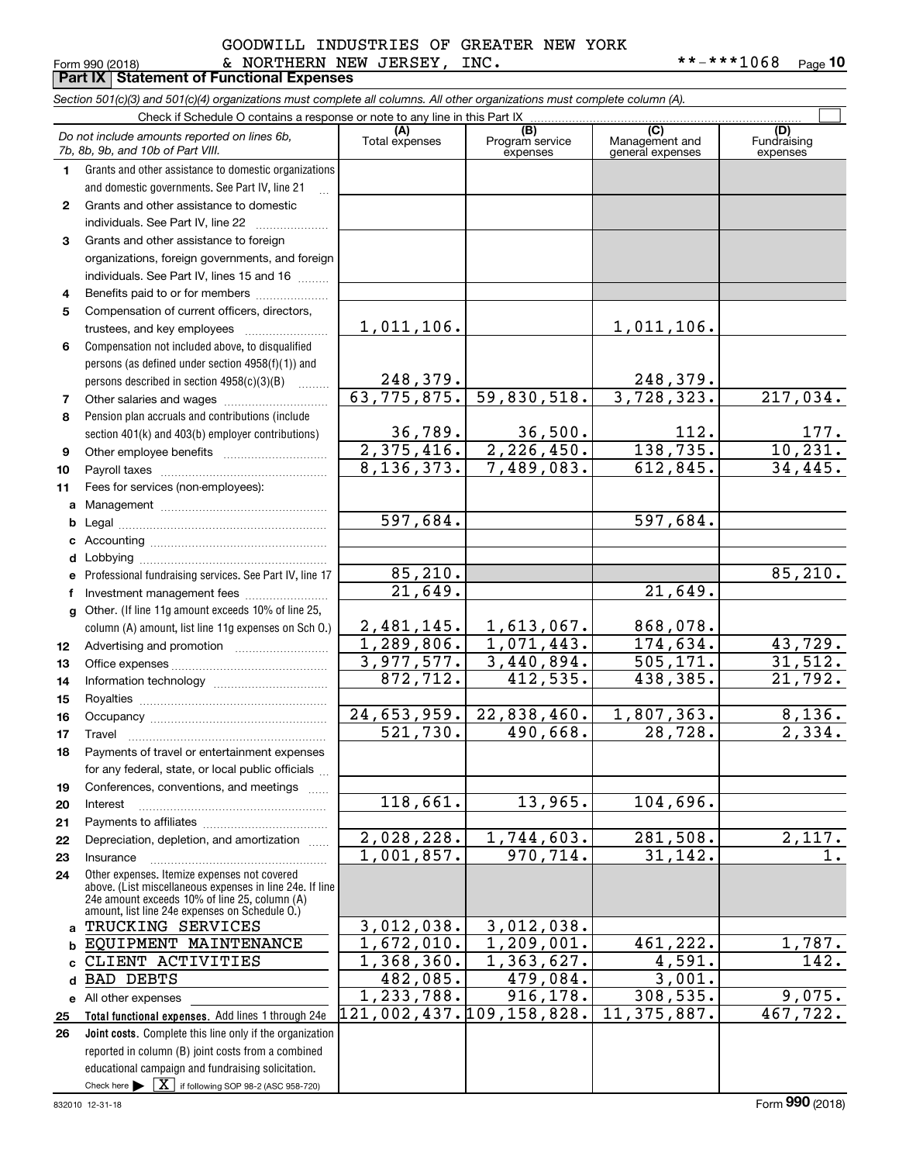### Form 990 (2018) Page **Part IX Statement of Functional Expenses** & NORTHERN NEW JERSEY, INC. \*\*-\*\*\*1068 GOODWILL INDUSTRIES OF GREATER NEW YORK

**10**

|             | Section 501(c)(3) and 501(c)(4) organizations must complete all columns. All other organizations must complete column (A).                                  |                           |                                    |                                           |                                |  |  |  |  |  |  |
|-------------|-------------------------------------------------------------------------------------------------------------------------------------------------------------|---------------------------|------------------------------------|-------------------------------------------|--------------------------------|--|--|--|--|--|--|
|             | Check if Schedule O contains a response or note to any line in this Part IX                                                                                 |                           |                                    |                                           |                                |  |  |  |  |  |  |
|             | Do not include amounts reported on lines 6b,<br>7b, 8b, 9b, and 10b of Part VIII.                                                                           | (A)<br>Total expenses     | (B)<br>Program service<br>expenses | (C)<br>Management and<br>general expenses | (D)<br>Fundraising<br>expenses |  |  |  |  |  |  |
| $\mathbf 1$ | Grants and other assistance to domestic organizations                                                                                                       |                           |                                    |                                           |                                |  |  |  |  |  |  |
|             | and domestic governments. See Part IV, line 21                                                                                                              |                           |                                    |                                           |                                |  |  |  |  |  |  |
| 2           | Grants and other assistance to domestic                                                                                                                     |                           |                                    |                                           |                                |  |  |  |  |  |  |
|             | individuals. See Part IV, line 22                                                                                                                           |                           |                                    |                                           |                                |  |  |  |  |  |  |
| 3           | Grants and other assistance to foreign                                                                                                                      |                           |                                    |                                           |                                |  |  |  |  |  |  |
|             | organizations, foreign governments, and foreign                                                                                                             |                           |                                    |                                           |                                |  |  |  |  |  |  |
|             | individuals. See Part IV, lines 15 and 16                                                                                                                   |                           |                                    |                                           |                                |  |  |  |  |  |  |
| 4           | Benefits paid to or for members                                                                                                                             |                           |                                    |                                           |                                |  |  |  |  |  |  |
| 5           | Compensation of current officers, directors,                                                                                                                |                           |                                    |                                           |                                |  |  |  |  |  |  |
|             | trustees, and key employees                                                                                                                                 | 1,011,106.                |                                    | 1,011,106.                                |                                |  |  |  |  |  |  |
| 6           | Compensation not included above, to disqualified                                                                                                            |                           |                                    |                                           |                                |  |  |  |  |  |  |
|             | persons (as defined under section 4958(f)(1)) and                                                                                                           |                           |                                    |                                           |                                |  |  |  |  |  |  |
|             | persons described in section 4958(c)(3)(B)                                                                                                                  | 248, 379.                 |                                    | 248,379.                                  |                                |  |  |  |  |  |  |
| 7           |                                                                                                                                                             | 63, 775, 875.             | 59,830,518.                        | 3,728,323.                                | 217,034.                       |  |  |  |  |  |  |
| 8           | Pension plan accruals and contributions (include                                                                                                            |                           |                                    |                                           |                                |  |  |  |  |  |  |
|             | section 401(k) and 403(b) employer contributions)                                                                                                           | 36,789.                   | 36,500.                            | 112.                                      | $\frac{177}{10,231}$ .         |  |  |  |  |  |  |
| 9           |                                                                                                                                                             | $\overline{2, 375, 416.}$ | 2,226,450.                         | 138,735.                                  |                                |  |  |  |  |  |  |
| 10          |                                                                                                                                                             | $\overline{8,136,373.}$   | 7,489,083.                         | 612,845.                                  | 34,445.                        |  |  |  |  |  |  |
| 11          | Fees for services (non-employees):                                                                                                                          |                           |                                    |                                           |                                |  |  |  |  |  |  |
|             |                                                                                                                                                             |                           |                                    |                                           |                                |  |  |  |  |  |  |
|             |                                                                                                                                                             | 597,684.                  |                                    | 597,684.                                  |                                |  |  |  |  |  |  |
|             |                                                                                                                                                             |                           |                                    |                                           |                                |  |  |  |  |  |  |
|             |                                                                                                                                                             |                           |                                    |                                           |                                |  |  |  |  |  |  |
|             | e Professional fundraising services. See Part IV, line 17                                                                                                   | 85,210.                   |                                    |                                           | 85, 210.                       |  |  |  |  |  |  |
| f           |                                                                                                                                                             | 21,649.                   |                                    | 21,649.                                   |                                |  |  |  |  |  |  |
|             | g Other. (If line 11g amount exceeds 10% of line 25,                                                                                                        |                           |                                    |                                           |                                |  |  |  |  |  |  |
|             | column (A) amount, list line 11g expenses on Sch O.)                                                                                                        | 2,481,145.                | 1,613,067.                         | 868,078.                                  |                                |  |  |  |  |  |  |
| 12          |                                                                                                                                                             | $\overline{1,289},806.$   | 1,071,443.                         | 174,634.                                  | 43,729.                        |  |  |  |  |  |  |
| 13          |                                                                                                                                                             | 3,977,577.                | 3,440,894.                         | 505, 171.                                 | 31,512.                        |  |  |  |  |  |  |
| 14          |                                                                                                                                                             | 872,712.                  | 412,535.                           | 438,385.                                  | 21,792.                        |  |  |  |  |  |  |
| 15          |                                                                                                                                                             |                           |                                    |                                           |                                |  |  |  |  |  |  |
| 16          |                                                                                                                                                             | 24,653,959.               | 22,838,460.                        | 1,807,363.                                | 8,136.                         |  |  |  |  |  |  |
| 17          |                                                                                                                                                             | 521,730.                  | 490,668.                           | 28,728.                                   | $\overline{2}$ , 334.          |  |  |  |  |  |  |
| 18          | Payments of travel or entertainment expenses                                                                                                                |                           |                                    |                                           |                                |  |  |  |  |  |  |
|             | for any federal, state, or local public officials                                                                                                           |                           |                                    |                                           |                                |  |  |  |  |  |  |
| 19          | Conferences, conventions, and meetings                                                                                                                      | 118,661.                  | 13,965.                            | 104,696.                                  |                                |  |  |  |  |  |  |
| 20          | Interest                                                                                                                                                    |                           |                                    |                                           |                                |  |  |  |  |  |  |
| 21          | Depreciation, depletion, and amortization                                                                                                                   | 2,028,228.                | 1,744,603.                         | 281,508.                                  | 2,117.                         |  |  |  |  |  |  |
| 22          |                                                                                                                                                             | 1,001,857.                | 970,714.                           | 31,142.                                   | 1.                             |  |  |  |  |  |  |
| 23          | Insurance<br>Other expenses. Itemize expenses not covered                                                                                                   |                           |                                    |                                           |                                |  |  |  |  |  |  |
| 24          | above. (List miscellaneous expenses in line 24e. If line<br>24e amount exceeds 10% of line 25, column (A)<br>amount, list line 24e expenses on Schedule O.) |                           |                                    |                                           |                                |  |  |  |  |  |  |
|             | a TRUCKING SERVICES                                                                                                                                         | 3,012,038.                | 3,012,038.                         |                                           |                                |  |  |  |  |  |  |
|             | EQUIPMENT MAINTENANCE                                                                                                                                       | 1,672,010.                | 1,209,001.                         | 461,222.                                  | 1,787.                         |  |  |  |  |  |  |
|             | CLIENT ACTIVITIES                                                                                                                                           | 1,368,360.                | 1,363,627.                         | 4,591.                                    | 142.                           |  |  |  |  |  |  |
| d           | <b>BAD DEBTS</b>                                                                                                                                            | 482,085.                  | 479,084.                           | 3,001.                                    |                                |  |  |  |  |  |  |
|             | e All other expenses                                                                                                                                        | 1,233,788.                | 916, 178.                          | 308,535.                                  | 9,075.                         |  |  |  |  |  |  |
| 25          | Total functional expenses. Add lines 1 through 24e                                                                                                          | 121,002,437.109,158,828.  |                                    | $11,375,887$ .                            | 467,722.                       |  |  |  |  |  |  |
| 26          | Joint costs. Complete this line only if the organization                                                                                                    |                           |                                    |                                           |                                |  |  |  |  |  |  |
|             | reported in column (B) joint costs from a combined                                                                                                          |                           |                                    |                                           |                                |  |  |  |  |  |  |
|             | educational campaign and fundraising solicitation.                                                                                                          |                           |                                    |                                           |                                |  |  |  |  |  |  |
|             | Check here $\blacktriangleright \begin{bmatrix} \mathbf{X} \end{bmatrix}$ if following SOP 98-2 (ASC 958-720)                                               |                           |                                    |                                           |                                |  |  |  |  |  |  |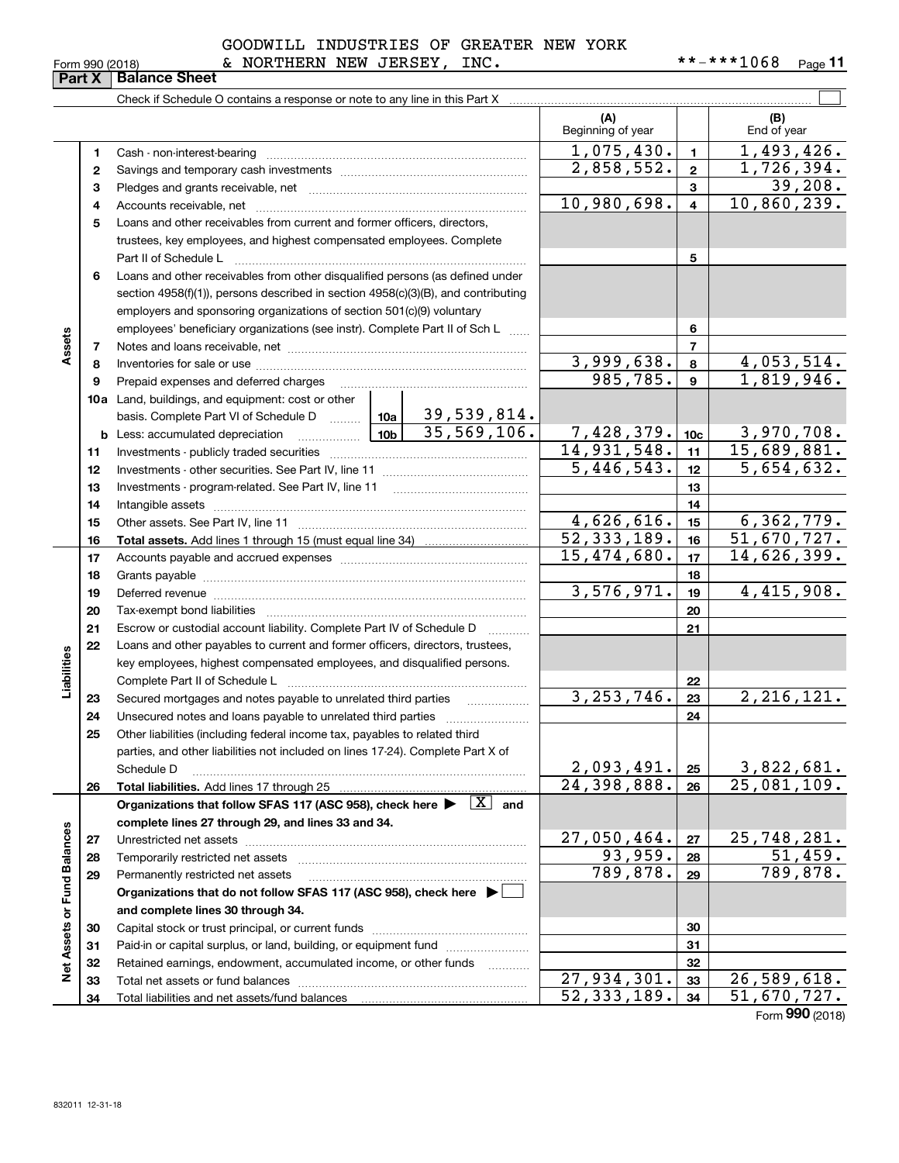#### 832011 12-31-18

|                             |    |                                                                                                                                                                                                                                |                 |            | (A)<br>Beginning of year    |                         | (B)<br>End of year          |
|-----------------------------|----|--------------------------------------------------------------------------------------------------------------------------------------------------------------------------------------------------------------------------------|-----------------|------------|-----------------------------|-------------------------|-----------------------------|
|                             |    |                                                                                                                                                                                                                                |                 |            |                             |                         |                             |
|                             | 1  | Cash - non-interest-bearing                                                                                                                                                                                                    |                 |            | 1,075,430.                  | $\mathbf{1}$            | 1,493,426.                  |
|                             | 2  |                                                                                                                                                                                                                                |                 |            | 2,858,552.                  | $\mathbf{2}$            | 1,726,394.                  |
|                             | 3  |                                                                                                                                                                                                                                |                 |            |                             | 3                       | 39,208.                     |
|                             | 4  |                                                                                                                                                                                                                                |                 |            | 10,980,698.                 | $\overline{\mathbf{4}}$ | 10,860,239.                 |
|                             | 5  | Loans and other receivables from current and former officers, directors,                                                                                                                                                       |                 |            |                             |                         |                             |
|                             |    | trustees, key employees, and highest compensated employees. Complete                                                                                                                                                           |                 |            |                             |                         |                             |
|                             |    | Part II of Schedule L                                                                                                                                                                                                          |                 |            |                             | 5                       |                             |
|                             | 6  | Loans and other receivables from other disqualified persons (as defined under                                                                                                                                                  |                 |            |                             |                         |                             |
|                             |    | section 4958(f)(1)), persons described in section 4958(c)(3)(B), and contributing                                                                                                                                              |                 |            |                             |                         |                             |
|                             |    | employers and sponsoring organizations of section 501(c)(9) voluntary                                                                                                                                                          |                 |            |                             |                         |                             |
|                             |    | employees' beneficiary organizations (see instr). Complete Part II of Sch L                                                                                                                                                    |                 |            |                             | 6                       |                             |
| Assets                      | 7  |                                                                                                                                                                                                                                |                 |            |                             | $\overline{7}$          |                             |
|                             | 8  |                                                                                                                                                                                                                                |                 |            | 3,999,638.                  | 8                       | 4,053,514.                  |
|                             | 9  | Prepaid expenses and deferred charges                                                                                                                                                                                          |                 |            | 985,785.                    | 9                       | 1,819,946.                  |
|                             |    | <b>10a</b> Land, buildings, and equipment: cost or other                                                                                                                                                                       |                 |            |                             |                         |                             |
|                             |    | basis. Complete Part VI of Schedule D    10a   39, 539, 814.                                                                                                                                                                   | 10 <sub>b</sub> |            |                             |                         |                             |
|                             |    | <b>b</b> Less: accumulated depreciation<br>. 1                                                                                                                                                                                 | 35,569,106.     | 7,428,379. | 10 <sub>c</sub>             | 3,970,708.              |                             |
|                             | 11 |                                                                                                                                                                                                                                |                 |            | 14,931,548.                 | 11                      | $\overline{15,689,881.}$    |
|                             | 12 |                                                                                                                                                                                                                                |                 | 5,446,543. | 12                          | 5,654,632.              |                             |
|                             | 13 |                                                                                                                                                                                                                                |                 |            | 13                          |                         |                             |
|                             | 14 |                                                                                                                                                                                                                                |                 |            | 14                          |                         |                             |
|                             | 15 |                                                                                                                                                                                                                                |                 |            | 4,626,616.                  | 15                      | 6, 362, 779.                |
|                             | 16 |                                                                                                                                                                                                                                |                 |            | $\overline{52}$ , 333, 189. | 16                      | 51,670,727.                 |
|                             | 17 |                                                                                                                                                                                                                                | 15,474,680.     | 17         | $\overline{14}$ , 626, 399. |                         |                             |
|                             | 18 |                                                                                                                                                                                                                                |                 | 18         |                             |                         |                             |
|                             | 19 | Deferred revenue information and contact the contract of the contract of the contract of the contract of the contract of the contract of the contract of the contract of the contract of the contract of the contract of the c | 3,576,971.      | 19         | 4,415,908.                  |                         |                             |
|                             | 20 |                                                                                                                                                                                                                                |                 |            |                             | 20                      |                             |
|                             | 21 | Escrow or custodial account liability. Complete Part IV of Schedule D                                                                                                                                                          |                 |            |                             | 21                      |                             |
|                             | 22 | Loans and other payables to current and former officers, directors, trustees,                                                                                                                                                  |                 |            |                             |                         |                             |
|                             |    | key employees, highest compensated employees, and disqualified persons.                                                                                                                                                        |                 |            |                             |                         |                             |
| Liabilities                 |    |                                                                                                                                                                                                                                |                 |            |                             | 22                      |                             |
|                             | 23 | Secured mortgages and notes payable to unrelated third parties                                                                                                                                                                 |                 |            | 3, 253, 746.                | 23                      | 2, 216, 121.                |
|                             | 24 |                                                                                                                                                                                                                                |                 |            |                             | 24                      |                             |
|                             | 25 | Other liabilities (including federal income tax, payables to related third                                                                                                                                                     |                 |            |                             |                         |                             |
|                             |    | parties, and other liabilities not included on lines 17-24). Complete Part X of                                                                                                                                                |                 |            |                             |                         |                             |
|                             |    | Schedule D                                                                                                                                                                                                                     |                 |            | 2,093,491.                  | 25                      | 3,822,681.                  |
|                             | 26 |                                                                                                                                                                                                                                |                 |            | 24,398,888.                 | 26                      | 25,081,109.                 |
|                             |    | Organizations that follow SFAS 117 (ASC 958), check here $\blacktriangleright \begin{array}{c} \boxed{X} \\ \end{array}$ and                                                                                                   |                 |            |                             |                         |                             |
|                             |    | complete lines 27 through 29, and lines 33 and 34.                                                                                                                                                                             |                 |            |                             |                         |                             |
|                             | 27 |                                                                                                                                                                                                                                |                 |            | 27,050,464.                 | 27                      | 25,748,281.                 |
|                             | 28 | Temporarily restricted net assets                                                                                                                                                                                              |                 |            | 93,959.                     | 28                      | 51,459.                     |
|                             | 29 | Permanently restricted net assets                                                                                                                                                                                              |                 |            | 789,878.                    | 29                      | $\overline{789}$ , 878.     |
|                             |    | Organizations that do not follow SFAS 117 (ASC 958), check here ▶ □                                                                                                                                                            |                 |            |                             |                         |                             |
|                             |    | and complete lines 30 through 34.                                                                                                                                                                                              |                 |            |                             |                         |                             |
|                             | 30 |                                                                                                                                                                                                                                |                 |            |                             | 30                      |                             |
|                             | 31 | Paid-in or capital surplus, or land, building, or equipment fund                                                                                                                                                               |                 |            |                             | 31                      |                             |
| Net Assets or Fund Balances | 32 | Retained earnings, endowment, accumulated income, or other funds                                                                                                                                                               |                 |            |                             | 32                      |                             |
|                             | 33 |                                                                                                                                                                                                                                |                 |            | 27,934,301.                 | 33                      | 26,589,618.                 |
|                             | 34 | Total liabilities and net assets/fund balances                                                                                                                                                                                 |                 |            | 52, 333, 189.               | 34                      | $\overline{51}$ , 670, 727. |

### GOODWILL INDUSTRIES OF GREATER NEW YORK

Check if Schedule O contains a response or note to any line in this Part X

Form 990 (2018) & NORTHERN NEW JERSEY, INC . \* \* - \* \* \* 1 0 6 8 Page **Part X Balance Sheet**

**11**

 $\mathcal{L}^{\text{max}}$ 

Form (2018) **990**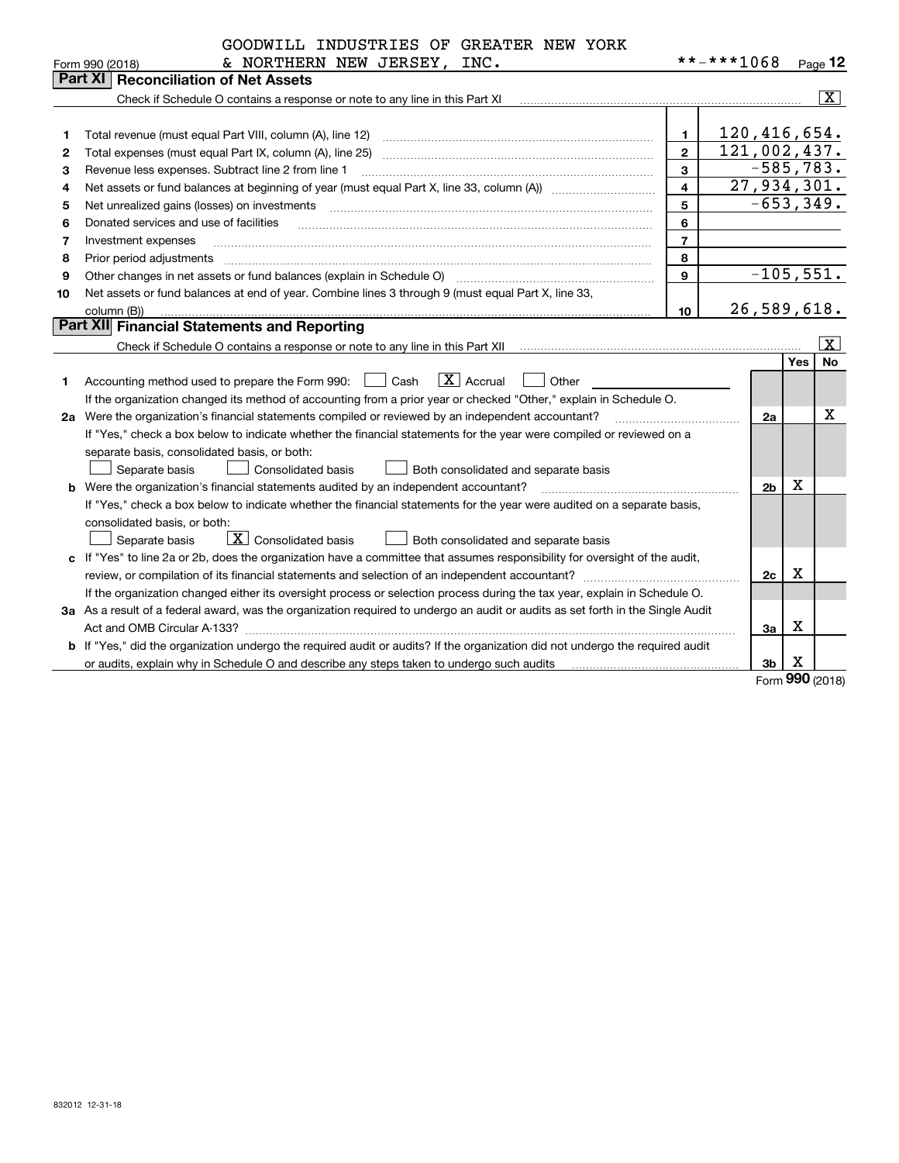| **-***1068<br>& NORTHERN NEW JERSEY, INC.<br>Page 12<br>Form 990 (2018)<br>Part XI<br><b>Reconciliation of Net Assets</b><br>$\overline{\mathbf{X}}$<br>Check if Schedule O contains a response or note to any line in this Part XI<br>120,416,654.<br>$\mathbf{1}$<br>Total revenue (must equal Part VIII, column (A), line 12)<br>1<br>121,002,437.<br>$\mathbf{2}$<br>Total expenses (must equal Part IX, column (A), line 25)<br>2<br>$-585,783.$<br>3<br>З<br>Revenue less expenses. Subtract line 2 from line 1<br>27,934,301.<br>$\overline{\mathbf{4}}$<br>4<br>$-653, 349.$<br>5<br>Net unrealized gains (losses) on investments<br>5<br>6<br>Donated services and use of facilities<br>6<br>$\overline{7}$<br>Investment expenses<br>7<br>8<br>Prior period adjustments<br>8<br>$-105,551.$<br>9<br>Other changes in net assets or fund balances (explain in Schedule O)<br>9<br>Net assets or fund balances at end of year. Combine lines 3 through 9 (must equal Part X, line 33,<br>10<br>26,589,618.<br>10<br>column (B))<br>Part XII Financial Statements and Reporting<br>$ \mathbf{X} $<br><b>No</b><br><b>Yes</b><br>$ X $ Accrual<br>Other<br>Cash<br>Accounting method used to prepare the Form 990:<br>1.<br>If the organization changed its method of accounting from a prior year or checked "Other," explain in Schedule O.<br>X<br>2a Were the organization's financial statements compiled or reviewed by an independent accountant?<br>2a<br>If "Yes," check a box below to indicate whether the financial statements for the year were compiled or reviewed on a<br>separate basis, consolidated basis, or both:<br>Separate basis<br><b>Consolidated basis</b><br>Both consolidated and separate basis<br>Х<br>2 <sub>b</sub><br><b>b</b> Were the organization's financial statements audited by an independent accountant?<br>If "Yes," check a box below to indicate whether the financial statements for the year were audited on a separate basis,<br>consolidated basis, or both:<br>$\boxed{\textbf{X}}$ Consolidated basis<br>Separate basis<br>Both consolidated and separate basis<br>If "Yes" to line 2a or 2b, does the organization have a committee that assumes responsibility for oversight of the audit,<br>c.<br>X<br>review, or compilation of its financial statements and selection of an independent accountant?<br>2c<br>If the organization changed either its oversight process or selection process during the tax year, explain in Schedule O.<br>3a As a result of a federal award, was the organization required to undergo an audit or audits as set forth in the Single Audit<br>x<br>Act and OMB Circular A-133?<br>За<br>b If "Yes," did the organization undergo the required audit or audits? If the organization did not undergo the required audit<br>х<br>or audits, explain why in Schedule O and describe any steps taken to undergo such audits<br>3b | GOODWILL INDUSTRIES OF GREATER NEW YORK |  |  |
|-----------------------------------------------------------------------------------------------------------------------------------------------------------------------------------------------------------------------------------------------------------------------------------------------------------------------------------------------------------------------------------------------------------------------------------------------------------------------------------------------------------------------------------------------------------------------------------------------------------------------------------------------------------------------------------------------------------------------------------------------------------------------------------------------------------------------------------------------------------------------------------------------------------------------------------------------------------------------------------------------------------------------------------------------------------------------------------------------------------------------------------------------------------------------------------------------------------------------------------------------------------------------------------------------------------------------------------------------------------------------------------------------------------------------------------------------------------------------------------------------------------------------------------------------------------------------------------------------------------------------------------------------------------------------------------------------------------------------------------------------------------------------------------------------------------------------------------------------------------------------------------------------------------------------------------------------------------------------------------------------------------------------------------------------------------------------------------------------------------------------------------------------------------------------------------------------------------------------------------------------------------------------------------------------------------------------------------------------------------------------------------------------------------------------------------------------------------------------------------------------------------------------------------------------------------------------------------------------------------------------------------------------------------------------------------------------------------------------------------------------------------------------------------------------------------------------------------------------------------------------------------------------------------------------------|-----------------------------------------|--|--|
|                                                                                                                                                                                                                                                                                                                                                                                                                                                                                                                                                                                                                                                                                                                                                                                                                                                                                                                                                                                                                                                                                                                                                                                                                                                                                                                                                                                                                                                                                                                                                                                                                                                                                                                                                                                                                                                                                                                                                                                                                                                                                                                                                                                                                                                                                                                                                                                                                                                                                                                                                                                                                                                                                                                                                                                                                                                                                                                             |                                         |  |  |
|                                                                                                                                                                                                                                                                                                                                                                                                                                                                                                                                                                                                                                                                                                                                                                                                                                                                                                                                                                                                                                                                                                                                                                                                                                                                                                                                                                                                                                                                                                                                                                                                                                                                                                                                                                                                                                                                                                                                                                                                                                                                                                                                                                                                                                                                                                                                                                                                                                                                                                                                                                                                                                                                                                                                                                                                                                                                                                                             |                                         |  |  |
|                                                                                                                                                                                                                                                                                                                                                                                                                                                                                                                                                                                                                                                                                                                                                                                                                                                                                                                                                                                                                                                                                                                                                                                                                                                                                                                                                                                                                                                                                                                                                                                                                                                                                                                                                                                                                                                                                                                                                                                                                                                                                                                                                                                                                                                                                                                                                                                                                                                                                                                                                                                                                                                                                                                                                                                                                                                                                                                             |                                         |  |  |
|                                                                                                                                                                                                                                                                                                                                                                                                                                                                                                                                                                                                                                                                                                                                                                                                                                                                                                                                                                                                                                                                                                                                                                                                                                                                                                                                                                                                                                                                                                                                                                                                                                                                                                                                                                                                                                                                                                                                                                                                                                                                                                                                                                                                                                                                                                                                                                                                                                                                                                                                                                                                                                                                                                                                                                                                                                                                                                                             |                                         |  |  |
|                                                                                                                                                                                                                                                                                                                                                                                                                                                                                                                                                                                                                                                                                                                                                                                                                                                                                                                                                                                                                                                                                                                                                                                                                                                                                                                                                                                                                                                                                                                                                                                                                                                                                                                                                                                                                                                                                                                                                                                                                                                                                                                                                                                                                                                                                                                                                                                                                                                                                                                                                                                                                                                                                                                                                                                                                                                                                                                             |                                         |  |  |
|                                                                                                                                                                                                                                                                                                                                                                                                                                                                                                                                                                                                                                                                                                                                                                                                                                                                                                                                                                                                                                                                                                                                                                                                                                                                                                                                                                                                                                                                                                                                                                                                                                                                                                                                                                                                                                                                                                                                                                                                                                                                                                                                                                                                                                                                                                                                                                                                                                                                                                                                                                                                                                                                                                                                                                                                                                                                                                                             |                                         |  |  |
|                                                                                                                                                                                                                                                                                                                                                                                                                                                                                                                                                                                                                                                                                                                                                                                                                                                                                                                                                                                                                                                                                                                                                                                                                                                                                                                                                                                                                                                                                                                                                                                                                                                                                                                                                                                                                                                                                                                                                                                                                                                                                                                                                                                                                                                                                                                                                                                                                                                                                                                                                                                                                                                                                                                                                                                                                                                                                                                             |                                         |  |  |
|                                                                                                                                                                                                                                                                                                                                                                                                                                                                                                                                                                                                                                                                                                                                                                                                                                                                                                                                                                                                                                                                                                                                                                                                                                                                                                                                                                                                                                                                                                                                                                                                                                                                                                                                                                                                                                                                                                                                                                                                                                                                                                                                                                                                                                                                                                                                                                                                                                                                                                                                                                                                                                                                                                                                                                                                                                                                                                                             |                                         |  |  |
|                                                                                                                                                                                                                                                                                                                                                                                                                                                                                                                                                                                                                                                                                                                                                                                                                                                                                                                                                                                                                                                                                                                                                                                                                                                                                                                                                                                                                                                                                                                                                                                                                                                                                                                                                                                                                                                                                                                                                                                                                                                                                                                                                                                                                                                                                                                                                                                                                                                                                                                                                                                                                                                                                                                                                                                                                                                                                                                             |                                         |  |  |
|                                                                                                                                                                                                                                                                                                                                                                                                                                                                                                                                                                                                                                                                                                                                                                                                                                                                                                                                                                                                                                                                                                                                                                                                                                                                                                                                                                                                                                                                                                                                                                                                                                                                                                                                                                                                                                                                                                                                                                                                                                                                                                                                                                                                                                                                                                                                                                                                                                                                                                                                                                                                                                                                                                                                                                                                                                                                                                                             |                                         |  |  |
|                                                                                                                                                                                                                                                                                                                                                                                                                                                                                                                                                                                                                                                                                                                                                                                                                                                                                                                                                                                                                                                                                                                                                                                                                                                                                                                                                                                                                                                                                                                                                                                                                                                                                                                                                                                                                                                                                                                                                                                                                                                                                                                                                                                                                                                                                                                                                                                                                                                                                                                                                                                                                                                                                                                                                                                                                                                                                                                             |                                         |  |  |
|                                                                                                                                                                                                                                                                                                                                                                                                                                                                                                                                                                                                                                                                                                                                                                                                                                                                                                                                                                                                                                                                                                                                                                                                                                                                                                                                                                                                                                                                                                                                                                                                                                                                                                                                                                                                                                                                                                                                                                                                                                                                                                                                                                                                                                                                                                                                                                                                                                                                                                                                                                                                                                                                                                                                                                                                                                                                                                                             |                                         |  |  |
|                                                                                                                                                                                                                                                                                                                                                                                                                                                                                                                                                                                                                                                                                                                                                                                                                                                                                                                                                                                                                                                                                                                                                                                                                                                                                                                                                                                                                                                                                                                                                                                                                                                                                                                                                                                                                                                                                                                                                                                                                                                                                                                                                                                                                                                                                                                                                                                                                                                                                                                                                                                                                                                                                                                                                                                                                                                                                                                             |                                         |  |  |
|                                                                                                                                                                                                                                                                                                                                                                                                                                                                                                                                                                                                                                                                                                                                                                                                                                                                                                                                                                                                                                                                                                                                                                                                                                                                                                                                                                                                                                                                                                                                                                                                                                                                                                                                                                                                                                                                                                                                                                                                                                                                                                                                                                                                                                                                                                                                                                                                                                                                                                                                                                                                                                                                                                                                                                                                                                                                                                                             |                                         |  |  |
|                                                                                                                                                                                                                                                                                                                                                                                                                                                                                                                                                                                                                                                                                                                                                                                                                                                                                                                                                                                                                                                                                                                                                                                                                                                                                                                                                                                                                                                                                                                                                                                                                                                                                                                                                                                                                                                                                                                                                                                                                                                                                                                                                                                                                                                                                                                                                                                                                                                                                                                                                                                                                                                                                                                                                                                                                                                                                                                             |                                         |  |  |
|                                                                                                                                                                                                                                                                                                                                                                                                                                                                                                                                                                                                                                                                                                                                                                                                                                                                                                                                                                                                                                                                                                                                                                                                                                                                                                                                                                                                                                                                                                                                                                                                                                                                                                                                                                                                                                                                                                                                                                                                                                                                                                                                                                                                                                                                                                                                                                                                                                                                                                                                                                                                                                                                                                                                                                                                                                                                                                                             |                                         |  |  |
|                                                                                                                                                                                                                                                                                                                                                                                                                                                                                                                                                                                                                                                                                                                                                                                                                                                                                                                                                                                                                                                                                                                                                                                                                                                                                                                                                                                                                                                                                                                                                                                                                                                                                                                                                                                                                                                                                                                                                                                                                                                                                                                                                                                                                                                                                                                                                                                                                                                                                                                                                                                                                                                                                                                                                                                                                                                                                                                             |                                         |  |  |
|                                                                                                                                                                                                                                                                                                                                                                                                                                                                                                                                                                                                                                                                                                                                                                                                                                                                                                                                                                                                                                                                                                                                                                                                                                                                                                                                                                                                                                                                                                                                                                                                                                                                                                                                                                                                                                                                                                                                                                                                                                                                                                                                                                                                                                                                                                                                                                                                                                                                                                                                                                                                                                                                                                                                                                                                                                                                                                                             |                                         |  |  |
|                                                                                                                                                                                                                                                                                                                                                                                                                                                                                                                                                                                                                                                                                                                                                                                                                                                                                                                                                                                                                                                                                                                                                                                                                                                                                                                                                                                                                                                                                                                                                                                                                                                                                                                                                                                                                                                                                                                                                                                                                                                                                                                                                                                                                                                                                                                                                                                                                                                                                                                                                                                                                                                                                                                                                                                                                                                                                                                             |                                         |  |  |
|                                                                                                                                                                                                                                                                                                                                                                                                                                                                                                                                                                                                                                                                                                                                                                                                                                                                                                                                                                                                                                                                                                                                                                                                                                                                                                                                                                                                                                                                                                                                                                                                                                                                                                                                                                                                                                                                                                                                                                                                                                                                                                                                                                                                                                                                                                                                                                                                                                                                                                                                                                                                                                                                                                                                                                                                                                                                                                                             |                                         |  |  |
|                                                                                                                                                                                                                                                                                                                                                                                                                                                                                                                                                                                                                                                                                                                                                                                                                                                                                                                                                                                                                                                                                                                                                                                                                                                                                                                                                                                                                                                                                                                                                                                                                                                                                                                                                                                                                                                                                                                                                                                                                                                                                                                                                                                                                                                                                                                                                                                                                                                                                                                                                                                                                                                                                                                                                                                                                                                                                                                             |                                         |  |  |
|                                                                                                                                                                                                                                                                                                                                                                                                                                                                                                                                                                                                                                                                                                                                                                                                                                                                                                                                                                                                                                                                                                                                                                                                                                                                                                                                                                                                                                                                                                                                                                                                                                                                                                                                                                                                                                                                                                                                                                                                                                                                                                                                                                                                                                                                                                                                                                                                                                                                                                                                                                                                                                                                                                                                                                                                                                                                                                                             |                                         |  |  |
|                                                                                                                                                                                                                                                                                                                                                                                                                                                                                                                                                                                                                                                                                                                                                                                                                                                                                                                                                                                                                                                                                                                                                                                                                                                                                                                                                                                                                                                                                                                                                                                                                                                                                                                                                                                                                                                                                                                                                                                                                                                                                                                                                                                                                                                                                                                                                                                                                                                                                                                                                                                                                                                                                                                                                                                                                                                                                                                             |                                         |  |  |
|                                                                                                                                                                                                                                                                                                                                                                                                                                                                                                                                                                                                                                                                                                                                                                                                                                                                                                                                                                                                                                                                                                                                                                                                                                                                                                                                                                                                                                                                                                                                                                                                                                                                                                                                                                                                                                                                                                                                                                                                                                                                                                                                                                                                                                                                                                                                                                                                                                                                                                                                                                                                                                                                                                                                                                                                                                                                                                                             |                                         |  |  |
|                                                                                                                                                                                                                                                                                                                                                                                                                                                                                                                                                                                                                                                                                                                                                                                                                                                                                                                                                                                                                                                                                                                                                                                                                                                                                                                                                                                                                                                                                                                                                                                                                                                                                                                                                                                                                                                                                                                                                                                                                                                                                                                                                                                                                                                                                                                                                                                                                                                                                                                                                                                                                                                                                                                                                                                                                                                                                                                             |                                         |  |  |
|                                                                                                                                                                                                                                                                                                                                                                                                                                                                                                                                                                                                                                                                                                                                                                                                                                                                                                                                                                                                                                                                                                                                                                                                                                                                                                                                                                                                                                                                                                                                                                                                                                                                                                                                                                                                                                                                                                                                                                                                                                                                                                                                                                                                                                                                                                                                                                                                                                                                                                                                                                                                                                                                                                                                                                                                                                                                                                                             |                                         |  |  |
|                                                                                                                                                                                                                                                                                                                                                                                                                                                                                                                                                                                                                                                                                                                                                                                                                                                                                                                                                                                                                                                                                                                                                                                                                                                                                                                                                                                                                                                                                                                                                                                                                                                                                                                                                                                                                                                                                                                                                                                                                                                                                                                                                                                                                                                                                                                                                                                                                                                                                                                                                                                                                                                                                                                                                                                                                                                                                                                             |                                         |  |  |
|                                                                                                                                                                                                                                                                                                                                                                                                                                                                                                                                                                                                                                                                                                                                                                                                                                                                                                                                                                                                                                                                                                                                                                                                                                                                                                                                                                                                                                                                                                                                                                                                                                                                                                                                                                                                                                                                                                                                                                                                                                                                                                                                                                                                                                                                                                                                                                                                                                                                                                                                                                                                                                                                                                                                                                                                                                                                                                                             |                                         |  |  |
|                                                                                                                                                                                                                                                                                                                                                                                                                                                                                                                                                                                                                                                                                                                                                                                                                                                                                                                                                                                                                                                                                                                                                                                                                                                                                                                                                                                                                                                                                                                                                                                                                                                                                                                                                                                                                                                                                                                                                                                                                                                                                                                                                                                                                                                                                                                                                                                                                                                                                                                                                                                                                                                                                                                                                                                                                                                                                                                             |                                         |  |  |
|                                                                                                                                                                                                                                                                                                                                                                                                                                                                                                                                                                                                                                                                                                                                                                                                                                                                                                                                                                                                                                                                                                                                                                                                                                                                                                                                                                                                                                                                                                                                                                                                                                                                                                                                                                                                                                                                                                                                                                                                                                                                                                                                                                                                                                                                                                                                                                                                                                                                                                                                                                                                                                                                                                                                                                                                                                                                                                                             |                                         |  |  |
|                                                                                                                                                                                                                                                                                                                                                                                                                                                                                                                                                                                                                                                                                                                                                                                                                                                                                                                                                                                                                                                                                                                                                                                                                                                                                                                                                                                                                                                                                                                                                                                                                                                                                                                                                                                                                                                                                                                                                                                                                                                                                                                                                                                                                                                                                                                                                                                                                                                                                                                                                                                                                                                                                                                                                                                                                                                                                                                             |                                         |  |  |
|                                                                                                                                                                                                                                                                                                                                                                                                                                                                                                                                                                                                                                                                                                                                                                                                                                                                                                                                                                                                                                                                                                                                                                                                                                                                                                                                                                                                                                                                                                                                                                                                                                                                                                                                                                                                                                                                                                                                                                                                                                                                                                                                                                                                                                                                                                                                                                                                                                                                                                                                                                                                                                                                                                                                                                                                                                                                                                                             |                                         |  |  |
|                                                                                                                                                                                                                                                                                                                                                                                                                                                                                                                                                                                                                                                                                                                                                                                                                                                                                                                                                                                                                                                                                                                                                                                                                                                                                                                                                                                                                                                                                                                                                                                                                                                                                                                                                                                                                                                                                                                                                                                                                                                                                                                                                                                                                                                                                                                                                                                                                                                                                                                                                                                                                                                                                                                                                                                                                                                                                                                             |                                         |  |  |
|                                                                                                                                                                                                                                                                                                                                                                                                                                                                                                                                                                                                                                                                                                                                                                                                                                                                                                                                                                                                                                                                                                                                                                                                                                                                                                                                                                                                                                                                                                                                                                                                                                                                                                                                                                                                                                                                                                                                                                                                                                                                                                                                                                                                                                                                                                                                                                                                                                                                                                                                                                                                                                                                                                                                                                                                                                                                                                                             |                                         |  |  |
| QQQ                                                                                                                                                                                                                                                                                                                                                                                                                                                                                                                                                                                                                                                                                                                                                                                                                                                                                                                                                                                                                                                                                                                                                                                                                                                                                                                                                                                                                                                                                                                                                                                                                                                                                                                                                                                                                                                                                                                                                                                                                                                                                                                                                                                                                                                                                                                                                                                                                                                                                                                                                                                                                                                                                                                                                                                                                                                                                                                         |                                         |  |  |

Form (2018) **990**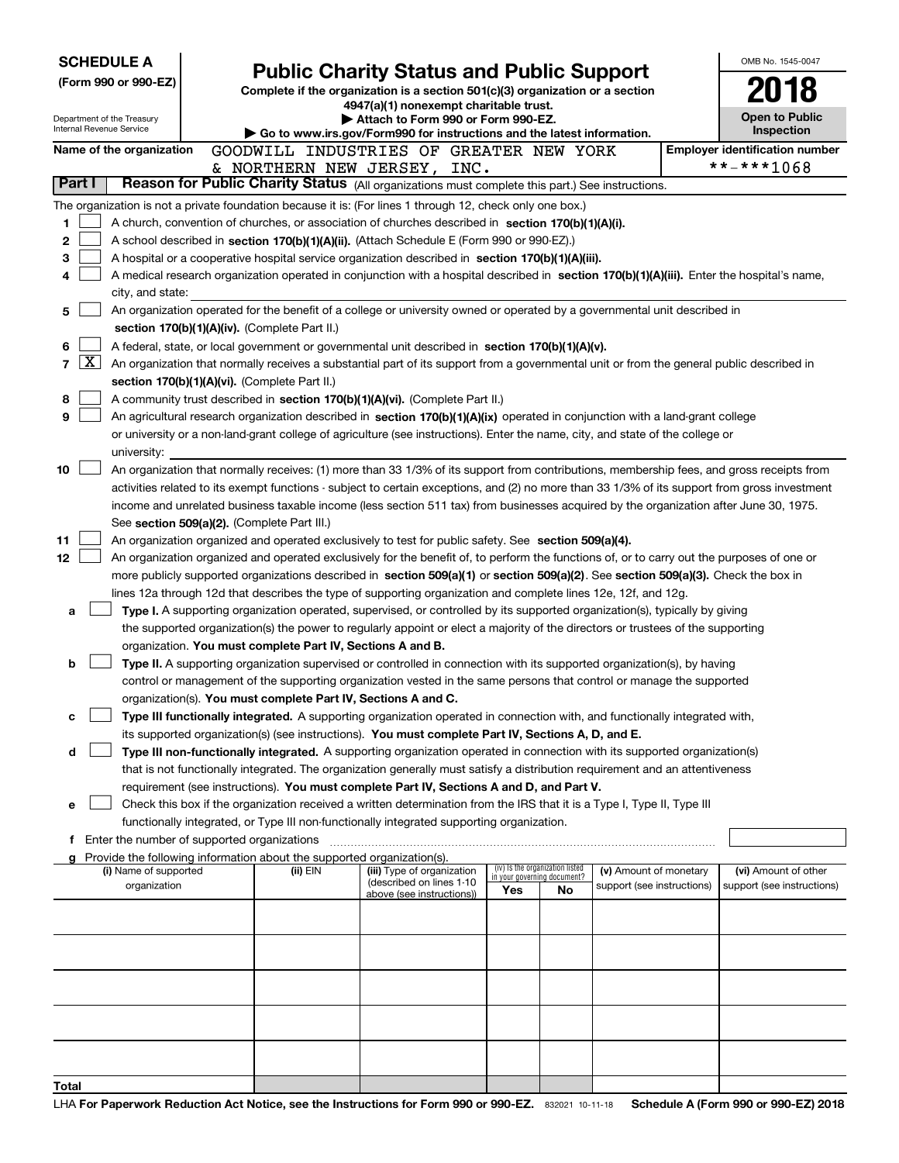| <b>SCHEDULE A</b>                                                                                         |                                                                                                                                                                                                                                                                                  |                                                                                                                                  |                                                                |    |                            |  | OMB No. 1545-0047                                   |  |  |  |
|-----------------------------------------------------------------------------------------------------------|----------------------------------------------------------------------------------------------------------------------------------------------------------------------------------------------------------------------------------------------------------------------------------|----------------------------------------------------------------------------------------------------------------------------------|----------------------------------------------------------------|----|----------------------------|--|-----------------------------------------------------|--|--|--|
| (Form 990 or 990-EZ)                                                                                      |                                                                                                                                                                                                                                                                                  | <b>Public Charity Status and Public Support</b><br>Complete if the organization is a section 501(c)(3) organization or a section |                                                                |    |                            |  |                                                     |  |  |  |
|                                                                                                           |                                                                                                                                                                                                                                                                                  | 4947(a)(1) nonexempt charitable trust.                                                                                           |                                                                |    |                            |  |                                                     |  |  |  |
| Department of the Treasury<br>Internal Revenue Service                                                    |                                                                                                                                                                                                                                                                                  | Attach to Form 990 or Form 990-EZ.                                                                                               |                                                                |    |                            |  | <b>Open to Public</b>                               |  |  |  |
|                                                                                                           |                                                                                                                                                                                                                                                                                  | $\blacktriangleright$ Go to www.irs.gov/Form990 for instructions and the latest information.                                     |                                                                |    |                            |  | <b>Inspection</b>                                   |  |  |  |
| Name of the organization                                                                                  | GOODWILL INDUSTRIES OF GREATER NEW YORK                                                                                                                                                                                                                                          |                                                                                                                                  |                                                                |    |                            |  | <b>Employer identification number</b><br>**-***1068 |  |  |  |
| Part I                                                                                                    | & NORTHERN NEW JERSEY,<br>Reason for Public Charity Status (All organizations must complete this part.) See instructions.                                                                                                                                                        | INC.                                                                                                                             |                                                                |    |                            |  |                                                     |  |  |  |
| The organization is not a private foundation because it is: (For lines 1 through 12, check only one box.) |                                                                                                                                                                                                                                                                                  |                                                                                                                                  |                                                                |    |                            |  |                                                     |  |  |  |
| 1                                                                                                         | A church, convention of churches, or association of churches described in section 170(b)(1)(A)(i).                                                                                                                                                                               |                                                                                                                                  |                                                                |    |                            |  |                                                     |  |  |  |
| 2                                                                                                         | A school described in section 170(b)(1)(A)(ii). (Attach Schedule E (Form 990 or 990-EZ).)                                                                                                                                                                                        |                                                                                                                                  |                                                                |    |                            |  |                                                     |  |  |  |
| 3                                                                                                         | A hospital or a cooperative hospital service organization described in section 170(b)(1)(A)(iii).                                                                                                                                                                                |                                                                                                                                  |                                                                |    |                            |  |                                                     |  |  |  |
| 4                                                                                                         | A medical research organization operated in conjunction with a hospital described in section 170(b)(1)(A)(iii). Enter the hospital's name,                                                                                                                                       |                                                                                                                                  |                                                                |    |                            |  |                                                     |  |  |  |
| city, and state:                                                                                          |                                                                                                                                                                                                                                                                                  |                                                                                                                                  |                                                                |    |                            |  |                                                     |  |  |  |
| 5                                                                                                         | An organization operated for the benefit of a college or university owned or operated by a governmental unit described in                                                                                                                                                        |                                                                                                                                  |                                                                |    |                            |  |                                                     |  |  |  |
|                                                                                                           | section 170(b)(1)(A)(iv). (Complete Part II.)                                                                                                                                                                                                                                    |                                                                                                                                  |                                                                |    |                            |  |                                                     |  |  |  |
| 6                                                                                                         | A federal, state, or local government or governmental unit described in section 170(b)(1)(A)(v).                                                                                                                                                                                 |                                                                                                                                  |                                                                |    |                            |  |                                                     |  |  |  |
| $\mathbf{X}$<br>$\overline{7}$                                                                            | An organization that normally receives a substantial part of its support from a governmental unit or from the general public described in                                                                                                                                        |                                                                                                                                  |                                                                |    |                            |  |                                                     |  |  |  |
|                                                                                                           | section 170(b)(1)(A)(vi). (Complete Part II.)                                                                                                                                                                                                                                    |                                                                                                                                  |                                                                |    |                            |  |                                                     |  |  |  |
| 8<br>9                                                                                                    | A community trust described in section 170(b)(1)(A)(vi). (Complete Part II.)<br>An agricultural research organization described in section 170(b)(1)(A)(ix) operated in conjunction with a land-grant college                                                                    |                                                                                                                                  |                                                                |    |                            |  |                                                     |  |  |  |
|                                                                                                           | or university or a non-land-grant college of agriculture (see instructions). Enter the name, city, and state of the college or                                                                                                                                                   |                                                                                                                                  |                                                                |    |                            |  |                                                     |  |  |  |
| university:                                                                                               |                                                                                                                                                                                                                                                                                  |                                                                                                                                  |                                                                |    |                            |  |                                                     |  |  |  |
| 10                                                                                                        | An organization that normally receives: (1) more than 33 1/3% of its support from contributions, membership fees, and gross receipts from                                                                                                                                        |                                                                                                                                  |                                                                |    |                            |  |                                                     |  |  |  |
|                                                                                                           | activities related to its exempt functions - subject to certain exceptions, and (2) no more than 33 1/3% of its support from gross investment                                                                                                                                    |                                                                                                                                  |                                                                |    |                            |  |                                                     |  |  |  |
|                                                                                                           | income and unrelated business taxable income (less section 511 tax) from businesses acquired by the organization after June 30, 1975.                                                                                                                                            |                                                                                                                                  |                                                                |    |                            |  |                                                     |  |  |  |
|                                                                                                           | See section 509(a)(2). (Complete Part III.)                                                                                                                                                                                                                                      |                                                                                                                                  |                                                                |    |                            |  |                                                     |  |  |  |
| 11                                                                                                        | An organization organized and operated exclusively to test for public safety. See section 509(a)(4).                                                                                                                                                                             |                                                                                                                                  |                                                                |    |                            |  |                                                     |  |  |  |
| 12                                                                                                        | An organization organized and operated exclusively for the benefit of, to perform the functions of, or to carry out the purposes of one or<br>more publicly supported organizations described in section 509(a)(1) or section 509(a)(2). See section 509(a)(3). Check the box in |                                                                                                                                  |                                                                |    |                            |  |                                                     |  |  |  |
|                                                                                                           | lines 12a through 12d that describes the type of supporting organization and complete lines 12e, 12f, and 12g.                                                                                                                                                                   |                                                                                                                                  |                                                                |    |                            |  |                                                     |  |  |  |
| a                                                                                                         | Type I. A supporting organization operated, supervised, or controlled by its supported organization(s), typically by giving                                                                                                                                                      |                                                                                                                                  |                                                                |    |                            |  |                                                     |  |  |  |
|                                                                                                           | the supported organization(s) the power to regularly appoint or elect a majority of the directors or trustees of the supporting                                                                                                                                                  |                                                                                                                                  |                                                                |    |                            |  |                                                     |  |  |  |
|                                                                                                           | organization. You must complete Part IV, Sections A and B.                                                                                                                                                                                                                       |                                                                                                                                  |                                                                |    |                            |  |                                                     |  |  |  |
| b                                                                                                         | Type II. A supporting organization supervised or controlled in connection with its supported organization(s), by having                                                                                                                                                          |                                                                                                                                  |                                                                |    |                            |  |                                                     |  |  |  |
|                                                                                                           | control or management of the supporting organization vested in the same persons that control or manage the supported                                                                                                                                                             |                                                                                                                                  |                                                                |    |                            |  |                                                     |  |  |  |
| с                                                                                                         | organization(s). You must complete Part IV, Sections A and C.<br>Type III functionally integrated. A supporting organization operated in connection with, and functionally integrated with,                                                                                      |                                                                                                                                  |                                                                |    |                            |  |                                                     |  |  |  |
|                                                                                                           | its supported organization(s) (see instructions). You must complete Part IV, Sections A, D, and E.                                                                                                                                                                               |                                                                                                                                  |                                                                |    |                            |  |                                                     |  |  |  |
| d                                                                                                         | Type III non-functionally integrated. A supporting organization operated in connection with its supported organization(s)                                                                                                                                                        |                                                                                                                                  |                                                                |    |                            |  |                                                     |  |  |  |
|                                                                                                           | that is not functionally integrated. The organization generally must satisfy a distribution requirement and an attentiveness                                                                                                                                                     |                                                                                                                                  |                                                                |    |                            |  |                                                     |  |  |  |
|                                                                                                           | requirement (see instructions). You must complete Part IV, Sections A and D, and Part V.                                                                                                                                                                                         |                                                                                                                                  |                                                                |    |                            |  |                                                     |  |  |  |
| е                                                                                                         | Check this box if the organization received a written determination from the IRS that it is a Type I, Type II, Type III                                                                                                                                                          |                                                                                                                                  |                                                                |    |                            |  |                                                     |  |  |  |
|                                                                                                           | functionally integrated, or Type III non-functionally integrated supporting organization.                                                                                                                                                                                        |                                                                                                                                  |                                                                |    |                            |  |                                                     |  |  |  |
| f Enter the number of supported organizations                                                             | Provide the following information about the supported organization(s).                                                                                                                                                                                                           |                                                                                                                                  |                                                                |    |                            |  |                                                     |  |  |  |
| (i) Name of supported                                                                                     | (ii) EIN                                                                                                                                                                                                                                                                         | (iii) Type of organization                                                                                                       | (iv) Is the organization listed<br>in your governing document? |    | (v) Amount of monetary     |  | (vi) Amount of other                                |  |  |  |
| organization                                                                                              |                                                                                                                                                                                                                                                                                  | (described on lines 1-10<br>above (see instructions))                                                                            | Yes                                                            | No | support (see instructions) |  | support (see instructions)                          |  |  |  |
|                                                                                                           |                                                                                                                                                                                                                                                                                  |                                                                                                                                  |                                                                |    |                            |  |                                                     |  |  |  |
|                                                                                                           |                                                                                                                                                                                                                                                                                  |                                                                                                                                  |                                                                |    |                            |  |                                                     |  |  |  |
|                                                                                                           |                                                                                                                                                                                                                                                                                  |                                                                                                                                  |                                                                |    |                            |  |                                                     |  |  |  |
|                                                                                                           |                                                                                                                                                                                                                                                                                  |                                                                                                                                  |                                                                |    |                            |  |                                                     |  |  |  |
|                                                                                                           |                                                                                                                                                                                                                                                                                  |                                                                                                                                  |                                                                |    |                            |  |                                                     |  |  |  |
|                                                                                                           |                                                                                                                                                                                                                                                                                  |                                                                                                                                  |                                                                |    |                            |  |                                                     |  |  |  |
|                                                                                                           |                                                                                                                                                                                                                                                                                  |                                                                                                                                  |                                                                |    |                            |  |                                                     |  |  |  |
|                                                                                                           |                                                                                                                                                                                                                                                                                  |                                                                                                                                  |                                                                |    |                            |  |                                                     |  |  |  |
|                                                                                                           |                                                                                                                                                                                                                                                                                  |                                                                                                                                  |                                                                |    |                            |  |                                                     |  |  |  |
| Total                                                                                                     |                                                                                                                                                                                                                                                                                  |                                                                                                                                  |                                                                |    |                            |  |                                                     |  |  |  |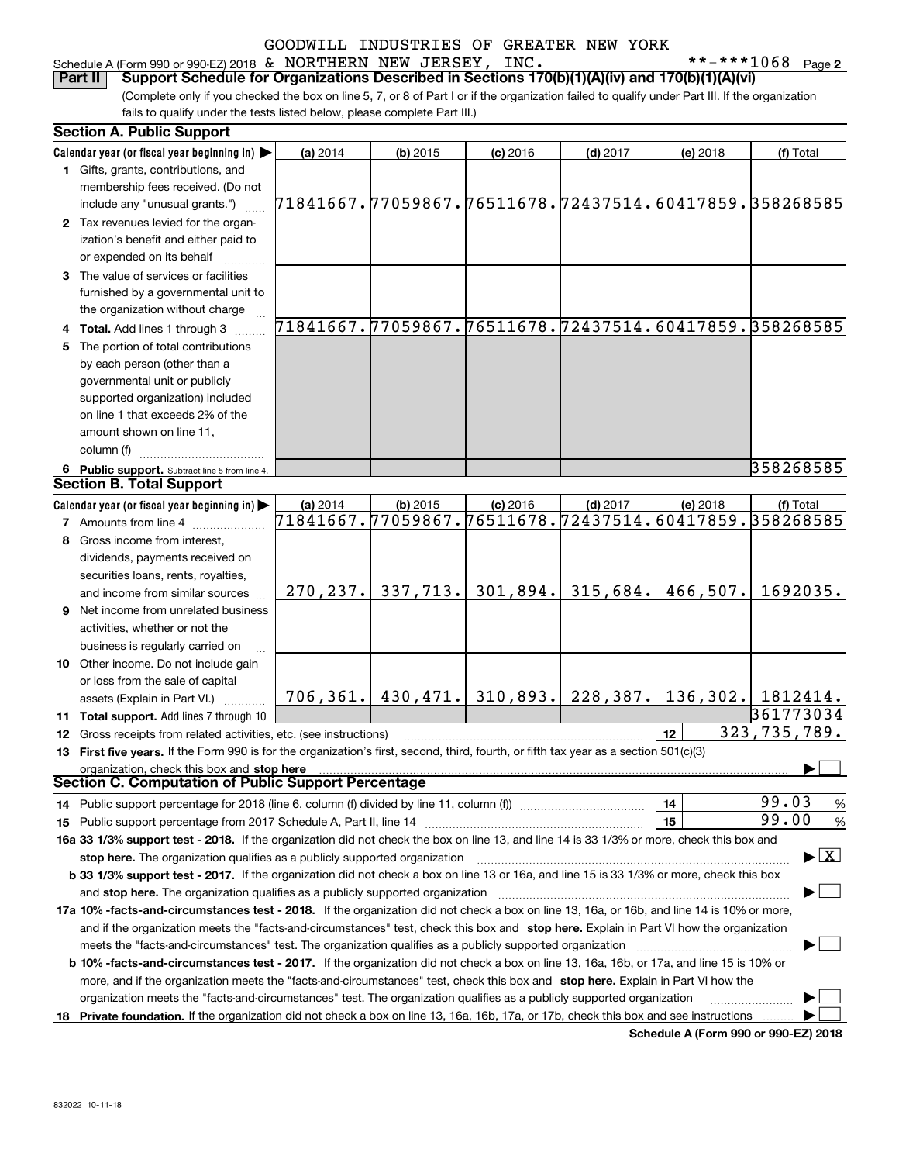| Schedule A (Form 990 or 990-EZ) 2018 $\,\delta\!$ |  |  | NORTHERN | NEW | JERSEY, | INC.           | ****<br>⊥068 | Page 2 |
|---------------------------------------------------|--|--|----------|-----|---------|----------------|--------------|--------|
|                                                   |  |  |          |     |         | ______________ | <del>.</del> |        |

(Complete only if you checked the box on line 5, 7, or 8 of Part I or if the organization failed to qualify under Part III. If the organization fails to qualify under the tests listed below, please complete Part III.) **Part II Support Schedule for Organizations Described in Sections 170(b)(1)(A)(iv) and 170(b)(1)(A)(vi)**

| <b>Section A. Public Support</b>                                                                                                               |                                                        |            |                                   |            |                                 |                                          |
|------------------------------------------------------------------------------------------------------------------------------------------------|--------------------------------------------------------|------------|-----------------------------------|------------|---------------------------------|------------------------------------------|
| Calendar year (or fiscal year beginning in)                                                                                                    | (a) 2014                                               | $(b)$ 2015 | $(c)$ 2016                        | $(d)$ 2017 | (e) 2018                        | (f) Total                                |
| 1 Gifts, grants, contributions, and                                                                                                            |                                                        |            |                                   |            |                                 |                                          |
| membership fees received. (Do not                                                                                                              |                                                        |            |                                   |            |                                 |                                          |
| include any "unusual grants.")                                                                                                                 | 71841667.77059867.76511678.72437514.60417859.358268585 |            |                                   |            |                                 |                                          |
| 2 Tax revenues levied for the organ-                                                                                                           |                                                        |            |                                   |            |                                 |                                          |
| ization's benefit and either paid to                                                                                                           |                                                        |            |                                   |            |                                 |                                          |
| or expended on its behalf                                                                                                                      |                                                        |            |                                   |            |                                 |                                          |
| 3 The value of services or facilities                                                                                                          |                                                        |            |                                   |            |                                 |                                          |
| furnished by a governmental unit to                                                                                                            |                                                        |            |                                   |            |                                 |                                          |
| the organization without charge                                                                                                                |                                                        |            |                                   |            |                                 |                                          |
| 4 Total. Add lines 1 through 3                                                                                                                 | 71841667.77059867.76511678.72437514.60417859.358268585 |            |                                   |            |                                 |                                          |
| 5 The portion of total contributions                                                                                                           |                                                        |            |                                   |            |                                 |                                          |
| by each person (other than a                                                                                                                   |                                                        |            |                                   |            |                                 |                                          |
| governmental unit or publicly                                                                                                                  |                                                        |            |                                   |            |                                 |                                          |
| supported organization) included                                                                                                               |                                                        |            |                                   |            |                                 |                                          |
| on line 1 that exceeds 2% of the                                                                                                               |                                                        |            |                                   |            |                                 |                                          |
| amount shown on line 11,                                                                                                                       |                                                        |            |                                   |            |                                 |                                          |
| column (f)                                                                                                                                     |                                                        |            |                                   |            |                                 |                                          |
| 6 Public support. Subtract line 5 from line 4.                                                                                                 |                                                        |            |                                   |            |                                 | 358268585                                |
| <b>Section B. Total Support</b>                                                                                                                |                                                        |            |                                   |            |                                 |                                          |
| Calendar year (or fiscal year beginning in)                                                                                                    | (a) 2014                                               | $(b)$ 2015 | $(c)$ 2016                        | $(d)$ 2017 | (e) 2018                        | (f) Total                                |
| <b>7</b> Amounts from line 4                                                                                                                   | 71841667.77059867.76511678.72437514.60417859.358268585 |            |                                   |            |                                 |                                          |
| 8 Gross income from interest,                                                                                                                  |                                                        |            |                                   |            |                                 |                                          |
| dividends, payments received on                                                                                                                |                                                        |            |                                   |            |                                 |                                          |
| securities loans, rents, royalties,                                                                                                            |                                                        |            |                                   |            |                                 |                                          |
| and income from similar sources                                                                                                                | 270, 237.                                              | 337,713.   | 301,894.                          | 315,684.   | 466,507.                        | 1692035.                                 |
| <b>9</b> Net income from unrelated business                                                                                                    |                                                        |            |                                   |            |                                 |                                          |
| activities, whether or not the                                                                                                                 |                                                        |            |                                   |            |                                 |                                          |
| business is regularly carried on                                                                                                               |                                                        |            |                                   |            |                                 |                                          |
| 10 Other income. Do not include gain                                                                                                           |                                                        |            |                                   |            |                                 |                                          |
| or loss from the sale of capital                                                                                                               |                                                        |            |                                   |            |                                 |                                          |
| assets (Explain in Part VI.)                                                                                                                   |                                                        |            | 706, 361.   430, 471.   310, 893. | 228,387.   | $\mid$ 136,302. $\mid$ 1812414. |                                          |
| 11 Total support. Add lines 7 through 10                                                                                                       |                                                        |            |                                   |            |                                 | 361773034                                |
| 12 Gross receipts from related activities, etc. (see instructions)                                                                             |                                                        |            |                                   |            | 12                              | 323, 735, 789.                           |
| 13 First five years. If the Form 990 is for the organization's first, second, third, fourth, or fifth tax year as a section 501(c)(3)          |                                                        |            |                                   |            |                                 |                                          |
| organization, check this box and stop here                                                                                                     |                                                        |            |                                   |            |                                 |                                          |
| <b>Section C. Computation of Public Support Percentage</b>                                                                                     |                                                        |            |                                   |            |                                 |                                          |
| 14 Public support percentage for 2018 (line 6, column (f) divided by line 11, column (f) <i>manumeronoming</i>                                 |                                                        |            |                                   |            | 14                              | 99.03<br>%                               |
|                                                                                                                                                |                                                        |            |                                   |            | 15                              | 99.00<br>$\%$                            |
| 16a 33 1/3% support test - 2018. If the organization did not check the box on line 13, and line 14 is 33 1/3% or more, check this box and      |                                                        |            |                                   |            |                                 |                                          |
| stop here. The organization qualifies as a publicly supported organization                                                                     |                                                        |            |                                   |            |                                 | $\blacktriangleright$ $\boxed{\text{X}}$ |
| b 33 1/3% support test - 2017. If the organization did not check a box on line 13 or 16a, and line 15 is 33 1/3% or more, check this box       |                                                        |            |                                   |            |                                 |                                          |
| and stop here. The organization qualifies as a publicly supported organization                                                                 |                                                        |            |                                   |            |                                 |                                          |
| 17a 10% -facts-and-circumstances test - 2018. If the organization did not check a box on line 13, 16a, or 16b, and line 14 is 10% or more,     |                                                        |            |                                   |            |                                 |                                          |
| and if the organization meets the "facts-and-circumstances" test, check this box and stop here. Explain in Part VI how the organization        |                                                        |            |                                   |            |                                 |                                          |
| meets the "facts-and-circumstances" test. The organization qualifies as a publicly supported organization                                      |                                                        |            |                                   |            |                                 |                                          |
| <b>b 10% -facts-and-circumstances test - 2017.</b> If the organization did not check a box on line 13, 16a, 16b, or 17a, and line 15 is 10% or |                                                        |            |                                   |            |                                 |                                          |
| more, and if the organization meets the "facts-and-circumstances" test, check this box and stop here. Explain in Part VI how the               |                                                        |            |                                   |            |                                 |                                          |
| organization meets the "facts-and-circumstances" test. The organization qualifies as a publicly supported organization                         |                                                        |            |                                   |            |                                 |                                          |
| 18 Private foundation. If the organization did not check a box on line 13, 16a, 16b, 17a, or 17b, check this box and see instructions          |                                                        |            |                                   |            |                                 |                                          |
|                                                                                                                                                |                                                        |            |                                   |            |                                 |                                          |

**Schedule A (Form 990 or 990-EZ) 2018**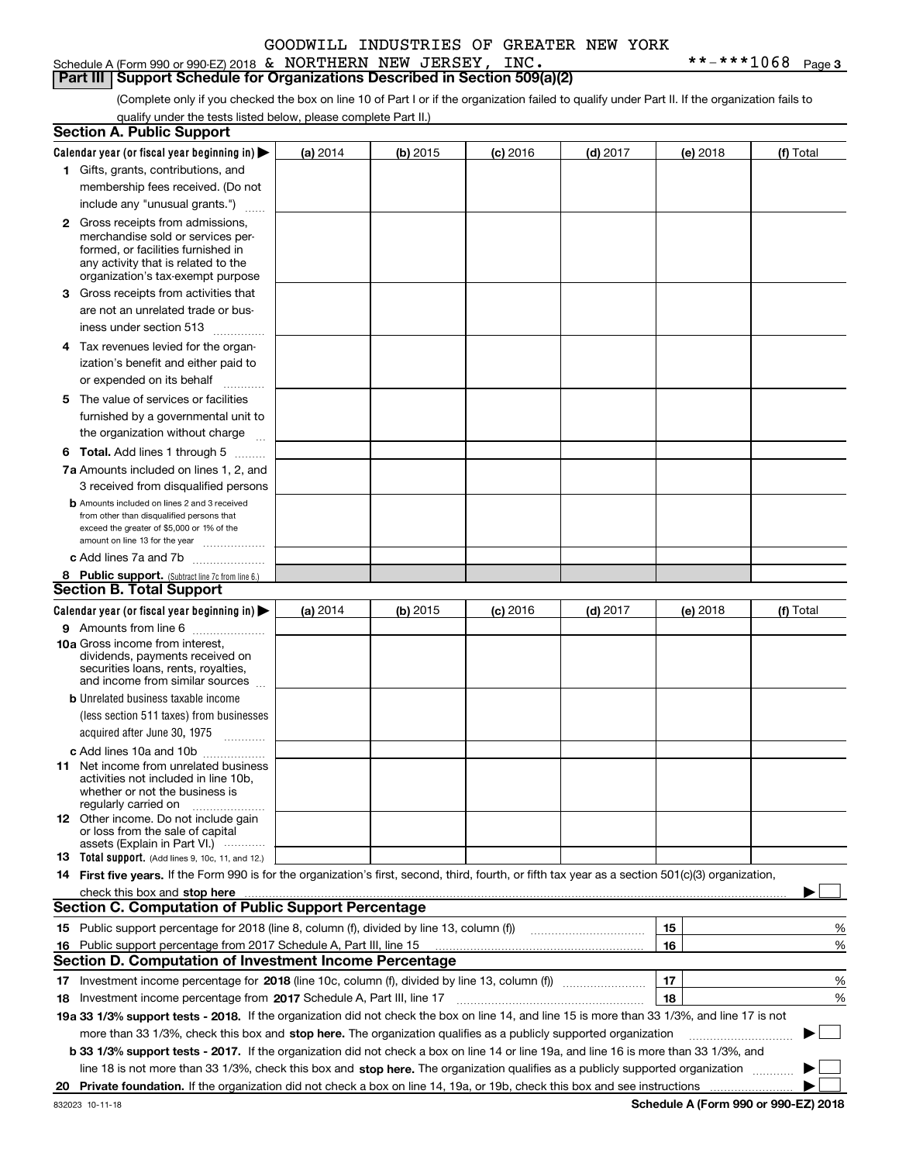### Schedule A (Form 990 or 990-EZ) 2018 Page & NORTHERN NEW JERSEY, INC. \*\*-\*\*\*1068

**Part III Support Schedule for Organizations Described in Section 509(a)(2)** 

(Complete only if you checked the box on line 10 of Part I or if the organization failed to qualify under Part II. If the organization fails to qualify under the tests listed below, please complete Part II.)

|     | <b>Section A. Public Support</b>                                                                                                                                                                                               |          |          |            |            |          |           |
|-----|--------------------------------------------------------------------------------------------------------------------------------------------------------------------------------------------------------------------------------|----------|----------|------------|------------|----------|-----------|
|     | Calendar year (or fiscal year beginning in) $\blacktriangleright$                                                                                                                                                              | (a) 2014 | (b) 2015 | $(c)$ 2016 | $(d)$ 2017 | (e) 2018 | (f) Total |
|     | 1 Gifts, grants, contributions, and                                                                                                                                                                                            |          |          |            |            |          |           |
|     | membership fees received. (Do not                                                                                                                                                                                              |          |          |            |            |          |           |
|     | include any "unusual grants.")                                                                                                                                                                                                 |          |          |            |            |          |           |
|     | <b>2</b> Gross receipts from admissions,                                                                                                                                                                                       |          |          |            |            |          |           |
|     | merchandise sold or services per-                                                                                                                                                                                              |          |          |            |            |          |           |
|     | formed, or facilities furnished in                                                                                                                                                                                             |          |          |            |            |          |           |
|     | any activity that is related to the<br>organization's tax-exempt purpose                                                                                                                                                       |          |          |            |            |          |           |
|     | 3 Gross receipts from activities that                                                                                                                                                                                          |          |          |            |            |          |           |
|     |                                                                                                                                                                                                                                |          |          |            |            |          |           |
|     | are not an unrelated trade or bus-                                                                                                                                                                                             |          |          |            |            |          |           |
|     | iness under section 513                                                                                                                                                                                                        |          |          |            |            |          |           |
|     | 4 Tax revenues levied for the organ-                                                                                                                                                                                           |          |          |            |            |          |           |
|     | ization's benefit and either paid to                                                                                                                                                                                           |          |          |            |            |          |           |
|     | or expended on its behalf                                                                                                                                                                                                      |          |          |            |            |          |           |
|     | 5 The value of services or facilities                                                                                                                                                                                          |          |          |            |            |          |           |
|     | furnished by a governmental unit to                                                                                                                                                                                            |          |          |            |            |          |           |
|     | the organization without charge                                                                                                                                                                                                |          |          |            |            |          |           |
|     | <b>6 Total.</b> Add lines 1 through 5                                                                                                                                                                                          |          |          |            |            |          |           |
|     | 7a Amounts included on lines 1, 2, and                                                                                                                                                                                         |          |          |            |            |          |           |
|     | 3 received from disqualified persons                                                                                                                                                                                           |          |          |            |            |          |           |
|     | <b>b</b> Amounts included on lines 2 and 3 received                                                                                                                                                                            |          |          |            |            |          |           |
|     | from other than disqualified persons that                                                                                                                                                                                      |          |          |            |            |          |           |
|     | exceed the greater of \$5,000 or 1% of the<br>amount on line 13 for the year                                                                                                                                                   |          |          |            |            |          |           |
|     | c Add lines 7a and 7b                                                                                                                                                                                                          |          |          |            |            |          |           |
|     | 8 Public support. (Subtract line 7c from line 6.)                                                                                                                                                                              |          |          |            |            |          |           |
|     | <b>Section B. Total Support</b>                                                                                                                                                                                                |          |          |            |            |          |           |
|     | Calendar year (or fiscal year beginning in)                                                                                                                                                                                    | (a) 2014 | (b) 2015 | $(c)$ 2016 | $(d)$ 2017 | (e) 2018 | (f) Total |
|     | 9 Amounts from line 6                                                                                                                                                                                                          |          |          |            |            |          |           |
|     | <b>10a</b> Gross income from interest,                                                                                                                                                                                         |          |          |            |            |          |           |
|     | dividends, payments received on                                                                                                                                                                                                |          |          |            |            |          |           |
|     | securities loans, rents, royalties,                                                                                                                                                                                            |          |          |            |            |          |           |
|     | and income from similar sources                                                                                                                                                                                                |          |          |            |            |          |           |
|     | <b>b</b> Unrelated business taxable income                                                                                                                                                                                     |          |          |            |            |          |           |
|     | (less section 511 taxes) from businesses                                                                                                                                                                                       |          |          |            |            |          |           |
|     | acquired after June 30, 1975                                                                                                                                                                                                   |          |          |            |            |          |           |
|     | c Add lines 10a and 10b                                                                                                                                                                                                        |          |          |            |            |          |           |
|     | 11 Net income from unrelated business<br>activities not included in line 10b,                                                                                                                                                  |          |          |            |            |          |           |
|     | whether or not the business is                                                                                                                                                                                                 |          |          |            |            |          |           |
|     | regularly carried on                                                                                                                                                                                                           |          |          |            |            |          |           |
|     | 12 Other income. Do not include gain                                                                                                                                                                                           |          |          |            |            |          |           |
|     | or loss from the sale of capital<br>assets (Explain in Part VI.)                                                                                                                                                               |          |          |            |            |          |           |
|     | 13 Total support. (Add lines 9, 10c, 11, and 12.)                                                                                                                                                                              |          |          |            |            |          |           |
|     | 14 First five years. If the Form 990 is for the organization's first, second, third, fourth, or fifth tax year as a section 501(c)(3) organization,                                                                            |          |          |            |            |          |           |
|     | check this box and stop here measurement content to the state of the state of the state of the state of the state of the state of the state of the state of the state of the state of the state of the state of the state of t |          |          |            |            |          |           |
|     | <b>Section C. Computation of Public Support Percentage</b>                                                                                                                                                                     |          |          |            |            |          |           |
|     | 15 Public support percentage for 2018 (line 8, column (f), divided by line 13, column (f))                                                                                                                                     |          |          |            |            | 15       | %         |
| 16. | Public support percentage from 2017 Schedule A, Part III, line 15                                                                                                                                                              |          |          |            |            | 16       | %         |
|     | <b>Section D. Computation of Investment Income Percentage</b>                                                                                                                                                                  |          |          |            |            |          |           |
|     | 17 Investment income percentage for 2018 (line 10c, column (f), divided by line 13, column (f))                                                                                                                                |          |          |            |            | 17       | %         |
|     | 18 Investment income percentage from 2017 Schedule A, Part III, line 17                                                                                                                                                        |          |          |            |            | 18       | %         |
|     | 19a 33 1/3% support tests - 2018. If the organization did not check the box on line 14, and line 15 is more than 33 1/3%, and line 17 is not                                                                                   |          |          |            |            |          |           |
|     | more than 33 1/3%, check this box and stop here. The organization qualifies as a publicly supported organization                                                                                                               |          |          |            |            |          |           |
|     |                                                                                                                                                                                                                                |          |          |            |            |          |           |
|     | b 33 1/3% support tests - 2017. If the organization did not check a box on line 14 or line 19a, and line 16 is more than 33 1/3%, and                                                                                          |          |          |            |            |          |           |
|     | line 18 is not more than 33 1/3%, check this box and stop here. The organization qualifies as a publicly supported organization                                                                                                |          |          |            |            |          |           |
| 20  |                                                                                                                                                                                                                                |          |          |            |            |          |           |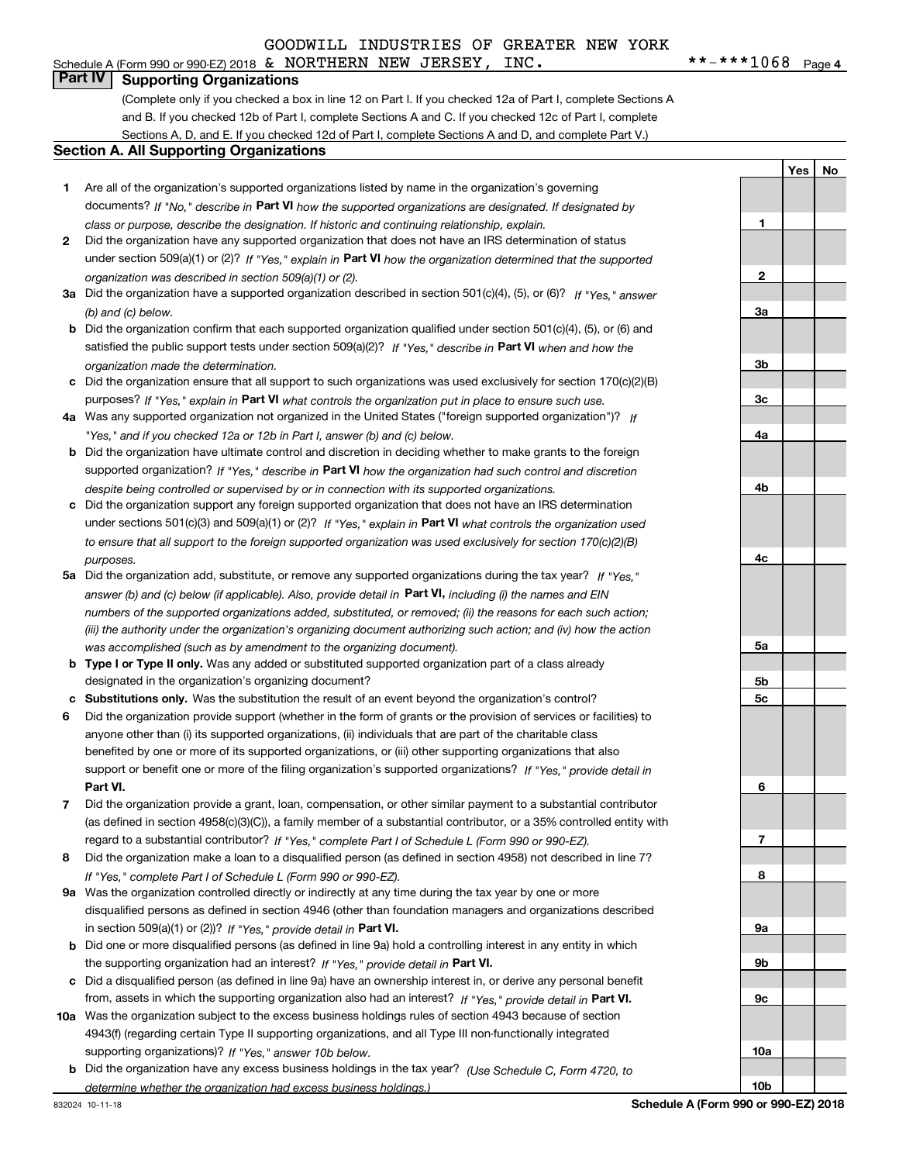### **Part IV Supporting Organizations**

(Complete only if you checked a box in line 12 on Part I. If you checked 12a of Part I, complete Sections A and B. If you checked 12b of Part I, complete Sections A and C. If you checked 12c of Part I, complete Sections A, D, and E. If you checked 12d of Part I, complete Sections A and D, and complete Part V.)

#### **Section A. All Supporting Organizations**

- **1** Are all of the organization's supported organizations listed by name in the organization's governing documents? If "No," describe in **Part VI** how the supported organizations are designated. If designated by *class or purpose, describe the designation. If historic and continuing relationship, explain.*
- **2** Did the organization have any supported organization that does not have an IRS determination of status under section 509(a)(1) or (2)? If "Yes," explain in Part VI how the organization determined that the supported *organization was described in section 509(a)(1) or (2).*
- **3a** Did the organization have a supported organization described in section 501(c)(4), (5), or (6)? If "Yes," answer *(b) and (c) below.*
- **b** Did the organization confirm that each supported organization qualified under section 501(c)(4), (5), or (6) and satisfied the public support tests under section 509(a)(2)? If "Yes," describe in **Part VI** when and how the *organization made the determination.*
- **c**Did the organization ensure that all support to such organizations was used exclusively for section 170(c)(2)(B) purposes? If "Yes," explain in **Part VI** what controls the organization put in place to ensure such use.
- **4a***If* Was any supported organization not organized in the United States ("foreign supported organization")? *"Yes," and if you checked 12a or 12b in Part I, answer (b) and (c) below.*
- **b** Did the organization have ultimate control and discretion in deciding whether to make grants to the foreign supported organization? If "Yes," describe in **Part VI** how the organization had such control and discretion *despite being controlled or supervised by or in connection with its supported organizations.*
- **c** Did the organization support any foreign supported organization that does not have an IRS determination under sections 501(c)(3) and 509(a)(1) or (2)? If "Yes," explain in **Part VI** what controls the organization used *to ensure that all support to the foreign supported organization was used exclusively for section 170(c)(2)(B) purposes.*
- **5a***If "Yes,"* Did the organization add, substitute, or remove any supported organizations during the tax year? answer (b) and (c) below (if applicable). Also, provide detail in **Part VI,** including (i) the names and EIN *numbers of the supported organizations added, substituted, or removed; (ii) the reasons for each such action; (iii) the authority under the organization's organizing document authorizing such action; and (iv) how the action was accomplished (such as by amendment to the organizing document).*
- **b** Type I or Type II only. Was any added or substituted supported organization part of a class already designated in the organization's organizing document?
- **cSubstitutions only.**  Was the substitution the result of an event beyond the organization's control?
- **6** Did the organization provide support (whether in the form of grants or the provision of services or facilities) to **Part VI.** *If "Yes," provide detail in* support or benefit one or more of the filing organization's supported organizations? anyone other than (i) its supported organizations, (ii) individuals that are part of the charitable class benefited by one or more of its supported organizations, or (iii) other supporting organizations that also
- **7**Did the organization provide a grant, loan, compensation, or other similar payment to a substantial contributor *If "Yes," complete Part I of Schedule L (Form 990 or 990-EZ).* regard to a substantial contributor? (as defined in section 4958(c)(3)(C)), a family member of a substantial contributor, or a 35% controlled entity with
- **8** Did the organization make a loan to a disqualified person (as defined in section 4958) not described in line 7? *If "Yes," complete Part I of Schedule L (Form 990 or 990-EZ).*
- **9a** Was the organization controlled directly or indirectly at any time during the tax year by one or more in section 509(a)(1) or (2))? If "Yes," *provide detail in* <code>Part VI.</code> disqualified persons as defined in section 4946 (other than foundation managers and organizations described
- **b** Did one or more disqualified persons (as defined in line 9a) hold a controlling interest in any entity in which the supporting organization had an interest? If "Yes," provide detail in P**art VI**.
- **c**Did a disqualified person (as defined in line 9a) have an ownership interest in, or derive any personal benefit from, assets in which the supporting organization also had an interest? If "Yes," provide detail in P**art VI.**
- **10a** Was the organization subject to the excess business holdings rules of section 4943 because of section supporting organizations)? If "Yes," answer 10b below. 4943(f) (regarding certain Type II supporting organizations, and all Type III non-functionally integrated
- **b** Did the organization have any excess business holdings in the tax year? (Use Schedule C, Form 4720, to *determine whether the organization had excess business holdings.)*

**1**

**2**

**3a**

**3b**

**3c**

**4a**

**4b**

**4c**

**5a**

**5b5c**

**6**

**7**

**8**

**9a**

**9b**

**9c**

**10a**

**10b**

**YesNo**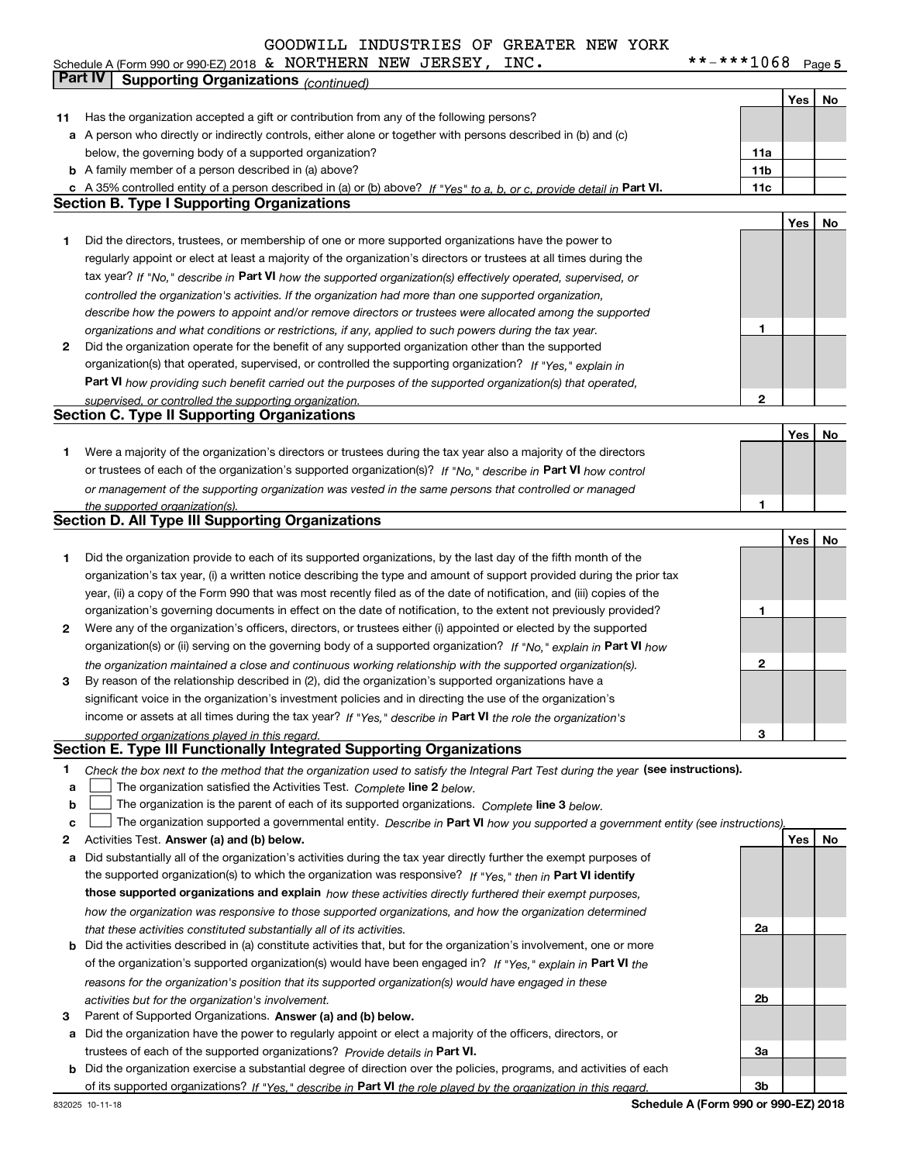| Schedule A (Form 990 or 990-EZ) 2018 $\,$ & NORTHERN NEW JERSEY, |  |  | INC. | $***$ $***$ 1068 | Page |
|------------------------------------------------------------------|--|--|------|------------------|------|
|                                                                  |  |  |      |                  |      |

**5**

|        | Part IV<br>Supporting Organizations (continued)                                                                                                                                                                                  |                 |     |    |
|--------|----------------------------------------------------------------------------------------------------------------------------------------------------------------------------------------------------------------------------------|-----------------|-----|----|
|        |                                                                                                                                                                                                                                  |                 | Yes | No |
| 11     | Has the organization accepted a gift or contribution from any of the following persons?                                                                                                                                          |                 |     |    |
| a      | A person who directly or indirectly controls, either alone or together with persons described in (b) and (c)                                                                                                                     |                 |     |    |
|        | below, the governing body of a supported organization?                                                                                                                                                                           | 11a             |     |    |
|        | <b>b</b> A family member of a person described in (a) above?                                                                                                                                                                     | 11 <sub>b</sub> |     |    |
|        | c A 35% controlled entity of a person described in (a) or (b) above? If "Yes" to a, b, or c, provide detail in Part VI.                                                                                                          | 11c             |     |    |
|        | <b>Section B. Type I Supporting Organizations</b>                                                                                                                                                                                |                 |     |    |
|        |                                                                                                                                                                                                                                  |                 | Yes | No |
| 1      | Did the directors, trustees, or membership of one or more supported organizations have the power to                                                                                                                              |                 |     |    |
|        | regularly appoint or elect at least a majority of the organization's directors or trustees at all times during the                                                                                                               |                 |     |    |
|        | tax year? If "No," describe in Part VI how the supported organization(s) effectively operated, supervised, or                                                                                                                    |                 |     |    |
|        | controlled the organization's activities. If the organization had more than one supported organization,                                                                                                                          |                 |     |    |
|        | describe how the powers to appoint and/or remove directors or trustees were allocated among the supported                                                                                                                        |                 |     |    |
|        | organizations and what conditions or restrictions, if any, applied to such powers during the tax year.                                                                                                                           | 1               |     |    |
| 2      | Did the organization operate for the benefit of any supported organization other than the supported                                                                                                                              |                 |     |    |
|        | organization(s) that operated, supervised, or controlled the supporting organization? If "Yes," explain in                                                                                                                       |                 |     |    |
|        | Part VI how providing such benefit carried out the purposes of the supported organization(s) that operated,                                                                                                                      |                 |     |    |
|        | supervised, or controlled the supporting organization.                                                                                                                                                                           | 2               |     |    |
|        | <b>Section C. Type II Supporting Organizations</b>                                                                                                                                                                               |                 |     |    |
|        |                                                                                                                                                                                                                                  |                 | Yes | No |
| 1      | Were a majority of the organization's directors or trustees during the tax year also a majority of the directors                                                                                                                 |                 |     |    |
|        | or trustees of each of the organization's supported organization(s)? If "No," describe in Part VI how control                                                                                                                    |                 |     |    |
|        | or management of the supporting organization was vested in the same persons that controlled or managed                                                                                                                           |                 |     |    |
|        | the supported organization(s).<br><b>Section D. All Type III Supporting Organizations</b>                                                                                                                                        | 1               |     |    |
|        |                                                                                                                                                                                                                                  |                 | Yes | No |
| 1      | Did the organization provide to each of its supported organizations, by the last day of the fifth month of the                                                                                                                   |                 |     |    |
|        | organization's tax year, (i) a written notice describing the type and amount of support provided during the prior tax                                                                                                            |                 |     |    |
|        | year, (ii) a copy of the Form 990 that was most recently filed as of the date of notification, and (iii) copies of the                                                                                                           |                 |     |    |
|        | organization's governing documents in effect on the date of notification, to the extent not previously provided?                                                                                                                 | 1               |     |    |
| 2      | Were any of the organization's officers, directors, or trustees either (i) appointed or elected by the supported                                                                                                                 |                 |     |    |
|        | organization(s) or (ii) serving on the governing body of a supported organization? If "No," explain in Part VI how                                                                                                               |                 |     |    |
|        | the organization maintained a close and continuous working relationship with the supported organization(s).                                                                                                                      | 2               |     |    |
| з      | By reason of the relationship described in (2), did the organization's supported organizations have a                                                                                                                            |                 |     |    |
|        | significant voice in the organization's investment policies and in directing the use of the organization's                                                                                                                       |                 |     |    |
|        | income or assets at all times during the tax year? If "Yes," describe in Part VI the role the organization's                                                                                                                     |                 |     |    |
|        | supported organizations played in this regard.                                                                                                                                                                                   | 3               |     |    |
|        | Section E. Type III Functionally Integrated Supporting Organizations                                                                                                                                                             |                 |     |    |
| 1      | Check the box next to the method that the organization used to satisfy the Integral Part Test during the year (see instructions).                                                                                                |                 |     |    |
| a      | The organization satisfied the Activities Test. Complete line 2 below.                                                                                                                                                           |                 |     |    |
| b<br>c | The organization is the parent of each of its supported organizations. Complete line 3 below.<br>The organization supported a governmental entity. Describe in Part VI how you supported a government entity (see instructions), |                 |     |    |
| 2      | Activities Test. Answer (a) and (b) below.                                                                                                                                                                                       |                 | Yes | No |
| а      | Did substantially all of the organization's activities during the tax year directly further the exempt purposes of                                                                                                               |                 |     |    |
|        | the supported organization(s) to which the organization was responsive? If "Yes," then in Part VI identify                                                                                                                       |                 |     |    |
|        | those supported organizations and explain how these activities directly furthered their exempt purposes,                                                                                                                         |                 |     |    |
|        | how the organization was responsive to those supported organizations, and how the organization determined                                                                                                                        |                 |     |    |
|        | that these activities constituted substantially all of its activities.                                                                                                                                                           | 2a              |     |    |
|        | <b>b</b> Did the activities described in (a) constitute activities that, but for the organization's involvement, one or more                                                                                                     |                 |     |    |
|        | of the organization's supported organization(s) would have been engaged in? If "Yes," explain in Part VI the                                                                                                                     |                 |     |    |
|        | reasons for the organization's position that its supported organization(s) would have engaged in these                                                                                                                           |                 |     |    |
|        | activities but for the organization's involvement.                                                                                                                                                                               | 2b              |     |    |
| з      | Parent of Supported Organizations. Answer (a) and (b) below.                                                                                                                                                                     |                 |     |    |
| а      | Did the organization have the power to regularly appoint or elect a majority of the officers, directors, or                                                                                                                      |                 |     |    |
|        | trustees of each of the supported organizations? Provide details in Part VI.                                                                                                                                                     | За              |     |    |
|        | <b>b</b> Did the organization exercise a substantial degree of direction over the policies, programs, and activities of each                                                                                                     |                 |     |    |
|        | of its supported organizations? If "Yes," describe in Part VI the role played by the organization in this regard.                                                                                                                | Зb              |     |    |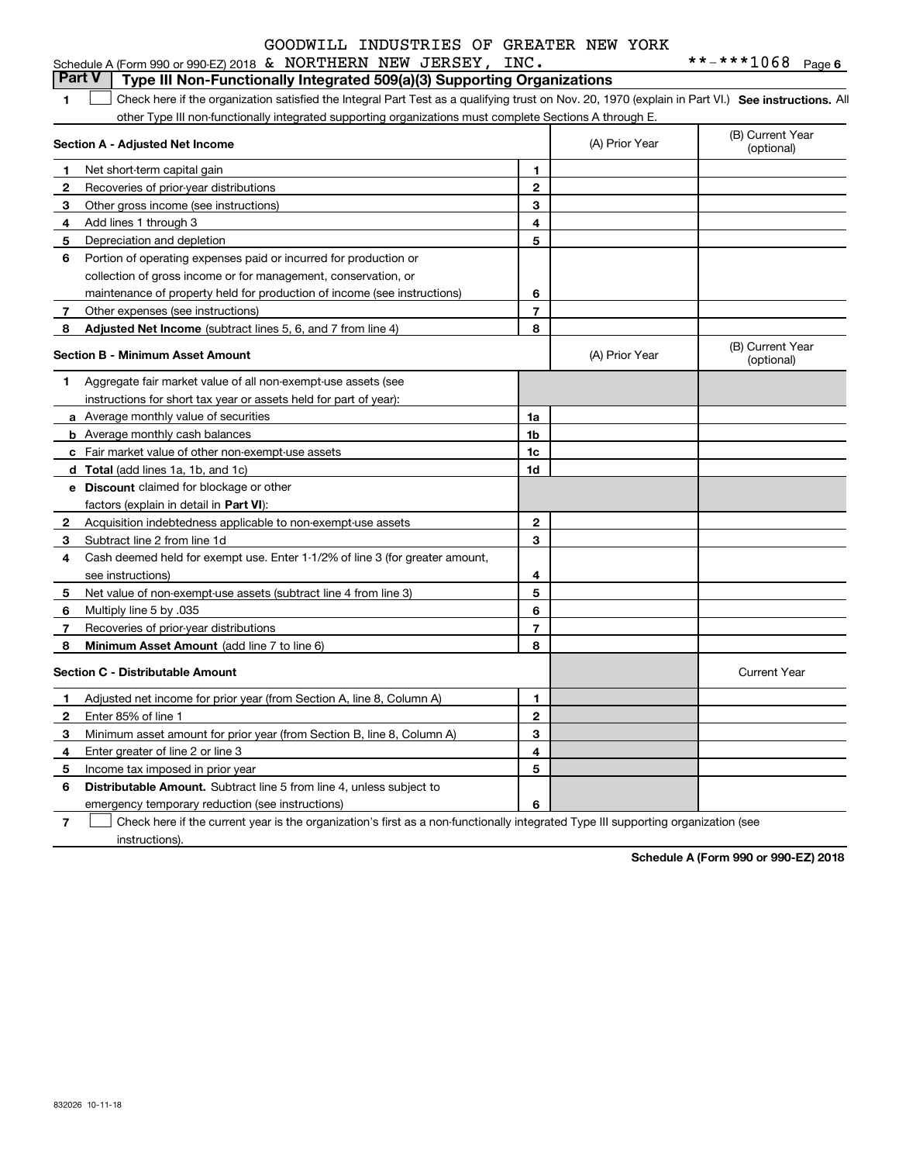| Schedule A (Form 990 or 990-EZ) 2018 & NORTHERN NEW JERSEY, INC.                                                                                   |  |
|----------------------------------------------------------------------------------------------------------------------------------------------------|--|
| <b>Part V</b> Type III Non-Functionally Integrated 509(a)(3) Supporting Organizations                                                              |  |
| Check here if the organization satisfied the Integral Part Test as a qualifying trust on Nov. 20, 1970 (explain in Part VI.) See instructions. All |  |
| other Type III non-functionally integrated supporting organizations must complete Sections A through E.                                            |  |

|              | Section A - Adjusted Net Income                                              | (A) Prior Year | (B) Current Year<br>(optional) |                                |
|--------------|------------------------------------------------------------------------------|----------------|--------------------------------|--------------------------------|
| 1            | Net short-term capital gain                                                  | 1              |                                |                                |
| 2            | Recoveries of prior-year distributions                                       | $\overline{2}$ |                                |                                |
| 3            | Other gross income (see instructions)                                        | 3              |                                |                                |
| 4            | Add lines 1 through 3                                                        | 4              |                                |                                |
| 5            | Depreciation and depletion                                                   | 5              |                                |                                |
| 6            | Portion of operating expenses paid or incurred for production or             |                |                                |                                |
|              | collection of gross income or for management, conservation, or               |                |                                |                                |
|              | maintenance of property held for production of income (see instructions)     | 6              |                                |                                |
| 7            | Other expenses (see instructions)                                            | $\overline{7}$ |                                |                                |
| 8            | Adjusted Net Income (subtract lines 5, 6, and 7 from line 4)                 | 8              |                                |                                |
|              | <b>Section B - Minimum Asset Amount</b>                                      |                | (A) Prior Year                 | (B) Current Year<br>(optional) |
| 1            | Aggregate fair market value of all non-exempt-use assets (see                |                |                                |                                |
|              | instructions for short tax year or assets held for part of year):            |                |                                |                                |
|              | a Average monthly value of securities                                        | 1a             |                                |                                |
|              | <b>b</b> Average monthly cash balances                                       | 1b             |                                |                                |
|              | c Fair market value of other non-exempt-use assets                           | 1c             |                                |                                |
|              | d Total (add lines 1a, 1b, and 1c)                                           | 1d             |                                |                                |
|              | <b>e</b> Discount claimed for blockage or other                              |                |                                |                                |
|              | factors (explain in detail in Part VI):                                      |                |                                |                                |
| 2            | Acquisition indebtedness applicable to non-exempt-use assets                 | $\mathbf{2}$   |                                |                                |
| 3            | Subtract line 2 from line 1d                                                 | 3              |                                |                                |
| 4            | Cash deemed held for exempt use. Enter 1-1/2% of line 3 (for greater amount, |                |                                |                                |
|              | see instructions)                                                            | 4              |                                |                                |
| 5            | Net value of non-exempt-use assets (subtract line 4 from line 3)             | 5              |                                |                                |
| 6            | Multiply line 5 by .035                                                      | 6              |                                |                                |
| 7            | Recoveries of prior-year distributions                                       | $\overline{7}$ |                                |                                |
| 8            | Minimum Asset Amount (add line 7 to line 6)                                  | 8              |                                |                                |
|              | Section C - Distributable Amount                                             |                |                                | <b>Current Year</b>            |
| 1            | Adjusted net income for prior year (from Section A, line 8, Column A)        | 1              |                                |                                |
| $\mathbf{2}$ | Enter 85% of line 1                                                          | $\mathbf{2}$   |                                |                                |
| З            | Minimum asset amount for prior year (from Section B, line 8, Column A)       | 3              |                                |                                |
| 4            | Enter greater of line 2 or line 3                                            | 4              |                                |                                |
| 5            | Income tax imposed in prior year                                             | 5              |                                |                                |
| 6            | <b>Distributable Amount.</b> Subtract line 5 from line 4, unless subject to  |                |                                |                                |
|              | emergency temporary reduction (see instructions)                             | 6              |                                |                                |
|              |                                                                              |                |                                |                                |

**7** Check here if the current year is the organization's first as a non-functionally integrated Type III supporting organization (see instructions).

**Schedule A (Form 990 or 990-EZ) 2018**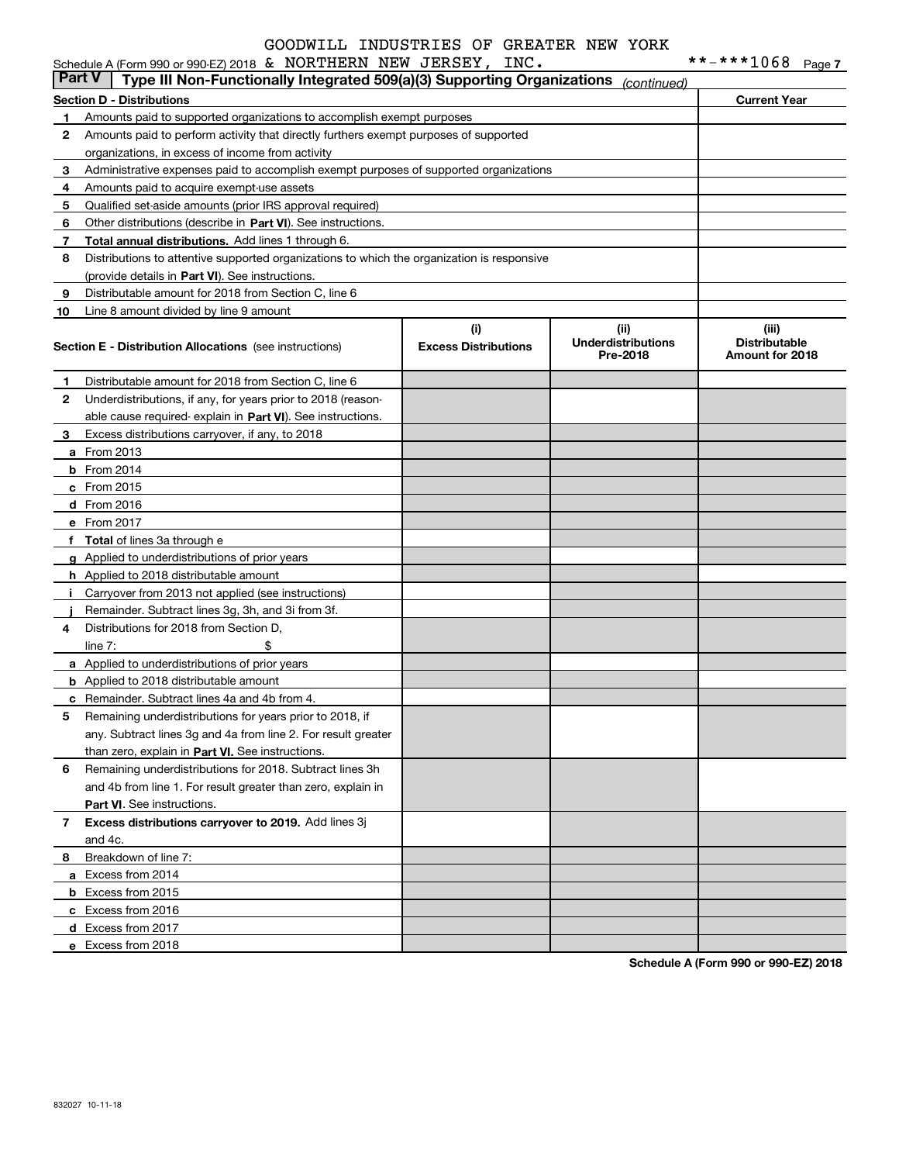|                                                         | <b>Part V</b><br>Type III Non-Functionally Integrated 509(a)(3) Supporting Organizations   |                                    | (continued)                                   |                                                  |  |  |
|---------------------------------------------------------|--------------------------------------------------------------------------------------------|------------------------------------|-----------------------------------------------|--------------------------------------------------|--|--|
| <b>Section D - Distributions</b><br><b>Current Year</b> |                                                                                            |                                    |                                               |                                                  |  |  |
| 1.                                                      | Amounts paid to supported organizations to accomplish exempt purposes                      |                                    |                                               |                                                  |  |  |
| 2                                                       | Amounts paid to perform activity that directly furthers exempt purposes of supported       |                                    |                                               |                                                  |  |  |
|                                                         | organizations, in excess of income from activity                                           |                                    |                                               |                                                  |  |  |
| 3                                                       | Administrative expenses paid to accomplish exempt purposes of supported organizations      |                                    |                                               |                                                  |  |  |
| 4                                                       | Amounts paid to acquire exempt-use assets                                                  |                                    |                                               |                                                  |  |  |
| 5                                                       | Qualified set-aside amounts (prior IRS approval required)                                  |                                    |                                               |                                                  |  |  |
| 6                                                       | Other distributions (describe in Part VI). See instructions.                               |                                    |                                               |                                                  |  |  |
| 7                                                       | Total annual distributions. Add lines 1 through 6.                                         |                                    |                                               |                                                  |  |  |
| 8                                                       | Distributions to attentive supported organizations to which the organization is responsive |                                    |                                               |                                                  |  |  |
|                                                         | (provide details in Part VI). See instructions.                                            |                                    |                                               |                                                  |  |  |
| 9                                                       | Distributable amount for 2018 from Section C, line 6                                       |                                    |                                               |                                                  |  |  |
| 10                                                      | Line 8 amount divided by line 9 amount                                                     |                                    |                                               |                                                  |  |  |
|                                                         | <b>Section E - Distribution Allocations</b> (see instructions)                             | (i)<br><b>Excess Distributions</b> | (ii)<br><b>Underdistributions</b><br>Pre-2018 | (iii)<br><b>Distributable</b><br>Amount for 2018 |  |  |
| 1.                                                      | Distributable amount for 2018 from Section C, line 6                                       |                                    |                                               |                                                  |  |  |
| $\mathbf{2}$                                            | Underdistributions, if any, for years prior to 2018 (reason-                               |                                    |                                               |                                                  |  |  |
|                                                         | able cause required-explain in Part VI). See instructions.                                 |                                    |                                               |                                                  |  |  |
| з                                                       | Excess distributions carryover, if any, to 2018                                            |                                    |                                               |                                                  |  |  |
|                                                         | <b>a</b> From 2013                                                                         |                                    |                                               |                                                  |  |  |
|                                                         | $b$ From 2014                                                                              |                                    |                                               |                                                  |  |  |
|                                                         | c From 2015                                                                                |                                    |                                               |                                                  |  |  |
|                                                         | d From 2016                                                                                |                                    |                                               |                                                  |  |  |
|                                                         | e From 2017                                                                                |                                    |                                               |                                                  |  |  |
|                                                         | f Total of lines 3a through e                                                              |                                    |                                               |                                                  |  |  |
|                                                         | g Applied to underdistributions of prior years                                             |                                    |                                               |                                                  |  |  |
|                                                         | <b>h</b> Applied to 2018 distributable amount                                              |                                    |                                               |                                                  |  |  |
| Ť.                                                      | Carryover from 2013 not applied (see instructions)                                         |                                    |                                               |                                                  |  |  |
|                                                         | Remainder. Subtract lines 3g, 3h, and 3i from 3f.                                          |                                    |                                               |                                                  |  |  |
| 4                                                       | Distributions for 2018 from Section D,                                                     |                                    |                                               |                                                  |  |  |
|                                                         | \$<br>line $7:$                                                                            |                                    |                                               |                                                  |  |  |
|                                                         | <b>a</b> Applied to underdistributions of prior years                                      |                                    |                                               |                                                  |  |  |
|                                                         | <b>b</b> Applied to 2018 distributable amount                                              |                                    |                                               |                                                  |  |  |
|                                                         | c Remainder. Subtract lines 4a and 4b from 4.                                              |                                    |                                               |                                                  |  |  |
| 5                                                       | Remaining underdistributions for years prior to 2018, if                                   |                                    |                                               |                                                  |  |  |
|                                                         | any. Subtract lines 3g and 4a from line 2. For result greater                              |                                    |                                               |                                                  |  |  |
|                                                         | than zero, explain in Part VI. See instructions.                                           |                                    |                                               |                                                  |  |  |
| 6                                                       | Remaining underdistributions for 2018. Subtract lines 3h                                   |                                    |                                               |                                                  |  |  |
|                                                         | and 4b from line 1. For result greater than zero, explain in                               |                                    |                                               |                                                  |  |  |
|                                                         | Part VI. See instructions.                                                                 |                                    |                                               |                                                  |  |  |
| 7                                                       | Excess distributions carryover to 2019. Add lines 3j<br>and 4c.                            |                                    |                                               |                                                  |  |  |
|                                                         | Breakdown of line 7:                                                                       |                                    |                                               |                                                  |  |  |
| 8                                                       | a Excess from 2014                                                                         |                                    |                                               |                                                  |  |  |
|                                                         | <b>b</b> Excess from 2015                                                                  |                                    |                                               |                                                  |  |  |
|                                                         | c Excess from 2016                                                                         |                                    |                                               |                                                  |  |  |
|                                                         | d Excess from 2017                                                                         |                                    |                                               |                                                  |  |  |
|                                                         | e Excess from 2018                                                                         |                                    |                                               |                                                  |  |  |
|                                                         |                                                                                            |                                    |                                               |                                                  |  |  |

**Schedule A (Form 990 or 990-EZ) 2018**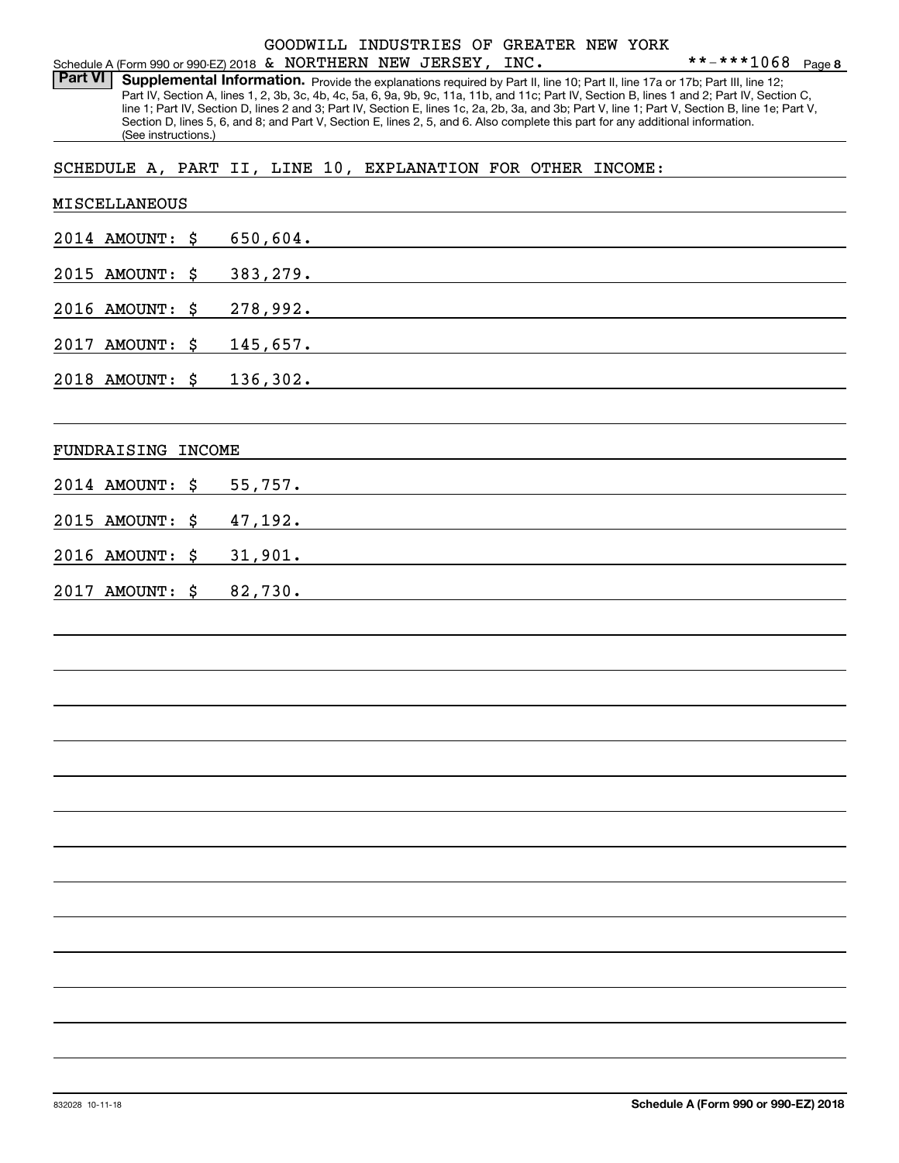### Schedule A (Form 990 or 990-EZ) 2018 Page & NORTHERN NEW JERSEY, INC. GOODWILL INDUSTRIES OF GREATER NEW YORK

Part VI | Supplemental Information. Provide the explanations required by Part II, line 10; Part II, line 17a or 17b; Part III, line 12; Part IV, Section A, lines 1, 2, 3b, 3c, 4b, 4c, 5a, 6, 9a, 9b, 9c, 11a, 11b, and 11c; Part IV, Section B, lines 1 and 2; Part IV, Section C, line 1; Part IV, Section D, lines 2 and 3; Part IV, Section E, lines 1c, 2a, 2b, 3a, and 3b; Part V, line 1; Part V, Section B, line 1e; Part V, Section D, lines 5, 6, and 8; and Part V, Section E, lines 2, 5, and 6. Also complete this part for any additional information. (See instructions.)

SCHEDULE A, PART II, LINE 10, EXPLANATION FOR OTHER INCOME:

| MISCELLANEOUS      |          |
|--------------------|----------|
| 2014 AMOUNT: \$    | 650,604. |
| 2015 AMOUNT: \$    | 383,279. |
| 2016 AMOUNT: \$    | 278,992. |
| 2017 AMOUNT: \$    | 145,657. |
| 2018 AMOUNT: \$    | 136,302. |
| FUNDRAISING INCOME |          |
| 2014 AMOUNT: \$    | 55,757.  |
| 2015 AMOUNT: \$    | 47,192.  |
| 2016 AMOUNT: \$    | 31,901.  |
| 2017 AMOUNT: \$    | 82,730.  |
|                    |          |
|                    |          |
|                    |          |
|                    |          |
|                    |          |
|                    |          |
|                    |          |
|                    |          |
|                    |          |
|                    |          |
|                    |          |
|                    |          |
|                    |          |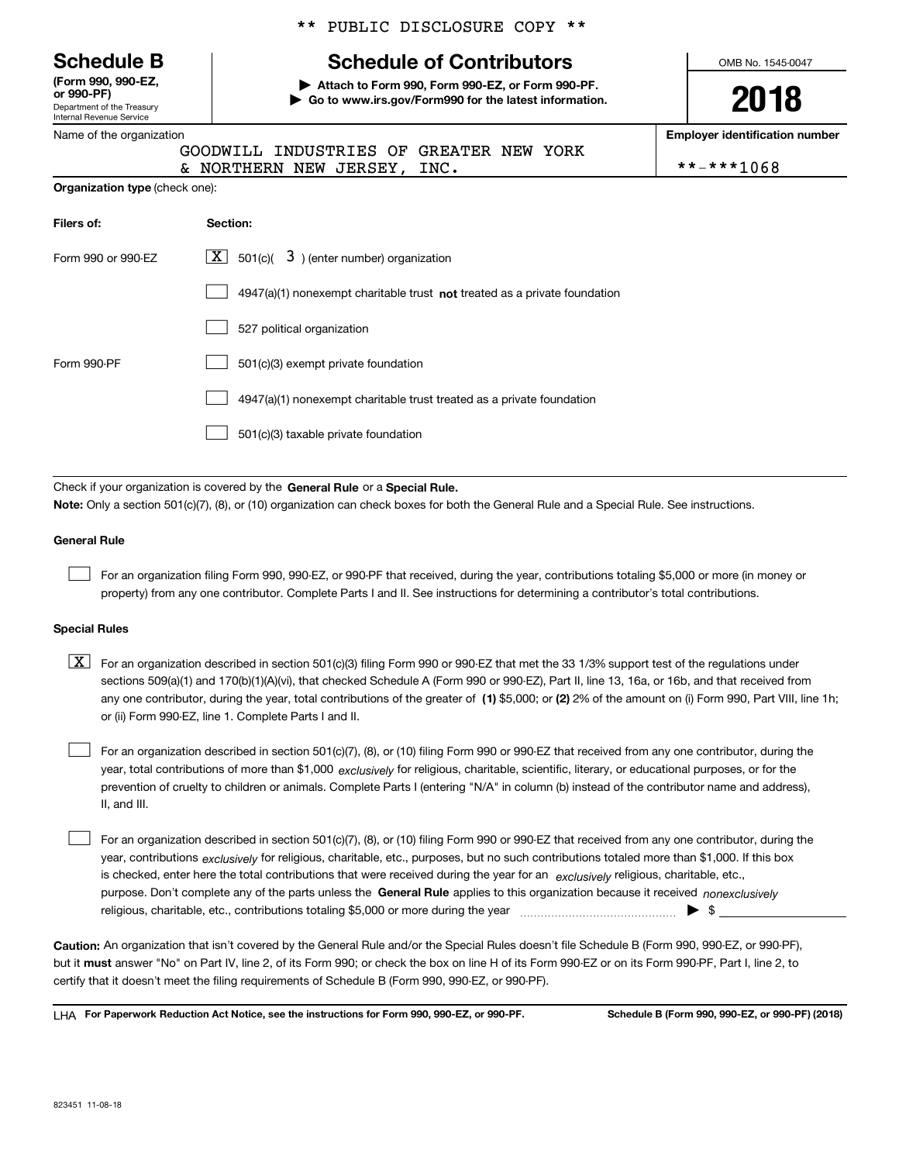Department of the Treasury Internal Revenue Service **(Form 990, 990-EZ, or 990-PF)**

Name of the organization

|  |  | ** PUBLIC DISCLOSURE COPY ** |  |  |
|--|--|------------------------------|--|--|
|--|--|------------------------------|--|--|

# **Schedule B Schedule of Contributors**

**| Attach to Form 990, Form 990-EZ, or Form 990-PF. | Go to www.irs.gov/Form990 for the latest information.** OMB No. 1545-0047

**2018**

**Employer identification number**

|  |  |  |  |  | *-***1068 |  |  |  |
|--|--|--|--|--|-----------|--|--|--|
|--|--|--|--|--|-----------|--|--|--|

|  | GOODWILL INDUSTRIES OF GREATER NEW YORK |  |  |            |
|--|-----------------------------------------|--|--|------------|
|  | & NORTHERN NEW JERSEY, INC.             |  |  | **-***1068 |

| <b>Organization type (check one):</b> |                                                                             |  |  |
|---------------------------------------|-----------------------------------------------------------------------------|--|--|
| Filers of:                            | Section:                                                                    |  |  |
| Form 990 or 990-EZ                    | $3$ ) (enter number) organization<br>$X$ 501(c)(                            |  |  |
|                                       | $4947(a)(1)$ nonexempt charitable trust not treated as a private foundation |  |  |
|                                       | 527 political organization                                                  |  |  |
| Form 990-PF                           | 501(c)(3) exempt private foundation                                         |  |  |
|                                       | 4947(a)(1) nonexempt charitable trust treated as a private foundation       |  |  |
|                                       | 501(c)(3) taxable private foundation                                        |  |  |

Check if your organization is covered by the **General Rule** or a **Special Rule. Note:**  Only a section 501(c)(7), (8), or (10) organization can check boxes for both the General Rule and a Special Rule. See instructions.

#### **General Rule**

 $\mathcal{L}^{\text{max}}$ 

For an organization filing Form 990, 990-EZ, or 990-PF that received, during the year, contributions totaling \$5,000 or more (in money or property) from any one contributor. Complete Parts I and II. See instructions for determining a contributor's total contributions.

#### **Special Rules**

any one contributor, during the year, total contributions of the greater of  $\,$  (1) \$5,000; or **(2)** 2% of the amount on (i) Form 990, Part VIII, line 1h;  $\boxed{\textbf{X}}$  For an organization described in section 501(c)(3) filing Form 990 or 990-EZ that met the 33 1/3% support test of the regulations under sections 509(a)(1) and 170(b)(1)(A)(vi), that checked Schedule A (Form 990 or 990-EZ), Part II, line 13, 16a, or 16b, and that received from or (ii) Form 990-EZ, line 1. Complete Parts I and II.

year, total contributions of more than \$1,000 *exclusively* for religious, charitable, scientific, literary, or educational purposes, or for the For an organization described in section 501(c)(7), (8), or (10) filing Form 990 or 990-EZ that received from any one contributor, during the prevention of cruelty to children or animals. Complete Parts I (entering "N/A" in column (b) instead of the contributor name and address), II, and III.  $\mathcal{L}^{\text{max}}$ 

purpose. Don't complete any of the parts unless the **General Rule** applies to this organization because it received *nonexclusively* year, contributions <sub>exclusively</sub> for religious, charitable, etc., purposes, but no such contributions totaled more than \$1,000. If this box is checked, enter here the total contributions that were received during the year for an  $\;$ exclusively religious, charitable, etc., For an organization described in section 501(c)(7), (8), or (10) filing Form 990 or 990-EZ that received from any one contributor, during the religious, charitable, etc., contributions totaling \$5,000 or more during the year  $\Box$ — $\Box$   $\Box$  $\mathcal{L}^{\text{max}}$ 

**Caution:**  An organization that isn't covered by the General Rule and/or the Special Rules doesn't file Schedule B (Form 990, 990-EZ, or 990-PF),  **must** but it answer "No" on Part IV, line 2, of its Form 990; or check the box on line H of its Form 990-EZ or on its Form 990-PF, Part I, line 2, to certify that it doesn't meet the filing requirements of Schedule B (Form 990, 990-EZ, or 990-PF).

**For Paperwork Reduction Act Notice, see the instructions for Form 990, 990-EZ, or 990-PF. Schedule B (Form 990, 990-EZ, or 990-PF) (2018)** LHA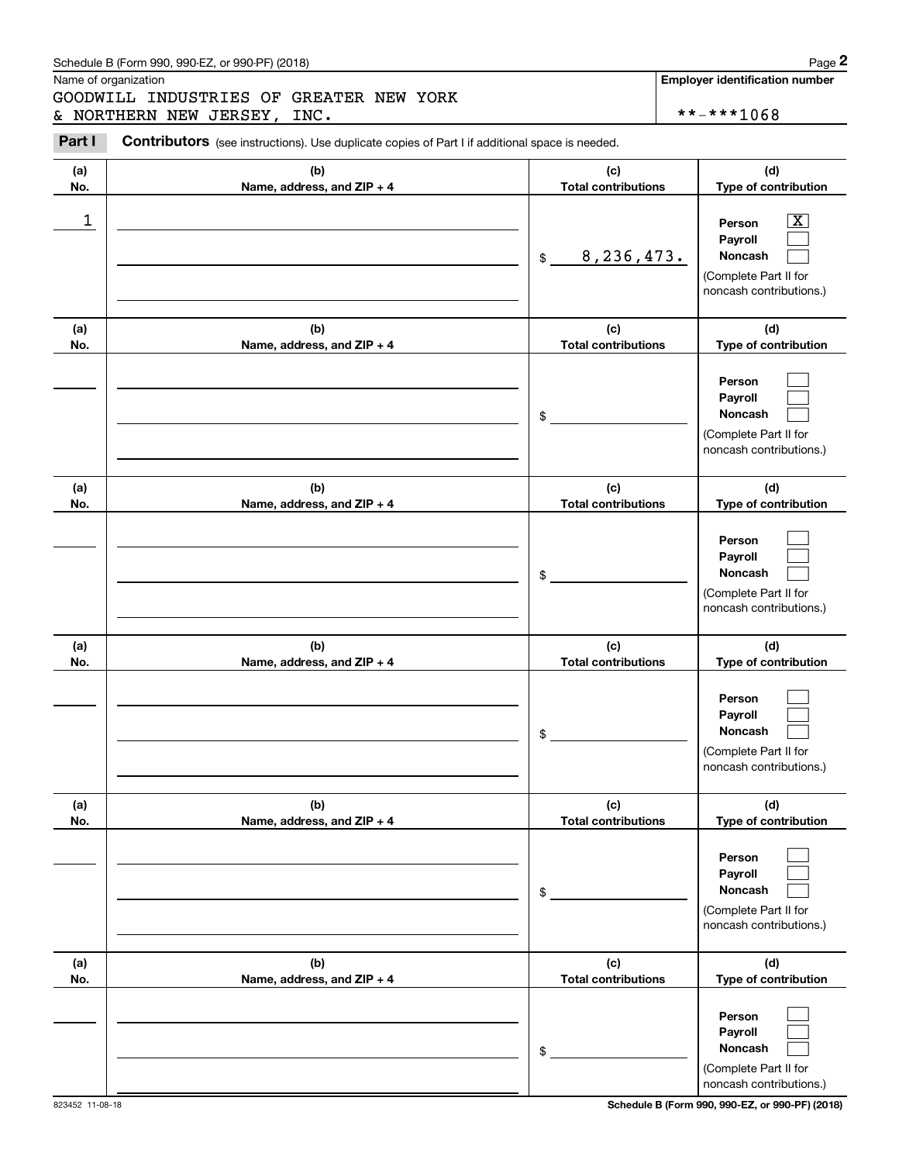### Schedule B (Form 990, 990-EZ, or 990-PF) (2018) **Page 2**

Name of organization

Chedule B (Form 990, 990-EZ, or 990-PF) (2018)<br>
Iame of organization<br> **2PART II INDUSTRIES OF GREATER NEW YORK**<br> **2PART II CONTIBERN NEW JERSEY, INC.**<br> **2PART II** CONTIBUTORS (see instructions). Use duplicate copies of Par GOODWILL INDUSTRIES OF GREATER NEW YORK & NORTHERN NEW JERSEY, INC.  $* * * * 1068$ 

823452 11-08-18 **Schedule B (Form 990, 990-EZ, or 990-PF) (2018)**

noncash contributions.)

| Part I     | Contributors (see instructions). Use duplicate copies of Part I if additional space is needed. |                                   |                                                                                                             |
|------------|------------------------------------------------------------------------------------------------|-----------------------------------|-------------------------------------------------------------------------------------------------------------|
| (a)<br>No. | (b)<br>Name, address, and ZIP + 4                                                              | (c)<br><b>Total contributions</b> | (d)<br>Type of contribution                                                                                 |
| 1          |                                                                                                | 8, 236, 473.<br>$\frac{1}{2}$     | $\overline{\mathbf{X}}$<br>Person<br>Payroll<br>Noncash<br>(Complete Part II for<br>noncash contributions.) |
| (a)<br>No. | (b)<br>Name, address, and ZIP + 4                                                              | (c)<br><b>Total contributions</b> | (d)<br>Type of contribution                                                                                 |
|            |                                                                                                | \$                                | Person<br>Payroll<br>Noncash<br>(Complete Part II for<br>noncash contributions.)                            |
| (a)<br>No. | (b)<br>Name, address, and ZIP + 4                                                              | (c)<br><b>Total contributions</b> | (d)<br>Type of contribution                                                                                 |
|            |                                                                                                | \$                                | Person<br>Payroll<br>Noncash<br>(Complete Part II for<br>noncash contributions.)                            |
| (a)<br>No. | (b)<br>Name, address, and ZIP + 4                                                              | (c)<br><b>Total contributions</b> | (d)<br>Type of contribution                                                                                 |
|            |                                                                                                | \$                                | Person<br>Payroll<br>Noncash<br>(Complete Part II for<br>noncash contributions.)                            |
| (a)<br>No. | (b)<br>Name, address, and ZIP + 4                                                              | (c)<br><b>Total contributions</b> | (d)<br>Type of contribution                                                                                 |
|            |                                                                                                | \$                                | Person<br>Payroll<br>Noncash<br>(Complete Part II for<br>noncash contributions.)                            |
| (a)<br>No. | (b)<br>Name, address, and ZIP + 4                                                              | (c)<br><b>Total contributions</b> | (d)<br>Type of contribution                                                                                 |
|            |                                                                                                | $\frac{1}{2}$                     | Person<br>Payroll<br>Noncash<br>(Complete Part II for                                                       |

**Employer identification number**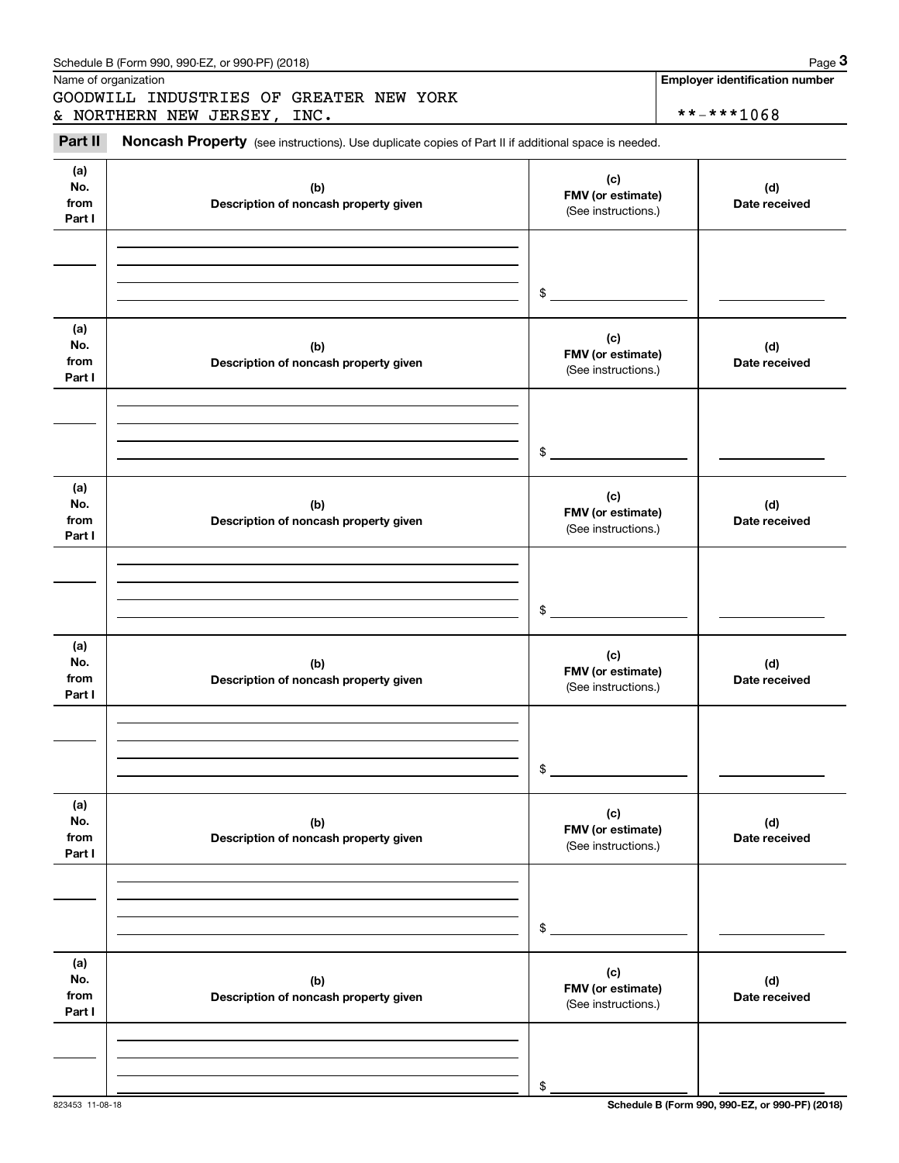|                              | Schedule B (Form 990, 990-EZ, or 990-PF) (2018)                                                     |                                                 | Page 3                                              |
|------------------------------|-----------------------------------------------------------------------------------------------------|-------------------------------------------------|-----------------------------------------------------|
|                              | Name of organization<br>GOODWILL INDUSTRIES OF GREATER NEW YORK<br>& NORTHERN NEW JERSEY, INC.      |                                                 | <b>Employer identification number</b><br>**-***1068 |
| Part II                      | Noncash Property (see instructions). Use duplicate copies of Part II if additional space is needed. |                                                 |                                                     |
| (a)<br>No.<br>from<br>Part I | (b)<br>Description of noncash property given                                                        | (c)<br>FMV (or estimate)<br>(See instructions.) | (d)<br>Date received                                |
|                              |                                                                                                     | \$                                              |                                                     |
| (a)<br>No.<br>from<br>Part I | (b)<br>Description of noncash property given                                                        | (c)<br>FMV (or estimate)<br>(See instructions.) | (d)<br>Date received                                |
|                              |                                                                                                     | \$                                              |                                                     |
| (a)<br>No.<br>from<br>Part I | (b)<br>Description of noncash property given                                                        | (c)<br>FMV (or estimate)<br>(See instructions.) | (d)<br>Date received                                |
|                              |                                                                                                     | \$                                              |                                                     |
| (a)<br>No.<br>from<br>Part I | (b)<br>Description of noncash property given                                                        | (c)<br>FMV (or estimate)<br>(See instructions.) | (d)<br>Date received                                |
|                              |                                                                                                     | \$                                              |                                                     |
| (a)<br>No.<br>from<br>Part I | (b)<br>Description of noncash property given                                                        | (c)<br>FMV (or estimate)<br>(See instructions.) | (d)<br>Date received                                |
|                              |                                                                                                     | \$                                              |                                                     |
| (a)<br>No.<br>from<br>Part I | (b)<br>Description of noncash property given                                                        | (c)<br>FMV (or estimate)<br>(See instructions.) | (d)<br>Date received                                |
|                              |                                                                                                     | \$                                              |                                                     |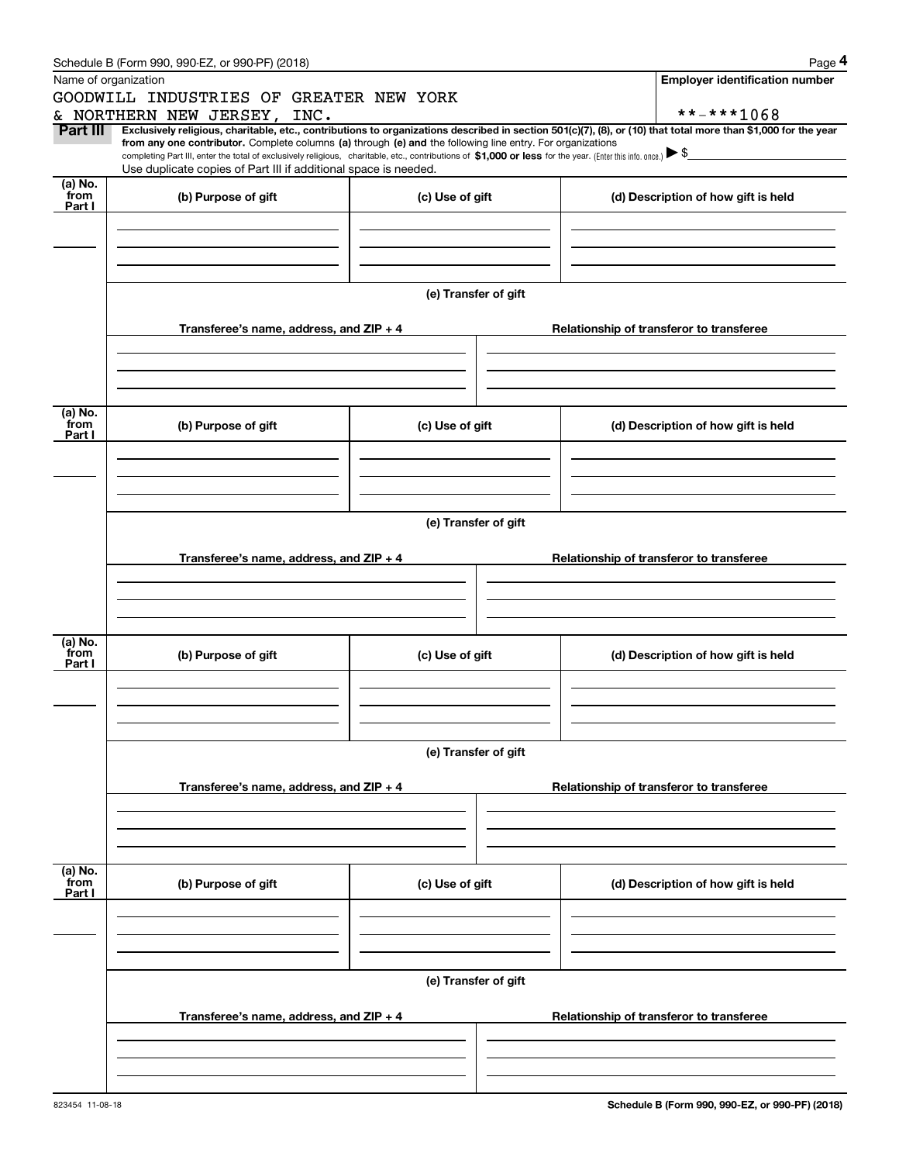|                                      | Schedule B (Form 990, 990-EZ, or 990-PF) (2018)                                                                                                              |                      | Page 4                                                                                                                                                         |
|--------------------------------------|--------------------------------------------------------------------------------------------------------------------------------------------------------------|----------------------|----------------------------------------------------------------------------------------------------------------------------------------------------------------|
|                                      | Name of organization                                                                                                                                         |                      | <b>Employer identification number</b>                                                                                                                          |
|                                      | GOODWILL INDUSTRIES OF GREATER NEW YORK                                                                                                                      |                      |                                                                                                                                                                |
|                                      | & NORTHERN NEW JERSEY, INC.                                                                                                                                  |                      | **-***1068                                                                                                                                                     |
| Part III                             | from any one contributor. Complete columns (a) through (e) and the following line entry. For organizations                                                   |                      | Exclusively religious, charitable, etc., contributions to organizations described in section 501(c)(7), (8), or (10) that total more than \$1,000 for the year |
|                                      | completing Part III, enter the total of exclusively religious, charitable, etc., contributions of \$1,000 or less for the year. (Enter this info. once.) \\$ |                      |                                                                                                                                                                |
|                                      | Use duplicate copies of Part III if additional space is needed.                                                                                              |                      |                                                                                                                                                                |
| (a) $\overline{\text{No}}$ .<br>from | (b) Purpose of gift                                                                                                                                          | (c) Use of gift      | (d) Description of how gift is held                                                                                                                            |
| Part I                               |                                                                                                                                                              |                      |                                                                                                                                                                |
|                                      |                                                                                                                                                              |                      |                                                                                                                                                                |
|                                      |                                                                                                                                                              |                      |                                                                                                                                                                |
|                                      |                                                                                                                                                              |                      |                                                                                                                                                                |
|                                      |                                                                                                                                                              |                      |                                                                                                                                                                |
|                                      |                                                                                                                                                              | (e) Transfer of gift |                                                                                                                                                                |
|                                      |                                                                                                                                                              |                      |                                                                                                                                                                |
|                                      | Transferee's name, address, and $ZIP + 4$                                                                                                                    |                      | Relationship of transferor to transferee                                                                                                                       |
|                                      |                                                                                                                                                              |                      |                                                                                                                                                                |
|                                      |                                                                                                                                                              |                      |                                                                                                                                                                |
|                                      |                                                                                                                                                              |                      |                                                                                                                                                                |
| (a) $\overline{\text{No}}$ .         |                                                                                                                                                              |                      |                                                                                                                                                                |
| from<br>Part I                       | (b) Purpose of gift                                                                                                                                          | (c) Use of gift      | (d) Description of how gift is held                                                                                                                            |
|                                      |                                                                                                                                                              |                      |                                                                                                                                                                |
|                                      |                                                                                                                                                              |                      |                                                                                                                                                                |
|                                      |                                                                                                                                                              |                      |                                                                                                                                                                |
|                                      |                                                                                                                                                              |                      |                                                                                                                                                                |
|                                      |                                                                                                                                                              | (e) Transfer of gift |                                                                                                                                                                |
|                                      |                                                                                                                                                              |                      |                                                                                                                                                                |
|                                      | Transferee's name, address, and ZIP + 4                                                                                                                      |                      | Relationship of transferor to transferee                                                                                                                       |
|                                      |                                                                                                                                                              |                      |                                                                                                                                                                |
|                                      |                                                                                                                                                              |                      |                                                                                                                                                                |
|                                      |                                                                                                                                                              |                      |                                                                                                                                                                |
| (a) $\overline{\text{No}}$ .         |                                                                                                                                                              |                      |                                                                                                                                                                |
| from<br>Part I                       | (b) Purpose of gift                                                                                                                                          | (c) Use of gift      | (d) Description of how gift is held                                                                                                                            |
|                                      |                                                                                                                                                              |                      |                                                                                                                                                                |
|                                      |                                                                                                                                                              |                      |                                                                                                                                                                |
|                                      |                                                                                                                                                              |                      |                                                                                                                                                                |
|                                      |                                                                                                                                                              |                      |                                                                                                                                                                |
|                                      |                                                                                                                                                              | (e) Transfer of gift |                                                                                                                                                                |
|                                      |                                                                                                                                                              |                      |                                                                                                                                                                |
|                                      | Transferee's name, address, and ZIP + 4                                                                                                                      |                      | Relationship of transferor to transferee                                                                                                                       |
|                                      |                                                                                                                                                              |                      |                                                                                                                                                                |
|                                      |                                                                                                                                                              |                      |                                                                                                                                                                |
|                                      |                                                                                                                                                              |                      |                                                                                                                                                                |
| (a) No.<br>from                      |                                                                                                                                                              |                      |                                                                                                                                                                |
| Part I                               | (b) Purpose of gift                                                                                                                                          | (c) Use of gift      | (d) Description of how gift is held                                                                                                                            |
|                                      |                                                                                                                                                              |                      |                                                                                                                                                                |
|                                      |                                                                                                                                                              |                      |                                                                                                                                                                |
|                                      |                                                                                                                                                              |                      |                                                                                                                                                                |
|                                      |                                                                                                                                                              |                      |                                                                                                                                                                |
|                                      |                                                                                                                                                              | (e) Transfer of gift |                                                                                                                                                                |
|                                      |                                                                                                                                                              |                      |                                                                                                                                                                |
|                                      | Transferee's name, address, and ZIP + 4                                                                                                                      |                      | Relationship of transferor to transferee                                                                                                                       |
|                                      |                                                                                                                                                              |                      |                                                                                                                                                                |
|                                      |                                                                                                                                                              |                      |                                                                                                                                                                |
|                                      |                                                                                                                                                              |                      |                                                                                                                                                                |
|                                      |                                                                                                                                                              |                      |                                                                                                                                                                |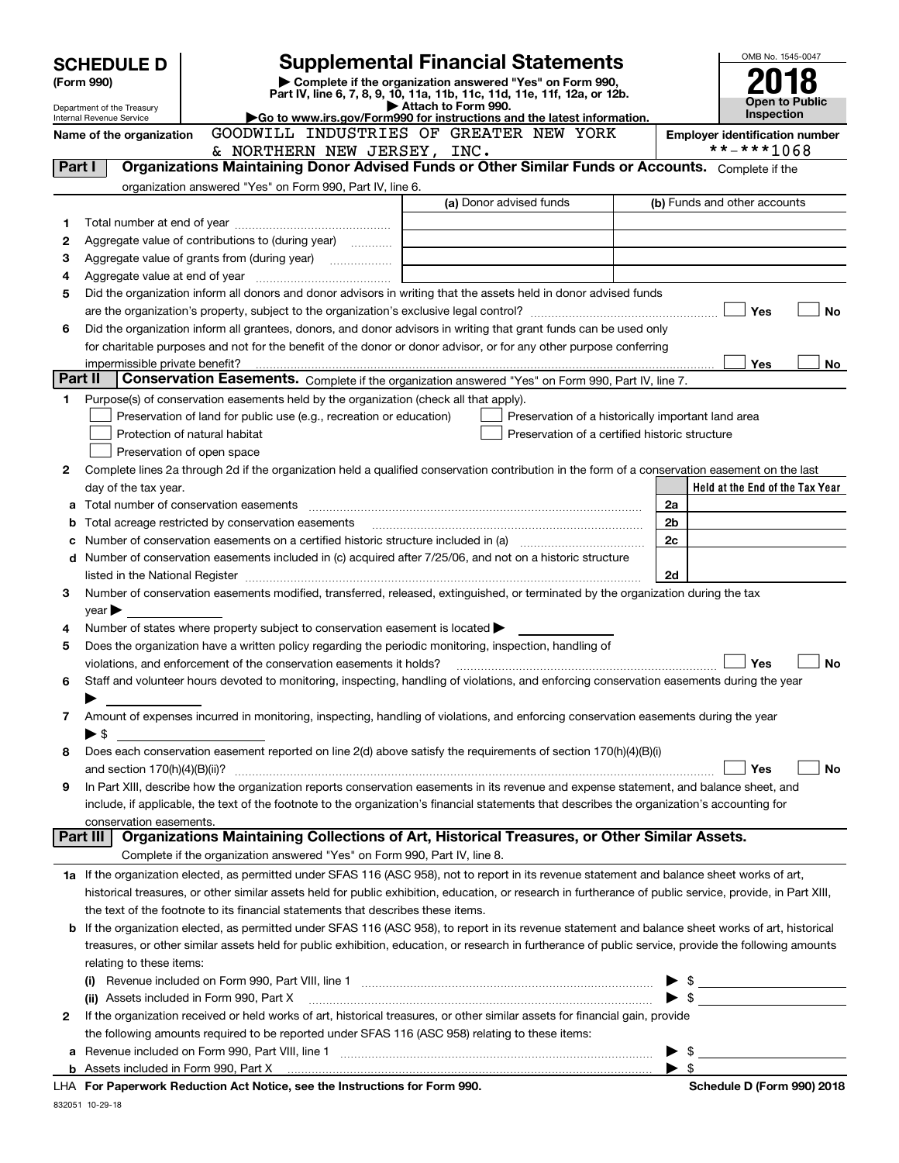| <b>SCHEDULE D</b><br>(Form 990)                                                                                                            |                                                                                                                  |                                                                                                        | <b>Supplemental Financial Statements</b>                                                                                                                   |                | OMB No. 1545-0047                                   |  |  |
|--------------------------------------------------------------------------------------------------------------------------------------------|------------------------------------------------------------------------------------------------------------------|--------------------------------------------------------------------------------------------------------|------------------------------------------------------------------------------------------------------------------------------------------------------------|----------------|-----------------------------------------------------|--|--|
|                                                                                                                                            |                                                                                                                  | Complete if the organization answered "Yes" on Form 990,                                               |                                                                                                                                                            |                |                                                     |  |  |
|                                                                                                                                            | Department of the Treasury                                                                                       | Go to www.irs.gov/Form990 for instructions and the latest information.                                 | Part IV, line 6, 7, 8, 9, 10, 11a, 11b, 11c, 11d, 11e, 11f, 12a, or 12b.<br>Attach to Form 990.                                                            |                |                                                     |  |  |
|                                                                                                                                            | <b>Internal Revenue Service</b>                                                                                  |                                                                                                        | <b>Inspection</b>                                                                                                                                          |                |                                                     |  |  |
|                                                                                                                                            | GOODWILL INDUSTRIES OF GREATER NEW YORK<br>Name of the organization                                              |                                                                                                        |                                                                                                                                                            |                | <b>Employer identification number</b><br>**-***1068 |  |  |
| & NORTHERN NEW JERSEY, INC.<br>Organizations Maintaining Donor Advised Funds or Other Similar Funds or Accounts. Complete if the<br>Part I |                                                                                                                  |                                                                                                        |                                                                                                                                                            |                |                                                     |  |  |
|                                                                                                                                            | organization answered "Yes" on Form 990, Part IV, line 6.                                                        |                                                                                                        |                                                                                                                                                            |                |                                                     |  |  |
|                                                                                                                                            |                                                                                                                  |                                                                                                        | (a) Donor advised funds                                                                                                                                    |                | (b) Funds and other accounts                        |  |  |
| 1                                                                                                                                          |                                                                                                                  |                                                                                                        |                                                                                                                                                            |                |                                                     |  |  |
| 2                                                                                                                                          |                                                                                                                  | Aggregate value of contributions to (during year)                                                      |                                                                                                                                                            |                |                                                     |  |  |
| з                                                                                                                                          |                                                                                                                  |                                                                                                        |                                                                                                                                                            |                |                                                     |  |  |
| 4                                                                                                                                          |                                                                                                                  |                                                                                                        |                                                                                                                                                            |                |                                                     |  |  |
| 5                                                                                                                                          | Did the organization inform all donors and donor advisors in writing that the assets held in donor advised funds |                                                                                                        |                                                                                                                                                            |                |                                                     |  |  |
|                                                                                                                                            |                                                                                                                  |                                                                                                        |                                                                                                                                                            |                | Yes<br><b>No</b>                                    |  |  |
| 6                                                                                                                                          |                                                                                                                  |                                                                                                        | Did the organization inform all grantees, donors, and donor advisors in writing that grant funds can be used only                                          |                |                                                     |  |  |
|                                                                                                                                            |                                                                                                                  |                                                                                                        | for charitable purposes and not for the benefit of the donor or donor advisor, or for any other purpose conferring                                         |                |                                                     |  |  |
|                                                                                                                                            |                                                                                                                  |                                                                                                        |                                                                                                                                                            |                | <b>Yes</b><br>No                                    |  |  |
| Part II                                                                                                                                    |                                                                                                                  |                                                                                                        | Conservation Easements. Complete if the organization answered "Yes" on Form 990, Part IV, line 7.                                                          |                |                                                     |  |  |
| 1                                                                                                                                          |                                                                                                                  | Purpose(s) of conservation easements held by the organization (check all that apply).                  |                                                                                                                                                            |                |                                                     |  |  |
|                                                                                                                                            |                                                                                                                  | Preservation of land for public use (e.g., recreation or education)                                    | Preservation of a historically important land area                                                                                                         |                |                                                     |  |  |
|                                                                                                                                            |                                                                                                                  | Protection of natural habitat                                                                          | Preservation of a certified historic structure                                                                                                             |                |                                                     |  |  |
|                                                                                                                                            |                                                                                                                  | Preservation of open space                                                                             |                                                                                                                                                            |                |                                                     |  |  |
| 2                                                                                                                                          |                                                                                                                  |                                                                                                        | Complete lines 2a through 2d if the organization held a qualified conservation contribution in the form of a conservation easement on the last             |                |                                                     |  |  |
|                                                                                                                                            | day of the tax year.                                                                                             |                                                                                                        |                                                                                                                                                            |                | Held at the End of the Tax Year                     |  |  |
| а                                                                                                                                          |                                                                                                                  | Total number of conservation easements                                                                 |                                                                                                                                                            | 2a             |                                                     |  |  |
| b                                                                                                                                          |                                                                                                                  | Total acreage restricted by conservation easements                                                     |                                                                                                                                                            | 2 <sub>b</sub> |                                                     |  |  |
| c                                                                                                                                          |                                                                                                                  |                                                                                                        |                                                                                                                                                            | 2c             |                                                     |  |  |
| d                                                                                                                                          |                                                                                                                  |                                                                                                        | Number of conservation easements included in (c) acquired after 7/25/06, and not on a historic structure                                                   |                |                                                     |  |  |
|                                                                                                                                            |                                                                                                                  |                                                                                                        |                                                                                                                                                            | 2d             |                                                     |  |  |
| 3                                                                                                                                          |                                                                                                                  |                                                                                                        | Number of conservation easements modified, transferred, released, extinguished, or terminated by the organization during the tax                           |                |                                                     |  |  |
|                                                                                                                                            | $year \blacktriangleright$                                                                                       |                                                                                                        |                                                                                                                                                            |                |                                                     |  |  |
| 4                                                                                                                                          |                                                                                                                  | Number of states where property subject to conservation easement is located $\blacktriangleright$      |                                                                                                                                                            |                |                                                     |  |  |
| 5                                                                                                                                          |                                                                                                                  | Does the organization have a written policy regarding the periodic monitoring, inspection, handling of |                                                                                                                                                            |                |                                                     |  |  |
|                                                                                                                                            |                                                                                                                  | violations, and enforcement of the conservation easements it holds?                                    |                                                                                                                                                            |                | Yes<br><b>No</b>                                    |  |  |
| 6                                                                                                                                          |                                                                                                                  |                                                                                                        | Staff and volunteer hours devoted to monitoring, inspecting, handling of violations, and enforcing conservation easements during the year                  |                |                                                     |  |  |
|                                                                                                                                            |                                                                                                                  |                                                                                                        |                                                                                                                                                            |                |                                                     |  |  |
| 7                                                                                                                                          |                                                                                                                  |                                                                                                        | Amount of expenses incurred in monitoring, inspecting, handling of violations, and enforcing conservation easements during the year                        |                |                                                     |  |  |
|                                                                                                                                            | $\blacktriangleright$ \$                                                                                         |                                                                                                        |                                                                                                                                                            |                |                                                     |  |  |
| 8                                                                                                                                          |                                                                                                                  |                                                                                                        | Does each conservation easement reported on line 2(d) above satisfy the requirements of section 170(h)(4)(B)(i)                                            |                |                                                     |  |  |
|                                                                                                                                            | and section 170(h)(4)(B)(ii)?                                                                                    |                                                                                                        |                                                                                                                                                            |                | Yes<br>No                                           |  |  |
| 9                                                                                                                                          |                                                                                                                  |                                                                                                        | In Part XIII, describe how the organization reports conservation easements in its revenue and expense statement, and balance sheet, and                    |                |                                                     |  |  |
|                                                                                                                                            |                                                                                                                  |                                                                                                        | include, if applicable, the text of the footnote to the organization's financial statements that describes the organization's accounting for               |                |                                                     |  |  |
|                                                                                                                                            | conservation easements.                                                                                          |                                                                                                        |                                                                                                                                                            |                |                                                     |  |  |
|                                                                                                                                            | Part III                                                                                                         |                                                                                                        | Organizations Maintaining Collections of Art, Historical Treasures, or Other Similar Assets.                                                               |                |                                                     |  |  |
|                                                                                                                                            |                                                                                                                  | Complete if the organization answered "Yes" on Form 990, Part IV, line 8.                              |                                                                                                                                                            |                |                                                     |  |  |
|                                                                                                                                            |                                                                                                                  |                                                                                                        | 1a If the organization elected, as permitted under SFAS 116 (ASC 958), not to report in its revenue statement and balance sheet works of art,              |                |                                                     |  |  |
|                                                                                                                                            |                                                                                                                  |                                                                                                        | historical treasures, or other similar assets held for public exhibition, education, or research in furtherance of public service, provide, in Part XIII,  |                |                                                     |  |  |
|                                                                                                                                            |                                                                                                                  | the text of the footnote to its financial statements that describes these items.                       |                                                                                                                                                            |                |                                                     |  |  |
|                                                                                                                                            |                                                                                                                  |                                                                                                        | <b>b</b> If the organization elected, as permitted under SFAS 116 (ASC 958), to report in its revenue statement and balance sheet works of art, historical |                |                                                     |  |  |
|                                                                                                                                            |                                                                                                                  |                                                                                                        | treasures, or other similar assets held for public exhibition, education, or research in furtherance of public service, provide the following amounts      |                |                                                     |  |  |
|                                                                                                                                            | relating to these items:                                                                                         |                                                                                                        |                                                                                                                                                            |                |                                                     |  |  |
|                                                                                                                                            |                                                                                                                  |                                                                                                        |                                                                                                                                                            |                | ▶ \$                                                |  |  |
|                                                                                                                                            |                                                                                                                  | (ii) Assets included in Form 990, Part X                                                               |                                                                                                                                                            |                | $\blacktriangleright$ \$                            |  |  |
| 2                                                                                                                                          |                                                                                                                  |                                                                                                        | If the organization received or held works of art, historical treasures, or other similar assets for financial gain, provide                               |                |                                                     |  |  |
|                                                                                                                                            |                                                                                                                  | the following amounts required to be reported under SFAS 116 (ASC 958) relating to these items:        |                                                                                                                                                            |                |                                                     |  |  |
|                                                                                                                                            |                                                                                                                  |                                                                                                        |                                                                                                                                                            |                | $\blacktriangleright$ \$                            |  |  |
|                                                                                                                                            |                                                                                                                  |                                                                                                        |                                                                                                                                                            |                | $\blacktriangleright$ \$                            |  |  |
|                                                                                                                                            |                                                                                                                  | a tha bookspottered for Form 000                                                                       |                                                                                                                                                            |                | <b>Cohodule D. Form 00010040</b>                    |  |  |

**For Paperwork Reduction Act Notice, see the Instructions for Form 990. Schedule D (Form 990) 2018** LHA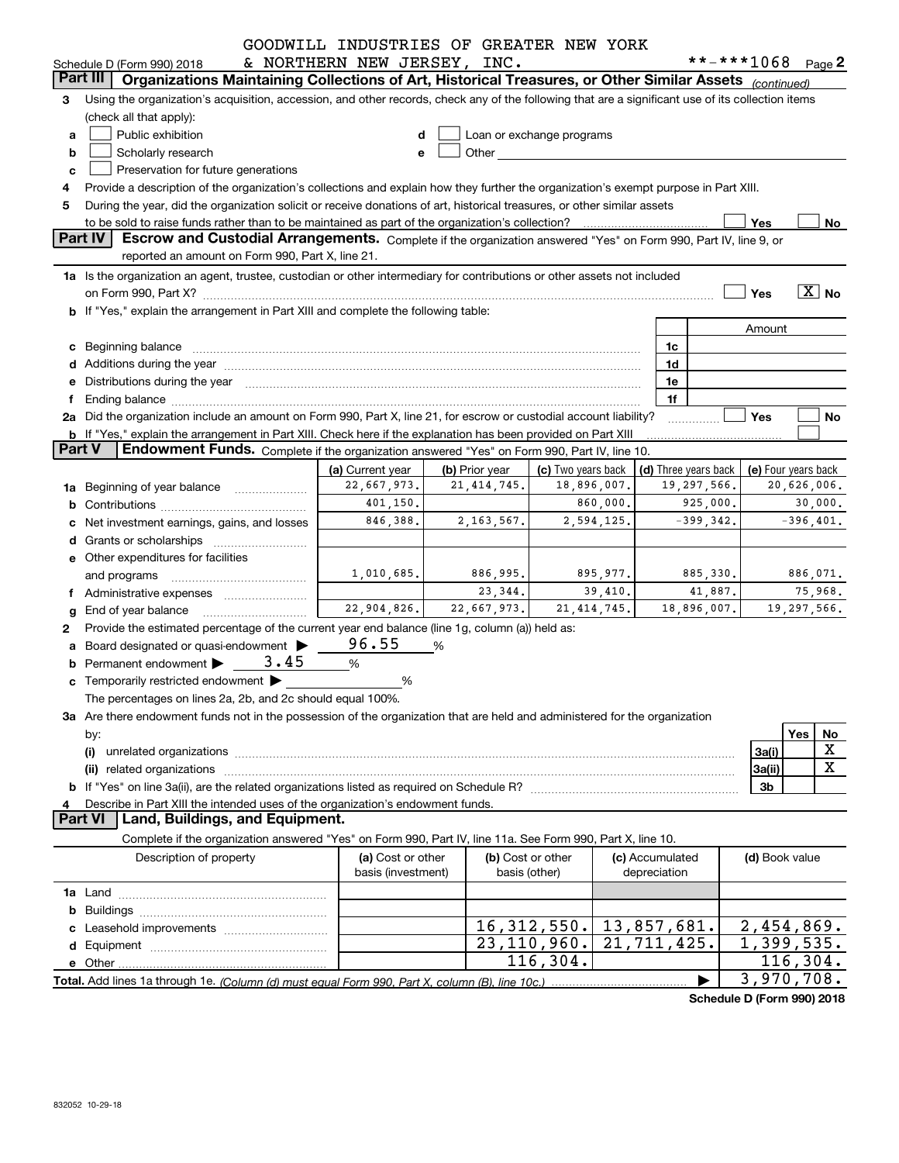|               |                                                                                                                                                                                                                                                                  | GOODWILL INDUSTRIES OF GREATER NEW YORK                    |                                    |                                                                                                                                                                                                                               |              |                                              |              |                |                            |  |  |
|---------------|------------------------------------------------------------------------------------------------------------------------------------------------------------------------------------------------------------------------------------------------------------------|------------------------------------------------------------|------------------------------------|-------------------------------------------------------------------------------------------------------------------------------------------------------------------------------------------------------------------------------|--------------|----------------------------------------------|--------------|----------------|----------------------------|--|--|
|               | Schedule D (Form 990) 2018                                                                                                                                                                                                                                       | & NORTHERN NEW JERSEY, INC.                                |                                    |                                                                                                                                                                                                                               |              |                                              |              |                | **-***1068 Page 2          |  |  |
|               | Part III<br>Organizations Maintaining Collections of Art, Historical Treasures, or Other Similar Assets (continued)                                                                                                                                              |                                                            |                                    |                                                                                                                                                                                                                               |              |                                              |              |                |                            |  |  |
| 3             | Using the organization's acquisition, accession, and other records, check any of the following that are a significant use of its collection items                                                                                                                |                                                            |                                    |                                                                                                                                                                                                                               |              |                                              |              |                |                            |  |  |
|               | (check all that apply):                                                                                                                                                                                                                                          |                                                            |                                    |                                                                                                                                                                                                                               |              |                                              |              |                |                            |  |  |
| a             | Public exhibition                                                                                                                                                                                                                                                |                                                            |                                    | Loan or exchange programs                                                                                                                                                                                                     |              |                                              |              |                |                            |  |  |
| b             | Scholarly research                                                                                                                                                                                                                                               |                                                            |                                    | Other and the contract of the contract of the contract of the contract of the contract of the contract of the contract of the contract of the contract of the contract of the contract of the contract of the contract of the |              |                                              |              |                |                            |  |  |
| с             | Preservation for future generations                                                                                                                                                                                                                              |                                                            |                                    |                                                                                                                                                                                                                               |              |                                              |              |                |                            |  |  |
| 5             | Provide a description of the organization's collections and explain how they further the organization's exempt purpose in Part XIII.<br>During the year, did the organization solicit or receive donations of art, historical treasures, or other similar assets |                                                            |                                    |                                                                                                                                                                                                                               |              |                                              |              |                |                            |  |  |
|               |                                                                                                                                                                                                                                                                  |                                                            |                                    |                                                                                                                                                                                                                               |              |                                              |              | Yes            | No                         |  |  |
|               | <b>Part IV</b><br>Escrow and Custodial Arrangements. Complete if the organization answered "Yes" on Form 990, Part IV, line 9, or                                                                                                                                |                                                            |                                    |                                                                                                                                                                                                                               |              |                                              |              |                |                            |  |  |
|               | reported an amount on Form 990, Part X, line 21.                                                                                                                                                                                                                 |                                                            |                                    |                                                                                                                                                                                                                               |              |                                              |              |                |                            |  |  |
|               | 1a Is the organization an agent, trustee, custodian or other intermediary for contributions or other assets not included                                                                                                                                         |                                                            |                                    |                                                                                                                                                                                                                               |              |                                              |              |                |                            |  |  |
|               |                                                                                                                                                                                                                                                                  |                                                            |                                    |                                                                                                                                                                                                                               |              |                                              |              | Yes            | $\overline{X}$ No          |  |  |
|               | b If "Yes," explain the arrangement in Part XIII and complete the following table:                                                                                                                                                                               |                                                            |                                    |                                                                                                                                                                                                                               |              |                                              |              |                |                            |  |  |
|               |                                                                                                                                                                                                                                                                  |                                                            |                                    |                                                                                                                                                                                                                               |              |                                              |              | Amount         |                            |  |  |
|               | c Beginning balance measurements and the state of the state of the state of the state of the state of the state of the state of the state of the state of the state of the state of the state of the state of the state of the                                   |                                                            |                                    |                                                                                                                                                                                                                               |              | 1c                                           |              |                |                            |  |  |
|               | d Additions during the year manufactured and an account of the year manufactured and account of the year manufactured and account of the year manufactured and account of the year manufactured and account of the year manufa                                   |                                                            |                                    |                                                                                                                                                                                                                               |              | 1d                                           |              |                |                            |  |  |
|               | e Distributions during the year manufactured and continuum and control of the control of the control of the control of the control of the control of the control of the control of the control of the control of the control o                                   |                                                            |                                    |                                                                                                                                                                                                                               |              | 1e                                           |              |                |                            |  |  |
| f             | Ending balance manufactured and contract and contract and contract and contract and contract and contract and                                                                                                                                                    |                                                            |                                    |                                                                                                                                                                                                                               |              | 1f                                           |              |                |                            |  |  |
|               | 2a Did the organization include an amount on Form 990, Part X, line 21, for escrow or custodial account liability?                                                                                                                                               |                                                            |                                    | Yes                                                                                                                                                                                                                           | No           |                                              |              |                |                            |  |  |
|               | b If "Yes," explain the arrangement in Part XIII. Check here if the explanation has been provided on Part XIII                                                                                                                                                   |                                                            |                                    |                                                                                                                                                                                                                               |              |                                              |              |                |                            |  |  |
| <b>Part V</b> | <b>Endowment Funds.</b> Complete if the organization answered "Yes" on Form 990, Part IV, line 10.                                                                                                                                                               |                                                            |                                    |                                                                                                                                                                                                                               |              |                                              |              |                |                            |  |  |
|               |                                                                                                                                                                                                                                                                  | (c) Two years back                                         |                                    |                                                                                                                                                                                                                               |              | (d) Three years back $ $ (e) Four years back |              |                |                            |  |  |
|               | 1a Beginning of year balance                                                                                                                                                                                                                                     | 19,297,566.<br>22,667,973.<br>21, 414, 745.<br>18,896,007. |                                    |                                                                                                                                                                                                                               |              |                                              |              |                |                            |  |  |
| b             |                                                                                                                                                                                                                                                                  | 401, 150.<br>860,000.<br>925,000.                          |                                    |                                                                                                                                                                                                                               |              |                                              |              |                |                            |  |  |
| с             | Net investment earnings, gains, and losses                                                                                                                                                                                                                       | 846,388.                                                   | 2, 163, 567.                       | 2,594,125.                                                                                                                                                                                                                    |              |                                              | $-399, 342.$ |                | $-396,401.$                |  |  |
|               |                                                                                                                                                                                                                                                                  |                                                            |                                    |                                                                                                                                                                                                                               |              |                                              |              |                |                            |  |  |
|               | e Other expenditures for facilities                                                                                                                                                                                                                              |                                                            |                                    |                                                                                                                                                                                                                               |              |                                              |              |                |                            |  |  |
|               | and programs                                                                                                                                                                                                                                                     | 1,010,685.                                                 | 886,995.                           | 895,977.                                                                                                                                                                                                                      |              |                                              | 885,330.     |                | 886,071.                   |  |  |
|               |                                                                                                                                                                                                                                                                  |                                                            | 23,344.                            | 39,410.                                                                                                                                                                                                                       |              |                                              | 41,887.      |                | 75,968.                    |  |  |
| g             |                                                                                                                                                                                                                                                                  | 22,904,826.                                                | 22,667,973.                        | 21, 414, 745.                                                                                                                                                                                                                 |              | 18,896,007.                                  |              |                | 19,297,566.                |  |  |
| 2             | Provide the estimated percentage of the current year end balance (line 1g, column (a)) held as:                                                                                                                                                                  |                                                            |                                    |                                                                                                                                                                                                                               |              |                                              |              |                |                            |  |  |
| a             | Board designated or quasi-endowment >                                                                                                                                                                                                                            | 96.55                                                      | %                                  |                                                                                                                                                                                                                               |              |                                              |              |                |                            |  |  |
|               | Permanent endowment $\triangleright$ 3.45                                                                                                                                                                                                                        | %                                                          |                                    |                                                                                                                                                                                                                               |              |                                              |              |                |                            |  |  |
|               | c Temporarily restricted endowment >                                                                                                                                                                                                                             | %                                                          |                                    |                                                                                                                                                                                                                               |              |                                              |              |                |                            |  |  |
|               | The percentages on lines 2a, 2b, and 2c should equal 100%.                                                                                                                                                                                                       |                                                            |                                    |                                                                                                                                                                                                                               |              |                                              |              |                |                            |  |  |
|               | 3a Are there endowment funds not in the possession of the organization that are held and administered for the organization                                                                                                                                       |                                                            |                                    |                                                                                                                                                                                                                               |              |                                              |              |                |                            |  |  |
|               |                                                                                                                                                                                                                                                                  |                                                            |                                    |                                                                                                                                                                                                                               |              |                                              |              |                | Yes<br>No                  |  |  |
|               | by:                                                                                                                                                                                                                                                              |                                                            |                                    |                                                                                                                                                                                                                               |              |                                              |              |                | X                          |  |  |
|               | (i)                                                                                                                                                                                                                                                              |                                                            |                                    |                                                                                                                                                                                                                               |              |                                              |              | 3a(i)          | X                          |  |  |
|               |                                                                                                                                                                                                                                                                  |                                                            |                                    |                                                                                                                                                                                                                               |              |                                              |              | 3a(ii)         |                            |  |  |
|               |                                                                                                                                                                                                                                                                  |                                                            |                                    |                                                                                                                                                                                                                               |              |                                              |              | 3b             |                            |  |  |
| 4             | Describe in Part XIII the intended uses of the organization's endowment funds.<br><b>Part VI</b><br>Land, Buildings, and Equipment.                                                                                                                              |                                                            |                                    |                                                                                                                                                                                                                               |              |                                              |              |                |                            |  |  |
|               |                                                                                                                                                                                                                                                                  |                                                            |                                    |                                                                                                                                                                                                                               |              |                                              |              |                |                            |  |  |
|               | Complete if the organization answered "Yes" on Form 990, Part IV, line 11a. See Form 990, Part X, line 10.                                                                                                                                                       |                                                            |                                    |                                                                                                                                                                                                                               |              |                                              |              |                |                            |  |  |
|               | Description of property                                                                                                                                                                                                                                          | (a) Cost or other<br>basis (investment)                    | (b) Cost or other<br>basis (other) |                                                                                                                                                                                                                               | depreciation | (c) Accumulated                              |              | (d) Book value |                            |  |  |
|               |                                                                                                                                                                                                                                                                  |                                                            |                                    |                                                                                                                                                                                                                               |              |                                              |              |                |                            |  |  |
|               |                                                                                                                                                                                                                                                                  |                                                            |                                    |                                                                                                                                                                                                                               |              |                                              |              |                |                            |  |  |
| b             |                                                                                                                                                                                                                                                                  |                                                            |                                    |                                                                                                                                                                                                                               |              |                                              |              |                |                            |  |  |
| с             |                                                                                                                                                                                                                                                                  |                                                            |                                    | 16, 312, 550.                                                                                                                                                                                                                 |              | 13,857,681.                                  |              |                | 2,454,869.                 |  |  |
| d             |                                                                                                                                                                                                                                                                  |                                                            |                                    | 23,110,960.                                                                                                                                                                                                                   |              | 21, 711, 425.                                |              |                | $\overline{1,}$ 399, 535.  |  |  |
|               |                                                                                                                                                                                                                                                                  |                                                            |                                    | 116,304.                                                                                                                                                                                                                      |              |                                              |              |                | 116,304.                   |  |  |
|               |                                                                                                                                                                                                                                                                  |                                                            |                                    |                                                                                                                                                                                                                               |              |                                              |              |                | $\overline{3}$ , 970, 708. |  |  |

**Schedule D (Form 990) 2018**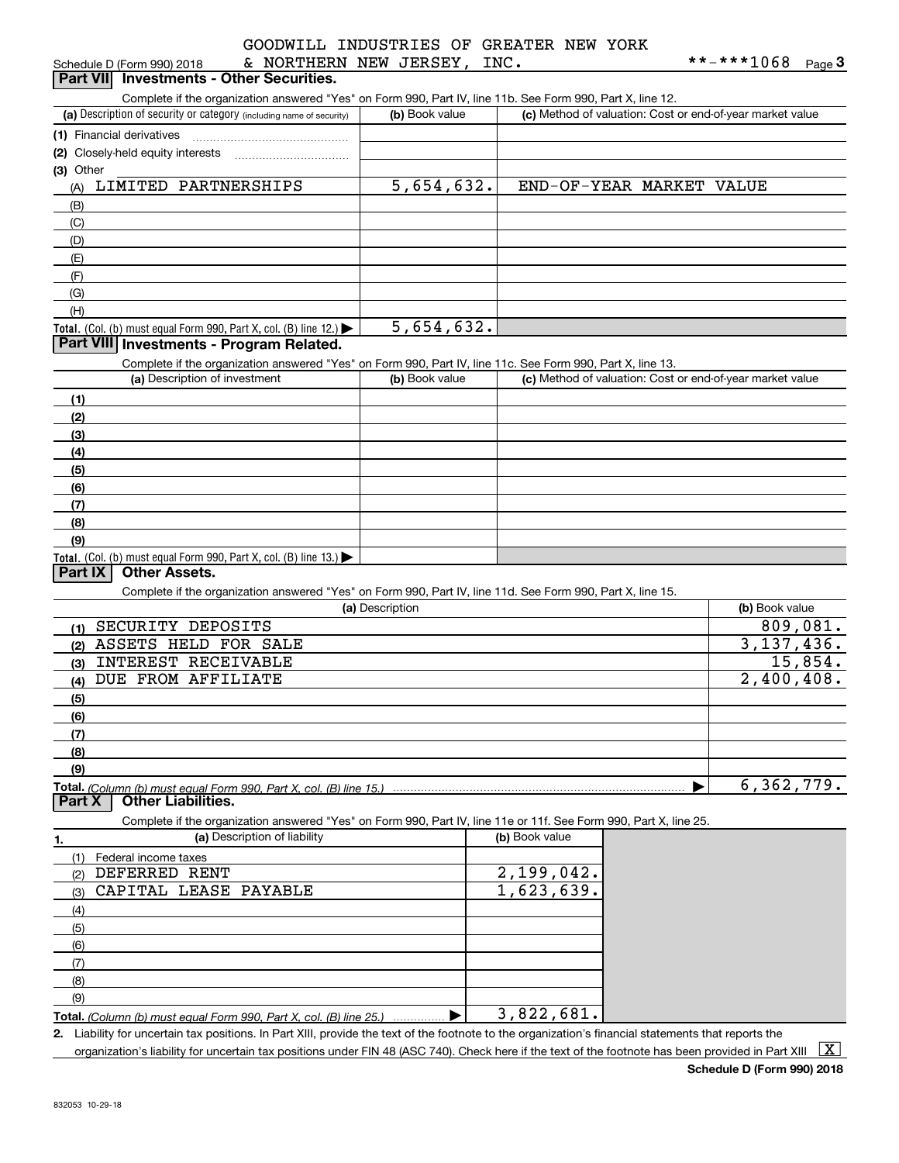|  |  | GOODWILL INDUSTRIES OF GREATER NEW YORK |  |
|--|--|-----------------------------------------|--|
|  |  |                                         |  |

| Schedule D (Form 990) 2018                                                                                        | & NORTHERN NEW JERSEY, | INC.           |                                                           | **-***1068     | $_{\text{Page}}$ 3 |
|-------------------------------------------------------------------------------------------------------------------|------------------------|----------------|-----------------------------------------------------------|----------------|--------------------|
| Part VII Investments - Other Securities.                                                                          |                        |                |                                                           |                |                    |
| Complete if the organization answered "Yes" on Form 990, Part IV, line 11b. See Form 990, Part X, line 12.        |                        |                |                                                           |                |                    |
| (a) Description of security or category (including name of security)                                              | (b) Book value         |                | (c) Method of valuation: Cost or end-of-year market value |                |                    |
| (1) Financial derivatives                                                                                         |                        |                |                                                           |                |                    |
|                                                                                                                   |                        |                |                                                           |                |                    |
| (3) Other                                                                                                         |                        |                |                                                           |                |                    |
| LIMITED PARTNERSHIPS<br>(A)                                                                                       | 5,654,632.             |                | END-OF-YEAR MARKET VALUE                                  |                |                    |
|                                                                                                                   |                        |                |                                                           |                |                    |
| (B)                                                                                                               |                        |                |                                                           |                |                    |
| (C)                                                                                                               |                        |                |                                                           |                |                    |
| (D)                                                                                                               |                        |                |                                                           |                |                    |
| (E)                                                                                                               |                        |                |                                                           |                |                    |
| (F)                                                                                                               |                        |                |                                                           |                |                    |
| (G)                                                                                                               |                        |                |                                                           |                |                    |
| (H)                                                                                                               |                        |                |                                                           |                |                    |
| Total. (Col. (b) must equal Form 990, Part X, col. (B) line 12.) $\blacktriangleright$                            | 5,654,632.             |                |                                                           |                |                    |
| Part VIII Investments - Program Related.                                                                          |                        |                |                                                           |                |                    |
| Complete if the organization answered "Yes" on Form 990, Part IV, line 11c. See Form 990, Part X, line 13.        |                        |                |                                                           |                |                    |
| (a) Description of investment                                                                                     | (b) Book value         |                | (c) Method of valuation: Cost or end-of-year market value |                |                    |
| (1)                                                                                                               |                        |                |                                                           |                |                    |
| (2)                                                                                                               |                        |                |                                                           |                |                    |
| (3)                                                                                                               |                        |                |                                                           |                |                    |
| (4)                                                                                                               |                        |                |                                                           |                |                    |
|                                                                                                                   |                        |                |                                                           |                |                    |
| (5)                                                                                                               |                        |                |                                                           |                |                    |
| (6)                                                                                                               |                        |                |                                                           |                |                    |
| (7)                                                                                                               |                        |                |                                                           |                |                    |
| (8)                                                                                                               |                        |                |                                                           |                |                    |
| (9)                                                                                                               |                        |                |                                                           |                |                    |
| Total. (Col. (b) must equal Form 990, Part X, col. (B) line 13.)<br><b>Other Assets.</b><br>Part IX               |                        |                |                                                           |                |                    |
|                                                                                                                   |                        |                |                                                           |                |                    |
| Complete if the organization answered "Yes" on Form 990, Part IV, line 11d. See Form 990, Part X, line 15.        |                        |                |                                                           |                |                    |
|                                                                                                                   | (a) Description        |                |                                                           | (b) Book value |                    |
| (1) SECURITY DEPOSITS                                                                                             |                        |                |                                                           |                | 809,081.           |
| (2) ASSETS HELD FOR SALE                                                                                          |                        |                |                                                           | 3,137,436.     |                    |
| INTEREST RECEIVABLE<br>(3)                                                                                        |                        |                |                                                           |                | 15,854.            |
| DUE FROM AFFILIATE<br>(4)                                                                                         |                        |                |                                                           | 2,400,408.     |                    |
| (5)                                                                                                               |                        |                |                                                           |                |                    |
| (6)                                                                                                               |                        |                |                                                           |                |                    |
| (7)                                                                                                               |                        |                |                                                           |                |                    |
| (8)                                                                                                               |                        |                |                                                           |                |                    |
| (9)                                                                                                               |                        |                |                                                           |                |                    |
|                                                                                                                   |                        |                |                                                           | 6,362,779.     |                    |
| <b>Other Liabilities.</b><br>Part X                                                                               |                        |                |                                                           |                |                    |
| Complete if the organization answered "Yes" on Form 990, Part IV, line 11e or 11f. See Form 990, Part X, line 25. |                        |                |                                                           |                |                    |
| (a) Description of liability                                                                                      |                        | (b) Book value |                                                           |                |                    |
| 1.                                                                                                                |                        |                |                                                           |                |                    |
| (1) Federal income taxes<br>DEFERRED RENT                                                                         |                        | 2,199,042.     |                                                           |                |                    |
| (2)                                                                                                               |                        |                |                                                           |                |                    |
| CAPITAL LEASE PAYABLE<br>(3)                                                                                      |                        | 1,623,639.     |                                                           |                |                    |
| (4)                                                                                                               |                        |                |                                                           |                |                    |
| (5)                                                                                                               |                        |                |                                                           |                |                    |
| (6)                                                                                                               |                        |                |                                                           |                |                    |
| (7)                                                                                                               |                        |                |                                                           |                |                    |
| (8)                                                                                                               |                        |                |                                                           |                |                    |
| (9)                                                                                                               |                        |                |                                                           |                |                    |
| Total. (Column (b) must equal Form 990, Part X, col. (B) line 25.)                                                | ▶                      | 3,822,681.     |                                                           |                |                    |
|                                                                                                                   |                        |                |                                                           |                |                    |

**2.** Liability for uncertain tax positions. In Part XIII, provide the text of the footnote to the organization's financial statements that reports the organization's liability for uncertain tax positions under FIN 48 (ASC 740). Check here if the text of the footnote has been provided in Part XIII  $~\boxed{\rm X}$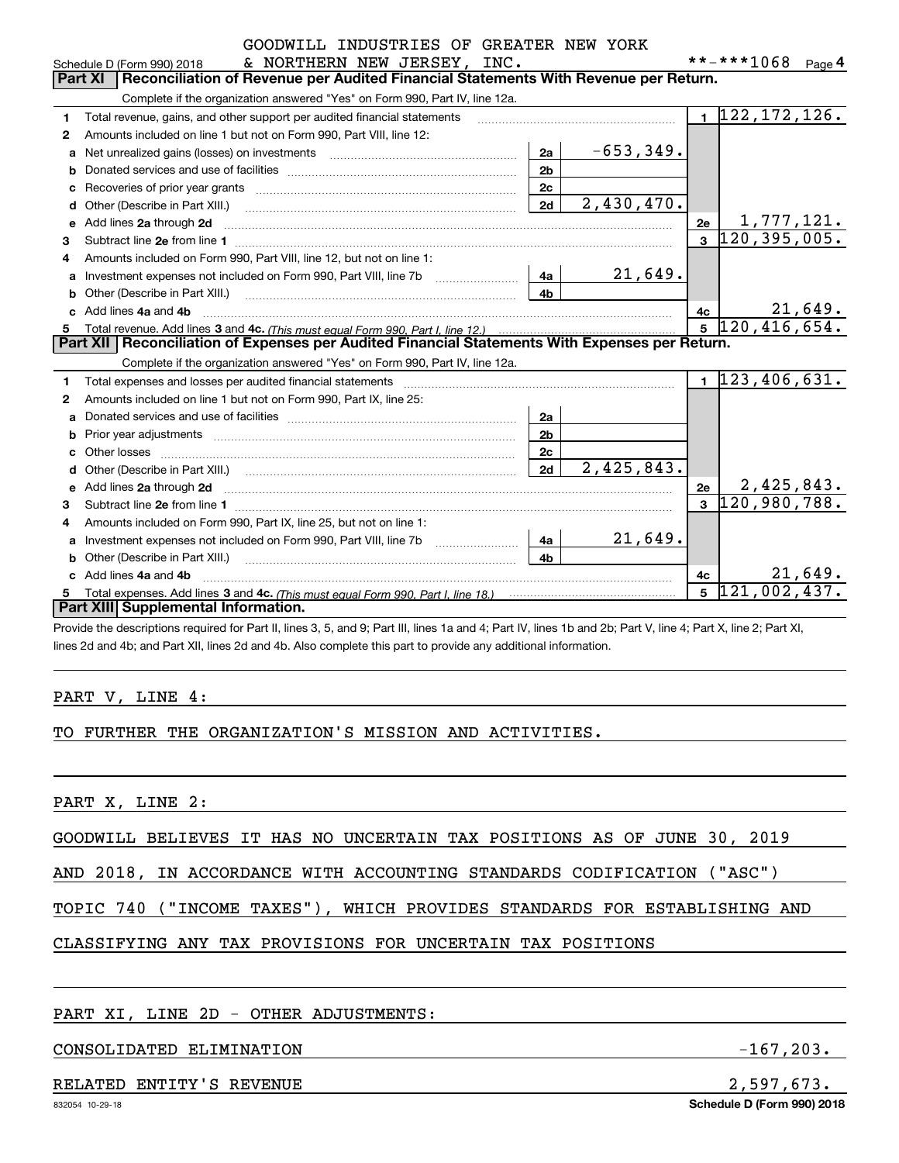|                | GOODWILL INDUSTRIES OF GREATER NEW YORK                                                                                                                                                                                       |                |             |                |                                             |
|----------------|-------------------------------------------------------------------------------------------------------------------------------------------------------------------------------------------------------------------------------|----------------|-------------|----------------|---------------------------------------------|
|                | & NORTHERN NEW JERSEY, INC.<br>Schedule D (Form 990) 2018                                                                                                                                                                     |                |             |                | **-***1068 Page 4                           |
| <b>Part XI</b> | Reconciliation of Revenue per Audited Financial Statements With Revenue per Return.                                                                                                                                           |                |             |                |                                             |
|                | Complete if the organization answered "Yes" on Form 990, Part IV, line 12a.                                                                                                                                                   |                |             |                |                                             |
| 1              | Total revenue, gains, and other support per audited financial statements                                                                                                                                                      |                |             |                | $\overline{1}$ 122, 172, 126.               |
| 2              | Amounts included on line 1 but not on Form 990, Part VIII, line 12:                                                                                                                                                           |                |             |                |                                             |
|                | a Net unrealized gains (losses) on investments [11] [11] Net unrealized gains (losses) on investments [11] [11                                                                                                                | 2a             | $-653,349.$ |                |                                             |
| b              |                                                                                                                                                                                                                               | 2 <sub>b</sub> |             |                |                                             |
|                |                                                                                                                                                                                                                               | 2c             |             |                |                                             |
|                |                                                                                                                                                                                                                               | 2d             | 2,430,470.  |                |                                             |
| е              | Add lines 2a through 2d                                                                                                                                                                                                       |                |             | 2e             | 1,777,121.                                  |
| з              |                                                                                                                                                                                                                               |                |             | $\mathbf{3}$   | 120, 395, 005.                              |
| 4              | Amounts included on Form 990, Part VIII, line 12, but not on line 1:                                                                                                                                                          |                |             |                |                                             |
| a              |                                                                                                                                                                                                                               | 4a l           | 21,649.     |                |                                             |
|                |                                                                                                                                                                                                                               | 4b             |             |                |                                             |
|                | c Add lines 4a and 4b                                                                                                                                                                                                         |                |             | 4c             | $\frac{4c}{5}$ $\frac{21,649}{120,416,654}$ |
| 5              |                                                                                                                                                                                                                               |                |             |                |                                             |
|                | Part XII   Reconciliation of Expenses per Audited Financial Statements With Expenses per Return.                                                                                                                              |                |             |                |                                             |
|                | Complete if the organization answered "Yes" on Form 990, Part IV, line 12a.                                                                                                                                                   |                |             |                |                                             |
| 1              | Total expenses and losses per audited financial statements [11, 11] manuscription control expenses and losses per audited financial statements [11] manuscription of the statements [11] manuscription of the statements [11] |                |             |                | $1\overline{23,406,631.}$                   |
| 2              | Amounts included on line 1 but not on Form 990, Part IX, line 25:                                                                                                                                                             |                |             |                |                                             |
| a              |                                                                                                                                                                                                                               | 2a             |             |                |                                             |
|                |                                                                                                                                                                                                                               | 2 <sub>b</sub> |             |                |                                             |
|                |                                                                                                                                                                                                                               | 2c             |             |                |                                             |
|                |                                                                                                                                                                                                                               | 2d             | 2,425,843.  |                |                                             |
| е              | Add lines 2a through 2d                                                                                                                                                                                                       |                |             | 2e             | 2,425,843.                                  |
| з              |                                                                                                                                                                                                                               |                |             | $\overline{3}$ | $\overline{120}$ , 980, 788.                |
| 4              | Amounts included on Form 990, Part IX, line 25, but not on line 1:                                                                                                                                                            |                |             |                |                                             |
| a              |                                                                                                                                                                                                                               | 4a             | 21,649.     |                |                                             |
|                |                                                                                                                                                                                                                               | 4 <sub>b</sub> |             |                |                                             |
|                | c Add lines 4a and 4b                                                                                                                                                                                                         |                |             | 4c             | 21,649.                                     |
| 5              |                                                                                                                                                                                                                               |                |             | 5              | 121,002,437.                                |
|                | Part XIII Supplemental Information.                                                                                                                                                                                           |                |             |                |                                             |

Provide the descriptions required for Part II, lines 3, 5, and 9; Part III, lines 1a and 4; Part IV, lines 1b and 2b; Part V, line 4; Part X, line 2; Part XI, lines 2d and 4b; and Part XII, lines 2d and 4b. Also complete this part to provide any additional information.

### PART V, LINE 4:

### TO FURTHER THE ORGANIZATION'S MISSION AND ACTIVITIES.

PART X, LINE 2:

GOODWILL BELIEVES IT HAS NO UNCERTAIN TAX POSITIONS AS OF JUNE 30, 2019

AND 2018, IN ACCORDANCE WITH ACCOUNTING STANDARDS CODIFICATION ("ASC")

TOPIC 740 ("INCOME TAXES"), WHICH PROVIDES STANDARDS FOR ESTABLISHING AND

### CLASSIFYING ANY TAX PROVISIONS FOR UNCERTAIN TAX POSITIONS

### PART XI, LINE 2D - OTHER ADJUSTMENTS:

### CONSOLIDATED ELIMINATION -167,203.

### RELATED ENTITY'S REVENUE **2,597,673.**

**Schedule D (Form 990) 2018**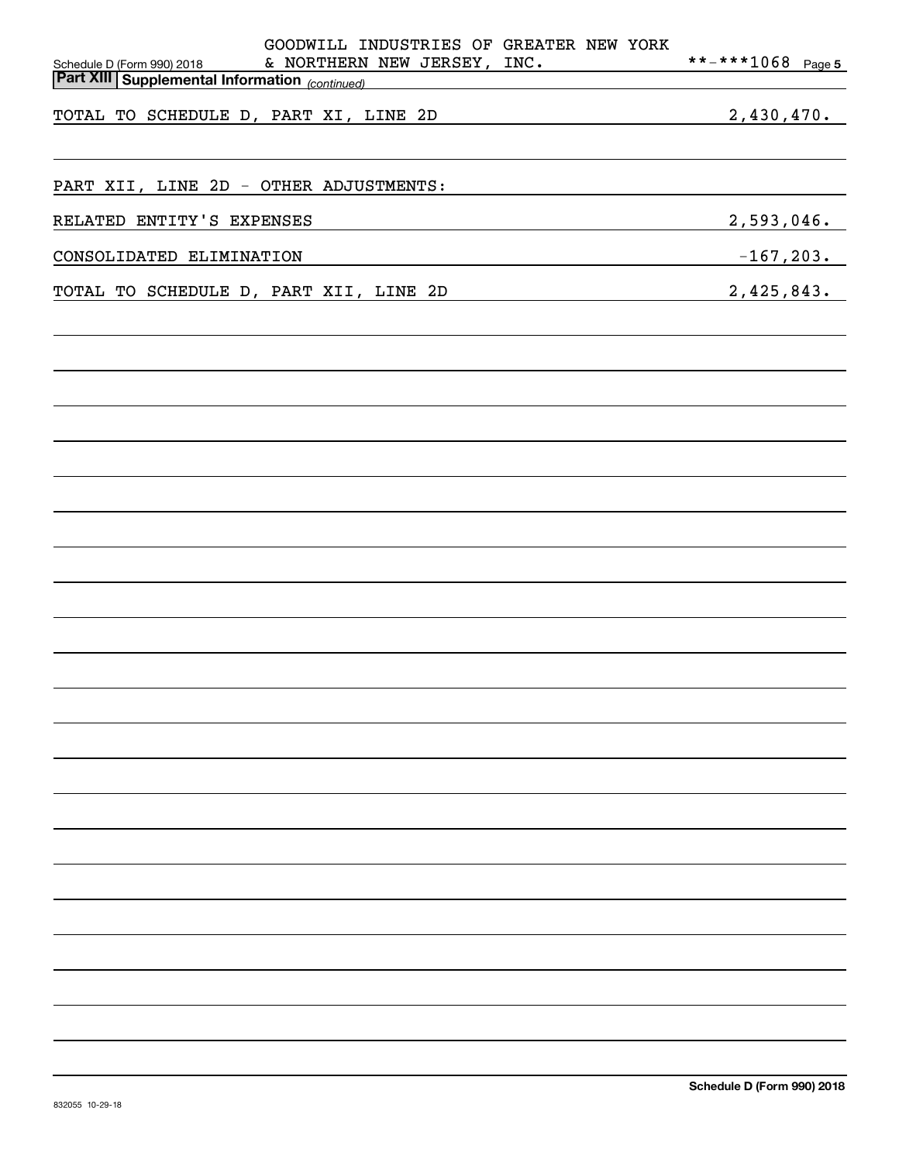| GOODWILL INDUSTRIES OF GREATER NEW YORK<br>& NORTHERN NEW JERSEY, INC.<br>Schedule D (Form 990) 2018    | **-***1068 Page 5 |
|---------------------------------------------------------------------------------------------------------|-------------------|
| <b>Part XIII Supplemental Information</b> (continued)                                                   |                   |
| 2,430,470.<br>TOTAL TO SCHEDULE D, PART XI, LINE 2D                                                     |                   |
| PART XII, LINE 2D - OTHER ADJUSTMENTS:                                                                  |                   |
| RELATED ENTITY'S EXPENSES<br><u> 1989 - Johann Stein, mars an deus Amerikaansk kommunister (* 1950)</u> | 2,593,046.        |
| $-167,203.$<br>CONSOLIDATED ELIMINATION                                                                 |                   |
| 2,425,843.<br>TOTAL TO SCHEDULE D, PART XII, LINE 2D                                                    |                   |
|                                                                                                         |                   |
|                                                                                                         |                   |
|                                                                                                         |                   |
|                                                                                                         |                   |
|                                                                                                         |                   |
|                                                                                                         |                   |
|                                                                                                         |                   |
|                                                                                                         |                   |
|                                                                                                         |                   |
|                                                                                                         |                   |
|                                                                                                         |                   |
|                                                                                                         |                   |
|                                                                                                         |                   |
|                                                                                                         |                   |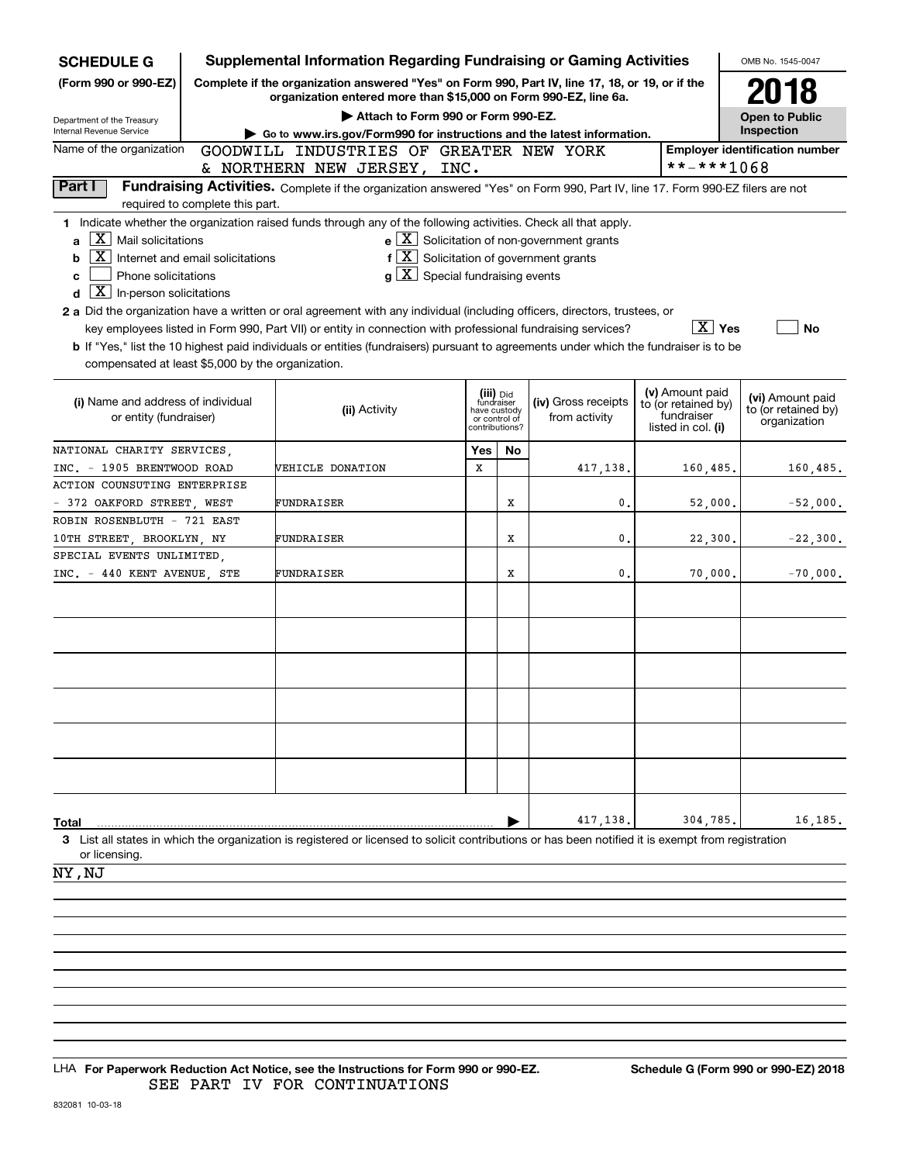| <b>SCHEDULE G</b>                                                                                                                                                                                                                                                                                                                                                                                                                                                                                                                                                                                                      | <b>Supplemental Information Regarding Fundraising or Gaming Activities</b>                                                                                                                                |                                                                                                                                                     |                                                                            |    |                                                                                                                               |                                                                            |                                                         |  |  |  |  |  |  |  |
|------------------------------------------------------------------------------------------------------------------------------------------------------------------------------------------------------------------------------------------------------------------------------------------------------------------------------------------------------------------------------------------------------------------------------------------------------------------------------------------------------------------------------------------------------------------------------------------------------------------------|-----------------------------------------------------------------------------------------------------------------------------------------------------------------------------------------------------------|-----------------------------------------------------------------------------------------------------------------------------------------------------|----------------------------------------------------------------------------|----|-------------------------------------------------------------------------------------------------------------------------------|----------------------------------------------------------------------------|---------------------------------------------------------|--|--|--|--|--|--|--|
| (Form 990 or 990-EZ)                                                                                                                                                                                                                                                                                                                                                                                                                                                                                                                                                                                                   | Complete if the organization answered "Yes" on Form 990, Part IV, line 17, 18, or 19, or if the<br>organization entered more than \$15,000 on Form 990-EZ, line 6a.<br>Attach to Form 990 or Form 990-EZ. |                                                                                                                                                     |                                                                            |    |                                                                                                                               |                                                                            |                                                         |  |  |  |  |  |  |  |
| Department of the Treasury                                                                                                                                                                                                                                                                                                                                                                                                                                                                                                                                                                                             | Go to www.irs.gov/Form990 for instructions and the latest information.<br>GOODWILL INDUSTRIES OF GREATER NEW YORK                                                                                         |                                                                                                                                                     |                                                                            |    |                                                                                                                               |                                                                            |                                                         |  |  |  |  |  |  |  |
| Internal Revenue Service                                                                                                                                                                                                                                                                                                                                                                                                                                                                                                                                                                                               |                                                                                                                                                                                                           |                                                                                                                                                     |                                                                            |    |                                                                                                                               |                                                                            | Inspection                                              |  |  |  |  |  |  |  |
| Name of the organization                                                                                                                                                                                                                                                                                                                                                                                                                                                                                                                                                                                               |                                                                                                                                                                                                           | & NORTHERN NEW JERSEY, INC.                                                                                                                         |                                                                            |    |                                                                                                                               | **-***1068                                                                 | <b>Employer identification number</b>                   |  |  |  |  |  |  |  |
| Part I                                                                                                                                                                                                                                                                                                                                                                                                                                                                                                                                                                                                                 |                                                                                                                                                                                                           | Fundraising Activities. Complete if the organization answered "Yes" on Form 990, Part IV, line 17. Form 990-EZ filers are not                       |                                                                            |    |                                                                                                                               |                                                                            |                                                         |  |  |  |  |  |  |  |
| required to complete this part.                                                                                                                                                                                                                                                                                                                                                                                                                                                                                                                                                                                        |                                                                                                                                                                                                           |                                                                                                                                                     |                                                                            |    |                                                                                                                               |                                                                            |                                                         |  |  |  |  |  |  |  |
| 1 Indicate whether the organization raised funds through any of the following activities. Check all that apply.<br>1 X I<br>Mail solicitations<br>a<br>X<br>Internet and email solicitations<br>b<br>Phone solicitations<br>C.<br>$\boxed{\textbf{X}}$ In-person solicitations<br>d<br>2 a Did the organization have a written or oral agreement with any individual (including officers, directors, trustees, or<br><b>b</b> If "Yes," list the 10 highest paid individuals or entities (fundraisers) pursuant to agreements under which the fundraiser is to be<br>compensated at least \$5,000 by the organization. |                                                                                                                                                                                                           | $g\mid X$ Special fundraising events<br>key employees listed in Form 990, Part VII) or entity in connection with professional fundraising services? |                                                                            |    | $e$ $\boxed{\text{X}}$ Solicitation of non-government grants<br>$f\left[\frac{X}{X}\right]$ Solicitation of government grants | $\boxed{\text{X}}$ Yes                                                     | <b>No</b>                                               |  |  |  |  |  |  |  |
| (i) Name and address of individual<br>or entity (fundraiser)                                                                                                                                                                                                                                                                                                                                                                                                                                                                                                                                                           |                                                                                                                                                                                                           | (ii) Activity                                                                                                                                       | (iii) Did<br>fundraiser<br>have custody<br>or control of<br>contributions? |    | (iv) Gross receipts<br>from activity                                                                                          | (v) Amount paid<br>to (or retained by)<br>fundraiser<br>listed in col. (i) | (vi) Amount paid<br>to (or retained by)<br>organization |  |  |  |  |  |  |  |
| NATIONAL CHARITY SERVICES,                                                                                                                                                                                                                                                                                                                                                                                                                                                                                                                                                                                             |                                                                                                                                                                                                           |                                                                                                                                                     | Yes                                                                        | No |                                                                                                                               |                                                                            |                                                         |  |  |  |  |  |  |  |
| INC. - 1905 BRENTWOOD ROAD                                                                                                                                                                                                                                                                                                                                                                                                                                                                                                                                                                                             |                                                                                                                                                                                                           | <b>VEHICLE DONATION</b>                                                                                                                             |                                                                            |    | 417,138.                                                                                                                      | 160,485.                                                                   | 160,485.                                                |  |  |  |  |  |  |  |
| ACTION COUNSUTING ENTERPRISE                                                                                                                                                                                                                                                                                                                                                                                                                                                                                                                                                                                           |                                                                                                                                                                                                           |                                                                                                                                                     |                                                                            |    |                                                                                                                               |                                                                            |                                                         |  |  |  |  |  |  |  |
| - 372 OAKFORD STREET, WEST                                                                                                                                                                                                                                                                                                                                                                                                                                                                                                                                                                                             |                                                                                                                                                                                                           | FUNDRAISER                                                                                                                                          |                                                                            | х  | 0.                                                                                                                            | 52,000.                                                                    | $-52,000.$                                              |  |  |  |  |  |  |  |
| ROBIN ROSENBLUTH - 721 EAST                                                                                                                                                                                                                                                                                                                                                                                                                                                                                                                                                                                            |                                                                                                                                                                                                           |                                                                                                                                                     |                                                                            |    |                                                                                                                               |                                                                            |                                                         |  |  |  |  |  |  |  |
| 10TH STREET, BROOKLYN, NY                                                                                                                                                                                                                                                                                                                                                                                                                                                                                                                                                                                              |                                                                                                                                                                                                           | FUNDRAISER                                                                                                                                          |                                                                            | х  | 0.                                                                                                                            | 22,300.                                                                    | $-22,300.$                                              |  |  |  |  |  |  |  |
| SPECIAL EVENTS UNLIMITED.                                                                                                                                                                                                                                                                                                                                                                                                                                                                                                                                                                                              |                                                                                                                                                                                                           |                                                                                                                                                     |                                                                            |    |                                                                                                                               |                                                                            |                                                         |  |  |  |  |  |  |  |
| INC. - 440 KENT AVENUE, STE                                                                                                                                                                                                                                                                                                                                                                                                                                                                                                                                                                                            |                                                                                                                                                                                                           | FUNDRAISER                                                                                                                                          |                                                                            | х  | 0.                                                                                                                            | 70,000.                                                                    | $-70,000.$                                              |  |  |  |  |  |  |  |
|                                                                                                                                                                                                                                                                                                                                                                                                                                                                                                                                                                                                                        |                                                                                                                                                                                                           |                                                                                                                                                     |                                                                            |    |                                                                                                                               |                                                                            |                                                         |  |  |  |  |  |  |  |
| Total<br>3 List all states in which the organization is registered or licensed to solicit contributions or has been notified it is exempt from registration<br>or licensing.<br>NY, NJ                                                                                                                                                                                                                                                                                                                                                                                                                                 |                                                                                                                                                                                                           |                                                                                                                                                     |                                                                            |    | 417,138.                                                                                                                      | 304,785,                                                                   | 16,185.                                                 |  |  |  |  |  |  |  |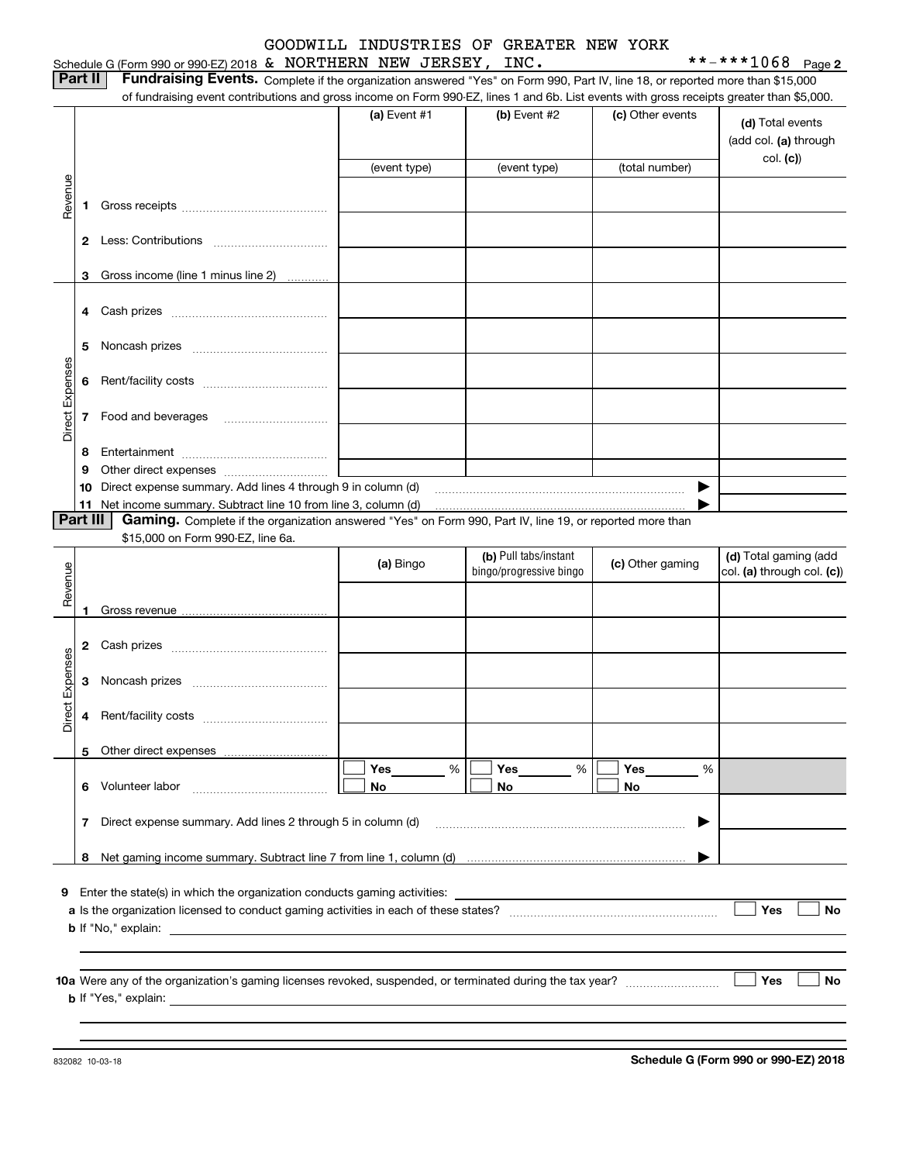### Schedule G (Form 990 or 990-EZ) 2018 Page & NORTHERN NEW JERSEY, INC. \*\*-\*\*\*1068 GOODWILL INDUSTRIES OF GREATER NEW YORK

**Part II** | Fundraising Events. Complete if the organization answered "Yes" on Form 990, Part IV, line 18, or reported more than \$15,000

|                 |          | of fundraising event contributions and gross income on Form 990-EZ, lines 1 and 6b. List events with gross receipts greater than \$5,000.                                                                                                 |              |                         |                  |                                           |
|-----------------|----------|-------------------------------------------------------------------------------------------------------------------------------------------------------------------------------------------------------------------------------------------|--------------|-------------------------|------------------|-------------------------------------------|
|                 |          |                                                                                                                                                                                                                                           | (a) Event #1 | $(b)$ Event #2          | (c) Other events | (d) Total events<br>(add col. (a) through |
|                 |          |                                                                                                                                                                                                                                           | (event type) | (event type)            | (total number)   | col. (c)                                  |
| Revenue         |          |                                                                                                                                                                                                                                           |              |                         |                  |                                           |
|                 |          |                                                                                                                                                                                                                                           |              |                         |                  |                                           |
|                 |          |                                                                                                                                                                                                                                           |              |                         |                  |                                           |
|                 |          |                                                                                                                                                                                                                                           |              |                         |                  |                                           |
|                 | 3        | Gross income (line 1 minus line 2)                                                                                                                                                                                                        |              |                         |                  |                                           |
|                 |          |                                                                                                                                                                                                                                           |              |                         |                  |                                           |
|                 |          |                                                                                                                                                                                                                                           |              |                         |                  |                                           |
|                 |          |                                                                                                                                                                                                                                           |              |                         |                  |                                           |
|                 | 5        |                                                                                                                                                                                                                                           |              |                         |                  |                                           |
| Direct Expenses | 6        |                                                                                                                                                                                                                                           |              |                         |                  |                                           |
|                 |          |                                                                                                                                                                                                                                           |              |                         |                  |                                           |
|                 |          | 7 Food and beverages                                                                                                                                                                                                                      |              |                         |                  |                                           |
|                 |          |                                                                                                                                                                                                                                           |              |                         |                  |                                           |
|                 | 8        |                                                                                                                                                                                                                                           |              |                         |                  |                                           |
|                 | 9        |                                                                                                                                                                                                                                           |              |                         |                  |                                           |
|                 | 10       | Direct expense summary. Add lines 4 through 9 in column (d)<br>11 Net income summary. Subtract line 10 from line 3, column (d)                                                                                                            |              |                         |                  |                                           |
|                 | Part III | Gaming. Complete if the organization answered "Yes" on Form 990, Part IV, line 19, or reported more than                                                                                                                                  |              |                         |                  |                                           |
|                 |          | \$15,000 on Form 990-EZ, line 6a.                                                                                                                                                                                                         |              |                         |                  |                                           |
|                 |          |                                                                                                                                                                                                                                           | (a) Bingo    | (b) Pull tabs/instant   | (c) Other gaming | (d) Total gaming (add                     |
| Revenue         |          |                                                                                                                                                                                                                                           |              | bingo/progressive bingo |                  | col. (a) through col. (c))                |
|                 |          |                                                                                                                                                                                                                                           |              |                         |                  |                                           |
|                 | 1        |                                                                                                                                                                                                                                           |              |                         |                  |                                           |
|                 |          |                                                                                                                                                                                                                                           |              |                         |                  |                                           |
|                 |          |                                                                                                                                                                                                                                           |              |                         |                  |                                           |
| Expenses        | 3        |                                                                                                                                                                                                                                           |              |                         |                  |                                           |
| Direct          | 4        |                                                                                                                                                                                                                                           |              |                         |                  |                                           |
|                 |          |                                                                                                                                                                                                                                           |              |                         |                  |                                           |
|                 |          | 5 Other direct expenses                                                                                                                                                                                                                   |              |                         |                  |                                           |
|                 |          |                                                                                                                                                                                                                                           | %<br>Yes     | Yes<br>%                | Yes<br>%         |                                           |
|                 |          | 6 Volunteer labor                                                                                                                                                                                                                         | No           | No                      | No               |                                           |
|                 |          | 7 Direct expense summary. Add lines 2 through 5 in column (d)                                                                                                                                                                             |              |                         | ▶                |                                           |
|                 |          |                                                                                                                                                                                                                                           |              |                         |                  |                                           |
|                 |          |                                                                                                                                                                                                                                           |              |                         |                  |                                           |
| 9               |          | Enter the state(s) in which the organization conducts gaming activities:                                                                                                                                                                  |              |                         |                  |                                           |
|                 |          |                                                                                                                                                                                                                                           |              |                         |                  | Yes<br>No                                 |
|                 |          | <b>b</b> If "No," explain: <u>example and the set of the set of the set of the set of the set of the set of the set of the set of the set of the set of the set of the set of the set of the set of the set of the set of the set of </u> |              |                         |                  |                                           |
|                 |          |                                                                                                                                                                                                                                           |              |                         |                  |                                           |
|                 |          |                                                                                                                                                                                                                                           |              |                         |                  | Yes<br>No                                 |
|                 |          |                                                                                                                                                                                                                                           |              |                         |                  |                                           |
|                 |          |                                                                                                                                                                                                                                           |              |                         |                  |                                           |
|                 |          |                                                                                                                                                                                                                                           |              |                         |                  |                                           |

**Schedule G (Form 990 or 990-EZ) 2018**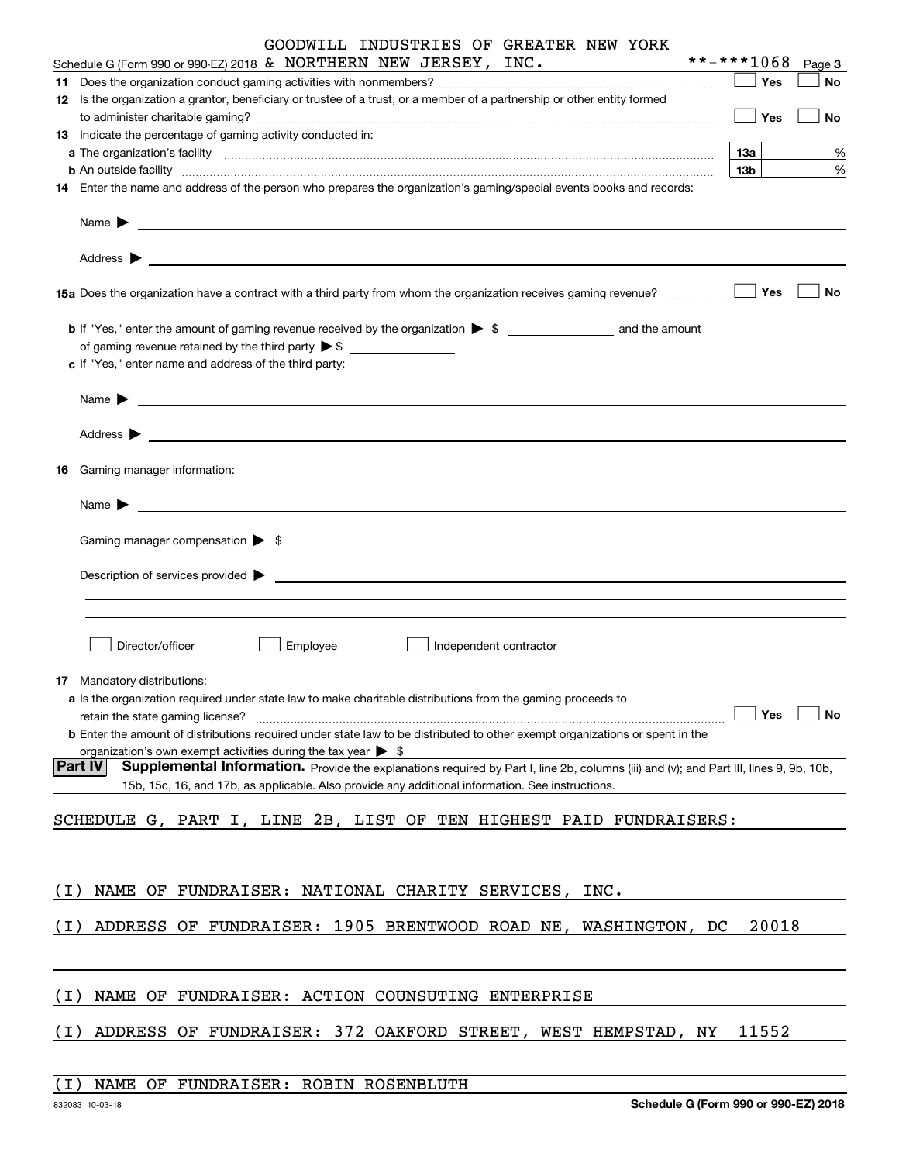|       | GOODWILL INDUSTRIES OF GREATER NEW YORK<br>Schedule G (Form 990 or 990-EZ) 2018 & NORTHERN NEW JERSEY, INC.                                                                                                                    | **-***1068 |       |        |
|-------|--------------------------------------------------------------------------------------------------------------------------------------------------------------------------------------------------------------------------------|------------|-------|--------|
|       |                                                                                                                                                                                                                                |            | Yes   | Page 3 |
|       |                                                                                                                                                                                                                                |            |       | No     |
|       | 12 Is the organization a grantor, beneficiary or trustee of a trust, or a member of a partnership or other entity formed                                                                                                       |            | Yes   | No     |
|       | 13 Indicate the percentage of gaming activity conducted in:                                                                                                                                                                    |            |       |        |
|       |                                                                                                                                                                                                                                | 13a        |       | %      |
|       | <b>b</b> An outside facility <i>www.communicality www.communicality.communicality www.communicality www.communicality.communicality www.communicality.com</i>                                                                  | 13b        |       | %      |
|       | 14 Enter the name and address of the person who prepares the organization's gaming/special events books and records:                                                                                                           |            |       |        |
|       |                                                                                                                                                                                                                                |            |       |        |
|       | Name $\blacktriangleright$                                                                                                                                                                                                     |            |       |        |
|       |                                                                                                                                                                                                                                |            |       |        |
|       | 15a Does the organization have a contract with a third party from whom the organization receives gaming revenue?                                                                                                               |            | Yes   | No     |
|       |                                                                                                                                                                                                                                |            |       |        |
|       | of gaming revenue retained by the third party $\triangleright$ \$                                                                                                                                                              |            |       |        |
|       | c If "Yes," enter name and address of the third party:                                                                                                                                                                         |            |       |        |
|       |                                                                                                                                                                                                                                |            |       |        |
|       | <u> 1989 - Andrea Stadt Britain, markin am Britain, fransk politik (d. 1989)</u><br>Name $\blacktriangleright$                                                                                                                 |            |       |        |
|       |                                                                                                                                                                                                                                |            |       |        |
| 16    | Gaming manager information:                                                                                                                                                                                                    |            |       |        |
|       |                                                                                                                                                                                                                                |            |       |        |
|       | $Name \rightarrow$                                                                                                                                                                                                             |            |       |        |
|       | Gaming manager compensation > \$                                                                                                                                                                                               |            |       |        |
|       |                                                                                                                                                                                                                                |            |       |        |
|       | Description of services provided states and the service of the service of the services provided states are serviced to be a service of the services provided states and the services of the services of the services of the se |            |       |        |
|       |                                                                                                                                                                                                                                |            |       |        |
|       |                                                                                                                                                                                                                                |            |       |        |
|       | Director/officer<br>Employee<br>Independent contractor                                                                                                                                                                         |            |       |        |
|       | <b>17</b> Mandatory distributions:                                                                                                                                                                                             |            |       |        |
|       | a Is the organization required under state law to make charitable distributions from the gaming proceeds to                                                                                                                    |            |       |        |
|       | retain the state gaming license?                                                                                                                                                                                               |            | Yes   | No     |
|       | <b>b</b> Enter the amount of distributions required under state law to be distributed to other exempt organizations or spent in the                                                                                            |            |       |        |
|       | organization's own exempt activities during the tax year $\triangleright$ \$                                                                                                                                                   |            |       |        |
|       | <b>Part IV</b><br>Supplemental Information. Provide the explanations required by Part I, line 2b, columns (iii) and (v); and Part III, lines 9, 9b, 10b,                                                                       |            |       |        |
|       | 15b, 15c, 16, and 17b, as applicable. Also provide any additional information. See instructions.                                                                                                                               |            |       |        |
|       |                                                                                                                                                                                                                                |            |       |        |
|       | SCHEDULE G, PART I, LINE 2B, LIST OF TEN HIGHEST PAID FUNDRAISERS:                                                                                                                                                             |            |       |        |
|       |                                                                                                                                                                                                                                |            |       |        |
|       |                                                                                                                                                                                                                                |            |       |        |
| ( I ) | NAME OF FUNDRAISER: NATIONAL CHARITY SERVICES,<br>INC.                                                                                                                                                                         |            |       |        |
|       |                                                                                                                                                                                                                                |            |       |        |
| (I)   | ADDRESS OF FUNDRAISER: 1905 BRENTWOOD ROAD NE, WASHINGTON, DC                                                                                                                                                                  |            | 20018 |        |
|       |                                                                                                                                                                                                                                |            |       |        |
|       |                                                                                                                                                                                                                                |            |       |        |
| ( I ) | NAME OF FUNDRAISER: ACTION COUNSUTING ENTERPRISE                                                                                                                                                                               |            |       |        |
| (I)   | ADDRESS OF FUNDRAISER: 372 OAKFORD STREET, WEST HEMPSTAD, NY                                                                                                                                                                   |            | 11552 |        |
|       |                                                                                                                                                                                                                                |            |       |        |

### (I) NAME OF FUNDRAISER: ROBIN ROSENBLUTH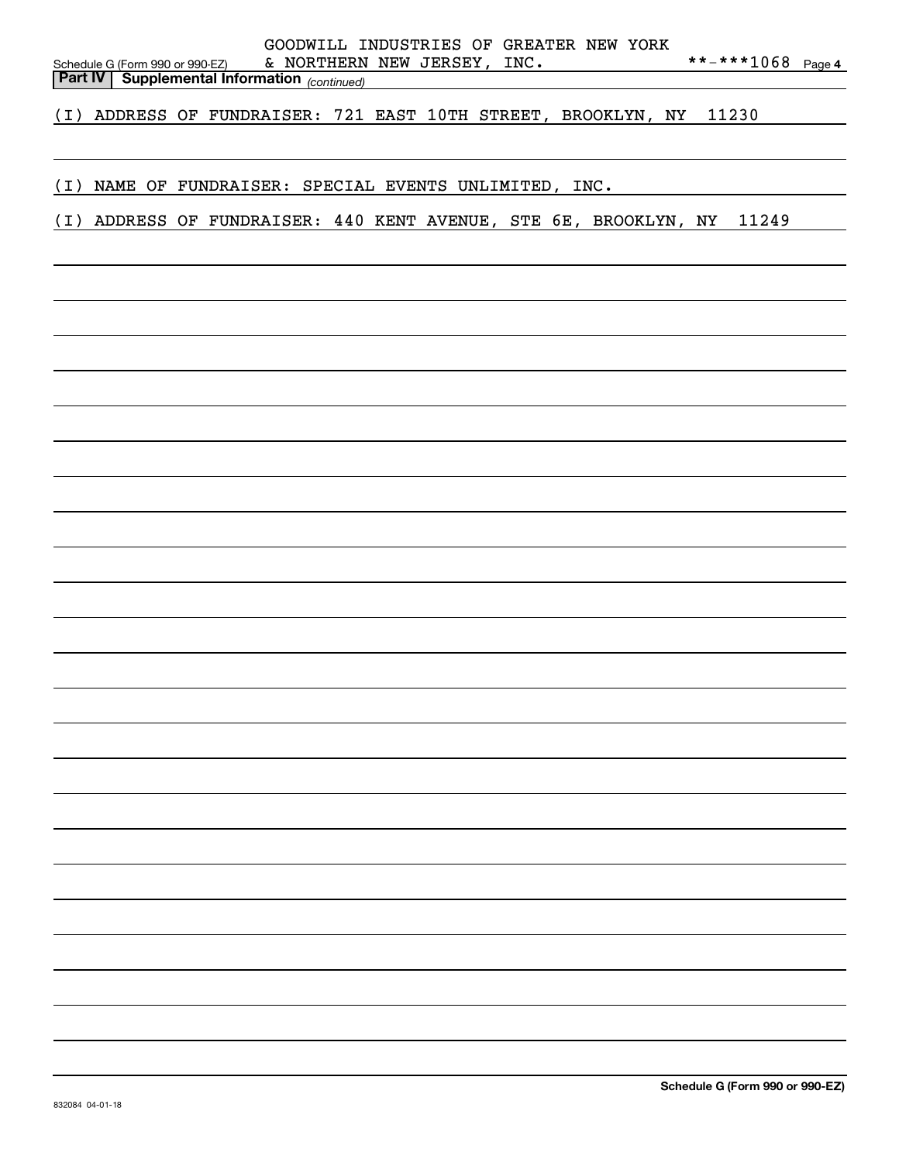| Schedule G (Form 990 or 990-EZ)<br><b>Part IV Supplemental Information</b> (continued) |  |  |  | & NORTHERN NEW JERSEY, INC. |  | GOODWILL INDUSTRIES OF GREATER NEW YORK |  | **-***1068 Page 4                                                      |  |
|----------------------------------------------------------------------------------------|--|--|--|-----------------------------|--|-----------------------------------------|--|------------------------------------------------------------------------|--|
|                                                                                        |  |  |  |                             |  |                                         |  |                                                                        |  |
| (I) ADDRESS OF FUNDRAISER: 721 EAST 10TH STREET, BROOKLYN, NY 11230                    |  |  |  |                             |  |                                         |  |                                                                        |  |
|                                                                                        |  |  |  |                             |  |                                         |  |                                                                        |  |
| (I) NAME OF FUNDRAISER: SPECIAL EVENTS UNLIMITED, INC.                                 |  |  |  |                             |  |                                         |  |                                                                        |  |
|                                                                                        |  |  |  |                             |  |                                         |  |                                                                        |  |
|                                                                                        |  |  |  |                             |  |                                         |  | (I) ADDRESS OF FUNDRAISER: 440 KENT AVENUE, STE 6E, BROOKLYN, NY 11249 |  |
|                                                                                        |  |  |  |                             |  |                                         |  |                                                                        |  |
|                                                                                        |  |  |  |                             |  |                                         |  |                                                                        |  |
|                                                                                        |  |  |  |                             |  |                                         |  |                                                                        |  |
|                                                                                        |  |  |  |                             |  |                                         |  |                                                                        |  |
|                                                                                        |  |  |  |                             |  |                                         |  |                                                                        |  |
|                                                                                        |  |  |  |                             |  |                                         |  |                                                                        |  |
|                                                                                        |  |  |  |                             |  |                                         |  |                                                                        |  |
|                                                                                        |  |  |  |                             |  |                                         |  |                                                                        |  |
|                                                                                        |  |  |  |                             |  |                                         |  |                                                                        |  |
|                                                                                        |  |  |  |                             |  |                                         |  |                                                                        |  |
|                                                                                        |  |  |  |                             |  |                                         |  |                                                                        |  |
|                                                                                        |  |  |  |                             |  |                                         |  |                                                                        |  |
|                                                                                        |  |  |  |                             |  |                                         |  |                                                                        |  |
|                                                                                        |  |  |  |                             |  |                                         |  |                                                                        |  |
|                                                                                        |  |  |  |                             |  |                                         |  |                                                                        |  |
|                                                                                        |  |  |  |                             |  |                                         |  |                                                                        |  |
|                                                                                        |  |  |  |                             |  |                                         |  |                                                                        |  |
|                                                                                        |  |  |  |                             |  |                                         |  |                                                                        |  |
|                                                                                        |  |  |  |                             |  |                                         |  |                                                                        |  |
|                                                                                        |  |  |  |                             |  |                                         |  |                                                                        |  |
|                                                                                        |  |  |  |                             |  |                                         |  |                                                                        |  |
|                                                                                        |  |  |  |                             |  |                                         |  |                                                                        |  |
|                                                                                        |  |  |  |                             |  |                                         |  |                                                                        |  |
|                                                                                        |  |  |  |                             |  |                                         |  |                                                                        |  |
|                                                                                        |  |  |  |                             |  |                                         |  |                                                                        |  |
|                                                                                        |  |  |  |                             |  |                                         |  |                                                                        |  |
|                                                                                        |  |  |  |                             |  |                                         |  |                                                                        |  |
|                                                                                        |  |  |  |                             |  |                                         |  |                                                                        |  |
|                                                                                        |  |  |  |                             |  |                                         |  |                                                                        |  |
|                                                                                        |  |  |  |                             |  |                                         |  |                                                                        |  |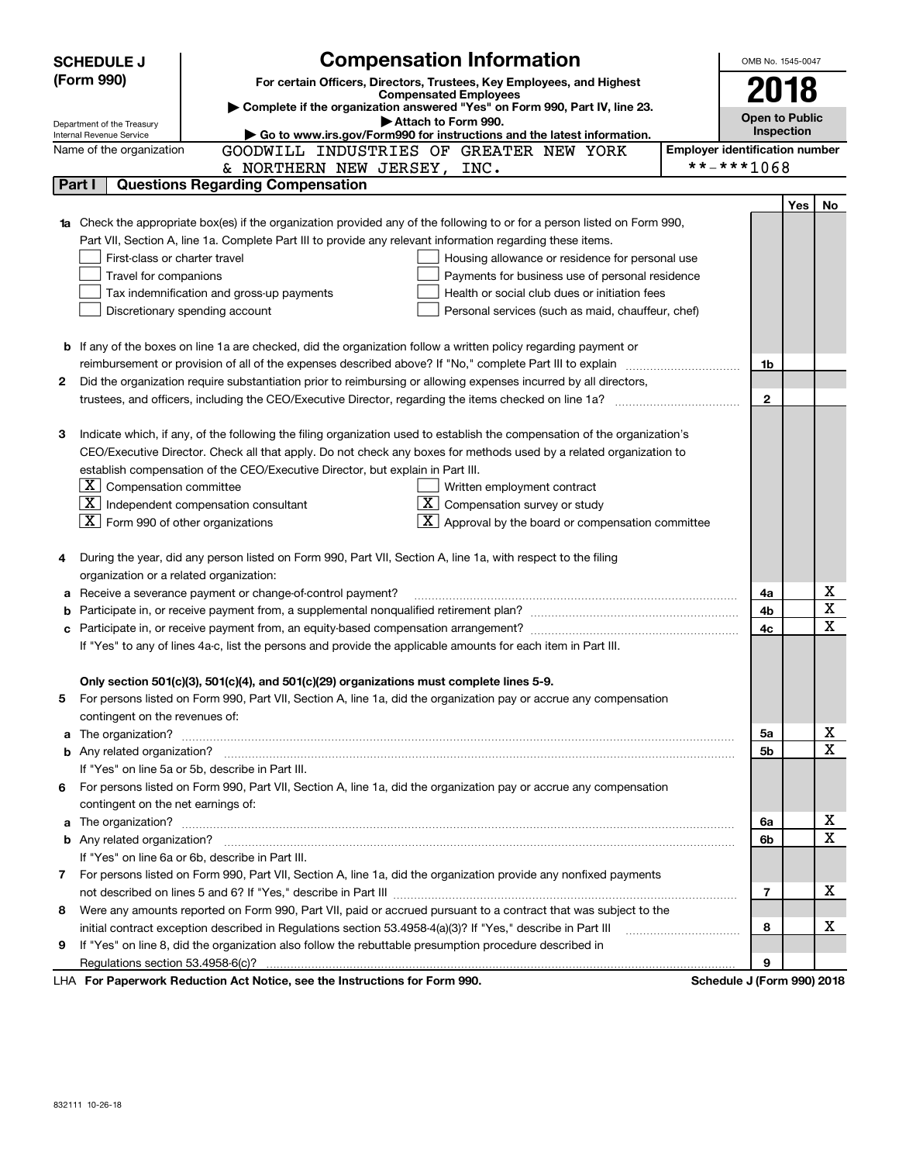|    | <b>Compensation Information</b><br><b>SCHEDULE J</b><br>OMB No. 1545-0047                                              |                                                                                                                           |                                       |                       |            |    |  |  |  |  |
|----|------------------------------------------------------------------------------------------------------------------------|---------------------------------------------------------------------------------------------------------------------------|---------------------------------------|-----------------------|------------|----|--|--|--|--|
|    | (Form 990)                                                                                                             | For certain Officers, Directors, Trustees, Key Employees, and Highest                                                     |                                       |                       | 2018       |    |  |  |  |  |
|    |                                                                                                                        | <b>Compensated Employees</b><br>Complete if the organization answered "Yes" on Form 990, Part IV, line 23.                |                                       |                       |            |    |  |  |  |  |
|    | Department of the Treasury                                                                                             | Attach to Form 990.                                                                                                       |                                       | <b>Open to Public</b> |            |    |  |  |  |  |
|    | Internal Revenue Service                                                                                               | Go to www.irs.gov/Form990 for instructions and the latest information.                                                    |                                       |                       | Inspection |    |  |  |  |  |
|    | Name of the organization                                                                                               | GOODWILL INDUSTRIES OF GREATER NEW YORK                                                                                   | <b>Employer identification number</b> |                       |            |    |  |  |  |  |
|    |                                                                                                                        | & NORTHERN NEW JERSEY, INC.                                                                                               | **-***1068                            |                       |            |    |  |  |  |  |
|    | Part I                                                                                                                 | <b>Questions Regarding Compensation</b>                                                                                   |                                       |                       |            |    |  |  |  |  |
|    |                                                                                                                        |                                                                                                                           |                                       |                       | Yes        | No |  |  |  |  |
|    |                                                                                                                        | Check the appropriate box(es) if the organization provided any of the following to or for a person listed on Form 990,    |                                       |                       |            |    |  |  |  |  |
|    |                                                                                                                        | Part VII, Section A, line 1a. Complete Part III to provide any relevant information regarding these items.                |                                       |                       |            |    |  |  |  |  |
|    | First-class or charter travel                                                                                          | Housing allowance or residence for personal use                                                                           |                                       |                       |            |    |  |  |  |  |
|    | Travel for companions                                                                                                  | Payments for business use of personal residence<br>Health or social club dues or initiation fees                          |                                       |                       |            |    |  |  |  |  |
|    |                                                                                                                        | Tax indemnification and gross-up payments<br>Discretionary spending account                                               |                                       |                       |            |    |  |  |  |  |
|    |                                                                                                                        | Personal services (such as maid, chauffeur, chef)                                                                         |                                       |                       |            |    |  |  |  |  |
|    | <b>b</b> If any of the boxes on line 1a are checked, did the organization follow a written policy regarding payment or |                                                                                                                           |                                       |                       |            |    |  |  |  |  |
|    |                                                                                                                        |                                                                                                                           |                                       |                       |            |    |  |  |  |  |
| 2  | Did the organization require substantiation prior to reimbursing or allowing expenses incurred by all directors,       |                                                                                                                           |                                       |                       |            |    |  |  |  |  |
|    |                                                                                                                        |                                                                                                                           |                                       | $\mathbf{2}$          |            |    |  |  |  |  |
|    |                                                                                                                        |                                                                                                                           |                                       |                       |            |    |  |  |  |  |
| з  |                                                                                                                        | Indicate which, if any, of the following the filing organization used to establish the compensation of the organization's |                                       |                       |            |    |  |  |  |  |
|    |                                                                                                                        | CEO/Executive Director. Check all that apply. Do not check any boxes for methods used by a related organization to        |                                       |                       |            |    |  |  |  |  |
|    |                                                                                                                        | establish compensation of the CEO/Executive Director, but explain in Part III.                                            |                                       |                       |            |    |  |  |  |  |
|    | $\boxed{\textbf{X}}$ Compensation committee                                                                            | Written employment contract                                                                                               |                                       |                       |            |    |  |  |  |  |
|    |                                                                                                                        | $\mathbf{X}$<br>$\boxed{\textbf{X}}$ Independent compensation consultant<br>Compensation survey or study                  |                                       |                       |            |    |  |  |  |  |
|    | $\boxed{\textbf{X}}$ Form 990 of other organizations                                                                   | $\lfloor x \rfloor$ Approval by the board or compensation committee                                                       |                                       |                       |            |    |  |  |  |  |
|    |                                                                                                                        |                                                                                                                           |                                       |                       |            |    |  |  |  |  |
| 4  |                                                                                                                        | During the year, did any person listed on Form 990, Part VII, Section A, line 1a, with respect to the filing              |                                       |                       |            |    |  |  |  |  |
|    | organization or a related organization:                                                                                |                                                                                                                           |                                       |                       |            |    |  |  |  |  |
| а  |                                                                                                                        | Receive a severance payment or change-of-control payment?                                                                 |                                       | 4a                    |            | x  |  |  |  |  |
| b  |                                                                                                                        |                                                                                                                           |                                       | 4b                    |            | X  |  |  |  |  |
|    |                                                                                                                        |                                                                                                                           |                                       | 4c                    |            | X  |  |  |  |  |
|    |                                                                                                                        | If "Yes" to any of lines 4a-c, list the persons and provide the applicable amounts for each item in Part III.             |                                       |                       |            |    |  |  |  |  |
|    |                                                                                                                        |                                                                                                                           |                                       |                       |            |    |  |  |  |  |
|    |                                                                                                                        | Only section 501(c)(3), 501(c)(4), and 501(c)(29) organizations must complete lines 5-9.                                  |                                       |                       |            |    |  |  |  |  |
| 5  |                                                                                                                        | For persons listed on Form 990, Part VII, Section A, line 1a, did the organization pay or accrue any compensation         |                                       |                       |            |    |  |  |  |  |
|    | contingent on the revenues of:                                                                                         |                                                                                                                           |                                       |                       |            |    |  |  |  |  |
| a  |                                                                                                                        |                                                                                                                           |                                       | 5а                    |            | х  |  |  |  |  |
|    |                                                                                                                        |                                                                                                                           |                                       | 5b                    |            | X  |  |  |  |  |
|    |                                                                                                                        | If "Yes" on line 5a or 5b, describe in Part III.                                                                          |                                       |                       |            |    |  |  |  |  |
| 6. |                                                                                                                        | For persons listed on Form 990, Part VII, Section A, line 1a, did the organization pay or accrue any compensation         |                                       |                       |            |    |  |  |  |  |
|    | contingent on the net earnings of:                                                                                     |                                                                                                                           |                                       |                       |            |    |  |  |  |  |
| a  |                                                                                                                        |                                                                                                                           |                                       | 6a                    |            | х  |  |  |  |  |
|    |                                                                                                                        |                                                                                                                           |                                       | 6b                    |            | X  |  |  |  |  |
|    |                                                                                                                        | If "Yes" on line 6a or 6b, describe in Part III.                                                                          |                                       |                       |            |    |  |  |  |  |
|    |                                                                                                                        | 7 For persons listed on Form 990, Part VII, Section A, line 1a, did the organization provide any nonfixed payments        |                                       |                       |            |    |  |  |  |  |
|    |                                                                                                                        |                                                                                                                           |                                       | 7                     |            | х  |  |  |  |  |
| 8  |                                                                                                                        | Were any amounts reported on Form 990, Part VII, paid or accrued pursuant to a contract that was subject to the           |                                       |                       |            |    |  |  |  |  |
|    |                                                                                                                        | initial contract exception described in Regulations section 53.4958-4(a)(3)? If "Yes," describe in Part III               |                                       | 8                     |            | х  |  |  |  |  |
| 9  |                                                                                                                        | If "Yes" on line 8, did the organization also follow the rebuttable presumption procedure described in                    |                                       |                       |            |    |  |  |  |  |
|    |                                                                                                                        | $1 \mu\Lambda$ For Paperwork Reduction Act Notice, see the Instructions for Form 000                                      | Schodule 1 (Form 000) 2018            | 9                     |            |    |  |  |  |  |

LHA For Paperwork Reduction Act Notice, see the Instructions for Form 990. Schedule J (Form 990) 2018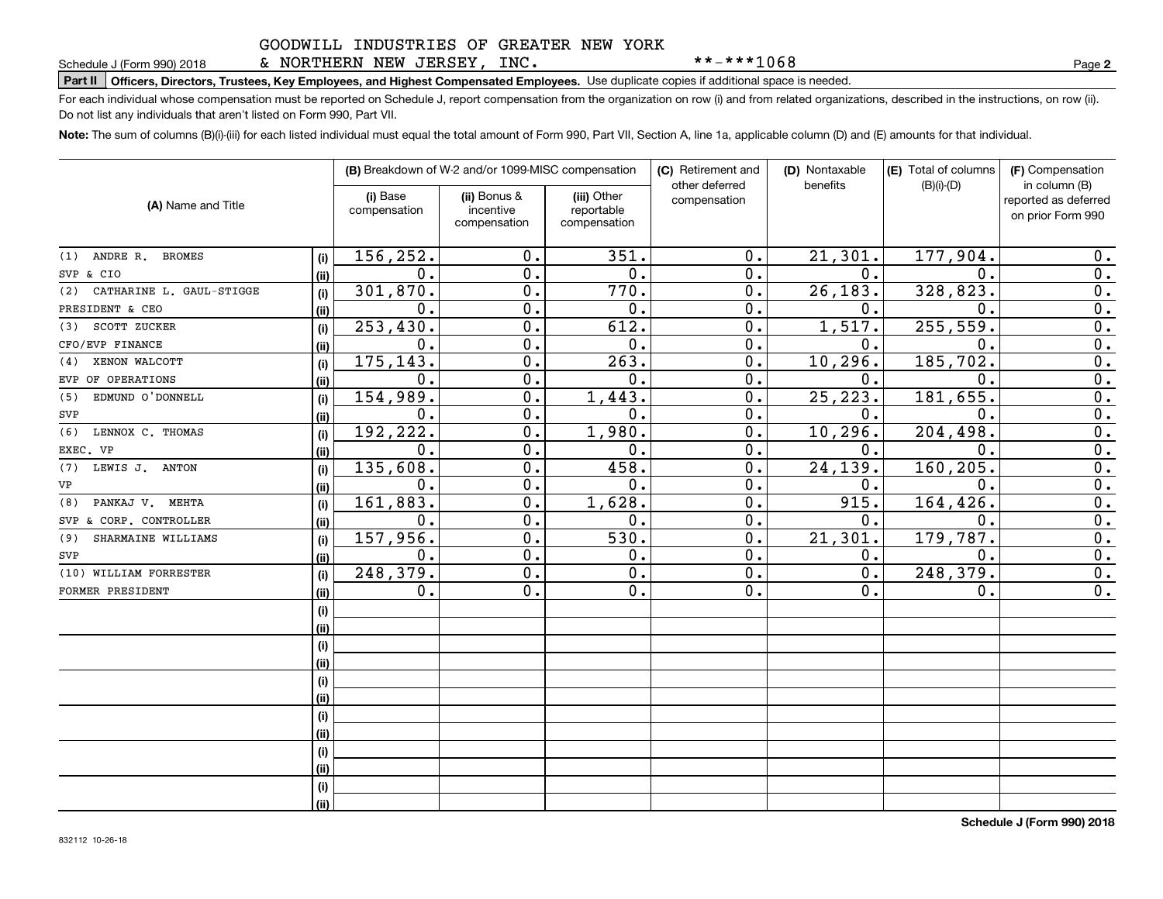### & NORTHERN NEW JERSEY, INC.

**Part II Officers, Directors, Trustees, Key Employees, and Highest Compensated Employees.**  Schedule J (Form 990) 2018 Page Use duplicate copies if additional space is needed.

For each individual whose compensation must be reported on Schedule J, report compensation from the organization on row (i) and from related organizations, described in the instructions, on row (ii). Do not list any individuals that aren't listed on Form 990, Part VII.

**Note:**  The sum of columns (B)(i)-(iii) for each listed individual must equal the total amount of Form 990, Part VII, Section A, line 1a, applicable column (D) and (E) amounts for that individual.

|                                 |      |                          | (B) Breakdown of W-2 and/or 1099-MISC compensation |                                           | (C) Retirement and<br>other deferred | (D) Nontaxable | (E) Total of columns | (F) Compensation                                           |
|---------------------------------|------|--------------------------|----------------------------------------------------|-------------------------------------------|--------------------------------------|----------------|----------------------|------------------------------------------------------------|
| (A) Name and Title              |      | (i) Base<br>compensation | (ii) Bonus &<br>incentive<br>compensation          | (iii) Other<br>reportable<br>compensation | compensation                         | benefits       | $(B)(i)-(D)$         | in column (B)<br>reported as deferred<br>on prior Form 990 |
| (1) ANDRE R. BROMES             | (i)  | 156,252.                 | 0.                                                 | 351.                                      | $0$ .                                | 21, 301.       | 177,904.             | 0.                                                         |
| SVP & CIO                       | (ii) | 0.                       | 0.                                                 | 0.                                        | 0.                                   | 0.             | $\mathbf 0$ .        | $\overline{0}$ .                                           |
| CATHARINE L. GAUL-STIGGE<br>(2) | (i)  | 301,870.                 | $\overline{0}$ .                                   | 770.                                      | $\overline{0}$ .                     | 26, 183.       | 328, 823.            | $\overline{0}$ .                                           |
| PRESIDENT & CEO                 | (ii) | 0.                       | 0.                                                 | 0.                                        | 0.                                   | 0.             | $\mathbf 0$ .        | $\overline{0}$ .                                           |
| SCOTT ZUCKER<br>(3)             | (i)  | 253, 430.                | 0.                                                 | 612.                                      | 0.                                   | 1,517.         | 255, 559.            | $\overline{0}$ .                                           |
| CFO/EVP FINANCE                 | (ii) | 0.                       | 0.                                                 | 0.                                        | 0.                                   | 0.             | $\mathbf 0$ .        | $\overline{0}$ .                                           |
| XENON WALCOTT<br>(4)            | (i)  | 175,143.                 | 0.                                                 | 263.                                      | 0.                                   | 10, 296.       | 185,702.             | $\mathbf 0$ .                                              |
| EVP OF OPERATIONS               | (ii) | $\mathbf{0}$ .           | 0.                                                 | 0.                                        | $\mathbf 0$ .                        | $\mathbf{0}$ . | $\mathbf 0$ .        | 0.                                                         |
| EDMUND O'DONNELL<br>(5)         | (i)  | 154,989.                 | 0.                                                 | 1,443.                                    | 0.                                   | 25, 223.       | 181,655.             | $\overline{0}$ .                                           |
| SVP                             | (ii) | 0.                       | $\mathbf 0$ .                                      | 0.                                        | 0.                                   | 0.             | $\mathbf 0$ .        | $\overline{0}$ .                                           |
| (6)<br>LENNOX C. THOMAS         | (i)  | 192,222.                 | $\mathbf 0$ .                                      | 1,980.                                    | 0.                                   | 10, 296.       | 204,498.             | $\overline{0}$ .                                           |
| EXEC. VP                        | (ii) | $\mathbf 0$ .            | 0.                                                 | 0.                                        | 0.                                   | 0.             | $\mathbf 0$ .        | $\overline{0}$ .                                           |
| (7)<br>LEWIS J. ANTON           | (i)  | 135,608.                 | 0.                                                 | 458.                                      | 0.                                   | 24, 139.       | 160,205.             | $\overline{0}$ .                                           |
| VP                              | (ii) | 0.                       | 0.                                                 | 0.                                        | 0.                                   | 0.             | $\mathbf 0$ .        | 0.                                                         |
| PANKAJ V. MEHTA<br>(8)          | (i)  | 161,883.                 | $\overline{0}$ .                                   | 1,628.                                    | $\overline{0}$ .                     | 915.           | 164, 426.            | $\overline{0}$ .                                           |
| SVP & CORP. CONTROLLER          | (ii) | $\mathbf 0$ .            | $\overline{0}$ .                                   | 0.                                        | 0.                                   | 0.             | $\overline{0}$ .     | $\overline{0}$ .                                           |
| SHARMAINE WILLIAMS<br>(9)       | (i)  | 157,956.                 | 0.                                                 | 530.                                      | 0.                                   | 21,301.        | 179,787.             | $\overline{0}$ .                                           |
| SVP                             | (ii) | 0.                       | 0.                                                 | 0.                                        | 0.                                   | 0.             | 0.                   | 0.                                                         |
| (10) WILLIAM FORRESTER          | (i)  | 248,379.                 | 0.                                                 | 0.                                        | 0.                                   | 0.             | 248,379.             | 0.                                                         |
| FORMER PRESIDENT                | (ii) | 0.                       | 0.                                                 | 0.                                        | 0.                                   | 0.             | 0.                   | 0.                                                         |
|                                 | (i)  |                          |                                                    |                                           |                                      |                |                      |                                                            |
|                                 | (ii) |                          |                                                    |                                           |                                      |                |                      |                                                            |
|                                 | (i)  |                          |                                                    |                                           |                                      |                |                      |                                                            |
|                                 | (ii) |                          |                                                    |                                           |                                      |                |                      |                                                            |
|                                 | (i)  |                          |                                                    |                                           |                                      |                |                      |                                                            |
|                                 | (ii) |                          |                                                    |                                           |                                      |                |                      |                                                            |
|                                 | (i)  |                          |                                                    |                                           |                                      |                |                      |                                                            |
|                                 | (ii) |                          |                                                    |                                           |                                      |                |                      |                                                            |
|                                 | (i)  |                          |                                                    |                                           |                                      |                |                      |                                                            |
|                                 | (ii) |                          |                                                    |                                           |                                      |                |                      |                                                            |
|                                 | (i)  |                          |                                                    |                                           |                                      |                |                      |                                                            |
|                                 | (ii) |                          |                                                    |                                           |                                      |                |                      |                                                            |

**2**

\*\*-\*\*\*1068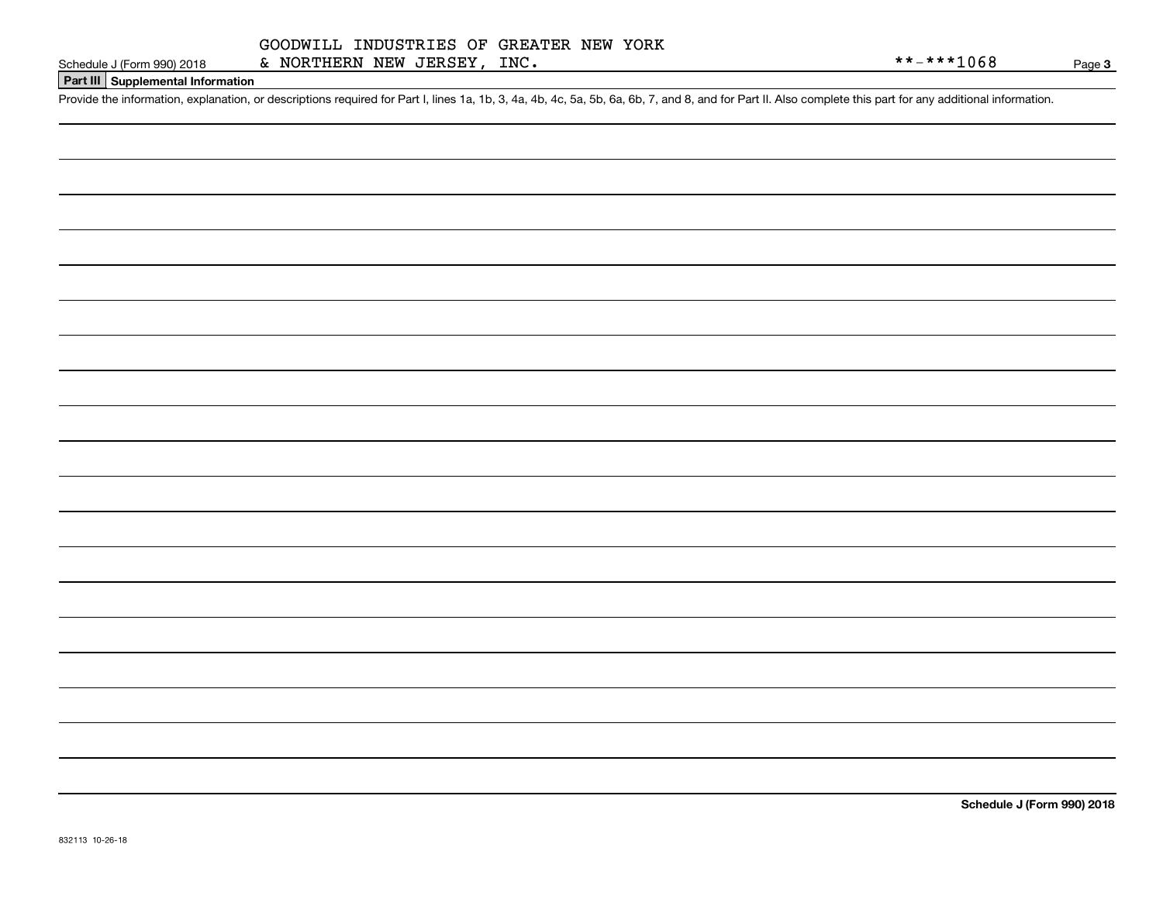#### **Part III Supplemental Information**

Schedule J (Form 990) 2018 & NORTHERN NEW JERSEY, INC.<br>Part III Supplemental Information<br>Provide the information, explanation, or descriptions required for Part I, lines 1a, 1b, 3, 4a, 4b, 4c, 5a, 5b, 6a, 6b, 7, and 8, an

**Schedule J (Form 990) 2018**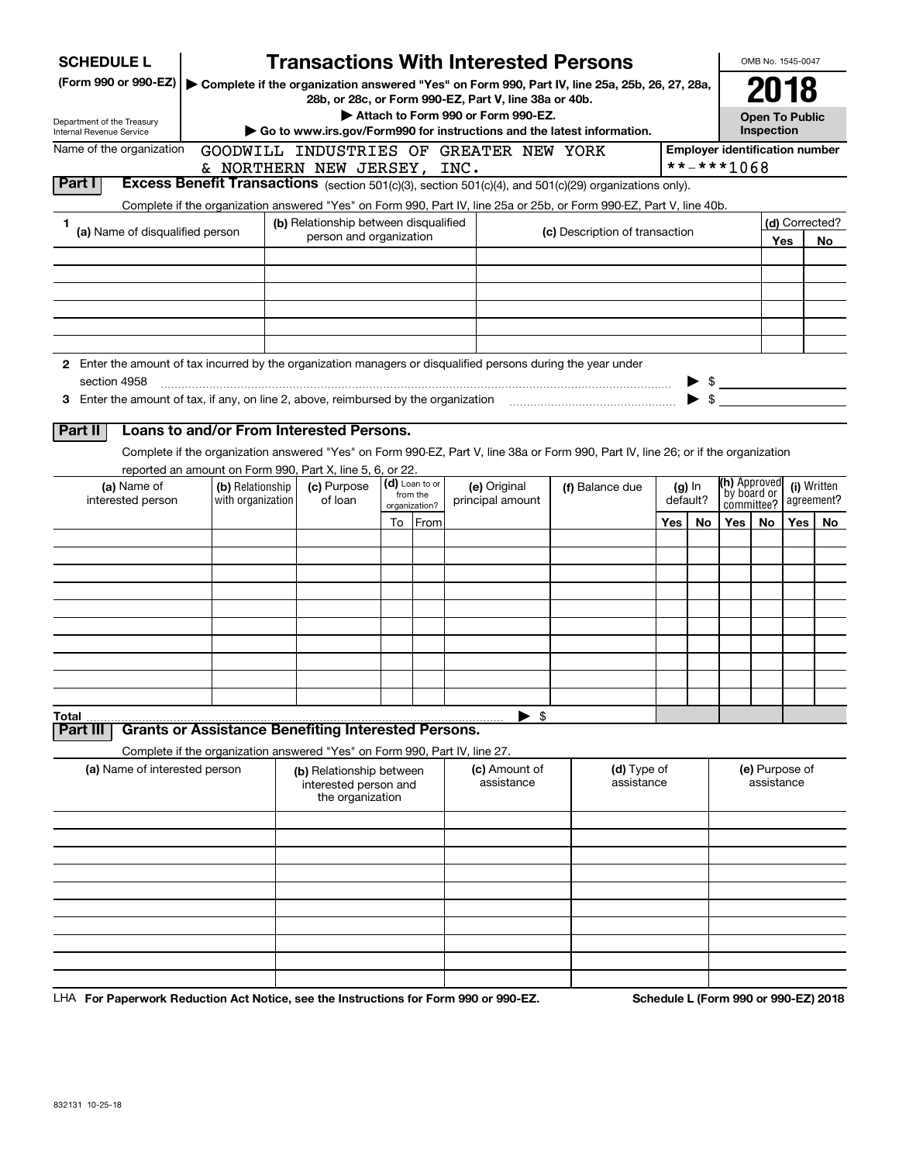|        | <b>SCHEDULE L</b>                                                                                                    |                                                                            |  | <b>Transactions With Interested Persons</b>           |                                |                            |  |                                    |  |                                                                                                                                    |          |          |                                       | OMB No. 1545-0047     |     |                |  |
|--------|----------------------------------------------------------------------------------------------------------------------|----------------------------------------------------------------------------|--|-------------------------------------------------------|--------------------------------|----------------------------|--|------------------------------------|--|------------------------------------------------------------------------------------------------------------------------------------|----------|----------|---------------------------------------|-----------------------|-----|----------------|--|
|        | (Form 990 or 990-EZ)   Complete if the organization answered "Yes" on Form 990, Part IV, line 25a, 25b, 26, 27, 28a, |                                                                            |  |                                                       |                                |                            |  |                                    |  |                                                                                                                                    |          |          |                                       | 2018                  |     |                |  |
|        |                                                                                                                      |                                                                            |  | 28b, or 28c, or Form 990-EZ, Part V, line 38a or 40b. |                                |                            |  | Attach to Form 990 or Form 990-EZ. |  |                                                                                                                                    |          |          |                                       | <b>Open To Public</b> |     |                |  |
|        | Department of the Treasury<br>Internal Revenue Service                                                               |                                                                            |  |                                                       |                                |                            |  |                                    |  | Go to www.irs.gov/Form990 for instructions and the latest information.                                                             |          |          |                                       | Inspection            |     |                |  |
|        | Name of the organization                                                                                             |                                                                            |  | GOODWILL INDUSTRIES OF GREATER NEW YORK               |                                |                            |  |                                    |  |                                                                                                                                    |          |          | <b>Employer identification number</b> |                       |     |                |  |
|        |                                                                                                                      |                                                                            |  | & NORTHERN NEW JERSEY, INC.                           |                                |                            |  |                                    |  |                                                                                                                                    |          |          | **-***1068                            |                       |     |                |  |
| Part I |                                                                                                                      |                                                                            |  |                                                       |                                |                            |  |                                    |  | Excess Benefit Transactions (section 501(c)(3), section 501(c)(4), and 501(c)(29) organizations only).                             |          |          |                                       |                       |     |                |  |
| 1      |                                                                                                                      |                                                                            |  | (b) Relationship between disqualified                 |                                |                            |  |                                    |  | Complete if the organization answered "Yes" on Form 990, Part IV, line 25a or 25b, or Form 990-EZ, Part V, line 40b.               |          |          |                                       |                       |     | (d) Corrected? |  |
|        | (a) Name of disqualified person                                                                                      |                                                                            |  | person and organization                               | (c) Description of transaction |                            |  |                                    |  |                                                                                                                                    |          |          |                                       |                       | Yes | No.            |  |
|        |                                                                                                                      |                                                                            |  |                                                       |                                |                            |  |                                    |  |                                                                                                                                    |          |          |                                       |                       |     |                |  |
|        |                                                                                                                      |                                                                            |  |                                                       |                                |                            |  |                                    |  |                                                                                                                                    |          |          |                                       |                       |     |                |  |
|        |                                                                                                                      |                                                                            |  |                                                       |                                |                            |  |                                    |  |                                                                                                                                    |          |          |                                       |                       |     |                |  |
|        |                                                                                                                      |                                                                            |  |                                                       |                                |                            |  |                                    |  |                                                                                                                                    |          |          |                                       |                       |     |                |  |
|        |                                                                                                                      |                                                                            |  |                                                       |                                |                            |  |                                    |  |                                                                                                                                    |          |          |                                       |                       |     |                |  |
|        | 2 Enter the amount of tax incurred by the organization managers or disqualified persons during the year under        |                                                                            |  |                                                       |                                |                            |  |                                    |  |                                                                                                                                    |          |          |                                       |                       |     |                |  |
|        | section 4958                                                                                                         |                                                                            |  |                                                       |                                |                            |  |                                    |  |                                                                                                                                    |          |          | $\frac{1}{2}$                         |                       |     |                |  |
|        | 3 Enter the amount of tax, if any, on line 2, above, reimbursed by the organization                                  |                                                                            |  |                                                       |                                |                            |  |                                    |  |                                                                                                                                    |          |          | $\blacktriangleright$ \$              |                       |     |                |  |
|        | Part II                                                                                                              | Loans to and/or From Interested Persons.                                   |  |                                                       |                                |                            |  |                                    |  |                                                                                                                                    |          |          |                                       |                       |     |                |  |
|        |                                                                                                                      |                                                                            |  |                                                       |                                |                            |  |                                    |  | Complete if the organization answered "Yes" on Form 990-EZ, Part V, line 38a or Form 990, Part IV, line 26; or if the organization |          |          |                                       |                       |     |                |  |
|        |                                                                                                                      | reported an amount on Form 990, Part X, line 5, 6, or 22.                  |  |                                                       |                                |                            |  |                                    |  |                                                                                                                                    |          |          |                                       |                       |     |                |  |
|        | (a) Name of<br>(c) Purpose<br>(b) Relationship                                                                       |                                                                            |  |                                                       |                                | (d) Loan to or<br>from the |  | (e) Original                       |  | (f) Balance due                                                                                                                    |          | $(g)$ In | (h) Approved<br>by board or           |                       |     | (i) Written    |  |
|        | interested person                                                                                                    | with organization                                                          |  | of loan                                               |                                | organization?              |  | principal amount                   |  |                                                                                                                                    | default? |          | committee?                            |                       |     | agreement?     |  |
|        |                                                                                                                      |                                                                            |  |                                                       |                                | To From                    |  |                                    |  |                                                                                                                                    | Yes      | No       | Yes                                   | No.                   | Yes | No.            |  |
|        |                                                                                                                      |                                                                            |  |                                                       |                                |                            |  |                                    |  |                                                                                                                                    |          |          |                                       |                       |     |                |  |
|        |                                                                                                                      |                                                                            |  |                                                       |                                |                            |  |                                    |  |                                                                                                                                    |          |          |                                       |                       |     |                |  |
|        |                                                                                                                      |                                                                            |  |                                                       |                                |                            |  |                                    |  |                                                                                                                                    |          |          |                                       |                       |     |                |  |
|        |                                                                                                                      |                                                                            |  |                                                       |                                |                            |  |                                    |  |                                                                                                                                    |          |          |                                       |                       |     |                |  |
|        |                                                                                                                      |                                                                            |  |                                                       |                                |                            |  |                                    |  |                                                                                                                                    |          |          |                                       |                       |     |                |  |
|        |                                                                                                                      |                                                                            |  |                                                       |                                |                            |  |                                    |  |                                                                                                                                    |          |          |                                       |                       |     |                |  |
|        |                                                                                                                      |                                                                            |  |                                                       |                                |                            |  |                                    |  |                                                                                                                                    |          |          |                                       |                       |     |                |  |
|        |                                                                                                                      |                                                                            |  |                                                       |                                |                            |  |                                    |  |                                                                                                                                    |          |          |                                       |                       |     |                |  |
| Total  |                                                                                                                      |                                                                            |  |                                                       |                                |                            |  | -\$                                |  |                                                                                                                                    |          |          |                                       |                       |     |                |  |
|        | Part III                                                                                                             | <b>Grants or Assistance Benefiting Interested Persons.</b>                 |  |                                                       |                                |                            |  |                                    |  |                                                                                                                                    |          |          |                                       |                       |     |                |  |
|        | (a) Name of interested person                                                                                        | Complete if the organization answered "Yes" on Form 990, Part IV, line 27. |  |                                                       |                                |                            |  | (c) Amount of                      |  | (d) Type of                                                                                                                        |          |          |                                       | (e) Purpose of        |     |                |  |
|        |                                                                                                                      |                                                                            |  | (b) Relationship between<br>interested person and     |                                |                            |  | assistance                         |  | assistance                                                                                                                         |          |          |                                       | assistance            |     |                |  |
|        |                                                                                                                      |                                                                            |  | the organization                                      |                                |                            |  |                                    |  |                                                                                                                                    |          |          |                                       |                       |     |                |  |
|        |                                                                                                                      |                                                                            |  |                                                       |                                |                            |  |                                    |  |                                                                                                                                    |          |          |                                       |                       |     |                |  |
|        |                                                                                                                      |                                                                            |  |                                                       |                                |                            |  |                                    |  |                                                                                                                                    |          |          |                                       |                       |     |                |  |
|        |                                                                                                                      |                                                                            |  |                                                       |                                |                            |  |                                    |  |                                                                                                                                    |          |          |                                       |                       |     |                |  |
|        |                                                                                                                      |                                                                            |  |                                                       |                                |                            |  |                                    |  |                                                                                                                                    |          |          |                                       |                       |     |                |  |
|        |                                                                                                                      |                                                                            |  |                                                       |                                |                            |  |                                    |  |                                                                                                                                    |          |          |                                       |                       |     |                |  |
|        |                                                                                                                      |                                                                            |  |                                                       |                                |                            |  |                                    |  |                                                                                                                                    |          |          |                                       |                       |     |                |  |
|        |                                                                                                                      |                                                                            |  |                                                       |                                |                            |  |                                    |  |                                                                                                                                    |          |          |                                       |                       |     |                |  |
|        |                                                                                                                      |                                                                            |  |                                                       |                                |                            |  |                                    |  |                                                                                                                                    |          |          |                                       |                       |     |                |  |
|        |                                                                                                                      |                                                                            |  |                                                       |                                |                            |  |                                    |  |                                                                                                                                    |          |          |                                       |                       |     |                |  |

LHA For Paperwork Reduction Act Notice, see the Instructions for Form 990 or 990-EZ. Schedule L (Form 990 or 990-EZ) 2018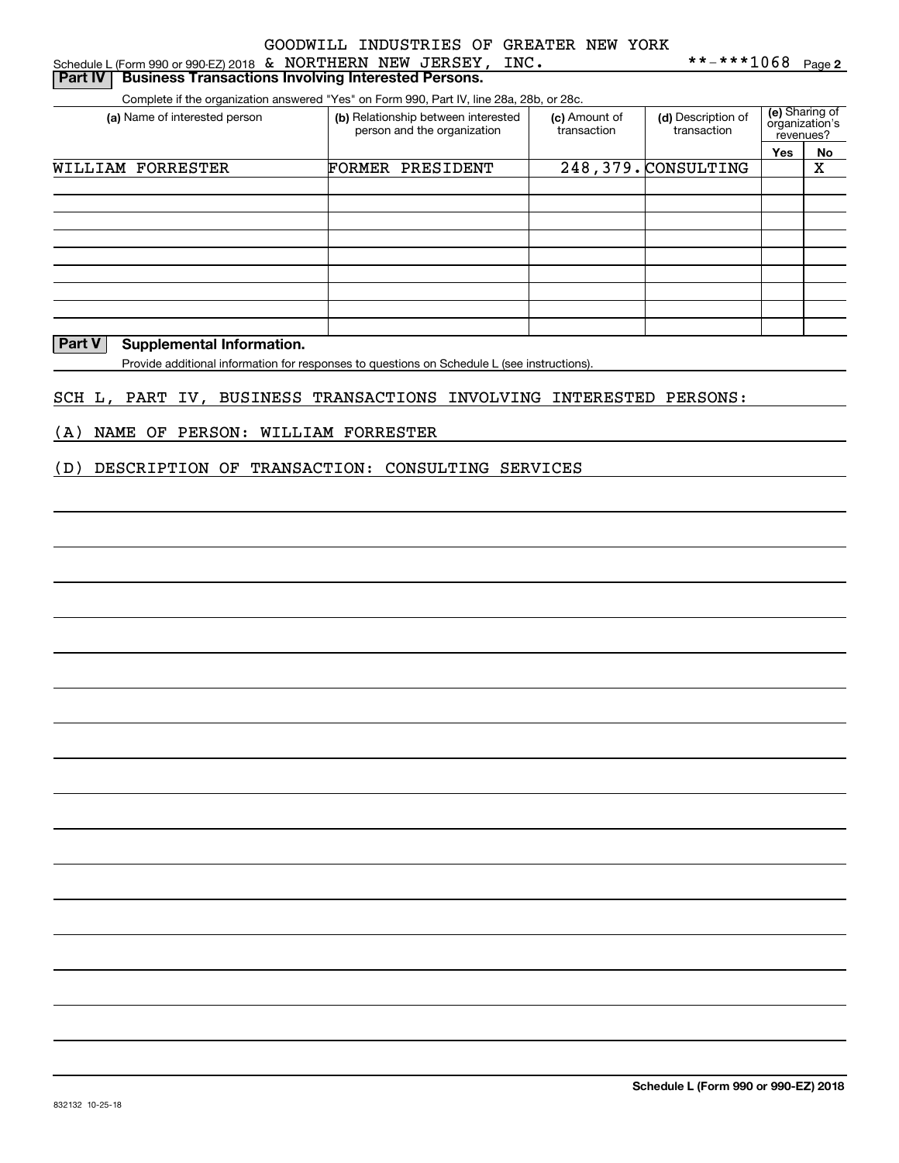| Schedule L (Form 990 or 990-EZ) 2018 $\&$ NORTHERN NEW JERSEY, INC.                      |                                                                    |                              | **-***1068                        |                                               | Page 2 |  |
|------------------------------------------------------------------------------------------|--------------------------------------------------------------------|------------------------------|-----------------------------------|-----------------------------------------------|--------|--|
| <b>Business Transactions Involving Interested Persons.</b><br>Part IV                    |                                                                    |                              |                                   |                                               |        |  |
| Complete if the organization answered "Yes" on Form 990, Part IV, line 28a, 28b, or 28c. |                                                                    |                              |                                   |                                               |        |  |
| (a) Name of interested person                                                            | (b) Relationship between interested<br>person and the organization | (c) Amount of<br>transaction | (d) Description of<br>transaction | (e) Sharing of<br>organization's<br>revenues? |        |  |
|                                                                                          |                                                                    |                              |                                   | Yes                                           | No     |  |
| WILLIAM FORRESTER                                                                        | FORMER<br>PRESIDENT                                                |                              | 248, 379. CONSULTING              |                                               | х      |  |
|                                                                                          |                                                                    |                              |                                   |                                               |        |  |
|                                                                                          |                                                                    |                              |                                   |                                               |        |  |
|                                                                                          |                                                                    |                              |                                   |                                               |        |  |
|                                                                                          |                                                                    |                              |                                   |                                               |        |  |
|                                                                                          |                                                                    |                              |                                   |                                               |        |  |
|                                                                                          |                                                                    |                              |                                   |                                               |        |  |
|                                                                                          |                                                                    |                              |                                   |                                               |        |  |

### **Part V** Supplemental Information.

L

Provide additional information for responses to questions on Schedule L (see instructions).

#### SCH L, PART IV, BUSINESS TRANSACTIONS INVOLVING INTERESTED PERSONS:

### (A) NAME OF PERSON: WILLIAM FORRESTER

#### (D) DESCRIPTION OF TRANSACTION: CONSULTING SERVICES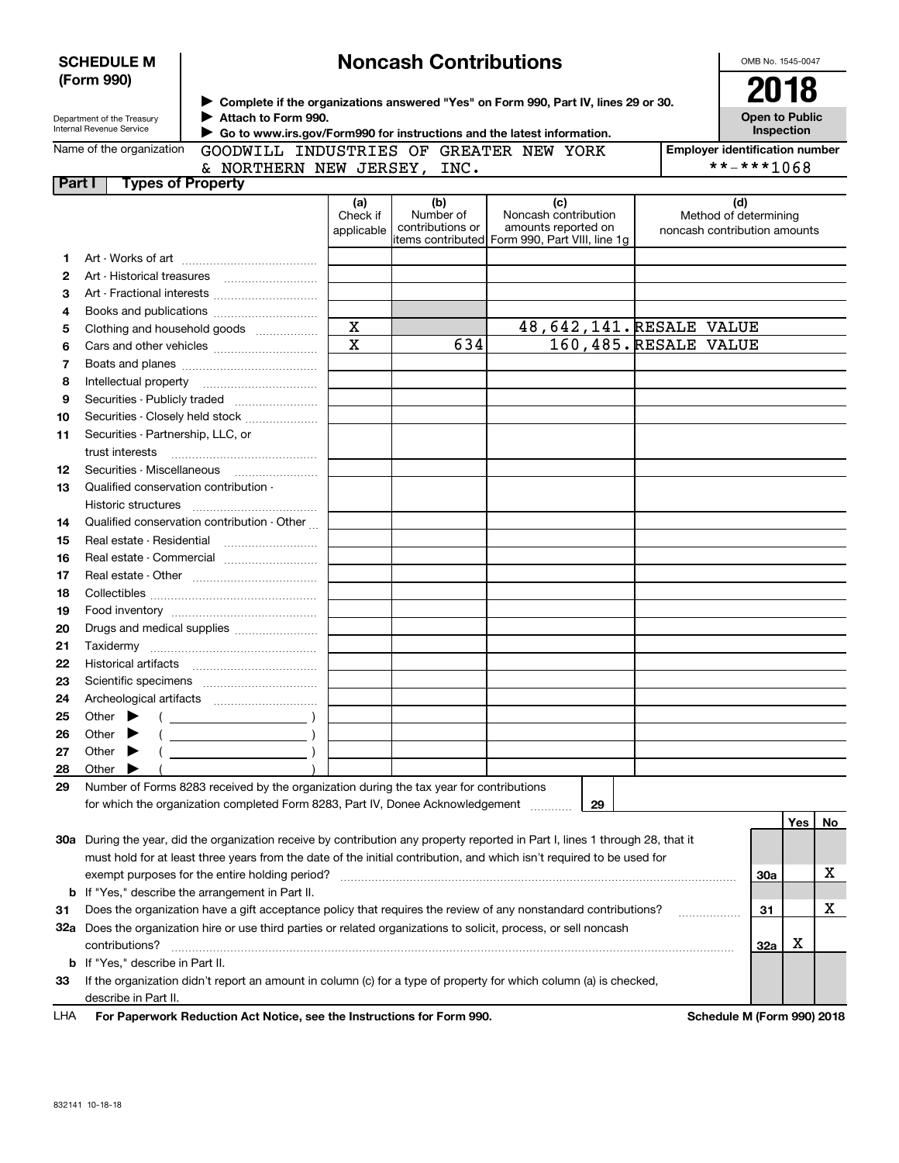| <b>SCHEDULE M</b><br>(Form 990) |                                                        |                                                                                                                                                                                       |                               | <b>Noncash Contributions</b>                |                                                                                                                                |  | OMB No. 1545-0047                                            |     |    |
|---------------------------------|--------------------------------------------------------|---------------------------------------------------------------------------------------------------------------------------------------------------------------------------------------|-------------------------------|---------------------------------------------|--------------------------------------------------------------------------------------------------------------------------------|--|--------------------------------------------------------------|-----|----|
|                                 | Department of the Treasury<br>Internal Revenue Service | > Complete if the organizations answered "Yes" on Form 990, Part IV, lines 29 or 30.<br>Attach to Form 990.<br>Go to www.irs.gov/Form990 for instructions and the latest information. |                               | 2018<br><b>Open to Public</b><br>Inspection |                                                                                                                                |  |                                                              |     |    |
|                                 | Name of the organization                               | GOODWILL INDUSTRIES OF GREATER NEW YORK                                                                                                                                               |                               |                                             |                                                                                                                                |  | <b>Employer identification number</b>                        |     |    |
|                                 |                                                        | & NORTHERN NEW JERSEY, INC.                                                                                                                                                           |                               |                                             |                                                                                                                                |  | **-***1068                                                   |     |    |
| Part I                          | <b>Types of Property</b>                               |                                                                                                                                                                                       |                               |                                             |                                                                                                                                |  |                                                              |     |    |
|                                 |                                                        |                                                                                                                                                                                       | (a)<br>Check if<br>applicable | (b)<br>Number of<br>contributions or        | (c)<br>Noncash contribution<br>amounts reported on<br> items contributed  Form 990, Part VIII, line 1g                         |  | (d)<br>Method of determining<br>noncash contribution amounts |     |    |
| 1                               |                                                        |                                                                                                                                                                                       |                               |                                             |                                                                                                                                |  |                                                              |     |    |
| $\mathbf{2}$                    |                                                        |                                                                                                                                                                                       |                               |                                             |                                                                                                                                |  |                                                              |     |    |
| 3                               |                                                        |                                                                                                                                                                                       |                               |                                             |                                                                                                                                |  |                                                              |     |    |
| 4                               |                                                        |                                                                                                                                                                                       |                               |                                             |                                                                                                                                |  |                                                              |     |    |
| 5                               |                                                        | Clothing and household goods                                                                                                                                                          | $\mathbf X$                   |                                             | 48, 642, 141. RESALE VALUE                                                                                                     |  |                                                              |     |    |
| 6                               |                                                        |                                                                                                                                                                                       | $\overline{\mathbf{x}}$       | 634                                         | 160,485. RESALE VALUE                                                                                                          |  |                                                              |     |    |
| 7                               |                                                        |                                                                                                                                                                                       |                               |                                             |                                                                                                                                |  |                                                              |     |    |
| 8                               |                                                        |                                                                                                                                                                                       |                               |                                             |                                                                                                                                |  |                                                              |     |    |
| 9                               |                                                        | Securities - Publicly traded                                                                                                                                                          |                               |                                             |                                                                                                                                |  |                                                              |     |    |
| 10                              |                                                        | Securities - Closely held stock                                                                                                                                                       |                               |                                             |                                                                                                                                |  |                                                              |     |    |
| 11                              | Securities - Partnership, LLC, or                      |                                                                                                                                                                                       |                               |                                             |                                                                                                                                |  |                                                              |     |    |
|                                 | trust interests                                        |                                                                                                                                                                                       |                               |                                             |                                                                                                                                |  |                                                              |     |    |
| 12                              | Securities - Miscellaneous                             |                                                                                                                                                                                       |                               |                                             |                                                                                                                                |  |                                                              |     |    |
| 13                              | Qualified conservation contribution -                  |                                                                                                                                                                                       |                               |                                             |                                                                                                                                |  |                                                              |     |    |
|                                 |                                                        |                                                                                                                                                                                       |                               |                                             |                                                                                                                                |  |                                                              |     |    |
|                                 | Historic structures                                    | Qualified conservation contribution - Other                                                                                                                                           |                               |                                             |                                                                                                                                |  |                                                              |     |    |
| 14                              |                                                        |                                                                                                                                                                                       |                               |                                             |                                                                                                                                |  |                                                              |     |    |
| 15                              | Real estate - Residential                              |                                                                                                                                                                                       |                               |                                             |                                                                                                                                |  |                                                              |     |    |
| 16                              |                                                        | Real estate - Commercial                                                                                                                                                              |                               |                                             |                                                                                                                                |  |                                                              |     |    |
| 17                              |                                                        |                                                                                                                                                                                       |                               |                                             |                                                                                                                                |  |                                                              |     |    |
| 18                              |                                                        |                                                                                                                                                                                       |                               |                                             |                                                                                                                                |  |                                                              |     |    |
| 19                              |                                                        |                                                                                                                                                                                       |                               |                                             |                                                                                                                                |  |                                                              |     |    |
| 20                              |                                                        | Drugs and medical supplies                                                                                                                                                            |                               |                                             |                                                                                                                                |  |                                                              |     |    |
| 21                              |                                                        |                                                                                                                                                                                       |                               |                                             |                                                                                                                                |  |                                                              |     |    |
| 22                              |                                                        |                                                                                                                                                                                       |                               |                                             |                                                                                                                                |  |                                                              |     |    |
| 23                              |                                                        |                                                                                                                                                                                       |                               |                                             |                                                                                                                                |  |                                                              |     |    |
| 24                              |                                                        |                                                                                                                                                                                       |                               |                                             |                                                                                                                                |  |                                                              |     |    |
| 25                              | Other                                                  |                                                                                                                                                                                       |                               |                                             |                                                                                                                                |  |                                                              |     |    |
| 26                              | Other                                                  |                                                                                                                                                                                       |                               |                                             |                                                                                                                                |  |                                                              |     |    |
| 27                              | Other                                                  |                                                                                                                                                                                       |                               |                                             |                                                                                                                                |  |                                                              |     |    |
| 28                              | Other                                                  |                                                                                                                                                                                       |                               |                                             |                                                                                                                                |  |                                                              |     |    |
| 29                              |                                                        | Number of Forms 8283 received by the organization during the tax year for contributions                                                                                               |                               |                                             |                                                                                                                                |  |                                                              |     |    |
|                                 |                                                        | for which the organization completed Form 8283, Part IV, Donee Acknowledgement [11111111111111111111111111111                                                                         |                               |                                             | 29                                                                                                                             |  |                                                              |     |    |
|                                 |                                                        |                                                                                                                                                                                       |                               |                                             |                                                                                                                                |  |                                                              | Yes | No |
|                                 |                                                        |                                                                                                                                                                                       |                               |                                             | 30a During the year, did the organization receive by contribution any property reported in Part I, lines 1 through 28, that it |  |                                                              |     |    |
|                                 |                                                        |                                                                                                                                                                                       |                               |                                             | must hold for at least three years from the date of the initial contribution, and which isn't required to be used for          |  |                                                              |     |    |
|                                 |                                                        |                                                                                                                                                                                       |                               |                                             |                                                                                                                                |  | <b>30a</b>                                                   |     | х  |
| b                               |                                                        | If "Yes," describe the arrangement in Part II.                                                                                                                                        |                               |                                             |                                                                                                                                |  |                                                              |     |    |
| 31                              |                                                        |                                                                                                                                                                                       |                               |                                             | Does the organization have a gift acceptance policy that requires the review of any nonstandard contributions?                 |  | 31                                                           |     | х  |
|                                 |                                                        |                                                                                                                                                                                       |                               |                                             | 32a Does the organization hire or use third parties or related organizations to solicit, process, or sell noncash              |  |                                                              |     |    |
|                                 | contributions?                                         |                                                                                                                                                                                       |                               |                                             |                                                                                                                                |  | 32a                                                          | х   |    |
| b                               | If "Yes," describe in Part II.                         |                                                                                                                                                                                       |                               |                                             |                                                                                                                                |  |                                                              |     |    |
| 33                              |                                                        |                                                                                                                                                                                       |                               |                                             | If the organization didn't report an amount in column (c) for a type of property for which column (a) is checked,              |  |                                                              |     |    |
|                                 | describe in Part II.                                   |                                                                                                                                                                                       |                               |                                             |                                                                                                                                |  |                                                              |     |    |
| LHA                             |                                                        | For Paperwork Reduction Act Notice, see the Instructions for Form 990.                                                                                                                |                               |                                             |                                                                                                                                |  | Schedule M (Form 990) 2018                                   |     |    |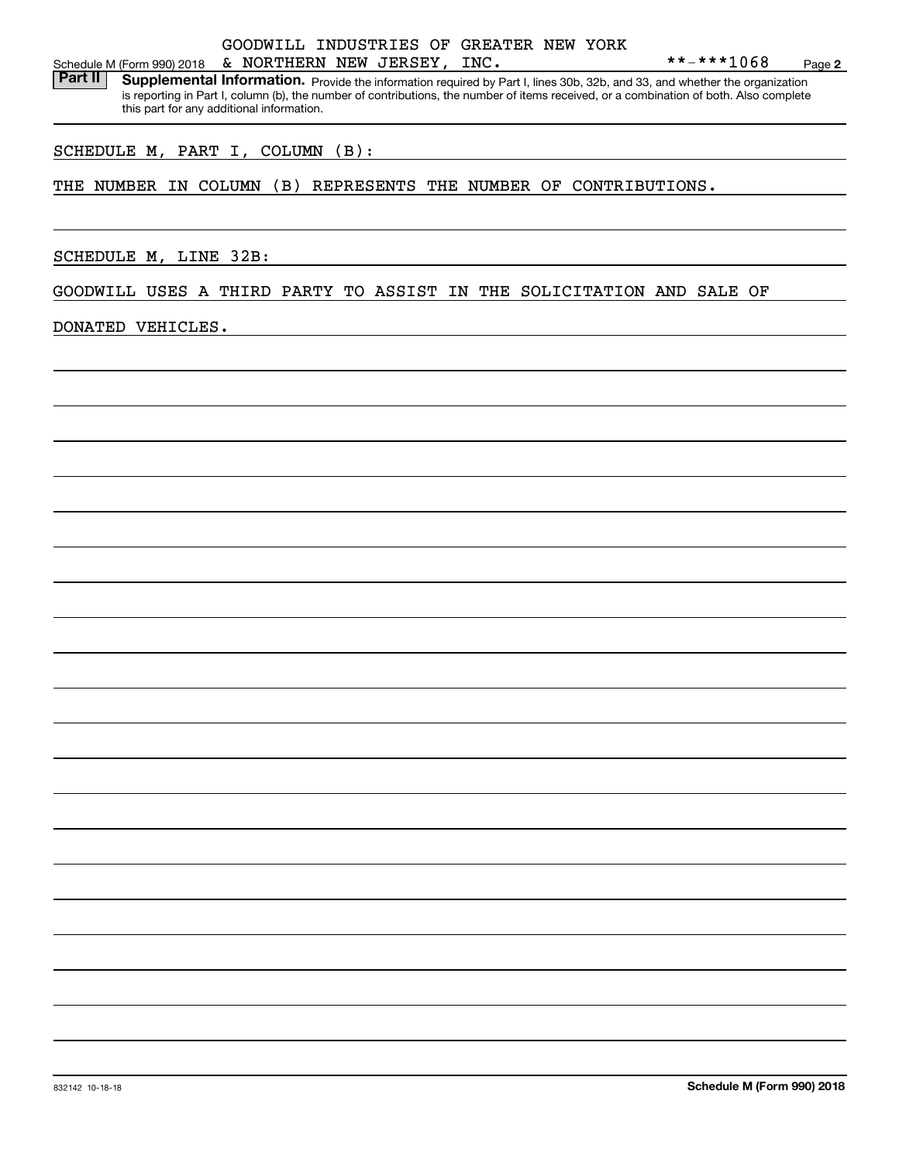### Schedule M (Form 990) 2018 Page & NORTHERN NEW JERSEY, INC. \*\*-\*\*\*1068GOODWILL INDUSTRIES OF GREATER NEW YORK

Part II | Supplemental Information. Provide the information required by Part I, lines 30b, 32b, and 33, and whether the organization is reporting in Part I, column (b), the number of contributions, the number of items received, or a combination of both. Also complete this part for any additional information.

### SCHEDULE M, PART I, COLUMN (B):

THE NUMBER IN COLUMN (B) REPRESENTS THE NUMBER OF CONTRIBUTIONS.

SCHEDULE M, LINE 32B:

GOODWILL USES A THIRD PARTY TO ASSIST IN THE SOLICITATION AND SALE OF

DONATED VEHICLES.

**2**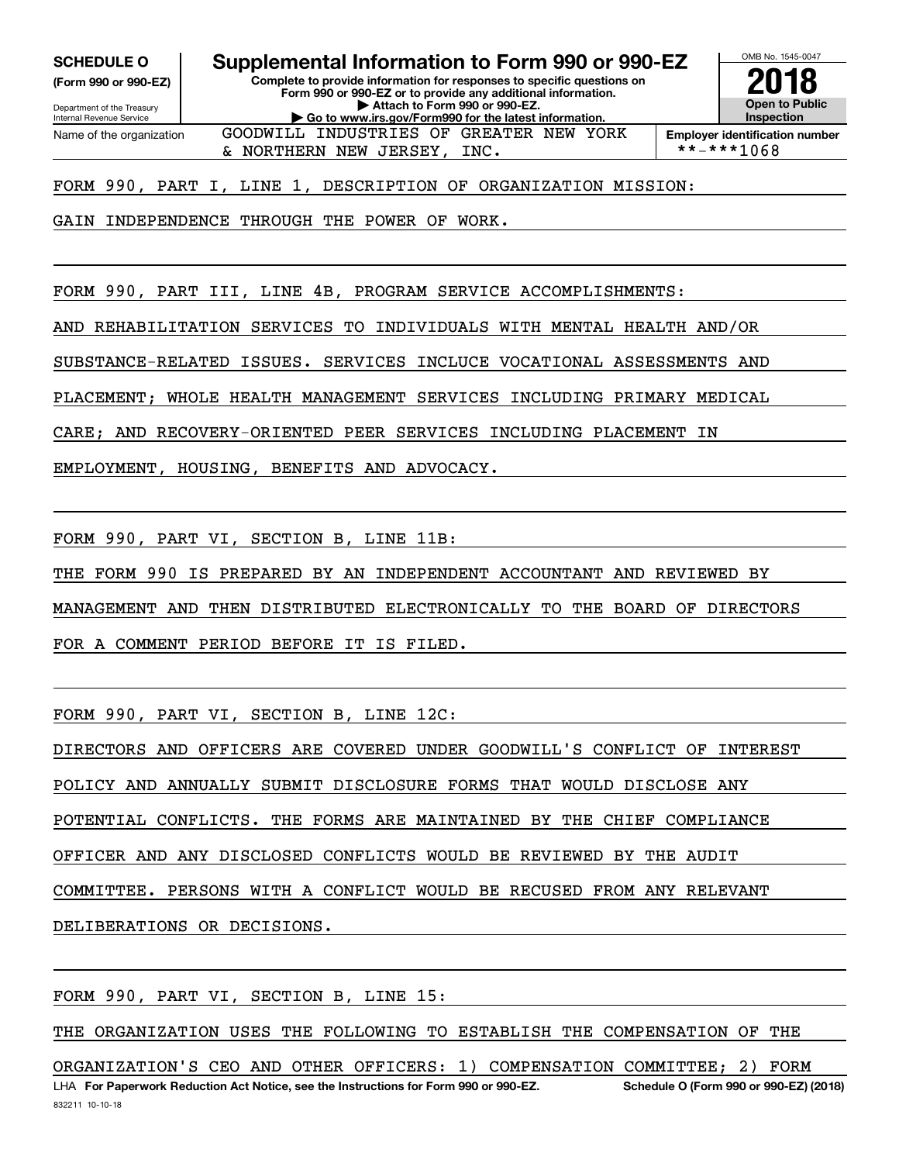**(Form 990 or 990-EZ)**

Department of the Treasury Internal Revenue Service Name of the organization

**Complete to provide information for responses to specific questions on SCHEDULE O Supplemental Information to Form 990 or 990-EZ**

**Form 990 or 990-EZ or to provide any additional information. | Attach to Form 990 or 990-EZ. | Go to www.irs.gov/Form990 for the latest information.**

GOODWILL INDUSTRIES OF GREATER NEW YORK



**Employer identification number**<br>\*\*-\*\*\*1068

FORM 990, PART I, LINE 1, DESCRIPTION OF ORGANIZATION MISSION:

& NORTHERN NEW JERSEY, INC.

GAIN INDEPENDENCE THROUGH THE POWER OF WORK.

FORM 990, PART III, LINE 4B, PROGRAM SERVICE ACCOMPLISHMENTS:

AND REHABILITATION SERVICES TO INDIVIDUALS WITH MENTAL HEALTH AND/OR

SUBSTANCE-RELATED ISSUES. SERVICES INCLUCE VOCATIONAL ASSESSMENTS AND

PLACEMENT; WHOLE HEALTH MANAGEMENT SERVICES INCLUDING PRIMARY MEDICAL

CARE; AND RECOVERY-ORIENTED PEER SERVICES INCLUDING PLACEMENT IN

EMPLOYMENT, HOUSING, BENEFITS AND ADVOCACY.

FORM 990, PART VI, SECTION B, LINE 11B:

THE FORM 990 IS PREPARED BY AN INDEPENDENT ACCOUNTANT AND REVIEWED BY

MANAGEMENT AND THEN DISTRIBUTED ELECTRONICALLY TO THE BOARD OF DIRECTORS

FOR A COMMENT PERIOD BEFORE IT IS FILED.

FORM 990, PART VI, SECTION B, LINE 12C:

DIRECTORS AND OFFICERS ARE COVERED UNDER GOODWILL'S CONFLICT OF INTEREST

POLICY AND ANNUALLY SUBMIT DISCLOSURE FORMS THAT WOULD DISCLOSE ANY

POTENTIAL CONFLICTS. THE FORMS ARE MAINTAINED BY THE CHIEF COMPLIANCE

OFFICER AND ANY DISCLOSED CONFLICTS WOULD BE REVIEWED BY THE AUDIT

COMMITTEE. PERSONS WITH A CONFLICT WOULD BE RECUSED FROM ANY RELEVANT

DELIBERATIONS OR DECISIONS.

FORM 990, PART VI, SECTION B, LINE 15:

THE ORGANIZATION USES THE FOLLOWING TO ESTABLISH THE COMPENSATION OF THE

LHA For Paperwork Reduction Act Notice, see the Instructions for Form 990 or 990-EZ. Schedule O (Form 990 or 990-EZ) (2018) ORGANIZATION'S CEO AND OTHER OFFICERS: 1) COMPENSATION COMMITTEE; 2) FORM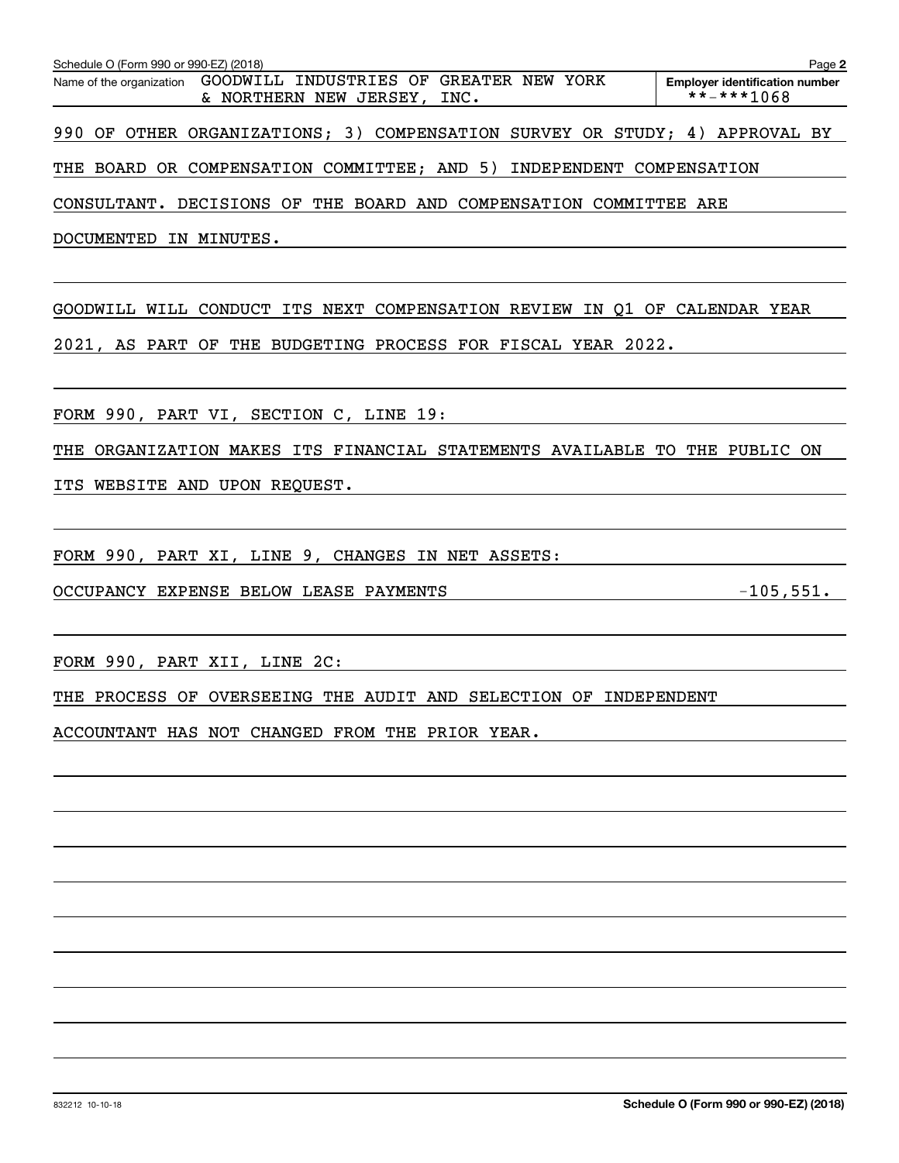| Schedule O (Form 990 or 990-EZ) (2018)                                                             | Page 2                                              |
|----------------------------------------------------------------------------------------------------|-----------------------------------------------------|
| GOODWILL INDUSTRIES OF GREATER NEW YORK<br>Name of the organization<br>& NORTHERN NEW JERSEY, INC. | <b>Emplover identification number</b><br>**-***1068 |
| 990 OF OTHER ORGANIZATIONS; 3) COMPENSATION SURVEY OR STUDY; 4) APPROVAL BY                        |                                                     |
| THE BOARD OR COMPENSATION COMMITTEE; AND 5) INDEPENDENT COMPENSATION                               |                                                     |
| CONSULTANT. DECISIONS OF THE BOARD AND COMPENSATION COMMITTEE ARE                                  |                                                     |
| DOCUMENTED IN MINUTES.                                                                             |                                                     |
| GOODWILL WILL CONDUCT ITS NEXT COMPENSATION REVIEW IN Q1 OF CALENDAR YEAR                          |                                                     |
| 2021, AS PART OF THE BUDGETING PROCESS FOR FISCAL YEAR 2022.                                       |                                                     |
| FORM 990, PART VI, SECTION C, LINE 19:                                                             |                                                     |
| THE ORGANIZATION MAKES ITS FINANCIAL STATEMENTS AVAILABLE TO THE PUBLIC ON                         |                                                     |
| ITS WEBSITE AND UPON REQUEST.                                                                      |                                                     |
|                                                                                                    |                                                     |
| FORM 990, PART XI, LINE 9, CHANGES IN NET ASSETS:                                                  |                                                     |
| OCCUPANCY EXPENSE BELOW LEASE PAYMENTS                                                             | $-105,551.$                                         |
| FORM 990, PART XII, LINE 2C:                                                                       |                                                     |
| THE PROCESS OF OVERSEEING THE AUDIT AND SELECTION OF INDEPENDENT                                   |                                                     |
| ACCOUNTANT HAS NOT CHANGED FROM THE PRIOR YEAR.                                                    |                                                     |
|                                                                                                    |                                                     |
|                                                                                                    |                                                     |
|                                                                                                    |                                                     |
|                                                                                                    |                                                     |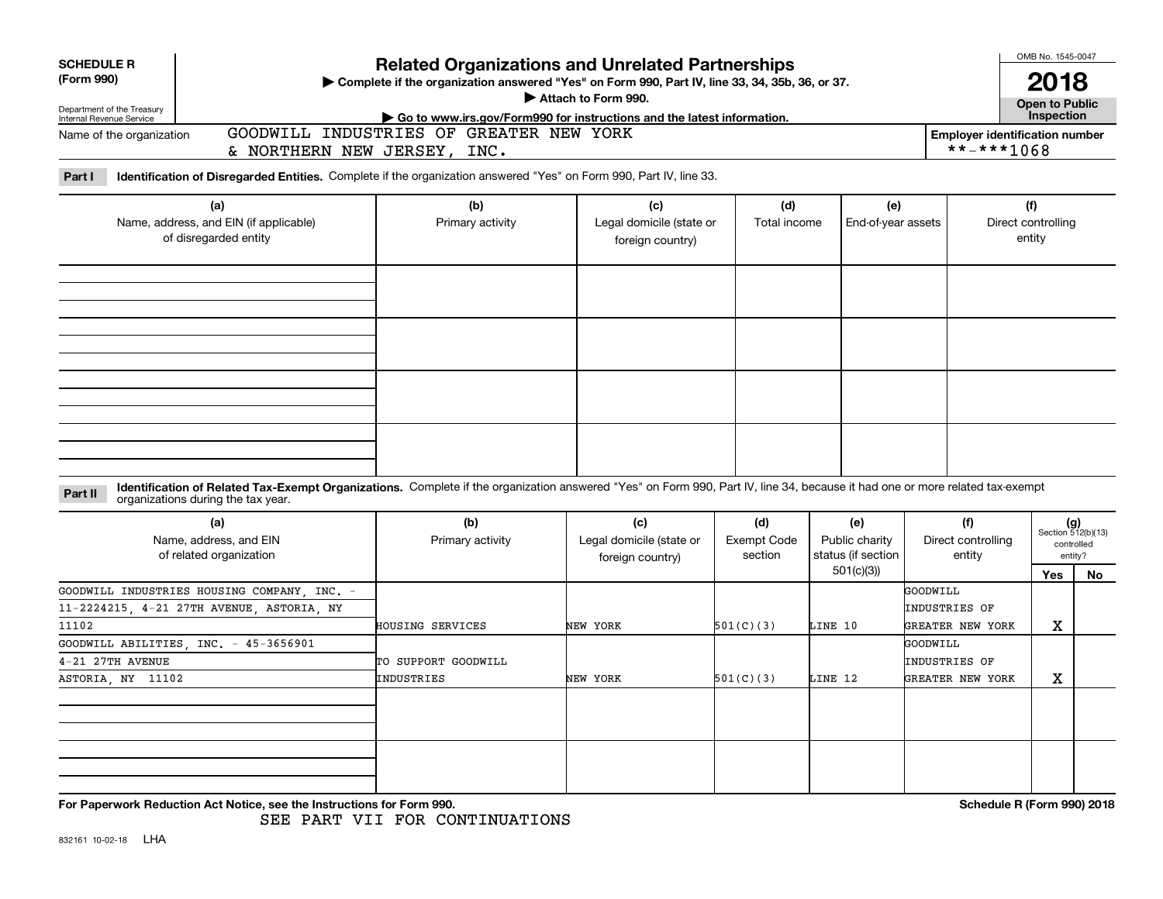| <b>SCHEDULE R</b>                                               |                                                                                                                                                                                                                    |                                         |                                                                        |                                                     |                    |                                    | OMB No. 1545-0047            |                             |  |  |
|-----------------------------------------------------------------|--------------------------------------------------------------------------------------------------------------------------------------------------------------------------------------------------------------------|-----------------------------------------|------------------------------------------------------------------------|-----------------------------------------------------|--------------------|------------------------------------|------------------------------|-----------------------------|--|--|
| (Form 990)                                                      | <b>Related Organizations and Unrelated Partnerships</b><br>> Complete if the organization answered "Yes" on Form 990, Part IV, line 33, 34, 35b, 36, or 37.                                                        |                                         |                                                                        |                                                     |                    |                                    |                              |                             |  |  |
|                                                                 |                                                                                                                                                                                                                    |                                         | Attach to Form 990.                                                    |                                                     |                    |                                    | <b>Open to Public</b>        | 18                          |  |  |
| Department of the Treasury<br>Internal Revenue Service          |                                                                                                                                                                                                                    |                                         | Go to www.irs.gov/Form990 for instructions and the latest information. |                                                     |                    |                                    | Inspection                   |                             |  |  |
| Name of the organization                                        | & NORTHERN NEW JERSEY, INC.                                                                                                                                                                                        | GOODWILL INDUSTRIES OF GREATER NEW YORK |                                                                        | <b>Employer identification number</b><br>**-***1068 |                    |                                    |                              |                             |  |  |
| Part I                                                          | Identification of Disregarded Entities. Complete if the organization answered "Yes" on Form 990, Part IV, line 33.                                                                                                 |                                         |                                                                        |                                                     |                    |                                    |                              |                             |  |  |
|                                                                 | (a)                                                                                                                                                                                                                | (b)                                     | (c)                                                                    | (d)                                                 | (e)                |                                    | (f)                          |                             |  |  |
| Name, address, and EIN (if applicable)<br>of disregarded entity |                                                                                                                                                                                                                    | Primary activity                        | Legal domicile (state or<br>foreign country)                           | Total income                                        | End-of-year assets |                                    | Direct controlling<br>entity |                             |  |  |
|                                                                 |                                                                                                                                                                                                                    |                                         |                                                                        |                                                     |                    |                                    |                              |                             |  |  |
|                                                                 |                                                                                                                                                                                                                    |                                         |                                                                        |                                                     |                    |                                    |                              |                             |  |  |
|                                                                 |                                                                                                                                                                                                                    |                                         |                                                                        |                                                     |                    |                                    |                              |                             |  |  |
|                                                                 |                                                                                                                                                                                                                    |                                         |                                                                        |                                                     |                    |                                    |                              |                             |  |  |
| Part II                                                         | Identification of Related Tax-Exempt Organizations. Complete if the organization answered "Yes" on Form 990, Part IV, line 34, because it had one or more related tax-exempt<br>organizations during the tax year. |                                         |                                                                        |                                                     |                    |                                    |                              |                             |  |  |
|                                                                 | (a)                                                                                                                                                                                                                | (b)                                     | (c)                                                                    | (d)                                                 | (e)                | (f)                                |                              | $(g)$<br>Section 512(b)(13) |  |  |
|                                                                 | Name, address, and EIN                                                                                                                                                                                             | Primary activity                        | Legal domicile (state or                                               | <b>Exempt Code</b>                                  | Public charity     | Direct controlling                 |                              | controlled                  |  |  |
|                                                                 | of related organization                                                                                                                                                                                            |                                         | foreign country)                                                       | section                                             | status (if section | entity                             | entity?                      |                             |  |  |
|                                                                 |                                                                                                                                                                                                                    |                                         |                                                                        |                                                     | 501(c)(3)          |                                    | Yes                          | No                          |  |  |
|                                                                 | GOODWILL INDUSTRIES HOUSING COMPANY INC. -                                                                                                                                                                         |                                         |                                                                        |                                                     |                    | GOODWILL                           |                              |                             |  |  |
|                                                                 | 11-2224215, 4-21 27TH AVENUE, ASTORIA, NY                                                                                                                                                                          |                                         |                                                                        |                                                     |                    | INDUSTRIES OF                      |                              |                             |  |  |
| 11102                                                           |                                                                                                                                                                                                                    | HOUSING SERVICES                        | NEW YORK                                                               | 501(C)(3)                                           | LINE 10            | GREATER NEW YORK                   | X                            |                             |  |  |
|                                                                 | GOODWILL ABILITIES, INC. - 45-3656901                                                                                                                                                                              |                                         |                                                                        |                                                     |                    | <b>GOODWILL</b>                    |                              |                             |  |  |
| 4-21 27TH AVENUE                                                |                                                                                                                                                                                                                    | TO SUPPORT GOODWILL                     |                                                                        |                                                     |                    | INDUSTRIES OF                      |                              |                             |  |  |
| ASTORIA, NY 11102                                               |                                                                                                                                                                                                                    | INDUSTRIES                              | NEW YORK                                                               | 501(C)(3)                                           | LINE 12            | GREATER NEW YORK                   | X                            |                             |  |  |
|                                                                 |                                                                                                                                                                                                                    |                                         |                                                                        |                                                     |                    |                                    |                              |                             |  |  |
|                                                                 |                                                                                                                                                                                                                    |                                         |                                                                        |                                                     |                    |                                    |                              |                             |  |  |
|                                                                 |                                                                                                                                                                                                                    |                                         |                                                                        |                                                     |                    |                                    |                              |                             |  |  |
| $\sim$ $\sim$ $\sim$ $\sim$                                     |                                                                                                                                                                                                                    |                                         |                                                                        |                                                     |                    | $\sim$ $\sim$ $\sim$ $\sim$ $\sim$ |                              |                             |  |  |

**For Paperwork Reduction Act Notice, see the Instructions for Form 990. Schedule R (Form 990) 2018**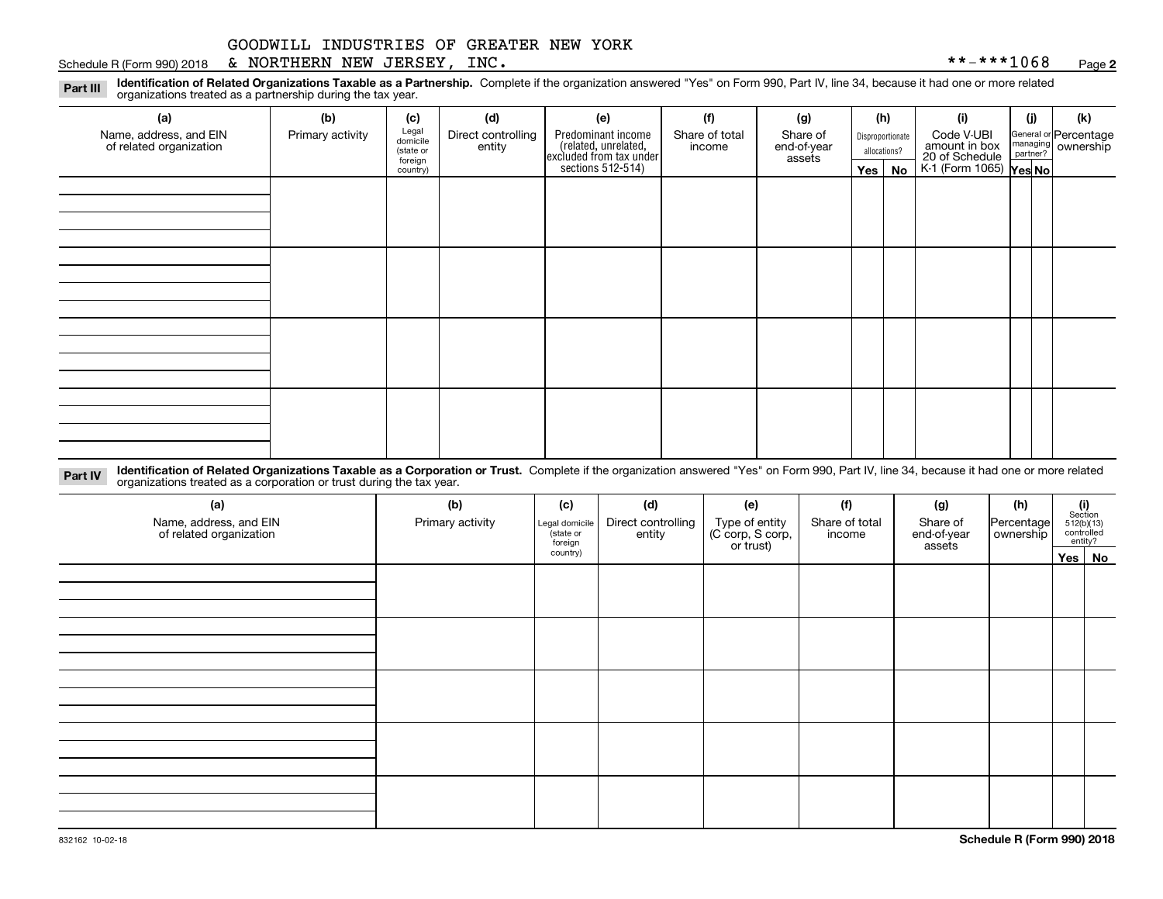#### Schedule R (Form 990) 2018 Page & NORTHERN NEW JERSEY, INC. \*\*-\*\*\*1068

**2**

**Identification of Related Organizations Taxable as a Partnership.** Complete if the organization answered "Yes" on Form 990, Part IV, line 34, because it had one or more related **Part III** organizations treated as a partnership during the tax year.

| (a)                                               | (b)              | (c)                  | (d)                          | (e)                                                                                        | (f)                      | (g)                     | (h)              | (i)                                                       | (j) | (k)                                                       |
|---------------------------------------------------|------------------|----------------------|------------------------------|--------------------------------------------------------------------------------------------|--------------------------|-------------------------|------------------|-----------------------------------------------------------|-----|-----------------------------------------------------------|
| Name, address, and EIN<br>of related organization | Primary activity | Legal<br>domicile    | Direct controlling<br>entity | Predominant income<br>(related, unrelated,<br>excluded from tax under<br>sections 512-514) | Share of total<br>income | Share of<br>end-of-year | Disproportionate | Code V-UBI                                                |     | General or Percentage<br>managing<br>partner?<br>partner? |
|                                                   |                  | (state or<br>foreign |                              |                                                                                            |                          | assets                  | allocations?     |                                                           |     |                                                           |
|                                                   |                  | country)             |                              |                                                                                            |                          |                         | $Yes \mid No$    | amount in box<br>20 of Schedule<br>K-1 (Form 1065) Yes No |     |                                                           |
|                                                   |                  |                      |                              |                                                                                            |                          |                         |                  |                                                           |     |                                                           |
|                                                   |                  |                      |                              |                                                                                            |                          |                         |                  |                                                           |     |                                                           |
|                                                   |                  |                      |                              |                                                                                            |                          |                         |                  |                                                           |     |                                                           |
|                                                   |                  |                      |                              |                                                                                            |                          |                         |                  |                                                           |     |                                                           |
|                                                   |                  |                      |                              |                                                                                            |                          |                         |                  |                                                           |     |                                                           |
|                                                   |                  |                      |                              |                                                                                            |                          |                         |                  |                                                           |     |                                                           |
|                                                   |                  |                      |                              |                                                                                            |                          |                         |                  |                                                           |     |                                                           |
|                                                   |                  |                      |                              |                                                                                            |                          |                         |                  |                                                           |     |                                                           |
|                                                   |                  |                      |                              |                                                                                            |                          |                         |                  |                                                           |     |                                                           |
|                                                   |                  |                      |                              |                                                                                            |                          |                         |                  |                                                           |     |                                                           |
|                                                   |                  |                      |                              |                                                                                            |                          |                         |                  |                                                           |     |                                                           |
|                                                   |                  |                      |                              |                                                                                            |                          |                         |                  |                                                           |     |                                                           |
|                                                   |                  |                      |                              |                                                                                            |                          |                         |                  |                                                           |     |                                                           |
|                                                   |                  |                      |                              |                                                                                            |                          |                         |                  |                                                           |     |                                                           |
|                                                   |                  |                      |                              |                                                                                            |                          |                         |                  |                                                           |     |                                                           |
|                                                   |                  |                      |                              |                                                                                            |                          |                         |                  |                                                           |     |                                                           |
|                                                   |                  |                      |                              |                                                                                            |                          |                         |                  |                                                           |     |                                                           |
|                                                   |                  |                      |                              |                                                                                            |                          |                         |                  |                                                           |     |                                                           |

**Identification of Related Organizations Taxable as a Corporation or Trust.** Complete if the organization answered "Yes" on Form 990, Part IV, line 34, because it had one or more related **Part IV** organizations treated as a corporation or trust during the tax year.

| (a)<br>Name, address, and EIN<br>of related organization | (b)<br>Primary activity | (c)<br>Legal domicile<br>(state or<br>foreign | (d)<br>Direct controlling<br>entity | (e)<br>Type of entity<br>(C corp, S corp,<br>or trust) | (f)<br>Share of total<br>income | (g)<br>Share of<br>end-of-year<br>assets | (h)<br>Percentage<br>ownership | $\begin{array}{c} \textbf{(i)}\\ \text{Section}\\ 512 \text{(b)} \text{(13)}\\ \text{controlled}\\ \text{entity?} \end{array}$ |  |
|----------------------------------------------------------|-------------------------|-----------------------------------------------|-------------------------------------|--------------------------------------------------------|---------------------------------|------------------------------------------|--------------------------------|--------------------------------------------------------------------------------------------------------------------------------|--|
|                                                          |                         | country)                                      |                                     |                                                        |                                 |                                          |                                | Yes No                                                                                                                         |  |
|                                                          |                         |                                               |                                     |                                                        |                                 |                                          |                                |                                                                                                                                |  |
|                                                          |                         |                                               |                                     |                                                        |                                 |                                          |                                |                                                                                                                                |  |
|                                                          |                         |                                               |                                     |                                                        |                                 |                                          |                                |                                                                                                                                |  |
|                                                          |                         |                                               |                                     |                                                        |                                 |                                          |                                |                                                                                                                                |  |
|                                                          |                         |                                               |                                     |                                                        |                                 |                                          |                                |                                                                                                                                |  |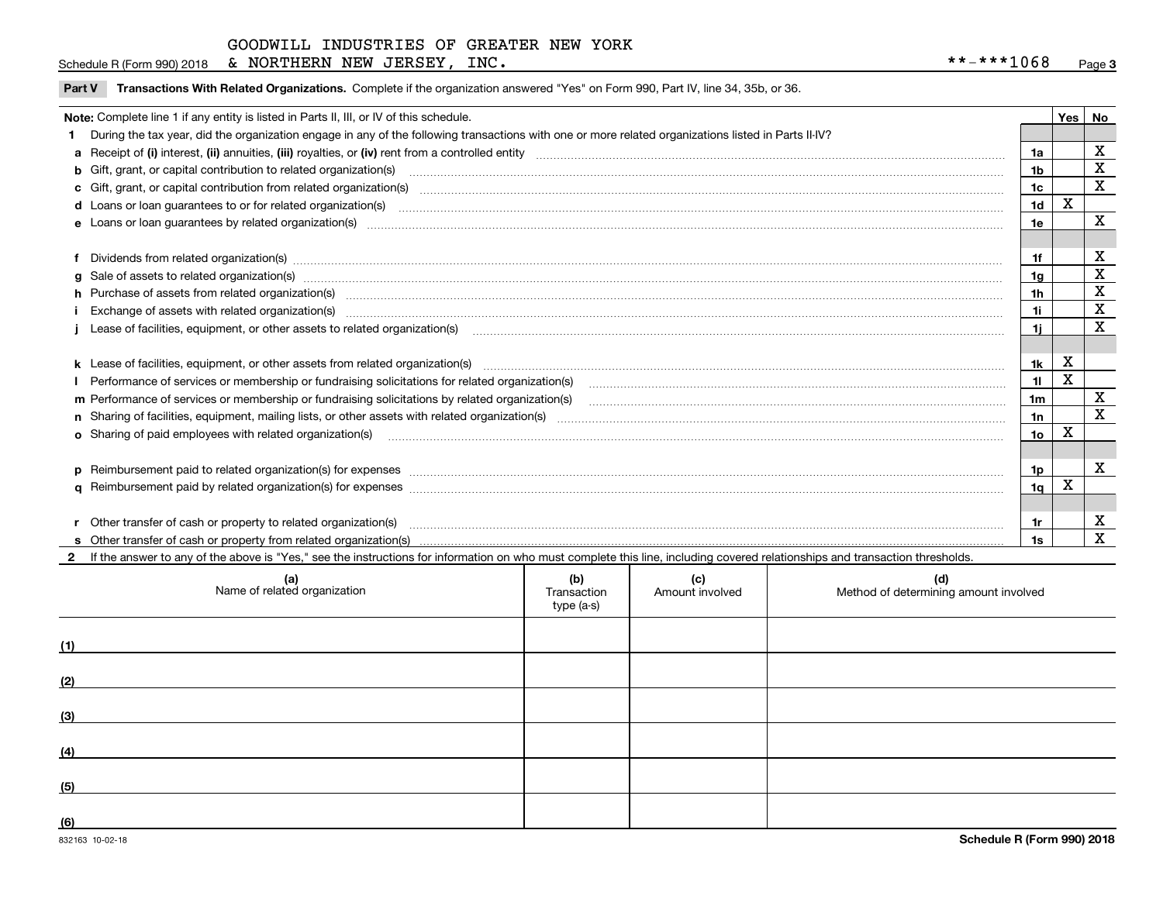**Part V** T**ransactions With Related Organizations.** Complete if the organization answered "Yes" on Form 990, Part IV, line 34, 35b, or 36.

| Note: Complete line 1 if any entity is listed in Parts II, III, or IV of this schedule. |                                                                                                                                                                                                                                |                 |             |              |  |  |
|-----------------------------------------------------------------------------------------|--------------------------------------------------------------------------------------------------------------------------------------------------------------------------------------------------------------------------------|-----------------|-------------|--------------|--|--|
|                                                                                         | During the tax year, did the organization engage in any of the following transactions with one or more related organizations listed in Parts II-IV?                                                                            |                 |             |              |  |  |
|                                                                                         |                                                                                                                                                                                                                                | 1a              |             | X            |  |  |
|                                                                                         | b Gift, grant, or capital contribution to related organization(s) manufaction contains and contribution to related organization(s) manufaction contribution for related organization(s) manufaction contains and contribution  | 1 <sub>b</sub>  |             | X            |  |  |
|                                                                                         | c Gift, grant, or capital contribution from related organization(s) material content and contribution from related organization(s) material content and content and contribution from related organization(s) material content | 1c              |             | $\mathbf X$  |  |  |
|                                                                                         | d Loans or loan guarantees to or for related organization(s) material content to consume the content of the state of the content of the content of the state or for related organization(s) materials are consumed and content | 1 <sub>d</sub>  | X           |              |  |  |
|                                                                                         |                                                                                                                                                                                                                                | 1e              |             | $\mathbf X$  |  |  |
|                                                                                         |                                                                                                                                                                                                                                |                 |             |              |  |  |
|                                                                                         | f Dividends from related organization(s) manufactured contains and contained and contained contained and contained and contained and contained and contained and contained and contained and contained and contained and conta | 1f              |             | X            |  |  |
|                                                                                         | g Sale of assets to related organization(s) www.assettion.com/www.assettion.com/www.assettion.com/www.assettion.com/www.assettion.com/www.assettion.com/www.assettion.com/www.assettion.com/www.assettion.com/www.assettion.co | 1a              |             | X            |  |  |
|                                                                                         | h Purchase of assets from related organization(s) manufactured and content to content the content of assets from related organization(s)                                                                                       | 1 <sub>h</sub>  |             | X            |  |  |
|                                                                                         | Exchange of assets with related organization(s) www.andron.com/www.andron.com/www.andron.com/www.andron.com/www.andron.com/www.andron.com/www.andron.com/www.andron.com/www.andron.com/www.andron.com/www.andron.com/www.andro | 1i              |             | $\mathbf X$  |  |  |
|                                                                                         | Lease of facilities, equipment, or other assets to related organization(s) manufactured content and content and content and content and content and content and content and content and content and content and content and co | 1i              |             | X            |  |  |
|                                                                                         |                                                                                                                                                                                                                                |                 |             |              |  |  |
|                                                                                         | k Lease of facilities, equipment, or other assets from related organization(s) manufaction content and content to the assets from related organization(s) manufaction content and content and content and content and content  | 1k              | $\mathbf x$ |              |  |  |
|                                                                                         | Performance of services or membership or fundraising solicitations for related organization(s) manufaction manufaction and the service of services or membership or fundraising solicitations for related organization(s) manu | 11              | Χ           |              |  |  |
|                                                                                         | m Performance of services or membership or fundraising solicitations by related organization(s)                                                                                                                                | 1 <sub>m</sub>  |             | X            |  |  |
|                                                                                         |                                                                                                                                                                                                                                | 1n              |             | X            |  |  |
|                                                                                         | <b>o</b> Sharing of paid employees with related organization(s)                                                                                                                                                                | 10 <sub>o</sub> | X           |              |  |  |
|                                                                                         |                                                                                                                                                                                                                                |                 |             |              |  |  |
|                                                                                         |                                                                                                                                                                                                                                | 1p              |             | $\mathbf{x}$ |  |  |
|                                                                                         |                                                                                                                                                                                                                                | 1 <sub>a</sub>  | X           |              |  |  |
|                                                                                         |                                                                                                                                                                                                                                |                 |             |              |  |  |
|                                                                                         | r Other transfer of cash or property to related organization(s)                                                                                                                                                                | 1r              |             | X            |  |  |
|                                                                                         |                                                                                                                                                                                                                                | 1s              |             | X            |  |  |
|                                                                                         | 2 If the answer to any of the above is "Yes," see the instructions for information on who must complete this line, including covered relationships and transaction thresholds.                                                 |                 |             |              |  |  |

| (a)<br>Name of related organization | (b)<br>Transaction<br>type (a-s) | (c)<br>Amount involved | (d)<br>Method of determining amount involved |
|-------------------------------------|----------------------------------|------------------------|----------------------------------------------|
| (1)                                 |                                  |                        |                                              |
| (2)                                 |                                  |                        |                                              |
| (3)                                 |                                  |                        |                                              |
| (4)                                 |                                  |                        |                                              |
| (5)                                 |                                  |                        |                                              |
| (6)                                 |                                  |                        |                                              |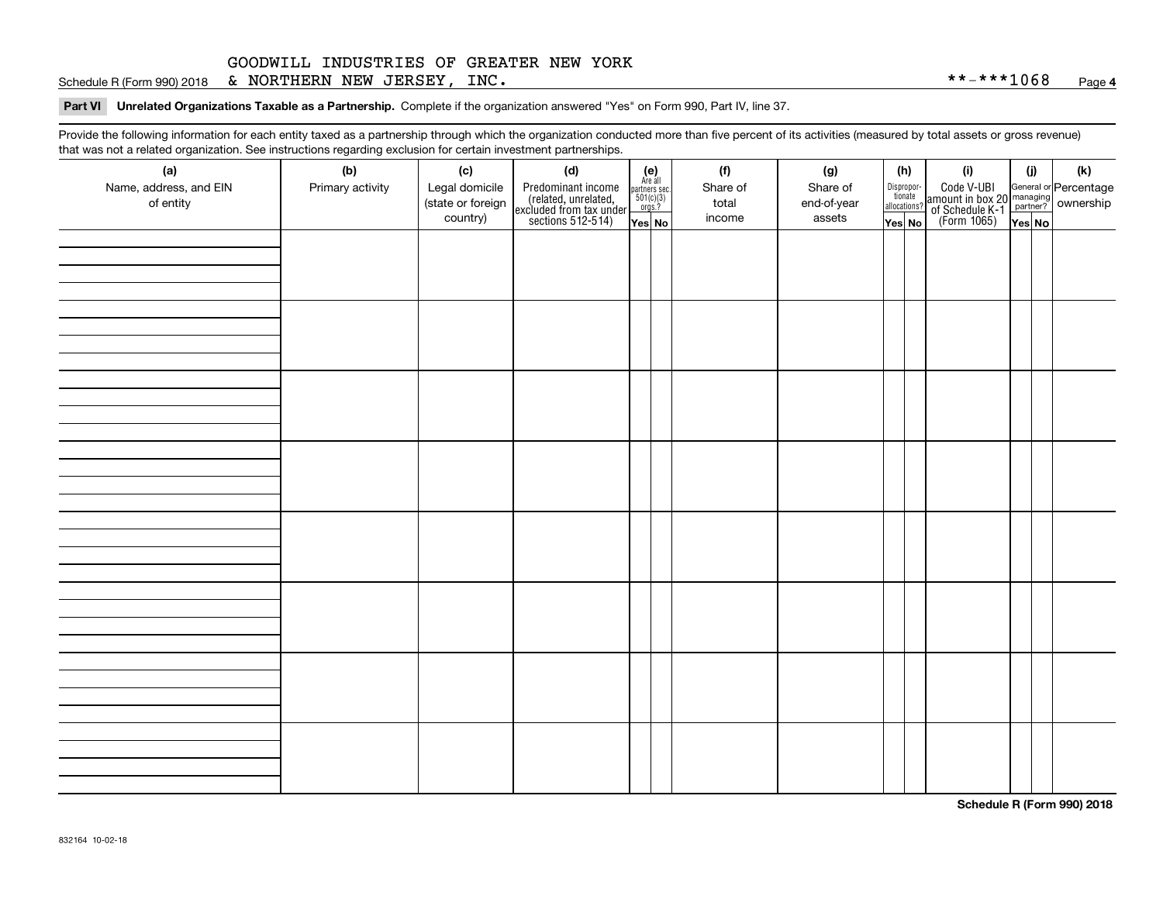Schedule R (Form 990) 2018 Page & NORTHERN NEW JERSEY, INC. \*\*-\*\*\*1068

**Part VI Unrelated Organizations Taxable as a Partnership. Complete if the organization answered "Yes" on Form 990, Part IV, line 37.** 

Provide the following information for each entity taxed as a partnership through which the organization conducted more than five percent of its activities (measured by total assets or gross revenue) that was not a related organization. See instructions regarding exclusion for certain investment partnerships.

| ັ                      | ັ<br>ັ           |                   | . .                                                                                        |                                                            |  |          |             |                                  |                                                                                                  |        |     |
|------------------------|------------------|-------------------|--------------------------------------------------------------------------------------------|------------------------------------------------------------|--|----------|-------------|----------------------------------|--------------------------------------------------------------------------------------------------|--------|-----|
| (a)                    | (b)              | (c)               | (d)                                                                                        | $(e)$<br>Are all<br>partners sec.<br>$501(c)(3)$<br>orgs.? |  | (f)      | (g)         | (h)                              | (i)                                                                                              | (i)    | (k) |
| Name, address, and EIN | Primary activity | Legal domicile    | Predominant income<br>(related, unrelated,<br>excluded from tax under<br>sections 512-514) |                                                            |  | Share of | Share of    | Disproportionate<br>allocations? | Code V-UBI<br>amount in box 20 managing<br>of Schedule K-1<br>(Form 1065)<br>$\overline{Yes}$ No |        |     |
| of entity              |                  | (state or foreign |                                                                                            |                                                            |  | total    | end-of-year |                                  |                                                                                                  |        |     |
|                        |                  | country)          |                                                                                            | Yes No                                                     |  | income   | assets      | Yes No                           |                                                                                                  | Yes No |     |
|                        |                  |                   |                                                                                            |                                                            |  |          |             |                                  |                                                                                                  |        |     |
|                        |                  |                   |                                                                                            |                                                            |  |          |             |                                  |                                                                                                  |        |     |
|                        |                  |                   |                                                                                            |                                                            |  |          |             |                                  |                                                                                                  |        |     |
|                        |                  |                   |                                                                                            |                                                            |  |          |             |                                  |                                                                                                  |        |     |
|                        |                  |                   |                                                                                            |                                                            |  |          |             |                                  |                                                                                                  |        |     |
|                        |                  |                   |                                                                                            |                                                            |  |          |             |                                  |                                                                                                  |        |     |
|                        |                  |                   |                                                                                            |                                                            |  |          |             |                                  |                                                                                                  |        |     |
|                        |                  |                   |                                                                                            |                                                            |  |          |             |                                  |                                                                                                  |        |     |
|                        |                  |                   |                                                                                            |                                                            |  |          |             |                                  |                                                                                                  |        |     |
|                        |                  |                   |                                                                                            |                                                            |  |          |             |                                  |                                                                                                  |        |     |
|                        |                  |                   |                                                                                            |                                                            |  |          |             |                                  |                                                                                                  |        |     |
|                        |                  |                   |                                                                                            |                                                            |  |          |             |                                  |                                                                                                  |        |     |
|                        |                  |                   |                                                                                            |                                                            |  |          |             |                                  |                                                                                                  |        |     |
|                        |                  |                   |                                                                                            |                                                            |  |          |             |                                  |                                                                                                  |        |     |
|                        |                  |                   |                                                                                            |                                                            |  |          |             |                                  |                                                                                                  |        |     |
|                        |                  |                   |                                                                                            |                                                            |  |          |             |                                  |                                                                                                  |        |     |
|                        |                  |                   |                                                                                            |                                                            |  |          |             |                                  |                                                                                                  |        |     |
|                        |                  |                   |                                                                                            |                                                            |  |          |             |                                  |                                                                                                  |        |     |
|                        |                  |                   |                                                                                            |                                                            |  |          |             |                                  |                                                                                                  |        |     |
|                        |                  |                   |                                                                                            |                                                            |  |          |             |                                  |                                                                                                  |        |     |
|                        |                  |                   |                                                                                            |                                                            |  |          |             |                                  |                                                                                                  |        |     |
|                        |                  |                   |                                                                                            |                                                            |  |          |             |                                  |                                                                                                  |        |     |
|                        |                  |                   |                                                                                            |                                                            |  |          |             |                                  |                                                                                                  |        |     |
|                        |                  |                   |                                                                                            |                                                            |  |          |             |                                  |                                                                                                  |        |     |
|                        |                  |                   |                                                                                            |                                                            |  |          |             |                                  |                                                                                                  |        |     |
|                        |                  |                   |                                                                                            |                                                            |  |          |             |                                  |                                                                                                  |        |     |
|                        |                  |                   |                                                                                            |                                                            |  |          |             |                                  |                                                                                                  |        |     |
|                        |                  |                   |                                                                                            |                                                            |  |          |             |                                  |                                                                                                  |        |     |
|                        |                  |                   |                                                                                            |                                                            |  |          |             |                                  |                                                                                                  |        |     |
|                        |                  |                   |                                                                                            |                                                            |  |          |             |                                  |                                                                                                  |        |     |
|                        |                  |                   |                                                                                            |                                                            |  |          |             |                                  |                                                                                                  |        |     |
|                        |                  |                   |                                                                                            |                                                            |  |          |             |                                  |                                                                                                  |        |     |
|                        |                  |                   |                                                                                            |                                                            |  |          |             |                                  |                                                                                                  |        |     |
|                        |                  |                   |                                                                                            |                                                            |  |          |             |                                  |                                                                                                  |        |     |
|                        |                  |                   |                                                                                            |                                                            |  |          |             |                                  |                                                                                                  |        |     |
|                        |                  |                   |                                                                                            |                                                            |  |          |             |                                  |                                                                                                  |        |     |
|                        |                  |                   |                                                                                            |                                                            |  |          |             |                                  |                                                                                                  |        |     |
|                        |                  |                   |                                                                                            |                                                            |  |          |             |                                  |                                                                                                  |        |     |

**Schedule R (Form 990) 2018**